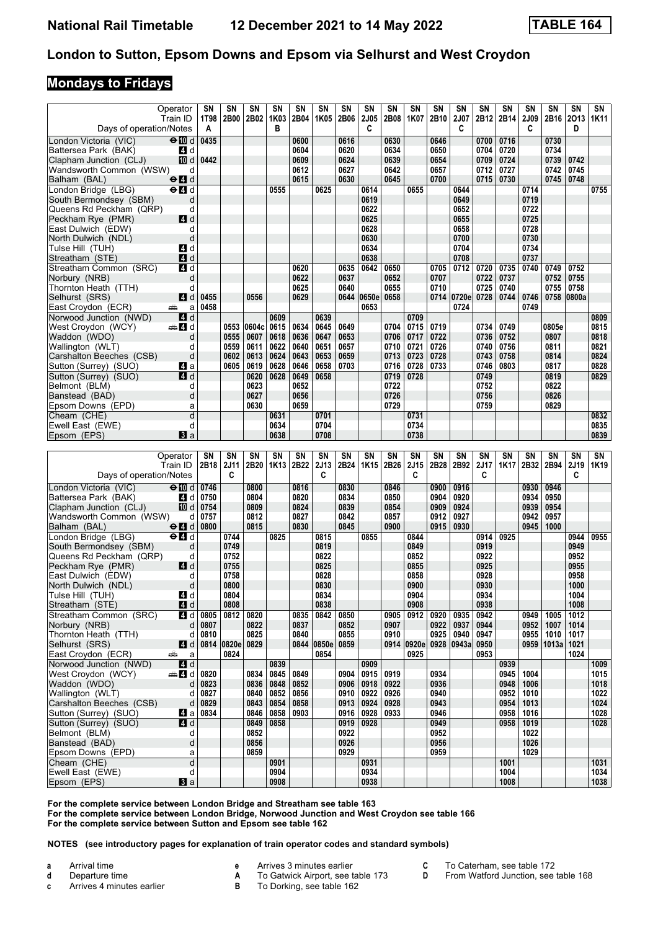#### **Mondays to Fridays**

| Operator                                                      | SN                | SN           | SN           | SN               | SN           | SΝ           | SN           | SN            | SN           | SΝ           | SN           | SΝ                 | SN           | SN           | SΝ           | SΝ              | SN            | SN           |
|---------------------------------------------------------------|-------------------|--------------|--------------|------------------|--------------|--------------|--------------|---------------|--------------|--------------|--------------|--------------------|--------------|--------------|--------------|-----------------|---------------|--------------|
| Train ID                                                      | 1T98              | 2B00         | 2B02         | 1K03             | 2B04         | 1K05         | 2B06         | 2J05          | 2B08         | 1K07         | 2B10         | <b>2J07</b>        | 2B12         | 2B14         | <b>2J09</b>  | 2B16            | 2013          | 1K11         |
| Days of operation/Notes                                       | A                 |              |              | в                |              |              |              | C             |              |              |              | C                  |              |              | C            |                 | D             |              |
| $\Theta$ M d<br>London Victoria (VIC)                         | 0435              |              |              |                  | 0600         |              | 0616         |               | 0630         |              | 0646         |                    | 0700         | 0716         |              | 0730            |               |              |
| Battersea Park (BAK)<br>4 d                                   |                   |              |              |                  | 0604         |              | 0620         |               | 0634         |              | 0650         |                    | 0704         | 0720         |              | 0734            |               |              |
| Clapham Junction (CLJ)<br>10 d                                | 0442              |              |              |                  | 0609         |              | 0624         |               | 0639         |              | 0654         |                    | 0709         | 0724         |              | 0739            | 0742          |              |
| Wandsworth Common (WSW)                                       | d                 |              |              |                  | 0612         |              | 0627         |               | 0642         |              | 0657         |                    | 0712         | 0727         |              | 0742            | 0745          |              |
| Balham (BAL)<br>⊖Md                                           |                   |              |              |                  | 0615         |              | 0630         |               | 0645         |              | 0700         |                    | 0715         | 0730         |              | 0745            | 0748          |              |
| London Bridge (LBG)<br><b>⊖ 4</b> d                           |                   |              |              | 0555             |              | 0625         |              | 0614          |              | 0655         |              | 0644               |              |              | 0714         |                 |               | 0755         |
| South Bermondsey (SBM)                                        | d                 |              |              |                  |              |              |              | 0619          |              |              |              | 0649               |              |              | 0719         |                 |               |              |
| Queens Rd Peckham (QRP)                                       | d                 |              |              |                  |              |              |              | 0622          |              |              |              | 0652               |              |              | 0722         |                 |               |              |
| Peckham Rye (PMR)<br><b>4</b> d                               |                   |              |              |                  |              |              |              | 0625          |              |              |              | 0655               |              |              | 0725         |                 |               |              |
| East Dulwich (EDW)                                            | d                 |              |              |                  |              |              |              | 0628          |              |              |              | 0658               |              |              | 0728         |                 |               |              |
| North Dulwich (NDL)                                           | d                 |              |              |                  |              |              |              | 0630          |              |              |              | 0700               |              |              | 0730         |                 |               |              |
| Tulse Hill (TUH)<br>4 d                                       |                   |              |              |                  |              |              |              | 0634          |              |              |              | 0704               |              |              | 0734         |                 |               |              |
| Streatham (STE)<br>4 d                                        |                   |              |              |                  |              |              |              | 0638          |              |              |              | 0708               |              |              | 0737         |                 |               |              |
| Streatham Common (SRC)<br>4 d                                 |                   |              |              |                  | 0620         |              | 0635         | 0642          | 0650         |              | 0705         | 0712               | 0720         | 0735         | 0740         | 0749            | 0752          |              |
| Norbury (NRB)                                                 | d                 |              |              |                  | 0622         |              | 0637         |               | 0652         |              | 0707         |                    | 0722         | 0737         |              | 0752            | 0755          |              |
| Thornton Heath (TTH)                                          | d<br>0455         |              | 0556         |                  | 0625<br>0629 |              | 0640         |               | 0655<br>0658 |              | 0710         |                    | 0725         | 0740<br>0744 | 0746         | 0755<br>0758    | 0758<br>0800a |              |
| Selhurst (SRS)<br>4 d<br>پیش                                  | 0458<br>a         |              |              |                  |              |              | 0644         | 0650e<br>0653 |              |              |              | 0714 0720e<br>0724 | 0728         |              | 0749         |                 |               |              |
| East Croydon (ECR)<br>Norwood Junction (NWD)<br><b>4</b> d    |                   |              |              | 0609             |              | 0639         |              |               |              | 0709         |              |                    |              |              |              |                 |               | 0809         |
| West Croydon (WCY)<br>dan 4. d                                |                   | 0553         | 0604c        | 0615             | 0634         | 0645         | 0649         |               | 0704         | 0715         | 0719         |                    | 0734         | 0749         |              | 0805e           |               | 0815         |
| Waddon (WDO)                                                  | d                 | 0555         | 0607         | 0618             | 0636         | 0647         | 0653         |               | 0706         | 0717         | 0722         |                    | 0736         | 0752         |              | 0807            |               | 0818         |
| Wallington (WLT)                                              | d                 | 0559         | 0611         | 0622             | 0640         | 0651         | 0657         |               | 0710         | 0721         | 0726         |                    | 0740         | 0756         |              | 0811            |               | 0821         |
| Carshalton Beeches (CSB)                                      | d                 | 0602         | 0613         | 0624             | 0643         | 0653         | 0659         |               | 0713         | 0723         | 0728         |                    | 0743         | 0758         |              | 0814            |               | 0824         |
| Sutton (Surrey) (SUO)<br>4 a                                  |                   | 0605         | 0619         | 0628             | 0646         | 0658         | 0703         |               | 0716         | 0728         | 0733         |                    | 0746         | 0803         |              | 0817            |               | 0828         |
| 4d<br>Sutton (Surrey) (SUO)                                   |                   |              | 0620         | 0628             | 0649         | 0658         |              |               | 0719         | 0728         |              |                    | 0749         |              |              | 0819            |               | 0829         |
| Belmont (BLM)                                                 | d                 |              | 0623         |                  | 0652         |              |              |               | 0722         |              |              |                    | 0752         |              |              | 0822            |               |              |
| Banstead (BAD)                                                | d                 |              | 0627         |                  | 0656         |              |              |               | 0726         |              |              |                    | 0756         |              |              | 0826            |               |              |
| Epsom Downs (EPD)                                             | a                 |              | 0630         |                  | 0659         |              |              |               | 0729         |              |              |                    | 0759         |              |              | 0829            |               |              |
| Cheam (CHE)                                                   | d                 |              |              | 0631             |              | 0701         |              |               |              | 0731         |              |                    |              |              |              |                 |               | 0832         |
| Ewell East (EWE)                                              | d                 |              |              | 0634             |              | 0704         |              |               |              | 0734         |              |                    |              |              |              |                 |               | 0835         |
| Epsom (EPS)<br><b>B</b> a                                     |                   |              |              | 0638             |              | 0708         |              |               |              | 0738         |              |                    |              |              |              |                 |               | 0839         |
|                                                               |                   |              |              |                  |              |              |              |               |              |              |              |                    |              |              |              |                 |               |              |
|                                                               |                   |              |              |                  |              |              |              |               |              |              |              |                    |              |              |              |                 |               |              |
| Operator                                                      | SN                | SN           | SN           | SN               | SN           | SΝ           | SΝ           | SΝ            | SN           | SN           | SN           | SN                 | SN           | SΝ           | SΝ           | SN              | SN            | SN           |
| Train ID                                                      | 2B18              | 2J11         | 2B20         | 1K <sub>13</sub> | 2B22         | 2J13         | 2B24         | 1K15          | 2B26         | 2J15         | 2B28         | 2B92               | 2J17         | 1K17         | 2B32         | 2B94            | 2J19          |              |
| Days of operation/Notes                                       |                   | C            |              |                  |              | C            |              |               |              | C            |              |                    | C            |              |              |                 | C             |              |
| London Victoria (VIC)<br>$\Theta$ M d                         | 0746              |              | 0800         |                  | 0816         |              | 0830         |               | 0846         |              | 0900         | 0916               |              |              | 0930         | 0946            |               |              |
| Battersea Park (BAK)<br>4 d                                   | 0750              |              | 0804         |                  | 0820         |              | 0834         |               | 0850         |              | 0904         | 0920               |              |              | 0934         | 0950            |               |              |
| Clapham Junction (CLJ)<br>10 d                                | 0754              |              | 0809         |                  | 0824         |              | 0839         |               | 0854         |              | 0909         | 0924               |              |              | 0939         | 0954            |               |              |
| Wandsworth Common (WSW)                                       | 0757<br>d         |              | 0812         |                  | 0827         |              | 0842         |               | 0857         |              | 0912         | 0927               |              |              | 0942         | 0957            |               |              |
| Balham (BAL)<br>$\Theta$ $\blacksquare$ d                     | 0800              |              | 0815         |                  | 0830         |              | 0845         |               | 0900         |              | 0915         | 0930               |              |              | 0945         | 1000            |               |              |
| London Bridge (LBG)<br><b>⊖ 4</b> d<br>South Bermondsey (SBM) | d                 | 0744<br>0749 |              | 0825             |              | 0815<br>0819 |              | 0855          |              | 0844<br>0849 |              |                    | 0914<br>0919 | 0925         |              |                 | 0944<br>0949  | 0955         |
|                                                               | d                 | 0752         |              |                  |              | 0822         |              |               |              |              |              |                    |              |              |              |                 | 0952          |              |
| Queens Rd Peckham (QRP)<br>Peckham Rye (PMR)<br><b>4</b> d    |                   | 0755         |              |                  |              | 0825         |              |               |              | 0852<br>0855 |              |                    | 0922<br>0925 |              |              |                 | 0955          | 1K19         |
| East Dulwich (EDW)                                            | d                 | 0758         |              |                  |              | 0828         |              |               |              | 0858         |              |                    | 0928         |              |              |                 | 0958          |              |
| North Dulwich (NDL)                                           | d                 | 0800         |              |                  |              | 0830         |              |               |              | 0900         |              |                    | 0930         |              |              |                 | 1000          |              |
| 4 d                                                           |                   | 0804         |              |                  |              | 0834         |              |               |              | 0904         |              |                    | 0934         |              |              |                 | 1004          |              |
| 4d<br>Streatham (STE)                                         |                   | 0808         |              |                  |              | 0838         |              |               |              | 0908         |              |                    | 0938         |              |              |                 | 1008          |              |
| Streatham Common (SRC)<br>4 d                                 | 0805              | 0812         | 0820         |                  | 0835         | 0842         | 0850         |               | 0905         | 0912         | 0920         | 0935               | 0942         |              | 0949         | 1005            | 1012          |              |
| Norbury (NRB)                                                 | 0807<br>d         |              | 0822         |                  | 0837         |              | 0852         |               | 0907         |              | 0922         | 0937               | 0944         |              | 0952         | 1007            | 1014          |              |
| Thornton Heath (TTH)                                          | 0810<br>d         |              | 0825         |                  | 0840         |              | 0855         |               | 0910         |              | 0925         | 0940               | 0947         |              | 0955         | 1010            | 1017          |              |
| Selhurst (SRS)<br>4 d                                         |                   | 0814 0820e   | 0829         |                  |              | 0844 0850e   | 0859         |               |              | 0914 0920e   |              | 0928 0943a 0950    |              |              |              | 0959 1013a 1021 |               |              |
| East Croydon (ECR)<br>æ                                       | a                 | 0824         |              |                  |              | 0854         |              |               |              | 0925         |              |                    | 0953         |              |              |                 | 1024          |              |
| Norwood Junction (NWD)<br>4d                                  |                   |              |              | 0839             |              |              |              | 0909          |              |              |              |                    |              | 0939         |              |                 |               | 1009         |
| West Croydon (WCY)<br>d dannaman<br>Waddon (WDO)              | 0820<br>d         |              | 0834<br>0836 | 0845             | 0849<br>0852 |              | 0904<br>0906 | 0915          | 0919<br>0922 |              | 0934<br>0936 |                    |              | 0945         | 1004<br>1006 |                 |               | 1015         |
| Wallington (WLT)                                              | 0823<br>0827<br>d |              | 0840         | 0848<br>0852     | 0856         |              | 0910         | 0918<br>0922  | 0926         |              | 0940         |                    |              | 0948<br>0952 | 1010         |                 |               | 1018<br>1022 |
| Carshalton Beeches (CSB)                                      | 0829<br>d         |              | 0843         | 0854             | 0858         |              | 0913         | 0924          | 0928         |              | 0943         |                    |              | 0954         | 1013         |                 |               | 1024         |
| Sutton (Surrey) (SUO)<br>41 a                                 | 0834              |              | 0846         | 0858             | 0903         |              | 0916         | 0928          | 0933         |              | 0946         |                    |              | 0958         | 1016         |                 |               | 1028         |
| 4d<br>Sutton (Surrey) (SUO)                                   |                   |              | 0849         | 0858             |              |              | 0919         | 0928          |              |              | 0949         |                    |              | 0958         | 1019         |                 |               | 1028         |
| Belmont (BLM)                                                 | d                 |              | 0852         |                  |              |              | 0922         |               |              |              | 0952         |                    |              |              | 1022         |                 |               |              |
| Banstead (BAD)                                                | d                 |              | 0856         |                  |              |              | 0926         |               |              |              | 0956         |                    |              |              | 1026         |                 |               |              |
| Tulse Hill (TUH)<br>Epsom Downs (EPD)                         | a                 |              | 0859         |                  |              |              | 0929         |               |              |              | 0959         |                    |              |              | 1029         |                 |               |              |
| Cheam (CHE)                                                   | $\overline{d}$    |              |              | 0901             |              |              |              | 0931          |              |              |              |                    |              | 1001         |              |                 |               | 1031         |
| Ewell East (EWE)<br>$\mathbf{3}$ a<br>Epsom (EPS)             | d                 |              |              | 0904<br>0908     |              |              |              | 0934<br>0938  |              |              |              |                    |              | 1004<br>1008 |              |                 |               | 1034<br>1038 |

**For the complete service between London Bridge and Streatham see table 1**

For the complete service between London Bridge, Norwood Junction and West Croydon see table 166

For the complete service between Sutton and Epsom see table 162

**NOTES (see introductory pages for explanation of train operator codes and standard symbols)**

**a** Arrival time

- **d** Departure time
- **c** Arrives 4 minutes earlier
- **e** Arrives 3 minutes earlier
- **A** To Gatwick Airport, see table 173<br>**B** To Dorking, see table 162
	- To Dorking, see table 162
- **C** To Caterham, see table 172
- **D** From Watford Junction, see table 168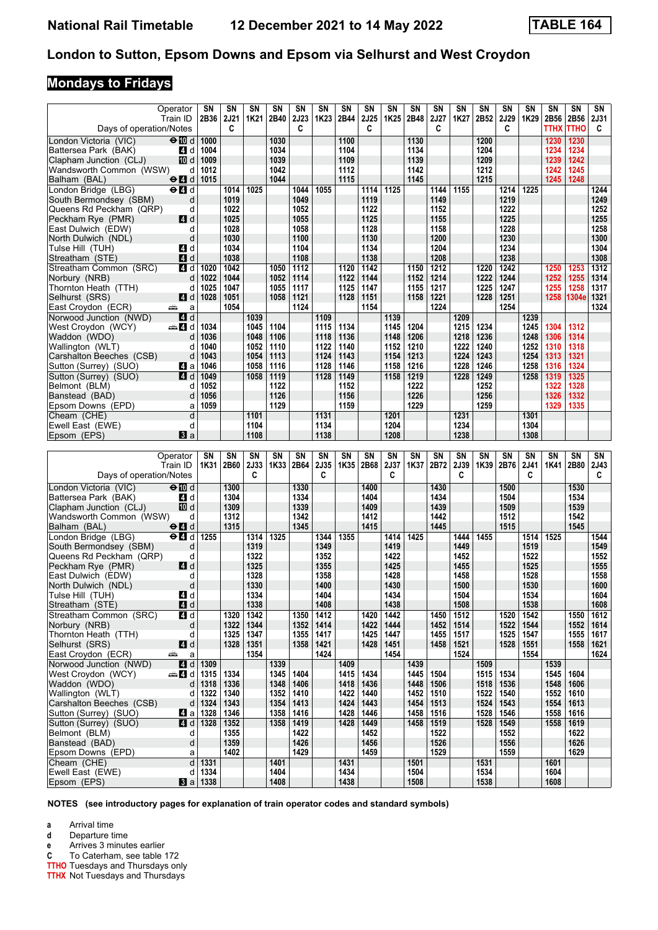### **Mondays to Fridays**

| Operator<br>Train ID                                                      | SN<br>2B36                        | SN<br><b>2J21</b> | SN<br>1K21   | SΝ<br>2B40   | SΝ<br><b>2J23</b> | SN<br>1K23   | SN<br>2B44   | SΝ<br><b>2J25</b> | SΝ<br>1K25   | SN<br>2B48   | SN<br><b>2J27</b> | SΝ<br>1K27   | SN<br>2B52   | SΝ<br><b>2J29</b> | SN<br>1K29   | SΝ<br>2B56   | SN<br>2B56   | SN<br><b>2J31</b> |
|---------------------------------------------------------------------------|-----------------------------------|-------------------|--------------|--------------|-------------------|--------------|--------------|-------------------|--------------|--------------|-------------------|--------------|--------------|-------------------|--------------|--------------|--------------|-------------------|
| Days of operation/Notes                                                   |                                   | C                 |              |              | C                 |              |              | C                 |              |              | C                 |              |              | C                 |              | ттнх         | TTHO         | C                 |
| London Victoria (VIC)<br>$\Theta$ 10 d                                    | 1000                              |                   |              | 1030         |                   |              | 1100         |                   |              | 1130         |                   |              | 1200         |                   |              | 1230         | 1230         |                   |
| Battersea Park (BAK)<br>4 d<br>Clapham Junction (CLJ)<br>100 d l          | 1004<br>1009                      |                   |              | 1034<br>1039 |                   |              | 1104<br>1109 |                   |              | 1134<br>1139 |                   |              | 1204<br>1209 |                   |              | 1234<br>1239 | 1234<br>1242 |                   |
| Wandsworth Common (WSW)                                                   | 1012<br>d                         |                   |              | 1042         |                   |              | 1112         |                   |              | 1142         |                   |              | 1212         |                   |              | 1242         | 1245         |                   |
| $\Theta$ 4 d<br>Balham (BAL)                                              | 1015                              |                   |              | 1044         |                   |              | 1115         |                   |              | 1145         |                   |              | 1215         |                   |              | 1245         | 1248         |                   |
| London Bridge (LBG)<br>⊖ Øl d                                             |                                   | 1014              | 1025         |              | 1044              | 1055         |              | 1114              | 1125         |              | 1144              | 1155         |              | 1214              | 1225         |              |              | 1244              |
| South Bermondsey (SBM)                                                    | d                                 | 1019              |              |              | 1049              |              |              | 1119              |              |              | 1149              |              |              | 1219              |              |              |              | 1249              |
| Queens Rd Peckham (QRP)                                                   | d                                 | 1022              |              |              | 1052              |              |              | 1122              |              |              | 1152              |              |              | 1222              |              |              |              | 1252              |
| Peckham Rye (PMR)<br>ZI d                                                 |                                   | 1025              |              |              | 1055              |              |              | 1125              |              |              | 1155              |              |              | 1225              |              |              |              | 1255              |
| East Dulwich (EDW)<br>North Dulwich (NDL)                                 | d<br>d                            | 1028<br>1030      |              |              | 1058<br>1100      |              |              | 1128<br>1130      |              |              | 1158<br>1200      |              |              | 1228<br>1230      |              |              |              | 1258<br>1300      |
| Tulse Hill (TUH)<br>ZI d                                                  |                                   | 1034              |              |              | 1104              |              |              | 1134              |              |              | 1204              |              |              | 1234              |              |              |              | 1304              |
| ZI d<br>Streatham (STE)                                                   |                                   | 1038              |              |              | 1108              |              |              | 1138              |              |              | 1208              |              |              | 1238              |              |              |              | 1308              |
| Streatham Common (SRC)<br><b>4</b> d                                      | 1020                              | 1042              |              | 1050         | 1112              |              | 1120         | 1142              |              | 1150         | 1212              |              | 1220         | 1242              |              | 1250         | 1253         | 1312              |
| Norbury (NRB)                                                             | 1022<br>d                         | 1044              |              | 1052         | 1114              |              | 1122         | 1144              |              | 1152         | 1214              |              | 1222         | 1244              |              | 1252         | 1255         | 1314              |
| Thornton Heath (TTH)                                                      | 1025<br>d                         | 1047              |              | 1055         | 1117              |              | 1125         | 1147              |              | 1155         | 1217              |              | 1225         | 1247              |              | 1255         | 1258         | 1317              |
| Selhurst (SRS)<br>14 d                                                    | 1028                              | 1051              |              | 1058         | 1121              |              | 1128         | 1151              |              | 1158         | 1221              |              | 1228         | 1251              |              | 1258         | 1304e        | 1321              |
| East Croydon (ECR)<br>پیشته<br>$\overline{4}$ d<br>Norwood Junction (NWD) | a                                 | 1054              |              |              | 1124              |              |              | 1154              |              |              | 1224              | 1209         |              | 1254              |              |              |              | 1324              |
| West Crovdon (WCY)<br>dan 4. d                                            | 1034                              |                   | 1039<br>1045 | 1104         |                   | 1109<br>1115 | 1134         |                   | 1139<br>1145 | 1204         |                   | 1215         | 1234         |                   | 1239<br>1245 | 1304         | 1312         |                   |
| Waddon (WDO)                                                              | 1036<br>d                         |                   | 1048         | 1106         |                   | 1118         | 1136         |                   | 1148         | 1206         |                   | 1218         | 1236         |                   | 1248         | 1306         | 1314         |                   |
| Wallington (WLT)                                                          | 1040<br>d                         |                   | 1052         | 1110         |                   | 1122         | 1140         |                   | 1152         | 1210         |                   | 1222         | 1240         |                   | 1252         | 1310         | 1318         |                   |
| Carshalton Beeches (CSB)                                                  | 1043<br>d                         |                   | 1054         | 1113         |                   | 1124         | 1143         |                   | 1154         | 1213         |                   | 1224         | 1243         |                   | 1254         | 1313         | 1321         |                   |
| Sutton (Surrey) (SUO)<br>M a                                              | 1046                              |                   | 1058         | 1116         |                   | 1128         | 1146         |                   | 1158         | 1216         |                   | 1228         | 1246         |                   | 1258         | 1316         | 1324         |                   |
| 4d<br>Sutton (Surrey) (SUO)                                               | 1049                              |                   | 1058         | 1119         |                   | 1128         | 1149         |                   | 1158         | 1219         |                   | 1228         | 1249         |                   | 1258         | 1319         | 1325         |                   |
| Belmont (BLM)                                                             | 1052<br>d                         |                   |              | 1122         |                   |              | 1152         |                   |              | 1222         |                   |              | 1252         |                   |              | 1322         | 1328         |                   |
| Banstead (BAD)                                                            | 1056                              |                   |              | 1126<br>1129 |                   |              | 1156         |                   |              | 1226<br>1229 |                   |              | 1256         |                   |              | 1326         | 1332         |                   |
| Epsom Downs (EPD)<br>Cheam (CHE)                                          | 1059<br>a<br>d                    |                   | 1101         |              |                   | 1131         | 1159         |                   | 1201         |              |                   | 1231         | 1259         |                   | 1301         | 1329         | 1335         |                   |
| Ewell East (EWE)                                                          | d                                 |                   | 1104         |              |                   | 1134         |              |                   | 1204         |              |                   | 1234         |              |                   | 1304         |              |              |                   |
| Epsom (EPS)<br><b>B</b> a                                                 |                                   |                   | 1108         |              |                   | 1138         |              |                   | 1208         |              |                   | 1238         |              |                   | 1308         |              |              |                   |
|                                                                           |                                   |                   |              |              |                   |              |              |                   |              |              |                   |              |              |                   |              |              |              |                   |
|                                                                           |                                   |                   |              |              |                   |              |              |                   |              |              |                   |              |              |                   |              |              |              |                   |
| Operator                                                                  | SN                                | SN                | SN           | SN           | SN                | SN           | SΝ           | SΝ                | SN           | SN           | SN                | <b>SN</b>    | SN           | SΝ                | SN           | SΝ           | SΝ           | SN                |
| Train ID                                                                  | 1K31                              | 2B60              | 2J33         | 1K33         | 2B64              | 2J35         | 1K35         | 2B68              | 2J37         | 1K37         | 2B72              | 2J39         | 1K39         | 2B76              | 2J41         | <b>1K41</b>  | 2B80         | <b>2J43</b>       |
| Days of operation/Notes                                                   |                                   |                   | C            |              |                   | C            |              |                   | C            |              |                   | C            |              |                   | C            |              |              | C                 |
| London Victoria (VIC)<br>$\Theta$ M d                                     |                                   | 1300              |              |              | 1330              |              |              | 1400              |              |              | 1430              |              |              | 1500              |              |              | 1530         |                   |
| Battersea Park (BAK)<br>ZI d                                              |                                   | 1304              |              |              | 1334              |              |              | 1404              |              |              | 1434              |              |              | 1504              |              |              | 1534         |                   |
| 10 d<br>Clapham Junction (CLJ)                                            | d                                 | 1309<br>1312      |              |              | 1339<br>1342      |              |              | 1409<br>1412      |              |              | 1439<br>1442      |              |              | 1509              |              |              | 1539         |                   |
| Wandsworth Common (WSW)<br>Balham (BAL)<br>$\Theta$ $\blacksquare$ d      |                                   | 1315              |              |              | 1345              |              |              | 1415              |              |              | 1445              |              |              | 1512<br>1515      |              |              | 1542<br>1545 |                   |
| London Bridge (LBG)<br><b>⊖ 4</b> d                                       | 1255                              |                   | 1314         | 1325         |                   | 1344         | 1355         |                   | 1414         | 1425         |                   | 1444         | 1455         |                   | 1514         | 1525         |              | 1544              |
| South Bermondsey (SBM)                                                    | d                                 |                   | 1319         |              |                   | 1349         |              |                   | 1419         |              |                   | 1449         |              |                   | 1519         |              |              | 1549              |
| Queens Rd Peckham (QRP)                                                   | d                                 |                   | 1322         |              |                   | 1352         |              |                   | 1422         |              |                   | 1452         |              |                   | 1522         |              |              | 1552              |
| <b>4</b> d<br>Peckham Rye (PMR)                                           |                                   |                   | 1325         |              |                   | 1355         |              |                   | 1425         |              |                   | 1455         |              |                   | 1525         |              |              | 1555              |
| East Dulwich (EDW)                                                        | d                                 |                   | 1328         |              |                   | 1358         |              |                   | 1428         |              |                   | 1458         |              |                   | 1528         |              |              | 1558              |
| North Dulwich (NDL)                                                       | d                                 |                   | 1330         |              |                   | 1400         |              |                   | 1430         |              |                   | 1500         |              |                   | 1530         |              |              | 1600              |
| Tulse Hill (TUH)<br>4 d<br>4d<br>Streatham (STE)                          |                                   |                   | 1334<br>1338 |              |                   | 1404<br>1408 |              |                   | 1434<br>1438 |              |                   | 1504<br>1508 |              |                   | 1534<br>1538 |              |              | 1604<br>1608      |
| Streatham Common (SRC)<br>4 d                                             |                                   | 1320              | 1342         |              | 1350              | 1412         |              | 1420              | 1442         |              | 1450              | 1512         |              | 1520              | 1542         |              | 1550         | 1612              |
| Norbury (NRB)                                                             | d                                 | 1322              | 1344         |              | 1352              | 1414         |              | 1422              | 1444         |              | 1452              | 1514         |              | 1522              | 1544         |              | 1552         | 1614              |
| Thornton Heath (TTH)                                                      | d                                 | 1325              | 1347         |              | 1355              | 1417         |              | 1425              | 1447         |              | 1455              | 1517         |              | 1525              | 1547         |              | 1555         | 1617              |
| Selhurst (SRS)<br>4 d                                                     |                                   | 1328              | 1351         |              | 1358              | 1421         |              | 1428              | 1451         |              | 1458              | 1521         |              | 1528              | 1551         |              | 1558         | 1621              |
| East Croydon (ECR)<br>æ                                                   | a                                 |                   | 1354         |              |                   | 1424         |              |                   | 1454         |              |                   | 1524         |              |                   | 1554         |              |              | 1624              |
| Norwood Junction (NWD)<br>4 d<br>West Croydon (WCY)<br>den and            | 1309<br>1315                      | 1334              |              | 1339<br>1345 | 1404              |              | 1409<br>1415 | 1434              |              | 1439<br>1445 | 1504              |              | 1509<br>1515 | 1534              |              | 1539<br>1545 | 1604         |                   |
| Waddon (WDO)                                                              | 1318<br>d                         | 1336              |              | 1348         | 1406              |              | 1418         | 1436              |              | 1448         | 1506              |              | 1518         | 1536              |              | 1548         | 1606         |                   |
| Wallington (WLT)                                                          | 1322<br>d                         | 1340              |              | 1352         | 1410              |              | 1422         | 1440              |              | 1452         | 1510              |              | 1522         | 1540              |              | 1552         | 1610         |                   |
| Carshalton Beeches (CSB)                                                  | 1324<br>d                         | 1343              |              | 1354         | 1413              |              | 1424         | 1443              |              | 1454         | 1513              |              | 1524         | 1543              |              | 1554         | 1613         |                   |
| Sutton (Surrey) (SUO)<br>Zlla ∣                                           | 1328                              | 1346              |              | 1358         | 1416              |              | 1428         | 1446              |              | 1458         | 1516              |              | 1528         | 1546              |              | 1558         | 1616         |                   |
| Sutton (Surrey) (SUO)<br>4 d                                              | 1328                              | 1352              |              | 1358         | 1419              |              | 1428         | 1449              |              | 1458         | 1519              |              | 1528         | 1549              |              | 1558         | 1619         |                   |
| Belmont (BLM)                                                             | d                                 | 1355              |              |              | 1422              |              |              | 1452              |              |              | 1522              |              |              | 1552              |              |              | 1622         |                   |
| Banstead (BAD)                                                            | d                                 | 1359              |              |              | 1426              |              |              | 1456<br>1459      |              |              | 1526              |              |              | 1556              |              |              | 1626         |                   |
| Epsom Downs (EPD)<br>Cheam (CHE)                                          | a<br>d<br>1331                    | 1402              |              | 1401         | 1429              |              | 1431         |                   |              | 1501         | 1529              |              | 1531         | 1559              |              | 1601         | 1629         |                   |
| Ewell East (EWE)<br>Epsom (EPS)                                           | 1334<br>dl<br>$\vert$ 31 a   1338 |                   |              | 1404<br>1408 |                   |              | 1434<br>1438 |                   |              | 1504<br>1508 |                   |              | 1534<br>1538 |                   |              | 1604<br>1608 |              |                   |

**NOTES (see introductory pages for explanation of train operator codes and standard symbols)**

**a** Arrival time<br>**d** Departure time

**d** Departure time

**e** Arrives 3 minutes earlier<br>**C** To Caterham, see table

To Caterham, see table 172

**TTHO** Tuesdays and Thursdays only

**TTHX** Not Tuesdays and Thursdays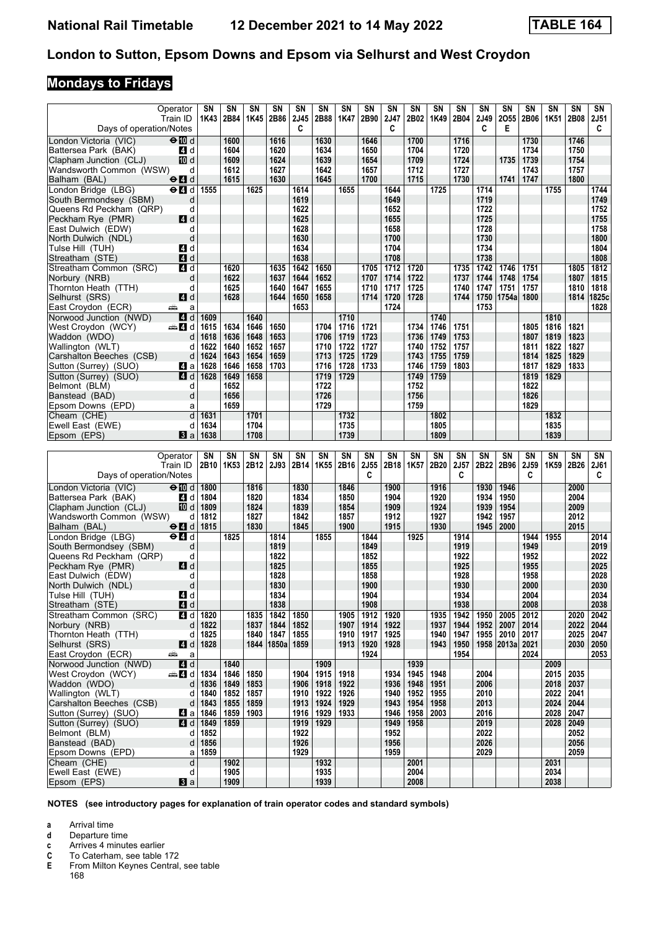### **Mondays to Fridays**

| $\Theta$ 10 d<br>1700<br>1716<br>London Victoria (VIC)<br>1600<br>1616<br>1630<br>1646<br>1730<br>1746<br>Battersea Park (BAK)<br>1604<br>1634<br>1704<br>1720<br>1734<br>1750<br>4 d<br>1620<br>1650<br>1609<br>1624<br>1639<br>1709<br>1724<br>1735<br>1739<br>1754<br>10 d<br>1654<br>Wandsworth Common (WSW)<br>1612<br>1627<br>1642<br>1657<br>1712<br>1727<br>1743<br>1757<br>d<br>1700<br>1715<br>1730<br>1800<br>$\Theta$ $\blacksquare$ d<br>1615<br>1630<br>1645<br>1741<br>1747<br>1655<br>1725<br>1714<br>1755<br>London Bridge (LBG)<br><b>⊖M</b> d<br>1555<br>1625<br>1614<br>1644<br>1744<br>South Bermondsey (SBM)<br>1619<br>1649<br>1719<br>1749<br>d<br>1752<br>Queens Rd Peckham (QRP)<br>1622<br>1652<br>1722<br>d<br>1725<br>Peckham Rye (PMR)<br>1625<br>1655<br>1755<br><b>4</b> d<br>1758<br>1628<br>1658<br>1728<br>East Dulwich (EDW)<br>d<br>1730<br>1630<br>1700<br>1800<br>North Dulwich (NDL)<br>d<br>1804<br>1634<br>1734<br>Tulse Hill (TUH)<br>4 d<br>1704<br>4 d<br>1638<br>1708<br>1738<br>1808<br>1642<br>1812<br>4 d<br>1620<br>1650<br>1712<br>1742<br>1746<br>1751<br>1805<br>1635<br>1705<br>1720<br>1735<br>1622<br>1644<br>1652<br>1722<br>1744<br>1748<br>1815<br>1637<br>1707<br>1714<br>1737<br>1754<br>1807<br>d<br>1747<br>1625<br>1647<br>1655<br>1717<br>1725<br>1740<br>1751<br>1757<br>1810<br>1818<br>d<br>1640<br>1710<br>1750<br>4 d<br>1628<br>1644<br>1650<br>1658<br>1714<br>1720<br>1728<br>1744<br>1754a<br>1800<br>1814 1825c<br>1653<br>1753<br>1828<br>East Croydon (ECR)<br>1724<br>پیش<br>a<br>1740<br>Norwood Junction (NWD)<br>4 d<br>1609<br>1640<br>1710<br>1810<br>West Croydon (WCY)<br>dan 4. d<br>1615<br>1634<br>1646<br>1650<br>1704<br>1716<br>1721<br>1734<br>1746<br>1751<br>1805<br>1816<br>1821<br>Waddon (WDO)<br>1618<br>1636<br>1648<br>1653<br>1706<br>1719<br>1723<br>1736<br>1749<br>1753<br>1807<br>1823<br>1819<br>d<br>Wallington (WLT)<br>1622<br>1640<br>1652<br>1657<br>1722<br>1727<br>1740<br>1752<br>1757<br>1811<br>1822<br>1827<br>1710<br>d<br>Carshalton Beeches (CSB)<br>1624<br>1654<br>1659<br>1713<br>1725<br>1729<br>1743<br>1755<br>1759<br>1829<br>1643<br>1814<br>1825<br>d<br>1658<br>1703<br>1728<br>1759<br>1803<br>1833<br>Sutton (Surrey) (SUO)<br>1628<br>1646<br>1716<br>1733<br>1746<br>1817<br>1829<br>Mа<br>4 d<br>1628<br>1658<br>1729<br>1759<br>1829<br>1649<br>1719<br>1749<br>1819<br>1722<br>1752<br>1822<br>1652<br>d<br>1656<br>1726<br>1756<br>1826<br>d<br>1659<br>1729<br>1759<br>1829<br>a<br>1701<br>1732<br>1802<br>1832<br>Cheam (CHE)<br>d<br>1631<br>1634<br>1704<br>1735<br>1835<br>Ewell East (EWE)<br>1805<br>d<br>1638<br>1708<br>1739<br>1809<br>1839<br>Epsom (EPS)<br>Bl a<br>SN<br>SN<br>SN<br><b>SN</b><br>SN<br>SN<br>SN<br>SN<br><b>SN</b><br>SN<br>SN<br>Operator<br>SN<br>SN<br>SN<br>SN<br>SN<br>SΝ<br>SN<br>2B12<br>2J93<br>2B14<br>2B16<br>2B18<br>2B20<br>2J57<br>2B22<br>2B96<br>1K59 2B26<br>2J61<br>Train ID<br>2B10<br>1K <sub>53</sub><br>1K55<br>2J55<br>1K57<br><b>2J59</b><br>Days of operation/Notes<br>c<br>C<br>C<br>C<br>$\Theta$ M d<br>1800<br>1816<br>1830<br>1846<br>1900<br>1916<br>1930<br>1946<br>2000<br>1804<br>1820<br>1834<br>1850<br>1904<br>1920<br>1934<br>1950<br>2004<br>4 d<br>1909<br>1924<br>2009<br>1809<br>1824<br>1839<br>1854<br>1939<br>1954<br>10 d<br>1812<br>1827<br>1842<br>1857<br>1912<br>1927<br>1942<br>1957<br>2012<br>Wandsworth Common (WSW)<br>d<br>2015<br>1815<br>1830<br>1845<br>1900<br>1915<br>1930<br>1945<br>2000<br>⊖Md<br><b>⊖M</b> d<br>1825<br>1855<br>1925<br>1914<br>1944<br>1955<br>2014<br>1814<br>1844<br>1819<br>1849<br>1919<br>1949<br>2019<br>d<br>1922<br>1822<br>1852<br>1952<br>2022<br>d<br>1825<br>1925<br>2025<br><b>4</b> d<br>1855<br>1955<br>1828<br>1858<br>1928<br>1958<br>2028<br>d<br>1830<br>1900<br>1930<br>2000<br>2030<br>d<br>$\boldsymbol{A}$<br>1834<br>1904<br>1934<br>2004<br>2034<br>d<br>4d<br>1838<br>1908<br>2008<br>1938<br>2038<br>2042<br>4 d  <br>1820<br>1835<br>1842<br>1850<br>1905<br>1912<br>1920<br>1935<br>1942<br>1950<br>2005<br>2012<br>2020<br>2022<br>1822<br>1837<br>1844<br>1852<br>1907<br>1914<br>1922<br>1937<br>1944<br>1952<br>2007<br>2014<br>2044<br>d<br>1825<br>1940<br>1955<br>2017<br>2025<br>2047<br>1840<br>1847<br>1855<br>1910<br>1917<br>1925<br>1947<br>2010<br>d<br>1828<br>1844   1850a  <br>1859<br>1913<br>1920<br>1928<br>1943<br>1950<br>1958 2013a 2021<br>2030<br>2050<br>[4] d<br>1924<br>1954<br>2024<br>2053<br>æ<br>a<br>4d<br>1840<br>1909<br>1939<br>2009<br>dan 4.<br>1846<br>1850<br>1915<br>1918<br>1948<br>2004<br>2015<br>2035<br>1834<br>1904<br>1934<br>1945<br>2006<br>1836<br>1849<br>1853<br>1906<br>1918<br>1922<br>1936<br>1948<br>1951<br>2018<br>2037<br>d<br>1840<br>1852<br>1857<br>2010<br>2022<br>2041<br>1910<br>1922<br>1926<br>1940<br>1952<br>1955<br>d<br>2013<br>1843<br>1855<br>1859<br>1913<br>1924<br>1929<br>1943<br>1954<br>1958<br>2024<br>2044<br>d<br>1846<br>1859<br>1903<br>1933<br>2016<br>2028<br>2047<br>41 a<br>1916<br>1929<br>1946<br>1958<br>2003<br>2019<br>4 d<br>1849<br>1859<br>1919<br>1929<br>1949<br>1958<br>2028<br>2049<br>2022<br>1852<br>1922<br>1952<br>2052<br>d<br>1856<br>1926<br>1956<br>2026<br>2056<br>d<br>2059<br>1859<br>1929<br>1959<br>2029<br>a<br>d<br>1932<br>1902<br>2001<br>2031<br>Ewell East (EWE)<br>d<br>1905<br>1935<br>2004<br>2034<br>1909<br>1939<br>2038<br>Epsom (EPS)<br>$\mathbf{B}$ a<br>2008 | Days of operation/Notes                           | Operator<br>Train ID | SN<br>1K43 | SN<br>2B84 | SN<br>1K45 | SN<br>2B86 | SN<br>2J45<br>C | SN<br>2B88 | SN<br>1K47 | SN<br>2B90 | SN<br>2J47<br>C | SN<br>2B02 | SN<br>1K49 | SN<br>2B04 | SN<br>2J49<br>C | SN<br>2055<br>Е | SΝ<br>2B06 | SΝ<br>1K51 | SN<br>2B08 | SN<br>2J51<br>C |
|---------------------------------------------------------------------------------------------------------------------------------------------------------------------------------------------------------------------------------------------------------------------------------------------------------------------------------------------------------------------------------------------------------------------------------------------------------------------------------------------------------------------------------------------------------------------------------------------------------------------------------------------------------------------------------------------------------------------------------------------------------------------------------------------------------------------------------------------------------------------------------------------------------------------------------------------------------------------------------------------------------------------------------------------------------------------------------------------------------------------------------------------------------------------------------------------------------------------------------------------------------------------------------------------------------------------------------------------------------------------------------------------------------------------------------------------------------------------------------------------------------------------------------------------------------------------------------------------------------------------------------------------------------------------------------------------------------------------------------------------------------------------------------------------------------------------------------------------------------------------------------------------------------------------------------------------------------------------------------------------------------------------------------------------------------------------------------------------------------------------------------------------------------------------------------------------------------------------------------------------------------------------------------------------------------------------------------------------------------------------------------------------------------------------------------------------------------------------------------------------------------------------------------------------------------------------------------------------------------------------------------------------------------------------------------------------------------------------------------------------------------------------------------------------------------------------------------------------------------------------------------------------------------------------------------------------------------------------------------------------------------------------------------------------------------------------------------------------------------------------------------------------------------------------------------------------------------------------------------------------------------------------------------------------------------------------------------------------------------------------------------------------------------------------------------------------------------------------------------------------------------------------------------------------------------------------------------------------------------------------------------------------------------------------------------------------------------------------------------------------------------------------------------------------------------------------------------------------------------------------------------------------------------------------------------------------------------------------------------------------------------------------------------------------------------------------------------------------------------------------------------------------------------------------------------------------------------------------------------------------------------------------------------------------------------------------------------------------------------------------------------------------------------------------------------------------------------------------------------------------------------------------------------------------------------------------------------------------------------------------------------------------------------------------------------------------------------------------------------------------------------------------------------------------------------------------------------------------------------------------------------------------------------------------------------------------------------------------------------------------------------------------------------------------------------------------------------------------------------------------------------------------------------------------------------------------------------------------------------------------------------------------------------------------------------------------------------------------------------------------------------------------------------------------------------------------------------------------------------------|---------------------------------------------------|----------------------|------------|------------|------------|------------|-----------------|------------|------------|------------|-----------------|------------|------------|------------|-----------------|-----------------|------------|------------|------------|-----------------|
|                                                                                                                                                                                                                                                                                                                                                                                                                                                                                                                                                                                                                                                                                                                                                                                                                                                                                                                                                                                                                                                                                                                                                                                                                                                                                                                                                                                                                                                                                                                                                                                                                                                                                                                                                                                                                                                                                                                                                                                                                                                                                                                                                                                                                                                                                                                                                                                                                                                                                                                                                                                                                                                                                                                                                                                                                                                                                                                                                                                                                                                                                                                                                                                                                                                                                                                                                                                                                                                                                                                                                                                                                                                                                                                                                                                                                                                                                                                                                                                                                                                                                                                                                                                                                                                                                                                                                                                                                                                                                                                                                                                                                                                                                                                                                                                                                                                                                                                                                                                                                                                                                                                                                                                                                                                                                                                                                                                                                                                                                       |                                                   |                      |            |            |            |            |                 |            |            |            |                 |            |            |            |                 |                 |            |            |            |                 |
|                                                                                                                                                                                                                                                                                                                                                                                                                                                                                                                                                                                                                                                                                                                                                                                                                                                                                                                                                                                                                                                                                                                                                                                                                                                                                                                                                                                                                                                                                                                                                                                                                                                                                                                                                                                                                                                                                                                                                                                                                                                                                                                                                                                                                                                                                                                                                                                                                                                                                                                                                                                                                                                                                                                                                                                                                                                                                                                                                                                                                                                                                                                                                                                                                                                                                                                                                                                                                                                                                                                                                                                                                                                                                                                                                                                                                                                                                                                                                                                                                                                                                                                                                                                                                                                                                                                                                                                                                                                                                                                                                                                                                                                                                                                                                                                                                                                                                                                                                                                                                                                                                                                                                                                                                                                                                                                                                                                                                                                                                       |                                                   |                      |            |            |            |            |                 |            |            |            |                 |            |            |            |                 |                 |            |            |            |                 |
|                                                                                                                                                                                                                                                                                                                                                                                                                                                                                                                                                                                                                                                                                                                                                                                                                                                                                                                                                                                                                                                                                                                                                                                                                                                                                                                                                                                                                                                                                                                                                                                                                                                                                                                                                                                                                                                                                                                                                                                                                                                                                                                                                                                                                                                                                                                                                                                                                                                                                                                                                                                                                                                                                                                                                                                                                                                                                                                                                                                                                                                                                                                                                                                                                                                                                                                                                                                                                                                                                                                                                                                                                                                                                                                                                                                                                                                                                                                                                                                                                                                                                                                                                                                                                                                                                                                                                                                                                                                                                                                                                                                                                                                                                                                                                                                                                                                                                                                                                                                                                                                                                                                                                                                                                                                                                                                                                                                                                                                                                       | Clapham Junction (CLJ)                            |                      |            |            |            |            |                 |            |            |            |                 |            |            |            |                 |                 |            |            |            |                 |
|                                                                                                                                                                                                                                                                                                                                                                                                                                                                                                                                                                                                                                                                                                                                                                                                                                                                                                                                                                                                                                                                                                                                                                                                                                                                                                                                                                                                                                                                                                                                                                                                                                                                                                                                                                                                                                                                                                                                                                                                                                                                                                                                                                                                                                                                                                                                                                                                                                                                                                                                                                                                                                                                                                                                                                                                                                                                                                                                                                                                                                                                                                                                                                                                                                                                                                                                                                                                                                                                                                                                                                                                                                                                                                                                                                                                                                                                                                                                                                                                                                                                                                                                                                                                                                                                                                                                                                                                                                                                                                                                                                                                                                                                                                                                                                                                                                                                                                                                                                                                                                                                                                                                                                                                                                                                                                                                                                                                                                                                                       |                                                   |                      |            |            |            |            |                 |            |            |            |                 |            |            |            |                 |                 |            |            |            |                 |
|                                                                                                                                                                                                                                                                                                                                                                                                                                                                                                                                                                                                                                                                                                                                                                                                                                                                                                                                                                                                                                                                                                                                                                                                                                                                                                                                                                                                                                                                                                                                                                                                                                                                                                                                                                                                                                                                                                                                                                                                                                                                                                                                                                                                                                                                                                                                                                                                                                                                                                                                                                                                                                                                                                                                                                                                                                                                                                                                                                                                                                                                                                                                                                                                                                                                                                                                                                                                                                                                                                                                                                                                                                                                                                                                                                                                                                                                                                                                                                                                                                                                                                                                                                                                                                                                                                                                                                                                                                                                                                                                                                                                                                                                                                                                                                                                                                                                                                                                                                                                                                                                                                                                                                                                                                                                                                                                                                                                                                                                                       | Balham (BAL)                                      |                      |            |            |            |            |                 |            |            |            |                 |            |            |            |                 |                 |            |            |            |                 |
|                                                                                                                                                                                                                                                                                                                                                                                                                                                                                                                                                                                                                                                                                                                                                                                                                                                                                                                                                                                                                                                                                                                                                                                                                                                                                                                                                                                                                                                                                                                                                                                                                                                                                                                                                                                                                                                                                                                                                                                                                                                                                                                                                                                                                                                                                                                                                                                                                                                                                                                                                                                                                                                                                                                                                                                                                                                                                                                                                                                                                                                                                                                                                                                                                                                                                                                                                                                                                                                                                                                                                                                                                                                                                                                                                                                                                                                                                                                                                                                                                                                                                                                                                                                                                                                                                                                                                                                                                                                                                                                                                                                                                                                                                                                                                                                                                                                                                                                                                                                                                                                                                                                                                                                                                                                                                                                                                                                                                                                                                       |                                                   |                      |            |            |            |            |                 |            |            |            |                 |            |            |            |                 |                 |            |            |            |                 |
|                                                                                                                                                                                                                                                                                                                                                                                                                                                                                                                                                                                                                                                                                                                                                                                                                                                                                                                                                                                                                                                                                                                                                                                                                                                                                                                                                                                                                                                                                                                                                                                                                                                                                                                                                                                                                                                                                                                                                                                                                                                                                                                                                                                                                                                                                                                                                                                                                                                                                                                                                                                                                                                                                                                                                                                                                                                                                                                                                                                                                                                                                                                                                                                                                                                                                                                                                                                                                                                                                                                                                                                                                                                                                                                                                                                                                                                                                                                                                                                                                                                                                                                                                                                                                                                                                                                                                                                                                                                                                                                                                                                                                                                                                                                                                                                                                                                                                                                                                                                                                                                                                                                                                                                                                                                                                                                                                                                                                                                                                       |                                                   |                      |            |            |            |            |                 |            |            |            |                 |            |            |            |                 |                 |            |            |            |                 |
|                                                                                                                                                                                                                                                                                                                                                                                                                                                                                                                                                                                                                                                                                                                                                                                                                                                                                                                                                                                                                                                                                                                                                                                                                                                                                                                                                                                                                                                                                                                                                                                                                                                                                                                                                                                                                                                                                                                                                                                                                                                                                                                                                                                                                                                                                                                                                                                                                                                                                                                                                                                                                                                                                                                                                                                                                                                                                                                                                                                                                                                                                                                                                                                                                                                                                                                                                                                                                                                                                                                                                                                                                                                                                                                                                                                                                                                                                                                                                                                                                                                                                                                                                                                                                                                                                                                                                                                                                                                                                                                                                                                                                                                                                                                                                                                                                                                                                                                                                                                                                                                                                                                                                                                                                                                                                                                                                                                                                                                                                       |                                                   |                      |            |            |            |            |                 |            |            |            |                 |            |            |            |                 |                 |            |            |            |                 |
|                                                                                                                                                                                                                                                                                                                                                                                                                                                                                                                                                                                                                                                                                                                                                                                                                                                                                                                                                                                                                                                                                                                                                                                                                                                                                                                                                                                                                                                                                                                                                                                                                                                                                                                                                                                                                                                                                                                                                                                                                                                                                                                                                                                                                                                                                                                                                                                                                                                                                                                                                                                                                                                                                                                                                                                                                                                                                                                                                                                                                                                                                                                                                                                                                                                                                                                                                                                                                                                                                                                                                                                                                                                                                                                                                                                                                                                                                                                                                                                                                                                                                                                                                                                                                                                                                                                                                                                                                                                                                                                                                                                                                                                                                                                                                                                                                                                                                                                                                                                                                                                                                                                                                                                                                                                                                                                                                                                                                                                                                       |                                                   |                      |            |            |            |            |                 |            |            |            |                 |            |            |            |                 |                 |            |            |            |                 |
|                                                                                                                                                                                                                                                                                                                                                                                                                                                                                                                                                                                                                                                                                                                                                                                                                                                                                                                                                                                                                                                                                                                                                                                                                                                                                                                                                                                                                                                                                                                                                                                                                                                                                                                                                                                                                                                                                                                                                                                                                                                                                                                                                                                                                                                                                                                                                                                                                                                                                                                                                                                                                                                                                                                                                                                                                                                                                                                                                                                                                                                                                                                                                                                                                                                                                                                                                                                                                                                                                                                                                                                                                                                                                                                                                                                                                                                                                                                                                                                                                                                                                                                                                                                                                                                                                                                                                                                                                                                                                                                                                                                                                                                                                                                                                                                                                                                                                                                                                                                                                                                                                                                                                                                                                                                                                                                                                                                                                                                                                       |                                                   |                      |            |            |            |            |                 |            |            |            |                 |            |            |            |                 |                 |            |            |            |                 |
|                                                                                                                                                                                                                                                                                                                                                                                                                                                                                                                                                                                                                                                                                                                                                                                                                                                                                                                                                                                                                                                                                                                                                                                                                                                                                                                                                                                                                                                                                                                                                                                                                                                                                                                                                                                                                                                                                                                                                                                                                                                                                                                                                                                                                                                                                                                                                                                                                                                                                                                                                                                                                                                                                                                                                                                                                                                                                                                                                                                                                                                                                                                                                                                                                                                                                                                                                                                                                                                                                                                                                                                                                                                                                                                                                                                                                                                                                                                                                                                                                                                                                                                                                                                                                                                                                                                                                                                                                                                                                                                                                                                                                                                                                                                                                                                                                                                                                                                                                                                                                                                                                                                                                                                                                                                                                                                                                                                                                                                                                       |                                                   |                      |            |            |            |            |                 |            |            |            |                 |            |            |            |                 |                 |            |            |            |                 |
|                                                                                                                                                                                                                                                                                                                                                                                                                                                                                                                                                                                                                                                                                                                                                                                                                                                                                                                                                                                                                                                                                                                                                                                                                                                                                                                                                                                                                                                                                                                                                                                                                                                                                                                                                                                                                                                                                                                                                                                                                                                                                                                                                                                                                                                                                                                                                                                                                                                                                                                                                                                                                                                                                                                                                                                                                                                                                                                                                                                                                                                                                                                                                                                                                                                                                                                                                                                                                                                                                                                                                                                                                                                                                                                                                                                                                                                                                                                                                                                                                                                                                                                                                                                                                                                                                                                                                                                                                                                                                                                                                                                                                                                                                                                                                                                                                                                                                                                                                                                                                                                                                                                                                                                                                                                                                                                                                                                                                                                                                       | Streatham (STE)                                   |                      |            |            |            |            |                 |            |            |            |                 |            |            |            |                 |                 |            |            |            |                 |
|                                                                                                                                                                                                                                                                                                                                                                                                                                                                                                                                                                                                                                                                                                                                                                                                                                                                                                                                                                                                                                                                                                                                                                                                                                                                                                                                                                                                                                                                                                                                                                                                                                                                                                                                                                                                                                                                                                                                                                                                                                                                                                                                                                                                                                                                                                                                                                                                                                                                                                                                                                                                                                                                                                                                                                                                                                                                                                                                                                                                                                                                                                                                                                                                                                                                                                                                                                                                                                                                                                                                                                                                                                                                                                                                                                                                                                                                                                                                                                                                                                                                                                                                                                                                                                                                                                                                                                                                                                                                                                                                                                                                                                                                                                                                                                                                                                                                                                                                                                                                                                                                                                                                                                                                                                                                                                                                                                                                                                                                                       | Streatham Common (SRC)                            |                      |            |            |            |            |                 |            |            |            |                 |            |            |            |                 |                 |            |            |            |                 |
|                                                                                                                                                                                                                                                                                                                                                                                                                                                                                                                                                                                                                                                                                                                                                                                                                                                                                                                                                                                                                                                                                                                                                                                                                                                                                                                                                                                                                                                                                                                                                                                                                                                                                                                                                                                                                                                                                                                                                                                                                                                                                                                                                                                                                                                                                                                                                                                                                                                                                                                                                                                                                                                                                                                                                                                                                                                                                                                                                                                                                                                                                                                                                                                                                                                                                                                                                                                                                                                                                                                                                                                                                                                                                                                                                                                                                                                                                                                                                                                                                                                                                                                                                                                                                                                                                                                                                                                                                                                                                                                                                                                                                                                                                                                                                                                                                                                                                                                                                                                                                                                                                                                                                                                                                                                                                                                                                                                                                                                                                       | Norbury (NRB)                                     |                      |            |            |            |            |                 |            |            |            |                 |            |            |            |                 |                 |            |            |            |                 |
|                                                                                                                                                                                                                                                                                                                                                                                                                                                                                                                                                                                                                                                                                                                                                                                                                                                                                                                                                                                                                                                                                                                                                                                                                                                                                                                                                                                                                                                                                                                                                                                                                                                                                                                                                                                                                                                                                                                                                                                                                                                                                                                                                                                                                                                                                                                                                                                                                                                                                                                                                                                                                                                                                                                                                                                                                                                                                                                                                                                                                                                                                                                                                                                                                                                                                                                                                                                                                                                                                                                                                                                                                                                                                                                                                                                                                                                                                                                                                                                                                                                                                                                                                                                                                                                                                                                                                                                                                                                                                                                                                                                                                                                                                                                                                                                                                                                                                                                                                                                                                                                                                                                                                                                                                                                                                                                                                                                                                                                                                       | Thornton Heath (TTH)                              |                      |            |            |            |            |                 |            |            |            |                 |            |            |            |                 |                 |            |            |            |                 |
|                                                                                                                                                                                                                                                                                                                                                                                                                                                                                                                                                                                                                                                                                                                                                                                                                                                                                                                                                                                                                                                                                                                                                                                                                                                                                                                                                                                                                                                                                                                                                                                                                                                                                                                                                                                                                                                                                                                                                                                                                                                                                                                                                                                                                                                                                                                                                                                                                                                                                                                                                                                                                                                                                                                                                                                                                                                                                                                                                                                                                                                                                                                                                                                                                                                                                                                                                                                                                                                                                                                                                                                                                                                                                                                                                                                                                                                                                                                                                                                                                                                                                                                                                                                                                                                                                                                                                                                                                                                                                                                                                                                                                                                                                                                                                                                                                                                                                                                                                                                                                                                                                                                                                                                                                                                                                                                                                                                                                                                                                       | Selhurst (SRS)                                    |                      |            |            |            |            |                 |            |            |            |                 |            |            |            |                 |                 |            |            |            |                 |
|                                                                                                                                                                                                                                                                                                                                                                                                                                                                                                                                                                                                                                                                                                                                                                                                                                                                                                                                                                                                                                                                                                                                                                                                                                                                                                                                                                                                                                                                                                                                                                                                                                                                                                                                                                                                                                                                                                                                                                                                                                                                                                                                                                                                                                                                                                                                                                                                                                                                                                                                                                                                                                                                                                                                                                                                                                                                                                                                                                                                                                                                                                                                                                                                                                                                                                                                                                                                                                                                                                                                                                                                                                                                                                                                                                                                                                                                                                                                                                                                                                                                                                                                                                                                                                                                                                                                                                                                                                                                                                                                                                                                                                                                                                                                                                                                                                                                                                                                                                                                                                                                                                                                                                                                                                                                                                                                                                                                                                                                                       |                                                   |                      |            |            |            |            |                 |            |            |            |                 |            |            |            |                 |                 |            |            |            |                 |
|                                                                                                                                                                                                                                                                                                                                                                                                                                                                                                                                                                                                                                                                                                                                                                                                                                                                                                                                                                                                                                                                                                                                                                                                                                                                                                                                                                                                                                                                                                                                                                                                                                                                                                                                                                                                                                                                                                                                                                                                                                                                                                                                                                                                                                                                                                                                                                                                                                                                                                                                                                                                                                                                                                                                                                                                                                                                                                                                                                                                                                                                                                                                                                                                                                                                                                                                                                                                                                                                                                                                                                                                                                                                                                                                                                                                                                                                                                                                                                                                                                                                                                                                                                                                                                                                                                                                                                                                                                                                                                                                                                                                                                                                                                                                                                                                                                                                                                                                                                                                                                                                                                                                                                                                                                                                                                                                                                                                                                                                                       |                                                   |                      |            |            |            |            |                 |            |            |            |                 |            |            |            |                 |                 |            |            |            |                 |
|                                                                                                                                                                                                                                                                                                                                                                                                                                                                                                                                                                                                                                                                                                                                                                                                                                                                                                                                                                                                                                                                                                                                                                                                                                                                                                                                                                                                                                                                                                                                                                                                                                                                                                                                                                                                                                                                                                                                                                                                                                                                                                                                                                                                                                                                                                                                                                                                                                                                                                                                                                                                                                                                                                                                                                                                                                                                                                                                                                                                                                                                                                                                                                                                                                                                                                                                                                                                                                                                                                                                                                                                                                                                                                                                                                                                                                                                                                                                                                                                                                                                                                                                                                                                                                                                                                                                                                                                                                                                                                                                                                                                                                                                                                                                                                                                                                                                                                                                                                                                                                                                                                                                                                                                                                                                                                                                                                                                                                                                                       |                                                   |                      |            |            |            |            |                 |            |            |            |                 |            |            |            |                 |                 |            |            |            |                 |
|                                                                                                                                                                                                                                                                                                                                                                                                                                                                                                                                                                                                                                                                                                                                                                                                                                                                                                                                                                                                                                                                                                                                                                                                                                                                                                                                                                                                                                                                                                                                                                                                                                                                                                                                                                                                                                                                                                                                                                                                                                                                                                                                                                                                                                                                                                                                                                                                                                                                                                                                                                                                                                                                                                                                                                                                                                                                                                                                                                                                                                                                                                                                                                                                                                                                                                                                                                                                                                                                                                                                                                                                                                                                                                                                                                                                                                                                                                                                                                                                                                                                                                                                                                                                                                                                                                                                                                                                                                                                                                                                                                                                                                                                                                                                                                                                                                                                                                                                                                                                                                                                                                                                                                                                                                                                                                                                                                                                                                                                                       |                                                   |                      |            |            |            |            |                 |            |            |            |                 |            |            |            |                 |                 |            |            |            |                 |
|                                                                                                                                                                                                                                                                                                                                                                                                                                                                                                                                                                                                                                                                                                                                                                                                                                                                                                                                                                                                                                                                                                                                                                                                                                                                                                                                                                                                                                                                                                                                                                                                                                                                                                                                                                                                                                                                                                                                                                                                                                                                                                                                                                                                                                                                                                                                                                                                                                                                                                                                                                                                                                                                                                                                                                                                                                                                                                                                                                                                                                                                                                                                                                                                                                                                                                                                                                                                                                                                                                                                                                                                                                                                                                                                                                                                                                                                                                                                                                                                                                                                                                                                                                                                                                                                                                                                                                                                                                                                                                                                                                                                                                                                                                                                                                                                                                                                                                                                                                                                                                                                                                                                                                                                                                                                                                                                                                                                                                                                                       |                                                   |                      |            |            |            |            |                 |            |            |            |                 |            |            |            |                 |                 |            |            |            |                 |
|                                                                                                                                                                                                                                                                                                                                                                                                                                                                                                                                                                                                                                                                                                                                                                                                                                                                                                                                                                                                                                                                                                                                                                                                                                                                                                                                                                                                                                                                                                                                                                                                                                                                                                                                                                                                                                                                                                                                                                                                                                                                                                                                                                                                                                                                                                                                                                                                                                                                                                                                                                                                                                                                                                                                                                                                                                                                                                                                                                                                                                                                                                                                                                                                                                                                                                                                                                                                                                                                                                                                                                                                                                                                                                                                                                                                                                                                                                                                                                                                                                                                                                                                                                                                                                                                                                                                                                                                                                                                                                                                                                                                                                                                                                                                                                                                                                                                                                                                                                                                                                                                                                                                                                                                                                                                                                                                                                                                                                                                                       |                                                   |                      |            |            |            |            |                 |            |            |            |                 |            |            |            |                 |                 |            |            |            |                 |
|                                                                                                                                                                                                                                                                                                                                                                                                                                                                                                                                                                                                                                                                                                                                                                                                                                                                                                                                                                                                                                                                                                                                                                                                                                                                                                                                                                                                                                                                                                                                                                                                                                                                                                                                                                                                                                                                                                                                                                                                                                                                                                                                                                                                                                                                                                                                                                                                                                                                                                                                                                                                                                                                                                                                                                                                                                                                                                                                                                                                                                                                                                                                                                                                                                                                                                                                                                                                                                                                                                                                                                                                                                                                                                                                                                                                                                                                                                                                                                                                                                                                                                                                                                                                                                                                                                                                                                                                                                                                                                                                                                                                                                                                                                                                                                                                                                                                                                                                                                                                                                                                                                                                                                                                                                                                                                                                                                                                                                                                                       | Sutton (Surrey) (SUO)                             |                      |            |            |            |            |                 |            |            |            |                 |            |            |            |                 |                 |            |            |            |                 |
|                                                                                                                                                                                                                                                                                                                                                                                                                                                                                                                                                                                                                                                                                                                                                                                                                                                                                                                                                                                                                                                                                                                                                                                                                                                                                                                                                                                                                                                                                                                                                                                                                                                                                                                                                                                                                                                                                                                                                                                                                                                                                                                                                                                                                                                                                                                                                                                                                                                                                                                                                                                                                                                                                                                                                                                                                                                                                                                                                                                                                                                                                                                                                                                                                                                                                                                                                                                                                                                                                                                                                                                                                                                                                                                                                                                                                                                                                                                                                                                                                                                                                                                                                                                                                                                                                                                                                                                                                                                                                                                                                                                                                                                                                                                                                                                                                                                                                                                                                                                                                                                                                                                                                                                                                                                                                                                                                                                                                                                                                       | Belmont (BLM)                                     |                      |            |            |            |            |                 |            |            |            |                 |            |            |            |                 |                 |            |            |            |                 |
|                                                                                                                                                                                                                                                                                                                                                                                                                                                                                                                                                                                                                                                                                                                                                                                                                                                                                                                                                                                                                                                                                                                                                                                                                                                                                                                                                                                                                                                                                                                                                                                                                                                                                                                                                                                                                                                                                                                                                                                                                                                                                                                                                                                                                                                                                                                                                                                                                                                                                                                                                                                                                                                                                                                                                                                                                                                                                                                                                                                                                                                                                                                                                                                                                                                                                                                                                                                                                                                                                                                                                                                                                                                                                                                                                                                                                                                                                                                                                                                                                                                                                                                                                                                                                                                                                                                                                                                                                                                                                                                                                                                                                                                                                                                                                                                                                                                                                                                                                                                                                                                                                                                                                                                                                                                                                                                                                                                                                                                                                       | Banstead (BAD)                                    |                      |            |            |            |            |                 |            |            |            |                 |            |            |            |                 |                 |            |            |            |                 |
|                                                                                                                                                                                                                                                                                                                                                                                                                                                                                                                                                                                                                                                                                                                                                                                                                                                                                                                                                                                                                                                                                                                                                                                                                                                                                                                                                                                                                                                                                                                                                                                                                                                                                                                                                                                                                                                                                                                                                                                                                                                                                                                                                                                                                                                                                                                                                                                                                                                                                                                                                                                                                                                                                                                                                                                                                                                                                                                                                                                                                                                                                                                                                                                                                                                                                                                                                                                                                                                                                                                                                                                                                                                                                                                                                                                                                                                                                                                                                                                                                                                                                                                                                                                                                                                                                                                                                                                                                                                                                                                                                                                                                                                                                                                                                                                                                                                                                                                                                                                                                                                                                                                                                                                                                                                                                                                                                                                                                                                                                       | Epsom Downs (EPD)                                 |                      |            |            |            |            |                 |            |            |            |                 |            |            |            |                 |                 |            |            |            |                 |
|                                                                                                                                                                                                                                                                                                                                                                                                                                                                                                                                                                                                                                                                                                                                                                                                                                                                                                                                                                                                                                                                                                                                                                                                                                                                                                                                                                                                                                                                                                                                                                                                                                                                                                                                                                                                                                                                                                                                                                                                                                                                                                                                                                                                                                                                                                                                                                                                                                                                                                                                                                                                                                                                                                                                                                                                                                                                                                                                                                                                                                                                                                                                                                                                                                                                                                                                                                                                                                                                                                                                                                                                                                                                                                                                                                                                                                                                                                                                                                                                                                                                                                                                                                                                                                                                                                                                                                                                                                                                                                                                                                                                                                                                                                                                                                                                                                                                                                                                                                                                                                                                                                                                                                                                                                                                                                                                                                                                                                                                                       |                                                   |                      |            |            |            |            |                 |            |            |            |                 |            |            |            |                 |                 |            |            |            |                 |
|                                                                                                                                                                                                                                                                                                                                                                                                                                                                                                                                                                                                                                                                                                                                                                                                                                                                                                                                                                                                                                                                                                                                                                                                                                                                                                                                                                                                                                                                                                                                                                                                                                                                                                                                                                                                                                                                                                                                                                                                                                                                                                                                                                                                                                                                                                                                                                                                                                                                                                                                                                                                                                                                                                                                                                                                                                                                                                                                                                                                                                                                                                                                                                                                                                                                                                                                                                                                                                                                                                                                                                                                                                                                                                                                                                                                                                                                                                                                                                                                                                                                                                                                                                                                                                                                                                                                                                                                                                                                                                                                                                                                                                                                                                                                                                                                                                                                                                                                                                                                                                                                                                                                                                                                                                                                                                                                                                                                                                                                                       |                                                   |                      |            |            |            |            |                 |            |            |            |                 |            |            |            |                 |                 |            |            |            |                 |
|                                                                                                                                                                                                                                                                                                                                                                                                                                                                                                                                                                                                                                                                                                                                                                                                                                                                                                                                                                                                                                                                                                                                                                                                                                                                                                                                                                                                                                                                                                                                                                                                                                                                                                                                                                                                                                                                                                                                                                                                                                                                                                                                                                                                                                                                                                                                                                                                                                                                                                                                                                                                                                                                                                                                                                                                                                                                                                                                                                                                                                                                                                                                                                                                                                                                                                                                                                                                                                                                                                                                                                                                                                                                                                                                                                                                                                                                                                                                                                                                                                                                                                                                                                                                                                                                                                                                                                                                                                                                                                                                                                                                                                                                                                                                                                                                                                                                                                                                                                                                                                                                                                                                                                                                                                                                                                                                                                                                                                                                                       |                                                   |                      |            |            |            |            |                 |            |            |            |                 |            |            |            |                 |                 |            |            |            |                 |
|                                                                                                                                                                                                                                                                                                                                                                                                                                                                                                                                                                                                                                                                                                                                                                                                                                                                                                                                                                                                                                                                                                                                                                                                                                                                                                                                                                                                                                                                                                                                                                                                                                                                                                                                                                                                                                                                                                                                                                                                                                                                                                                                                                                                                                                                                                                                                                                                                                                                                                                                                                                                                                                                                                                                                                                                                                                                                                                                                                                                                                                                                                                                                                                                                                                                                                                                                                                                                                                                                                                                                                                                                                                                                                                                                                                                                                                                                                                                                                                                                                                                                                                                                                                                                                                                                                                                                                                                                                                                                                                                                                                                                                                                                                                                                                                                                                                                                                                                                                                                                                                                                                                                                                                                                                                                                                                                                                                                                                                                                       |                                                   |                      |            |            |            |            |                 |            |            |            |                 |            |            |            |                 |                 |            |            |            |                 |
|                                                                                                                                                                                                                                                                                                                                                                                                                                                                                                                                                                                                                                                                                                                                                                                                                                                                                                                                                                                                                                                                                                                                                                                                                                                                                                                                                                                                                                                                                                                                                                                                                                                                                                                                                                                                                                                                                                                                                                                                                                                                                                                                                                                                                                                                                                                                                                                                                                                                                                                                                                                                                                                                                                                                                                                                                                                                                                                                                                                                                                                                                                                                                                                                                                                                                                                                                                                                                                                                                                                                                                                                                                                                                                                                                                                                                                                                                                                                                                                                                                                                                                                                                                                                                                                                                                                                                                                                                                                                                                                                                                                                                                                                                                                                                                                                                                                                                                                                                                                                                                                                                                                                                                                                                                                                                                                                                                                                                                                                                       |                                                   |                      |            |            |            |            |                 |            |            |            |                 |            |            |            |                 |                 |            |            |            |                 |
|                                                                                                                                                                                                                                                                                                                                                                                                                                                                                                                                                                                                                                                                                                                                                                                                                                                                                                                                                                                                                                                                                                                                                                                                                                                                                                                                                                                                                                                                                                                                                                                                                                                                                                                                                                                                                                                                                                                                                                                                                                                                                                                                                                                                                                                                                                                                                                                                                                                                                                                                                                                                                                                                                                                                                                                                                                                                                                                                                                                                                                                                                                                                                                                                                                                                                                                                                                                                                                                                                                                                                                                                                                                                                                                                                                                                                                                                                                                                                                                                                                                                                                                                                                                                                                                                                                                                                                                                                                                                                                                                                                                                                                                                                                                                                                                                                                                                                                                                                                                                                                                                                                                                                                                                                                                                                                                                                                                                                                                                                       |                                                   |                      |            |            |            |            |                 |            |            |            |                 |            |            |            |                 |                 |            |            |            |                 |
|                                                                                                                                                                                                                                                                                                                                                                                                                                                                                                                                                                                                                                                                                                                                                                                                                                                                                                                                                                                                                                                                                                                                                                                                                                                                                                                                                                                                                                                                                                                                                                                                                                                                                                                                                                                                                                                                                                                                                                                                                                                                                                                                                                                                                                                                                                                                                                                                                                                                                                                                                                                                                                                                                                                                                                                                                                                                                                                                                                                                                                                                                                                                                                                                                                                                                                                                                                                                                                                                                                                                                                                                                                                                                                                                                                                                                                                                                                                                                                                                                                                                                                                                                                                                                                                                                                                                                                                                                                                                                                                                                                                                                                                                                                                                                                                                                                                                                                                                                                                                                                                                                                                                                                                                                                                                                                                                                                                                                                                                                       |                                                   |                      |            |            |            |            |                 |            |            |            |                 |            |            |            |                 |                 |            |            |            |                 |
|                                                                                                                                                                                                                                                                                                                                                                                                                                                                                                                                                                                                                                                                                                                                                                                                                                                                                                                                                                                                                                                                                                                                                                                                                                                                                                                                                                                                                                                                                                                                                                                                                                                                                                                                                                                                                                                                                                                                                                                                                                                                                                                                                                                                                                                                                                                                                                                                                                                                                                                                                                                                                                                                                                                                                                                                                                                                                                                                                                                                                                                                                                                                                                                                                                                                                                                                                                                                                                                                                                                                                                                                                                                                                                                                                                                                                                                                                                                                                                                                                                                                                                                                                                                                                                                                                                                                                                                                                                                                                                                                                                                                                                                                                                                                                                                                                                                                                                                                                                                                                                                                                                                                                                                                                                                                                                                                                                                                                                                                                       |                                                   |                      |            |            |            |            |                 |            |            |            |                 |            |            |            |                 |                 |            |            |            |                 |
|                                                                                                                                                                                                                                                                                                                                                                                                                                                                                                                                                                                                                                                                                                                                                                                                                                                                                                                                                                                                                                                                                                                                                                                                                                                                                                                                                                                                                                                                                                                                                                                                                                                                                                                                                                                                                                                                                                                                                                                                                                                                                                                                                                                                                                                                                                                                                                                                                                                                                                                                                                                                                                                                                                                                                                                                                                                                                                                                                                                                                                                                                                                                                                                                                                                                                                                                                                                                                                                                                                                                                                                                                                                                                                                                                                                                                                                                                                                                                                                                                                                                                                                                                                                                                                                                                                                                                                                                                                                                                                                                                                                                                                                                                                                                                                                                                                                                                                                                                                                                                                                                                                                                                                                                                                                                                                                                                                                                                                                                                       | London Victoria (VIC)<br>Battersea Park (BAK)     |                      |            |            |            |            |                 |            |            |            |                 |            |            |            |                 |                 |            |            |            |                 |
|                                                                                                                                                                                                                                                                                                                                                                                                                                                                                                                                                                                                                                                                                                                                                                                                                                                                                                                                                                                                                                                                                                                                                                                                                                                                                                                                                                                                                                                                                                                                                                                                                                                                                                                                                                                                                                                                                                                                                                                                                                                                                                                                                                                                                                                                                                                                                                                                                                                                                                                                                                                                                                                                                                                                                                                                                                                                                                                                                                                                                                                                                                                                                                                                                                                                                                                                                                                                                                                                                                                                                                                                                                                                                                                                                                                                                                                                                                                                                                                                                                                                                                                                                                                                                                                                                                                                                                                                                                                                                                                                                                                                                                                                                                                                                                                                                                                                                                                                                                                                                                                                                                                                                                                                                                                                                                                                                                                                                                                                                       | Clapham Junction (CLJ)                            |                      |            |            |            |            |                 |            |            |            |                 |            |            |            |                 |                 |            |            |            |                 |
|                                                                                                                                                                                                                                                                                                                                                                                                                                                                                                                                                                                                                                                                                                                                                                                                                                                                                                                                                                                                                                                                                                                                                                                                                                                                                                                                                                                                                                                                                                                                                                                                                                                                                                                                                                                                                                                                                                                                                                                                                                                                                                                                                                                                                                                                                                                                                                                                                                                                                                                                                                                                                                                                                                                                                                                                                                                                                                                                                                                                                                                                                                                                                                                                                                                                                                                                                                                                                                                                                                                                                                                                                                                                                                                                                                                                                                                                                                                                                                                                                                                                                                                                                                                                                                                                                                                                                                                                                                                                                                                                                                                                                                                                                                                                                                                                                                                                                                                                                                                                                                                                                                                                                                                                                                                                                                                                                                                                                                                                                       |                                                   |                      |            |            |            |            |                 |            |            |            |                 |            |            |            |                 |                 |            |            |            |                 |
|                                                                                                                                                                                                                                                                                                                                                                                                                                                                                                                                                                                                                                                                                                                                                                                                                                                                                                                                                                                                                                                                                                                                                                                                                                                                                                                                                                                                                                                                                                                                                                                                                                                                                                                                                                                                                                                                                                                                                                                                                                                                                                                                                                                                                                                                                                                                                                                                                                                                                                                                                                                                                                                                                                                                                                                                                                                                                                                                                                                                                                                                                                                                                                                                                                                                                                                                                                                                                                                                                                                                                                                                                                                                                                                                                                                                                                                                                                                                                                                                                                                                                                                                                                                                                                                                                                                                                                                                                                                                                                                                                                                                                                                                                                                                                                                                                                                                                                                                                                                                                                                                                                                                                                                                                                                                                                                                                                                                                                                                                       | Balham (BAL)                                      |                      |            |            |            |            |                 |            |            |            |                 |            |            |            |                 |                 |            |            |            |                 |
|                                                                                                                                                                                                                                                                                                                                                                                                                                                                                                                                                                                                                                                                                                                                                                                                                                                                                                                                                                                                                                                                                                                                                                                                                                                                                                                                                                                                                                                                                                                                                                                                                                                                                                                                                                                                                                                                                                                                                                                                                                                                                                                                                                                                                                                                                                                                                                                                                                                                                                                                                                                                                                                                                                                                                                                                                                                                                                                                                                                                                                                                                                                                                                                                                                                                                                                                                                                                                                                                                                                                                                                                                                                                                                                                                                                                                                                                                                                                                                                                                                                                                                                                                                                                                                                                                                                                                                                                                                                                                                                                                                                                                                                                                                                                                                                                                                                                                                                                                                                                                                                                                                                                                                                                                                                                                                                                                                                                                                                                                       | London Bridge (LBG)                               |                      |            |            |            |            |                 |            |            |            |                 |            |            |            |                 |                 |            |            |            |                 |
|                                                                                                                                                                                                                                                                                                                                                                                                                                                                                                                                                                                                                                                                                                                                                                                                                                                                                                                                                                                                                                                                                                                                                                                                                                                                                                                                                                                                                                                                                                                                                                                                                                                                                                                                                                                                                                                                                                                                                                                                                                                                                                                                                                                                                                                                                                                                                                                                                                                                                                                                                                                                                                                                                                                                                                                                                                                                                                                                                                                                                                                                                                                                                                                                                                                                                                                                                                                                                                                                                                                                                                                                                                                                                                                                                                                                                                                                                                                                                                                                                                                                                                                                                                                                                                                                                                                                                                                                                                                                                                                                                                                                                                                                                                                                                                                                                                                                                                                                                                                                                                                                                                                                                                                                                                                                                                                                                                                                                                                                                       | South Bermondsey (SBM)                            |                      |            |            |            |            |                 |            |            |            |                 |            |            |            |                 |                 |            |            |            |                 |
|                                                                                                                                                                                                                                                                                                                                                                                                                                                                                                                                                                                                                                                                                                                                                                                                                                                                                                                                                                                                                                                                                                                                                                                                                                                                                                                                                                                                                                                                                                                                                                                                                                                                                                                                                                                                                                                                                                                                                                                                                                                                                                                                                                                                                                                                                                                                                                                                                                                                                                                                                                                                                                                                                                                                                                                                                                                                                                                                                                                                                                                                                                                                                                                                                                                                                                                                                                                                                                                                                                                                                                                                                                                                                                                                                                                                                                                                                                                                                                                                                                                                                                                                                                                                                                                                                                                                                                                                                                                                                                                                                                                                                                                                                                                                                                                                                                                                                                                                                                                                                                                                                                                                                                                                                                                                                                                                                                                                                                                                                       | Queens Rd Peckham (QRP)                           |                      |            |            |            |            |                 |            |            |            |                 |            |            |            |                 |                 |            |            |            |                 |
|                                                                                                                                                                                                                                                                                                                                                                                                                                                                                                                                                                                                                                                                                                                                                                                                                                                                                                                                                                                                                                                                                                                                                                                                                                                                                                                                                                                                                                                                                                                                                                                                                                                                                                                                                                                                                                                                                                                                                                                                                                                                                                                                                                                                                                                                                                                                                                                                                                                                                                                                                                                                                                                                                                                                                                                                                                                                                                                                                                                                                                                                                                                                                                                                                                                                                                                                                                                                                                                                                                                                                                                                                                                                                                                                                                                                                                                                                                                                                                                                                                                                                                                                                                                                                                                                                                                                                                                                                                                                                                                                                                                                                                                                                                                                                                                                                                                                                                                                                                                                                                                                                                                                                                                                                                                                                                                                                                                                                                                                                       | Peckham Rye (PMR)                                 |                      |            |            |            |            |                 |            |            |            |                 |            |            |            |                 |                 |            |            |            |                 |
|                                                                                                                                                                                                                                                                                                                                                                                                                                                                                                                                                                                                                                                                                                                                                                                                                                                                                                                                                                                                                                                                                                                                                                                                                                                                                                                                                                                                                                                                                                                                                                                                                                                                                                                                                                                                                                                                                                                                                                                                                                                                                                                                                                                                                                                                                                                                                                                                                                                                                                                                                                                                                                                                                                                                                                                                                                                                                                                                                                                                                                                                                                                                                                                                                                                                                                                                                                                                                                                                                                                                                                                                                                                                                                                                                                                                                                                                                                                                                                                                                                                                                                                                                                                                                                                                                                                                                                                                                                                                                                                                                                                                                                                                                                                                                                                                                                                                                                                                                                                                                                                                                                                                                                                                                                                                                                                                                                                                                                                                                       | East Dulwich (EDW)<br>North Dulwich (NDL)         |                      |            |            |            |            |                 |            |            |            |                 |            |            |            |                 |                 |            |            |            |                 |
|                                                                                                                                                                                                                                                                                                                                                                                                                                                                                                                                                                                                                                                                                                                                                                                                                                                                                                                                                                                                                                                                                                                                                                                                                                                                                                                                                                                                                                                                                                                                                                                                                                                                                                                                                                                                                                                                                                                                                                                                                                                                                                                                                                                                                                                                                                                                                                                                                                                                                                                                                                                                                                                                                                                                                                                                                                                                                                                                                                                                                                                                                                                                                                                                                                                                                                                                                                                                                                                                                                                                                                                                                                                                                                                                                                                                                                                                                                                                                                                                                                                                                                                                                                                                                                                                                                                                                                                                                                                                                                                                                                                                                                                                                                                                                                                                                                                                                                                                                                                                                                                                                                                                                                                                                                                                                                                                                                                                                                                                                       |                                                   |                      |            |            |            |            |                 |            |            |            |                 |            |            |            |                 |                 |            |            |            |                 |
|                                                                                                                                                                                                                                                                                                                                                                                                                                                                                                                                                                                                                                                                                                                                                                                                                                                                                                                                                                                                                                                                                                                                                                                                                                                                                                                                                                                                                                                                                                                                                                                                                                                                                                                                                                                                                                                                                                                                                                                                                                                                                                                                                                                                                                                                                                                                                                                                                                                                                                                                                                                                                                                                                                                                                                                                                                                                                                                                                                                                                                                                                                                                                                                                                                                                                                                                                                                                                                                                                                                                                                                                                                                                                                                                                                                                                                                                                                                                                                                                                                                                                                                                                                                                                                                                                                                                                                                                                                                                                                                                                                                                                                                                                                                                                                                                                                                                                                                                                                                                                                                                                                                                                                                                                                                                                                                                                                                                                                                                                       | Tulse Hill (TUH)<br>Streatham (STE)               |                      |            |            |            |            |                 |            |            |            |                 |            |            |            |                 |                 |            |            |            |                 |
|                                                                                                                                                                                                                                                                                                                                                                                                                                                                                                                                                                                                                                                                                                                                                                                                                                                                                                                                                                                                                                                                                                                                                                                                                                                                                                                                                                                                                                                                                                                                                                                                                                                                                                                                                                                                                                                                                                                                                                                                                                                                                                                                                                                                                                                                                                                                                                                                                                                                                                                                                                                                                                                                                                                                                                                                                                                                                                                                                                                                                                                                                                                                                                                                                                                                                                                                                                                                                                                                                                                                                                                                                                                                                                                                                                                                                                                                                                                                                                                                                                                                                                                                                                                                                                                                                                                                                                                                                                                                                                                                                                                                                                                                                                                                                                                                                                                                                                                                                                                                                                                                                                                                                                                                                                                                                                                                                                                                                                                                                       | Streatham Common (SRC)                            |                      |            |            |            |            |                 |            |            |            |                 |            |            |            |                 |                 |            |            |            |                 |
|                                                                                                                                                                                                                                                                                                                                                                                                                                                                                                                                                                                                                                                                                                                                                                                                                                                                                                                                                                                                                                                                                                                                                                                                                                                                                                                                                                                                                                                                                                                                                                                                                                                                                                                                                                                                                                                                                                                                                                                                                                                                                                                                                                                                                                                                                                                                                                                                                                                                                                                                                                                                                                                                                                                                                                                                                                                                                                                                                                                                                                                                                                                                                                                                                                                                                                                                                                                                                                                                                                                                                                                                                                                                                                                                                                                                                                                                                                                                                                                                                                                                                                                                                                                                                                                                                                                                                                                                                                                                                                                                                                                                                                                                                                                                                                                                                                                                                                                                                                                                                                                                                                                                                                                                                                                                                                                                                                                                                                                                                       | Norbury (NRB)                                     |                      |            |            |            |            |                 |            |            |            |                 |            |            |            |                 |                 |            |            |            |                 |
|                                                                                                                                                                                                                                                                                                                                                                                                                                                                                                                                                                                                                                                                                                                                                                                                                                                                                                                                                                                                                                                                                                                                                                                                                                                                                                                                                                                                                                                                                                                                                                                                                                                                                                                                                                                                                                                                                                                                                                                                                                                                                                                                                                                                                                                                                                                                                                                                                                                                                                                                                                                                                                                                                                                                                                                                                                                                                                                                                                                                                                                                                                                                                                                                                                                                                                                                                                                                                                                                                                                                                                                                                                                                                                                                                                                                                                                                                                                                                                                                                                                                                                                                                                                                                                                                                                                                                                                                                                                                                                                                                                                                                                                                                                                                                                                                                                                                                                                                                                                                                                                                                                                                                                                                                                                                                                                                                                                                                                                                                       | Thornton Heath (TTH)                              |                      |            |            |            |            |                 |            |            |            |                 |            |            |            |                 |                 |            |            |            |                 |
|                                                                                                                                                                                                                                                                                                                                                                                                                                                                                                                                                                                                                                                                                                                                                                                                                                                                                                                                                                                                                                                                                                                                                                                                                                                                                                                                                                                                                                                                                                                                                                                                                                                                                                                                                                                                                                                                                                                                                                                                                                                                                                                                                                                                                                                                                                                                                                                                                                                                                                                                                                                                                                                                                                                                                                                                                                                                                                                                                                                                                                                                                                                                                                                                                                                                                                                                                                                                                                                                                                                                                                                                                                                                                                                                                                                                                                                                                                                                                                                                                                                                                                                                                                                                                                                                                                                                                                                                                                                                                                                                                                                                                                                                                                                                                                                                                                                                                                                                                                                                                                                                                                                                                                                                                                                                                                                                                                                                                                                                                       | Selhurst (SRS)                                    |                      |            |            |            |            |                 |            |            |            |                 |            |            |            |                 |                 |            |            |            |                 |
|                                                                                                                                                                                                                                                                                                                                                                                                                                                                                                                                                                                                                                                                                                                                                                                                                                                                                                                                                                                                                                                                                                                                                                                                                                                                                                                                                                                                                                                                                                                                                                                                                                                                                                                                                                                                                                                                                                                                                                                                                                                                                                                                                                                                                                                                                                                                                                                                                                                                                                                                                                                                                                                                                                                                                                                                                                                                                                                                                                                                                                                                                                                                                                                                                                                                                                                                                                                                                                                                                                                                                                                                                                                                                                                                                                                                                                                                                                                                                                                                                                                                                                                                                                                                                                                                                                                                                                                                                                                                                                                                                                                                                                                                                                                                                                                                                                                                                                                                                                                                                                                                                                                                                                                                                                                                                                                                                                                                                                                                                       | East Croydon (ECR)                                |                      |            |            |            |            |                 |            |            |            |                 |            |            |            |                 |                 |            |            |            |                 |
|                                                                                                                                                                                                                                                                                                                                                                                                                                                                                                                                                                                                                                                                                                                                                                                                                                                                                                                                                                                                                                                                                                                                                                                                                                                                                                                                                                                                                                                                                                                                                                                                                                                                                                                                                                                                                                                                                                                                                                                                                                                                                                                                                                                                                                                                                                                                                                                                                                                                                                                                                                                                                                                                                                                                                                                                                                                                                                                                                                                                                                                                                                                                                                                                                                                                                                                                                                                                                                                                                                                                                                                                                                                                                                                                                                                                                                                                                                                                                                                                                                                                                                                                                                                                                                                                                                                                                                                                                                                                                                                                                                                                                                                                                                                                                                                                                                                                                                                                                                                                                                                                                                                                                                                                                                                                                                                                                                                                                                                                                       | Norwood Junction (NWD)                            |                      |            |            |            |            |                 |            |            |            |                 |            |            |            |                 |                 |            |            |            |                 |
|                                                                                                                                                                                                                                                                                                                                                                                                                                                                                                                                                                                                                                                                                                                                                                                                                                                                                                                                                                                                                                                                                                                                                                                                                                                                                                                                                                                                                                                                                                                                                                                                                                                                                                                                                                                                                                                                                                                                                                                                                                                                                                                                                                                                                                                                                                                                                                                                                                                                                                                                                                                                                                                                                                                                                                                                                                                                                                                                                                                                                                                                                                                                                                                                                                                                                                                                                                                                                                                                                                                                                                                                                                                                                                                                                                                                                                                                                                                                                                                                                                                                                                                                                                                                                                                                                                                                                                                                                                                                                                                                                                                                                                                                                                                                                                                                                                                                                                                                                                                                                                                                                                                                                                                                                                                                                                                                                                                                                                                                                       | West Croydon (WCY)                                |                      |            |            |            |            |                 |            |            |            |                 |            |            |            |                 |                 |            |            |            |                 |
|                                                                                                                                                                                                                                                                                                                                                                                                                                                                                                                                                                                                                                                                                                                                                                                                                                                                                                                                                                                                                                                                                                                                                                                                                                                                                                                                                                                                                                                                                                                                                                                                                                                                                                                                                                                                                                                                                                                                                                                                                                                                                                                                                                                                                                                                                                                                                                                                                                                                                                                                                                                                                                                                                                                                                                                                                                                                                                                                                                                                                                                                                                                                                                                                                                                                                                                                                                                                                                                                                                                                                                                                                                                                                                                                                                                                                                                                                                                                                                                                                                                                                                                                                                                                                                                                                                                                                                                                                                                                                                                                                                                                                                                                                                                                                                                                                                                                                                                                                                                                                                                                                                                                                                                                                                                                                                                                                                                                                                                                                       | Waddon (WDO)                                      |                      |            |            |            |            |                 |            |            |            |                 |            |            |            |                 |                 |            |            |            |                 |
|                                                                                                                                                                                                                                                                                                                                                                                                                                                                                                                                                                                                                                                                                                                                                                                                                                                                                                                                                                                                                                                                                                                                                                                                                                                                                                                                                                                                                                                                                                                                                                                                                                                                                                                                                                                                                                                                                                                                                                                                                                                                                                                                                                                                                                                                                                                                                                                                                                                                                                                                                                                                                                                                                                                                                                                                                                                                                                                                                                                                                                                                                                                                                                                                                                                                                                                                                                                                                                                                                                                                                                                                                                                                                                                                                                                                                                                                                                                                                                                                                                                                                                                                                                                                                                                                                                                                                                                                                                                                                                                                                                                                                                                                                                                                                                                                                                                                                                                                                                                                                                                                                                                                                                                                                                                                                                                                                                                                                                                                                       | Wallington (WLT)                                  |                      |            |            |            |            |                 |            |            |            |                 |            |            |            |                 |                 |            |            |            |                 |
|                                                                                                                                                                                                                                                                                                                                                                                                                                                                                                                                                                                                                                                                                                                                                                                                                                                                                                                                                                                                                                                                                                                                                                                                                                                                                                                                                                                                                                                                                                                                                                                                                                                                                                                                                                                                                                                                                                                                                                                                                                                                                                                                                                                                                                                                                                                                                                                                                                                                                                                                                                                                                                                                                                                                                                                                                                                                                                                                                                                                                                                                                                                                                                                                                                                                                                                                                                                                                                                                                                                                                                                                                                                                                                                                                                                                                                                                                                                                                                                                                                                                                                                                                                                                                                                                                                                                                                                                                                                                                                                                                                                                                                                                                                                                                                                                                                                                                                                                                                                                                                                                                                                                                                                                                                                                                                                                                                                                                                                                                       | Carshalton Beeches (CSB)<br>Sutton (Surrey) (SUO) |                      |            |            |            |            |                 |            |            |            |                 |            |            |            |                 |                 |            |            |            |                 |
|                                                                                                                                                                                                                                                                                                                                                                                                                                                                                                                                                                                                                                                                                                                                                                                                                                                                                                                                                                                                                                                                                                                                                                                                                                                                                                                                                                                                                                                                                                                                                                                                                                                                                                                                                                                                                                                                                                                                                                                                                                                                                                                                                                                                                                                                                                                                                                                                                                                                                                                                                                                                                                                                                                                                                                                                                                                                                                                                                                                                                                                                                                                                                                                                                                                                                                                                                                                                                                                                                                                                                                                                                                                                                                                                                                                                                                                                                                                                                                                                                                                                                                                                                                                                                                                                                                                                                                                                                                                                                                                                                                                                                                                                                                                                                                                                                                                                                                                                                                                                                                                                                                                                                                                                                                                                                                                                                                                                                                                                                       | Sutton (Surrey) (SUO)                             |                      |            |            |            |            |                 |            |            |            |                 |            |            |            |                 |                 |            |            |            |                 |
|                                                                                                                                                                                                                                                                                                                                                                                                                                                                                                                                                                                                                                                                                                                                                                                                                                                                                                                                                                                                                                                                                                                                                                                                                                                                                                                                                                                                                                                                                                                                                                                                                                                                                                                                                                                                                                                                                                                                                                                                                                                                                                                                                                                                                                                                                                                                                                                                                                                                                                                                                                                                                                                                                                                                                                                                                                                                                                                                                                                                                                                                                                                                                                                                                                                                                                                                                                                                                                                                                                                                                                                                                                                                                                                                                                                                                                                                                                                                                                                                                                                                                                                                                                                                                                                                                                                                                                                                                                                                                                                                                                                                                                                                                                                                                                                                                                                                                                                                                                                                                                                                                                                                                                                                                                                                                                                                                                                                                                                                                       | Belmont (BLM)                                     |                      |            |            |            |            |                 |            |            |            |                 |            |            |            |                 |                 |            |            |            |                 |
|                                                                                                                                                                                                                                                                                                                                                                                                                                                                                                                                                                                                                                                                                                                                                                                                                                                                                                                                                                                                                                                                                                                                                                                                                                                                                                                                                                                                                                                                                                                                                                                                                                                                                                                                                                                                                                                                                                                                                                                                                                                                                                                                                                                                                                                                                                                                                                                                                                                                                                                                                                                                                                                                                                                                                                                                                                                                                                                                                                                                                                                                                                                                                                                                                                                                                                                                                                                                                                                                                                                                                                                                                                                                                                                                                                                                                                                                                                                                                                                                                                                                                                                                                                                                                                                                                                                                                                                                                                                                                                                                                                                                                                                                                                                                                                                                                                                                                                                                                                                                                                                                                                                                                                                                                                                                                                                                                                                                                                                                                       | Banstead (BAD)                                    |                      |            |            |            |            |                 |            |            |            |                 |            |            |            |                 |                 |            |            |            |                 |
|                                                                                                                                                                                                                                                                                                                                                                                                                                                                                                                                                                                                                                                                                                                                                                                                                                                                                                                                                                                                                                                                                                                                                                                                                                                                                                                                                                                                                                                                                                                                                                                                                                                                                                                                                                                                                                                                                                                                                                                                                                                                                                                                                                                                                                                                                                                                                                                                                                                                                                                                                                                                                                                                                                                                                                                                                                                                                                                                                                                                                                                                                                                                                                                                                                                                                                                                                                                                                                                                                                                                                                                                                                                                                                                                                                                                                                                                                                                                                                                                                                                                                                                                                                                                                                                                                                                                                                                                                                                                                                                                                                                                                                                                                                                                                                                                                                                                                                                                                                                                                                                                                                                                                                                                                                                                                                                                                                                                                                                                                       | Epsom Downs (EPD)                                 |                      |            |            |            |            |                 |            |            |            |                 |            |            |            |                 |                 |            |            |            |                 |
|                                                                                                                                                                                                                                                                                                                                                                                                                                                                                                                                                                                                                                                                                                                                                                                                                                                                                                                                                                                                                                                                                                                                                                                                                                                                                                                                                                                                                                                                                                                                                                                                                                                                                                                                                                                                                                                                                                                                                                                                                                                                                                                                                                                                                                                                                                                                                                                                                                                                                                                                                                                                                                                                                                                                                                                                                                                                                                                                                                                                                                                                                                                                                                                                                                                                                                                                                                                                                                                                                                                                                                                                                                                                                                                                                                                                                                                                                                                                                                                                                                                                                                                                                                                                                                                                                                                                                                                                                                                                                                                                                                                                                                                                                                                                                                                                                                                                                                                                                                                                                                                                                                                                                                                                                                                                                                                                                                                                                                                                                       | Cheam (CHE)                                       |                      |            |            |            |            |                 |            |            |            |                 |            |            |            |                 |                 |            |            |            |                 |

**NOTES (see introductory pages for explanation of train operator codes and standard symbols)**

**a** Arrival time<br>**d** Departure t

**d** Departure time<br> **c** Arrives 4 minute<br> **C** To Caterham, s<br> **E** From Milton Ke **c** Arrives 4 minutes earlier

To Caterham, see table 172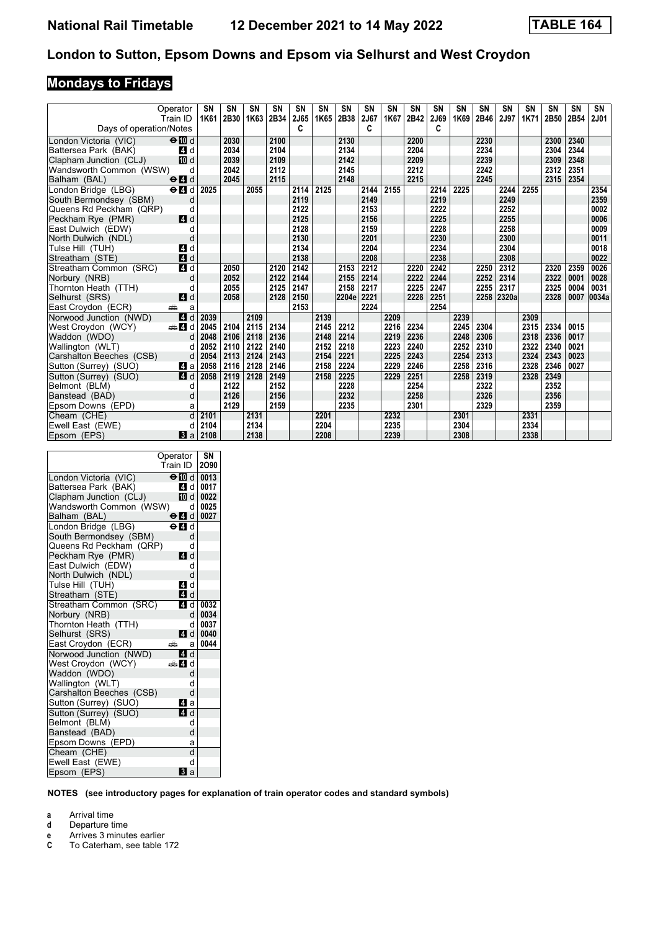### **Mondays to Fridays**

| Operator                                                               | SN   | SN   | SN   | SN   | SN        | SN   | SN    | SN        | SN   | SN   | <b>SN</b> | SN   | <b>SN</b> | SN         | SN          | <b>SN</b> | <b>SN</b> | SN    |
|------------------------------------------------------------------------|------|------|------|------|-----------|------|-------|-----------|------|------|-----------|------|-----------|------------|-------------|-----------|-----------|-------|
| Train ID<br>Days of operation/Notes                                    | 1K61 | 2B30 | 1K63 | 2B34 | 2J65<br>c | 1K65 | 2B38  | 2J67<br>c | 1K67 | 2B42 | 2J69<br>c | 1K69 | 2B46      | 2J97       | <b>1K71</b> | 2B50      | 2B54      | 2J01  |
| $\Theta$ III d<br>London Victoria (VIC)                                |      | 2030 |      | 2100 |           |      | 2130  |           |      | 2200 |           |      | 2230      |            |             | 2300      | 2340      |       |
| Battersea Park (BAK)<br>4 d                                            |      | 2034 |      | 2104 |           |      | 2134  |           |      | 2204 |           |      | 2234      |            |             | 2304      | 2344      |       |
| [顶 d<br>Clapham Junction (CLJ)                                         |      | 2039 |      | 2109 |           |      | 2142  |           |      | 2209 |           |      | 2239      |            |             | 2309      | 2348      |       |
| Wandsworth Common (WSW)<br>d                                           |      | 2042 |      | 2112 |           |      | 2145  |           |      | 2212 |           |      | 2242      |            |             | 2312      | 2351      |       |
| $\Theta$ $\blacksquare$ d<br>Balham (BAL)                              |      | 2045 |      | 2115 |           |      | 2148  |           |      | 2215 |           |      | 2245      |            |             | 2315      | 2354      |       |
| London Bridge (LBG)<br>$\Theta$ <sup><math>\blacksquare</math> d</sup> | 2025 |      | 2055 |      | 2114      | 2125 |       | 2144      | 2155 |      | 2214      | 2225 |           | 2244       | 2255        |           |           | 2354  |
| South Bermondsey (SBM)<br>d                                            |      |      |      |      | 2119      |      |       | 2149      |      |      | 2219      |      |           | 2249       |             |           |           | 2359  |
| Queens Rd Peckham (QRP)<br>d                                           |      |      |      |      | 2122      |      |       | 2153      |      |      | 2222      |      |           | 2252       |             |           |           | 0002  |
| 4 d<br>Peckham Rye (PMR)                                               |      |      |      |      | 2125      |      |       | 2156      |      |      | 2225      |      |           | 2255       |             |           |           | 0006  |
| East Dulwich (EDW)<br>d                                                |      |      |      |      | 2128      |      |       | 2159      |      |      | 2228      |      |           | 2258       |             |           |           | 0009  |
| North Dulwich (NDL)<br>d                                               |      |      |      |      | 2130      |      |       | 2201      |      |      | 2230      |      |           | 2300       |             |           |           | 0011  |
| Tulse Hill (TUH)<br>4 d                                                |      |      |      |      | 2134      |      |       | 2204      |      |      | 2234      |      |           | 2304       |             |           |           | 0018  |
| 4 d<br>Streatham (STE)                                                 |      |      |      |      | 2138      |      |       | 2208      |      |      | 2238      |      |           | 2308       |             |           |           | 0022  |
| 4 d<br>Streatham Common (SRC)                                          |      | 2050 |      | 2120 | 2142      |      | 2153  | 2212      |      | 2220 | 2242      |      | 2250      | 2312       |             | 2320      | 2359      | 0026  |
| Norbury (NRB)<br>d                                                     |      | 2052 |      | 2122 | 2144      |      | 2155  | 2214      |      | 2222 | 2244      |      | 2252      | 2314       |             | 2322      | 0001      | 0028  |
| Thornton Heath (TTH)<br>d                                              |      | 2055 |      | 2125 | 2147      |      | 2158  | 2217      |      | 2225 | 2247      |      | 2255      | 2317       |             | 2325      | 0004      | 0031  |
| 4d<br>Selhurst (SRS)                                                   |      | 2058 |      | 2128 | 2150      |      | 2204e | 2221      |      | 2228 | 2251      |      |           | 2258 2320a |             | 2328      | 0007      | 0034a |
| East Croydon (ECR)<br>پیشته<br>a                                       |      |      |      |      | 2153      |      |       | 2224      |      |      | 2254      |      |           |            |             |           |           |       |
| 4d<br>Norwood Junction (NWD)                                           | 2039 |      | 2109 |      |           | 2139 |       |           | 2209 |      |           | 2239 |           |            | 2309        |           |           |       |
| $\Rightarrow$ 4 d<br>West Croydon (WCY)                                | 2045 | 2104 | 2115 | 2134 |           | 2145 | 2212  |           | 2216 | 2234 |           | 2245 | 2304      |            | 2315        | 2334      | 0015      |       |
| Waddon (WDO)<br>d                                                      | 2048 | 2106 | 2118 | 2136 |           | 2148 | 2214  |           | 2219 | 2236 |           | 2248 | 2306      |            | 2318        | 2336      | 0017      |       |
| Wallington (WLT)                                                       | 2052 | 2110 | 2122 | 2140 |           | 2152 | 2218  |           | 2223 | 2240 |           | 2252 | 2310      |            | 2322        | 2340      | 0021      |       |
| Carshalton Beeches (CSB)<br>d                                          | 2054 | 2113 | 2124 | 2143 |           | 2154 | 2221  |           | 2225 | 2243 |           | 2254 | 2313      |            | 2324        | 2343      | 0023      |       |
| Sutton (Surrey) (SUO)<br>ZI a                                          | 2058 | 2116 | 2128 | 2146 |           | 2158 | 2224  |           | 2229 | 2246 |           | 2258 | 2316      |            | 2328        | 2346      | 0027      |       |
| Sutton (Surrey) (SUO)<br>4d                                            | 2058 | 2119 | 2128 | 2149 |           | 2158 | 2225  |           | 2229 | 2251 |           | 2258 | 2319      |            | 2328        | 2349      |           |       |
| Belmont (BLM)<br>d                                                     |      | 2122 |      | 2152 |           |      | 2228  |           |      | 2254 |           |      | 2322      |            |             | 2352      |           |       |
| Banstead (BAD)<br>d                                                    |      | 2126 |      | 2156 |           |      | 2232  |           |      | 2258 |           |      | 2326      |            |             | 2356      |           |       |
| Epsom Downs (EPD)<br>a                                                 |      | 2129 |      | 2159 |           |      | 2235  |           |      | 2301 |           |      | 2329      |            |             | 2359      |           |       |
| Cheam (CHE)<br>d                                                       | 2101 |      | 2131 |      |           | 2201 |       |           | 2232 |      |           | 2301 |           |            | 2331        |           |           |       |
| Ewell East (EWE)                                                       | 2104 |      | 2134 |      |           | 2204 |       |           | 2235 |      |           | 2304 |           |            | 2334        |           |           |       |
| <b>B</b> a<br>Epsom (EPS)                                              | 2108 |      | 2138 |      |           | 2208 |       |           | 2239 |      |           | 2308 |           |            | 2338        |           |           |       |

|                          | Operator<br>Train ID | SN<br>2090 |
|--------------------------|----------------------|------------|
| London Victoria (VIC)    | ⊖Midl                | 0013       |
| Battersea Park (BAK)     | 41 d                 | 0017       |
| Clapham Junction (CLJ)   | 10 d l               | 0022       |
| Wandsworth Common (WSW)  | q                    | 0025       |
| Balham (BAL)             | ⊖Ød                  | 0027       |
| London Bridge (LBG)      | <b>⊖M</b> d          |            |
| South Bermondsey (SBM)   | d                    |            |
| Queens Rd Peckham (QRP)  | d                    |            |
| Peckham Rye (PMR)        | ZI d                 |            |
| East Dulwich (EDW)       | d                    |            |
| North Dulwich (NDL)      | d                    |            |
| Tulse Hill (TUH)         | ZI d                 |            |
| Streatham (STE)          | $\blacksquare$ d     |            |
| Streatham Common (SRC)   | 4 d                  | 0032       |
| Norbury (NRB)            | d                    | 0034       |
| Thornton Heath (TTH)     | d                    | 0037       |
| Selhurst (SRS)           | ZI d                 | 0040       |
| East Croydon (ECR)       | æ<br>a               | 0044       |
| Norwood Junction (NWD)   | 4d                   |            |
| West Croydon (WCY)       | d ∯ a                |            |
| Waddon (WDO)             | d                    |            |
| Wallington (WLT)         | d                    |            |
| Carshalton Beeches (CSB) | d                    |            |
| Sutton (Surrey) (SUO)    | Иa                   |            |
| Sutton (Surrey) (SUO)    | 4 d                  |            |
| Belmont (BLM)            | d                    |            |
| Banstead (BAD)           | d                    |            |
| Epsom Downs (EPD)        | a                    |            |
| Cheam (CHE)              | d                    |            |
| Ewell East (EWE)         | d                    |            |
| Epsom (EPS)              | <b>BI</b> a          |            |

**NOTES (see introductory pages for explanation of train operator codes and standard symbols)**

**a** Arrival time<br>**d** Departure t

**d** Departure time

- **e** Arrives 3 minutes earlier<br>**C** To Caterham, see table
- To Caterham, see table 172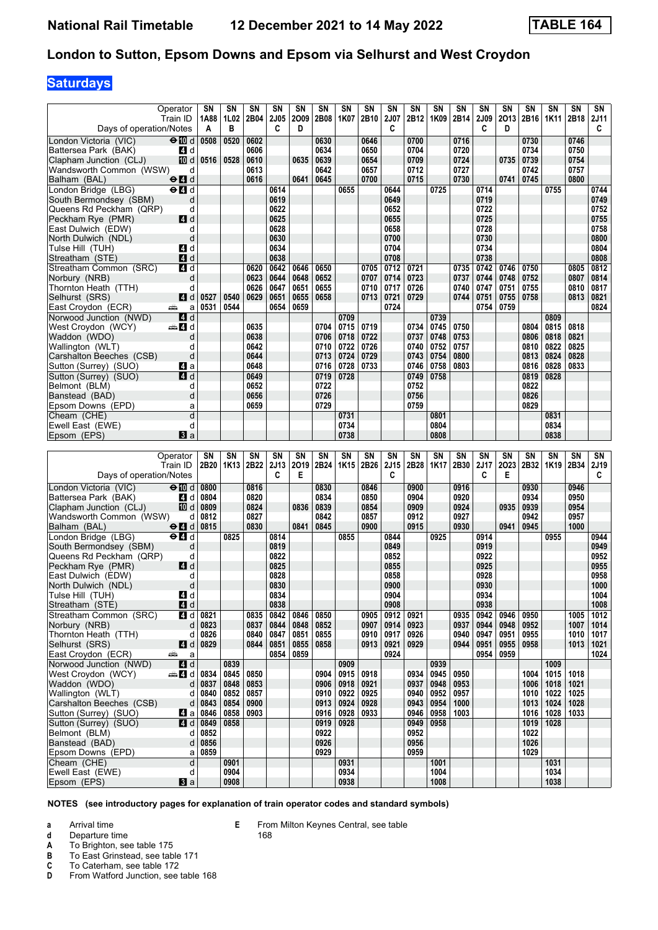### **Saturdays**

|                                           | Operator                                  | SN           | SN           | $\overline{\text{SN}}$ | $\overline{\text{SN}}$ | $\overline{\text{SN}}$ | $\overline{\text{SN}}$ | $\overline{\text{SN}}$ | $\overline{\text{SN}}$ | $\overline{\text{SN}}$ | SN           | SN           | SN   | SN           | SN   | SN           | SN           | $\overline{\text{SN}}$ | SN           |
|-------------------------------------------|-------------------------------------------|--------------|--------------|------------------------|------------------------|------------------------|------------------------|------------------------|------------------------|------------------------|--------------|--------------|------|--------------|------|--------------|--------------|------------------------|--------------|
|                                           | Train ID                                  | 1A88         | 1L02         | 2B04                   | <b>2J05</b>            | 2009                   | 2B08                   | 1K07                   | 2B10                   | 2J07                   | 2B12         | 1K09         | 2B14 | 2J09         | 2013 | 2B16         | 1K11         | 2B18                   | 2J11         |
| Days of operation/Notes                   |                                           | A            | в            |                        | C                      | D                      |                        |                        |                        | C                      |              |              |      | C            | D    |              |              |                        | C            |
| London Victoria (VIC)                     | $\Theta$ $\boxed{0}$ d                    | 0508         | 0520         | 0602                   |                        |                        | 0630                   |                        | 0646                   |                        | 0700         |              | 0716 |              |      | 0730         |              | 0746                   |              |
| Battersea Park (BAK)                      | 4 d                                       |              |              | 0606                   |                        |                        | 0634                   |                        | 0650                   |                        | 0704         |              | 0720 |              |      | 0734         |              | 0750                   |              |
| Clapham Junction (CLJ)                    | 10d                                       | 0516         | 0528         | 0610                   |                        | 0635                   | 0639                   |                        | 0654                   |                        | 0709         |              | 0724 |              | 0735 | 0739         |              | 0754                   |              |
| Wandsworth Common (WSW)                   | d                                         |              |              | 0613                   |                        |                        | 0642                   |                        | 0657                   |                        | 0712         |              | 0727 |              |      | 0742         |              | 0757                   |              |
| Balham (BAL)                              | $\Theta$ 4 d                              |              |              | 0616                   |                        | 0641                   | 0645                   |                        | 0700                   |                        | 0715         |              | 0730 |              | 0741 | 0745         |              | 0800                   |              |
| London Bridge (LBG)                       | $\Theta$ <sup><math>\Omega</math></sup> d |              |              |                        | 0614                   |                        |                        | 0655                   |                        | 0644                   |              | 0725         |      | 0714         |      |              | 0755         |                        | 0744         |
| South Bermondsey (SBM)                    | d                                         |              |              |                        | 0619                   |                        |                        |                        |                        | 0649                   |              |              |      | 0719         |      |              |              |                        | 0749         |
| Queens Rd Peckham (QRP)                   | d                                         |              |              |                        | 0622                   |                        |                        |                        |                        | 0652                   |              |              |      | 0722         |      |              |              |                        | 0752         |
| Peckham Rye (PMR)                         | <b>4</b> d                                |              |              |                        | 0625                   |                        |                        |                        |                        | 0655                   |              |              |      | 0725         |      |              |              |                        | 0755         |
| East Dulwich (EDW)                        | d                                         |              |              |                        | 0628                   |                        |                        |                        |                        | 0658                   |              |              |      | 0728         |      |              |              |                        | 0758         |
| North Dulwich (NDL)                       | d                                         |              |              |                        | 0630<br>0634           |                        |                        |                        |                        | 0700<br>0704           |              |              |      | 0730<br>0734 |      |              |              |                        | 0800<br>0804 |
| Tulse Hill (TUH)                          | ZI d<br>4 d                               |              |              |                        | 0638                   |                        |                        |                        |                        | 0708                   |              |              |      | 0738         |      |              |              |                        | 0808         |
| Streatham (STE)<br>Streatham Common (SRC) | 4 d                                       |              |              | 0620                   | 0642                   | 0646                   | 0650                   |                        | 0705                   | 0712                   | 0721         |              | 0735 | 0742         | 0746 | 0750         |              | 0805                   | 0812         |
| Norbury (NRB)                             | d                                         |              |              | 0623                   | 0644                   | 0648                   | 0652                   |                        | 0707                   | 0714                   | 0723         |              | 0737 | 0744         | 0748 | 0752         |              | 0807                   | 0814         |
| Thornton Heath (TTH)                      | d                                         |              |              | 0626                   | 0647                   | 0651                   | 0655                   |                        | 0710                   | 0717                   | 0726         |              | 0740 | 0747         | 0751 | 0755         |              | 0810                   | 0817         |
| Selhurst (SRS)                            | <b>4</b> d                                | 0527         | 0540         | 0629                   | 0651                   | 0655                   | 0658                   |                        | 0713                   | 0721                   | 0729         |              | 0744 | 0751         | 0755 | 0758         |              | 0813                   | 0821         |
| East Croydon (ECR)                        | æ<br>a                                    | 0531         | 0544         |                        | 0654                   | 0659                   |                        |                        |                        | 0724                   |              |              |      | 0754         | 0759 |              |              |                        | 0824         |
| Norwood Junction (NWD)                    | <b>4</b> d                                |              |              |                        |                        |                        |                        | 0709                   |                        |                        |              | 0739         |      |              |      |              | 0809         |                        |              |
| West Croydon (WCY)                        | dan 4. d                                  |              |              | 0635                   |                        |                        | 0704                   | 0715                   | 0719                   |                        | 0734         | 0745         | 0750 |              |      | 0804         | 0815         | 0818                   |              |
| Waddon (WDO)                              | d                                         |              |              | 0638                   |                        |                        | 0706                   | 0718                   | 0722                   |                        | 0737         | 0748         | 0753 |              |      | 0806         | 0818         | 0821                   |              |
| Wallington (WLT)                          | d                                         |              |              | 0642                   |                        |                        | 0710                   | 0722                   | 0726                   |                        | 0740         | 0752         | 0757 |              |      | 0810         | 0822         | 0825                   |              |
| Carshalton Beeches (CSB)                  | d                                         |              |              | 0644                   |                        |                        | 0713                   | 0724                   | 0729                   |                        | 0743         | 0754         | 0800 |              |      | 0813         | 0824         | 0828                   |              |
| Sutton (Surrey) (SUO)                     | 4 a                                       |              |              | 0648                   |                        |                        | 0716                   | 0728                   | 0733                   |                        | 0746         | 0758         | 0803 |              |      | 0816         | 0828         | 0833                   |              |
| Sutton (Surrey) (SUO)                     | <b>4</b> d                                |              |              | 0649                   |                        |                        | 0719                   | 0728                   |                        |                        | 0749         | 0758         |      |              |      | 0819         | 0828         |                        |              |
| Belmont (BLM)                             | d                                         |              |              | 0652                   |                        |                        | 0722                   |                        |                        |                        | 0752         |              |      |              |      | 0822         |              |                        |              |
| Banstead (BAD)                            | d                                         |              |              | 0656                   |                        |                        | 0726                   |                        |                        |                        | 0756         |              |      |              |      | 0826         |              |                        |              |
| Epsom Downs (EPD)                         | a                                         |              |              | 0659                   |                        |                        | 0729                   |                        |                        |                        | 0759         |              |      |              |      | 0829         |              |                        |              |
| Cheam (CHE)                               | d                                         |              |              |                        |                        |                        |                        | 0731                   |                        |                        |              | 0801         |      |              |      |              | 0831         |                        |              |
| Ewell East (EWE)                          | d                                         |              |              |                        |                        |                        |                        | 0734                   |                        |                        |              | 0804         |      |              |      |              | 0834         |                        |              |
| Epsom (EPS)                               | <b>B</b> a                                |              |              |                        |                        |                        |                        | 0738                   |                        |                        |              | 0808         |      |              |      |              | 0838         |                        |              |
|                                           |                                           |              |              |                        |                        |                        |                        |                        |                        |                        |              |              |      |              |      |              |              |                        |              |
|                                           |                                           |              |              |                        |                        |                        |                        |                        |                        |                        |              |              |      |              |      |              |              |                        |              |
|                                           | Operator                                  | SN           | SN           | SN                     | SN                     | SΝ                     | SΝ                     | SN                     | SΝ                     | SN                     | <b>SN</b>    | SN           | SN   | SN           | SN   | SΝ           | SΝ           | SΝ                     | SN           |
|                                           | Train ID                                  | 2B20         | 1K13         | 2B22                   | 2J13                   | 2019                   | 2B24                   | 1K15                   | 2B26                   | 2J15                   | 2B28         | 1K17         | 2B30 | 2J17         | 2023 | 2B32         | 1K19 2B34    |                        | 2J19         |
| Days of operation/Notes                   |                                           |              |              |                        | C                      | Е                      |                        |                        |                        | C                      |              |              |      | C            | Е    |              |              |                        | C            |
| London Victoria (VIC)                     | $\Theta$ $\blacksquare$ d                 | 0800         |              | 0816                   |                        |                        | 0830                   |                        | 0846                   |                        | 0900         |              | 0916 |              |      | 0930         |              | 0946                   |              |
| Battersea Park (BAK)                      | 4<br>d                                    | 0804         |              | 0820                   |                        |                        | 0834                   |                        | 0850                   |                        | 0904         |              | 0920 |              |      | 0934         |              | 0950                   |              |
| Clapham Junction (CLJ)                    | 10 d                                      | 0809         |              | 0824                   |                        | 0836                   | 0839                   |                        | 0854                   |                        | 0909         |              | 0924 |              | 0935 | 0939         |              | 0954                   |              |
| Wandsworth Common (WSW)                   | d                                         | 0812         |              | 0827                   |                        |                        | 0842                   |                        | 0857                   |                        | 0912         |              | 0927 |              |      | 0942         |              | 0957                   |              |
| Balham (BAL)                              | <b>⊖M</b> d                               | 0815         |              | 0830                   |                        | 0841                   | 0845                   |                        | 0900                   |                        | 0915         |              | 0930 |              | 0941 | 0945         |              | 1000                   |              |
| London Bridge (LBG)                       | <b>⊖M</b> d                               |              | 0825         |                        | 0814                   |                        |                        | 0855                   |                        | 0844                   |              | 0925         |      | 0914         |      |              | 0955         |                        | 0944         |
| South Bermondsey (SBM)                    | d                                         |              |              |                        | 0819                   |                        |                        |                        |                        | 0849                   |              |              |      | 0919         |      |              |              |                        | 0949         |
| Queens Rd Peckham (QRP)                   | d<br><b>4</b> d                           |              |              |                        | 0822<br>0825           |                        |                        |                        |                        | 0852<br>0855           |              |              |      | 0922<br>0925 |      |              |              |                        | 0952<br>0955 |
| Peckham Rye (PMR)<br>East Dulwich (EDW)   | d                                         |              |              |                        | 0828                   |                        |                        |                        |                        | 0858                   |              |              |      | 0928         |      |              |              |                        | 0958         |
| North Dulwich (NDL)                       | d                                         |              |              |                        | 0830                   |                        |                        |                        |                        | 0900                   |              |              |      | 0930         |      |              |              |                        | 1000         |
| Tulse Hill (TUH)                          | 4<br>d                                    |              |              |                        | 0834                   |                        |                        |                        |                        | 0904                   |              |              |      | 0934         |      |              |              |                        | 1004         |
| Streatham (STE)                           | 4d                                        |              |              |                        | 0838                   |                        |                        |                        |                        | 0908                   |              |              |      | 0938         |      |              |              |                        | 1008         |
| Streatham Common (SRC)                    | 4 d                                       | 0821         |              | 0835                   | 0842                   | 0846                   | 0850                   |                        | 0905                   | 0912                   | 0921         |              | 0935 | 0942         | 0946 | 0950         |              | 1005                   | 1012         |
| Norbury (NRB)                             | d                                         | 0823         |              | 0837                   | 0844                   | 0848                   | 0852                   |                        | 0907                   | 0914                   | 0923         |              | 0937 | 0944         | 0948 | 0952         |              | 1007                   | 1014         |
| Thornton Heath (TTH)                      | d                                         | 0826         |              | 0840                   | 0847                   | 0851                   | 0855                   |                        | 0910                   | 0917                   | 0926         |              | 0940 | 0947         | 0951 | 0955         |              | 1010                   | 1017         |
| Selhurst (SRS)                            | <b>4</b> d                                | 0829         |              | 0844                   | 0851                   | 0855                   | 0858                   |                        | 0913                   | 0921                   | 0929         |              | 0944 | 0951         | 0955 | 0958         |              | 1013                   | 1021         |
| East Croydon (ECR)                        | æ<br>a                                    |              |              |                        | 0854                   | 0859                   |                        |                        |                        | 0924                   |              |              |      | 0954         | 0959 |              |              |                        | 1024         |
| Norwood Junction (NWD)                    | 4d                                        |              | 0839         |                        |                        |                        |                        | 0909                   |                        |                        |              | 0939         |      |              |      |              | 1009         |                        |              |
| West Croydon (WCY)                        | dan 4. d                                  | 0834         | 0845         | 0850                   |                        |                        | 0904                   | 0915                   | 0918                   |                        | 0934         | 0945         | 0950 |              |      | 1004         | 1015         | 1018                   |              |
| Waddon (WDO)                              | d                                         | 0837         | 0848         | 0853                   |                        |                        | 0906                   | 0918                   | 0921                   |                        | 0937         | 0948         | 0953 |              |      | 1006         | 1018         | 1021                   |              |
| Wallington (WLT)                          | d                                         | 0840         | 0852         | 0857                   |                        |                        | 0910                   | 0922                   | 0925                   |                        | 0940         | 0952         | 0957 |              |      | 1010         | 1022         | 1025                   |              |
| Carshalton Beeches (CSB)                  | d                                         | 0843         | 0854         | 0900                   |                        |                        | 0913                   | 0924                   | 0928                   |                        | 0943         | 0954         | 1000 |              |      | 1013         | 1024         | 1028                   |              |
| Sutton (Surrey) (SUO)                     | 4 a                                       | 0846<br>0849 | 0858<br>0858 | 0903                   |                        |                        | 0916<br>0919           | 0928<br>0928           | 0933                   |                        | 0946<br>0949 | 0958<br>0958 | 1003 |              |      | 1016<br>1019 | 1028<br>1028 | 1033                   |              |
| Sutton (Surrey) (SUO)<br>Belmont (BLM)    | 4d<br>d                                   | 0852         |              |                        |                        |                        | 0922                   |                        |                        |                        | 0952         |              |      |              |      | 1022         |              |                        |              |
| Banstead (BAD)                            | d                                         | 0856         |              |                        |                        |                        | 0926                   |                        |                        |                        | 0956         |              |      |              |      | 1026         |              |                        |              |
| Epsom Downs (EPD)                         | a                                         | 0859         |              |                        |                        |                        | 0929                   |                        |                        |                        | 0959         |              |      |              |      | 1029         |              |                        |              |
| Cheam (CHE)                               | d                                         |              | 0901         |                        |                        |                        |                        | 0931                   |                        |                        |              | 1001         |      |              |      |              | 1031         |                        |              |
| Ewell East (EWE)<br>Epsom (EPS)           | d<br>a                                    |              | 0904<br>0908 |                        |                        |                        |                        | 0934<br>0938           |                        |                        |              | 1004<br>1008 |      |              |      |              | 1034<br>1038 |                        |              |

**NOTES (see introductory pages for explanation of train operator codes and standard symbols)**

**a** Arrival time<br>**d** Departure t

- **d** Departure time
- **A** To Brighton, see table 175<br>**B** To East Grinstead, see table

**B** To East Grinstead, see table 171<br>**C** To Caterham. see table 172

**C** To Caterham, see table 172<br>**D** From Watford Junction, see

From Watford Junction, see table 168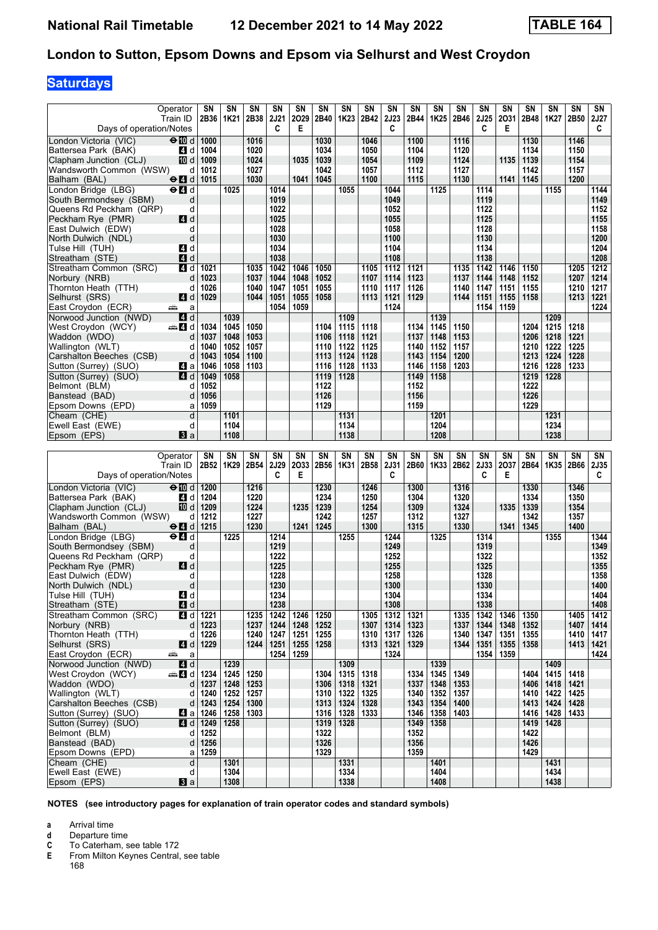### **Saturdays**

| Operator<br>Train ID                                                      | SN<br>2B36   | SN<br>1K21        | SN<br>2B38   | SN<br><b>2J21</b> | SN<br>2029 | SN<br>2B40 | SN<br>1K23   | SN<br>2B42 | SN<br><b>2J23</b> | SN<br>2B44 | SN<br>1K <sub>25</sub> | SN<br>2B46 | SN<br><b>2J25</b>      | SN<br>2031 | SN<br>2B48 | SΝ<br>1K27   | SN<br>2B50 | SN<br><b>2J27</b> |
|---------------------------------------------------------------------------|--------------|-------------------|--------------|-------------------|------------|------------|--------------|------------|-------------------|------------|------------------------|------------|------------------------|------------|------------|--------------|------------|-------------------|
| Days of operation/Notes                                                   |              |                   |              | C                 | Е          |            |              |            | C                 |            |                        |            | C                      | Е          |            |              |            | C                 |
| London Victoria (VIC)<br>$\Theta$ 10 d                                    | 1000         |                   | 1016         |                   |            | 1030       |              | 1046       |                   | 1100       |                        | 1116       |                        |            | 1130       |              | 1146       |                   |
| Battersea Park (BAK)<br>4 d                                               | 1004         |                   | 1020         |                   |            | 1034       |              | 1050       |                   | 1104       |                        | 1120       |                        |            | 1134       |              | 1150       |                   |
| Clapham Junction (CLJ)<br>100 d∣                                          | 1009         |                   | 1024         |                   | 1035       | 1039       |              | 1054       |                   | 1109       |                        | 1124       |                        | 1135       | 1139       |              | 1154       |                   |
| Wandsworth Common (WSW)<br>d                                              | 1012         |                   | 1027         |                   |            | 1042       |              | 1057       |                   | 1112       |                        | 1127       |                        |            | 1142       |              | 1157       |                   |
| $\Theta$ $\blacksquare$ d<br>Balham (BAL)                                 | 1015         |                   | 1030         |                   | 1041       | 1045       |              | 1100       |                   | 1115       |                        | 1130       |                        | 1141       | 1145       |              | 1200       |                   |
| London Bridge (LBG)<br>$\Theta$ $\blacksquare$ d                          |              | 1025              |              | 1014              |            |            | 1055         |            | 1044              |            | 1125                   |            | 1114                   |            |            | 1155         |            | 1144              |
| South Bermondsey (SBM)<br>d<br>Queens Rd Peckham (QRP)<br>d               |              |                   |              | 1019<br>1022      |            |            |              |            | 1049<br>1052      |            |                        |            | 1119<br>1122           |            |            |              |            | 1149<br>1152      |
| Peckham Rye (PMR)<br>4 d                                                  |              |                   |              | 1025              |            |            |              |            | 1055              |            |                        |            | 1125                   |            |            |              |            | 1155              |
| East Dulwich (EDW)<br>d                                                   |              |                   |              | 1028              |            |            |              |            | 1058              |            |                        |            | 1128                   |            |            |              |            | 1158              |
| North Dulwich (NDL)<br>d                                                  |              |                   |              | 1030              |            |            |              |            | 1100              |            |                        |            | 1130                   |            |            |              |            | 1200              |
| 4 d<br>Tulse Hill (TUH)                                                   |              |                   |              | 1034              |            |            |              |            | 1104              |            |                        |            | 1134                   |            |            |              |            | 1204              |
| 4 d<br>Streatham (STE)                                                    |              |                   |              | 1038              |            |            |              |            | 1108              |            |                        |            | 1138                   |            |            |              |            | 1208              |
| Streatham Common (SRC)<br>4 d                                             | 1021         |                   | 1035         | 1042              | 1046       | 1050       |              | 1105       | 1112              | 1121       |                        | 1135       | 1142                   | 1146       | 1150       |              | 1205       | 1212              |
| Norbury (NRB)<br>d                                                        | 1023         |                   | 1037         | 1044              | 1048       | 1052       |              | 1107       | 1114              | 1123       |                        | 1137       | 1144                   | 1148       | 1152       |              | 1207       | 1214              |
| Thornton Heath (TTH)<br>d                                                 | 1026         |                   | 1040         | 1047              | 1051       | 1055       |              | 1110       | 1117              | 1126       |                        | 1140       | 1147                   | 1151       | 1155       |              | 1210       | 1217              |
| Selhurst (SRS)<br><b>4</b> d                                              | 1029         |                   | 1044         | 1051              | 1055       | 1058       |              | 1113       | 1121              | 1129       |                        | 1144       | 1151                   | 1155       | 1158       |              | 1213       | 1221              |
| East Croydon (ECR)<br>یشت<br>a                                            |              |                   |              | 1054              | 1059       |            |              |            | 1124              |            |                        |            | 1154                   | 1159       |            |              |            | 1224              |
| $\blacksquare$<br>Norwood Junction (NWD)<br>West Croydon (WCY)<br>d≣ 4. d | 1034         | 1039<br>1045      | 1050         |                   |            | 1104       | 1109<br>1115 | 1118       |                   | 1134       | 1139<br>1145           | 1150       |                        |            | 1204       | 1209<br>1215 | 1218       |                   |
| Waddon (WDO)<br>d                                                         | 1037         | 1048              | 1053         |                   |            | 1106       | 1118         | 1121       |                   | 1137       | 1148                   | 1153       |                        |            | 1206       | 1218         | 1221       |                   |
| Wallington (WLT)<br>d                                                     | 1040         | 1052              | 1057         |                   |            | 1110       | 1122         | 1125       |                   | 1140       | 1152                   | 1157       |                        |            | 1210       | 1222         | 1225       |                   |
| Carshalton Beeches (CSB)<br>d                                             | 1043         | 1054              | 1100         |                   |            | 1113       | 1124         | 1128       |                   | 1143       | 1154                   | 1200       |                        |            | 1213       | 1224         | 1228       |                   |
| Sutton (Surrey) (SUO)<br>ZI a                                             | 1046         | 1058              | 1103         |                   |            | 1116       | 1128         | 1133       |                   | 1146       | 1158                   | 1203       |                        |            | 1216       | 1228         | 1233       |                   |
| 4 d<br>Sutton (Surrey) (SUO)                                              | 1049         | 1058              |              |                   |            | 1119       | 1128         |            |                   | 1149       | 1158                   |            |                        |            | 1219       | 1228         |            |                   |
| Belmont (BLM)<br>d                                                        | 1052         |                   |              |                   |            | 1122       |              |            |                   | 1152       |                        |            |                        |            | 1222       |              |            |                   |
| Banstead (BAD)                                                            | 1056         |                   |              |                   |            | 1126       |              |            |                   | 1156       |                        |            |                        |            | 1226       |              |            |                   |
| Epsom Downs (EPD)<br>a                                                    | 1059         |                   |              |                   |            | 1129       |              |            |                   | 1159       |                        |            |                        |            | 1229       |              |            |                   |
| Cheam (CHE)<br>d                                                          |              | 1101              |              |                   |            |            | 1131         |            |                   |            | 1201                   |            |                        |            |            | 1231         |            |                   |
| Ewell East (EWE)<br>d                                                     |              | 1104<br>1108      |              |                   |            |            | 1134<br>1138 |            |                   |            | 1204<br>1208           |            |                        |            |            | 1234<br>1238 |            |                   |
| Epsom (EPS)<br>Bl a                                                       |              |                   |              |                   |            |            |              |            |                   |            |                        |            |                        |            |            |              |            |                   |
|                                                                           |              |                   |              |                   |            |            |              |            |                   |            |                        |            |                        |            |            |              |            |                   |
|                                                                           |              |                   |              | SN                | <b>SN</b>  |            |              |            | SN                | SΝ         |                        | <b>SN</b>  |                        | SN         | SΝ         |              | SΝ         |                   |
| Operator<br>Train ID                                                      | SN<br>2B52   | SN<br>1K29        | SN<br>2B54   | 2J29              | 2033       | SN<br>2B56 | SN<br>1K31   | SN<br>2B58 |                   | 2B60       | SN<br>1K33             | 2B62       | S <sub>N</sub><br>2J33 | 2037       | 2B64       | SΝ<br>1K35   | 2B66       | SN<br><b>2J35</b> |
| Days of operation/Notes                                                   |              |                   |              | C                 | Е          |            |              |            | 2J31<br>C         |            |                        |            | C                      | Е          |            |              |            | C                 |
| London Victoria (VIC)<br>$\Theta$ M d                                     | 1200         |                   | 1216         |                   |            | 1230       |              | 1246       |                   | 1300       |                        | 1316       |                        |            | 1330       |              | 1346       |                   |
| Battersea Park (BAK)<br>4<br>d                                            | 1204         |                   | 1220         |                   |            | 1234       |              | 1250       |                   | 1304       |                        | 1320       |                        |            | 1334       |              | 1350       |                   |
| Clapham Junction (CLJ)<br>10 dl                                           | 1209         |                   | 1224         |                   | 1235       | 1239       |              | 1254       |                   | 1309       |                        | 1324       |                        | 1335       | 1339       |              | 1354       |                   |
| Wandsworth Common (WSW)<br>d                                              | 1212         |                   | 1227         |                   |            | 1242       |              | 1257       |                   | 1312       |                        | 1327       |                        |            | 1342       |              | 1357       |                   |
| Balham (BAL)<br>$\Theta$ $\blacksquare$ d                                 | 1215         |                   | 1230         |                   | 1241       | 1245       |              | 1300       |                   | 1315       |                        | 1330       |                        | 1341       | 1345       |              | 1400       |                   |
| London Bridge (LBG)<br>$\Theta$ <sup><math>\blacksquare</math> d</sup>    |              | $\overline{1225}$ |              | 1214              |            |            | 1255         |            | 1244              |            | 1325                   |            | 1314                   |            |            | 1355         |            | 1344              |
| South Bermondsey (SBM)<br>d                                               |              |                   |              | 1219              |            |            |              |            | 1249              |            |                        |            | 1319                   |            |            |              |            | 1349              |
| Queens Rd Peckham (QRP)<br>d                                              |              |                   |              | 1222              |            |            |              |            | 1252              |            |                        |            | 1322                   |            |            |              |            | 1352              |
| 4d<br>Peckham Rye (PMR)<br>East Dulwich (EDW)<br>d                        |              |                   |              | 1225<br>1228      |            |            |              |            | 1255<br>1258      |            |                        |            | 1325<br>1328           |            |            |              |            | 1355<br>1358      |
| North Dulwich (NDL)<br>d                                                  |              |                   |              | 1230              |            |            |              |            | 1300              |            |                        |            | 1330                   |            |            |              |            | 1400              |
| 4<br>Tulse Hill (TUH)<br>d                                                |              |                   |              | 1234              |            |            |              |            | 1304              |            |                        |            | 1334                   |            |            |              |            | 1404              |
| 4d<br>Streatham (STE)                                                     |              |                   |              | 1238              |            |            |              |            | 1308              |            |                        |            | 1338                   |            |            |              |            | 1408              |
| Streatham Common (SRC)                                                    | 4 d 1221     |                   | 1235         | 1242              | 1246       | 1250       |              | 1305       | 1312              | 1321       |                        | 1335       | 1342                   | 1346       | 1350       |              | 1405       | 1412              |
| Norbury (NRB)<br>d                                                        | 1223         |                   | 1237         | 1244              | 1248       | 1252       |              | 1307       | 1314              | 1323       |                        | 1337       | 1344                   | 1348       | 1352       |              | 1407       | 1414              |
| Thornton Heath (TTH)<br>d                                                 | 1226         |                   | 1240         | 1247              | 1251       | 1255       |              | 1310       | 1317              | 1326       |                        | 1340       | 1347                   | 1351       | 1355       |              | 1410       | 1417              |
| Selhurst (SRS)<br>4 d                                                     | 1229         |                   | 1244         | 1251              | 1255       | 1258       |              | 1313       | 1321              | 1329       |                        | 1344       | 1351                   | 1355       | 1358       |              | 1413       | 1421              |
| East Croydon (ECR)<br>پیش<br>a                                            |              |                   |              | 1254              | 1259       |            |              |            | 1324              |            |                        |            | 1354                   | 1359       |            |              |            | 1424              |
| Norwood Junction (NWD)<br>$\overline{4}$ d<br>West Croydon (WCY)          |              | 1239              |              |                   |            | 1304       | 1309         | 1318       |                   | 1334       | 1339                   | 1349       |                        |            | 1404       | 1409         | 1418       |                   |
| <del>⊯</del> Иd<br>Waddon (WDO)<br>d                                      | 1234<br>1237 | 1245<br>1248      | 1250<br>1253 |                   |            | 1306       | 1315<br>1318 | 1321       |                   | 1337       | 1345<br>1348           | 1353       |                        |            | 1406       | 1415<br>1418 | 1421       |                   |
| Wallington (WLT)<br>d                                                     | 1240         | 1252              | 1257         |                   |            | 1310       | 1322         | 1325       |                   | 1340       | 1352                   | 1357       |                        |            | 1410       | 1422         | 1425       |                   |
| Carshalton Beeches (CSB)<br>d                                             | 1243         | 1254              | 1300         |                   |            | 1313       | 1324         | 1328       |                   | 1343       | 1354                   | 1400       |                        |            | 1413       | 1424         | 1428       |                   |
| Sutton (Surrey) (SUO)<br>44 a                                             | 1246         | 1258              | 1303         |                   |            | 1316       | 1328         | 1333       |                   | 1346       | 1358                   | 1403       |                        |            | 1416       | 1428         | 1433       |                   |
| Sutton (Surrey) (SUO)<br>4 d                                              | 1249         | 1258              |              |                   |            | 1319       | 1328         |            |                   | 1349       | 1358                   |            |                        |            | 1419       | 1428         |            |                   |
| Belmont (BLM)<br>d                                                        | 1252         |                   |              |                   |            | 1322       |              |            |                   | 1352       |                        |            |                        |            | 1422       |              |            |                   |
| Banstead (BAD)<br>d                                                       | 1256         |                   |              |                   |            | 1326       |              |            |                   | 1356       |                        |            |                        |            | 1426       |              |            |                   |
| Epsom Downs (EPD)<br>a                                                    | 1259         |                   |              |                   |            | 1329       |              |            |                   | 1359       |                        |            |                        |            | 1429       |              |            |                   |
| Cheam (CHE)<br>d<br>Ewell East (EWE)<br>d                                 |              | 1301<br>1304      |              |                   |            |            | 1331<br>1334 |            |                   |            | 1401<br>1404           |            |                        |            |            | 1431<br>1434 |            |                   |

**NOTES (see introductory pages for explanation of train operator codes and standard symbols)**

**a** Arrival time<br>**d** Departure t

**d** Departure time<br>**C** To Caterham, s<br>**E** From Milton Ke To Caterham, see table 172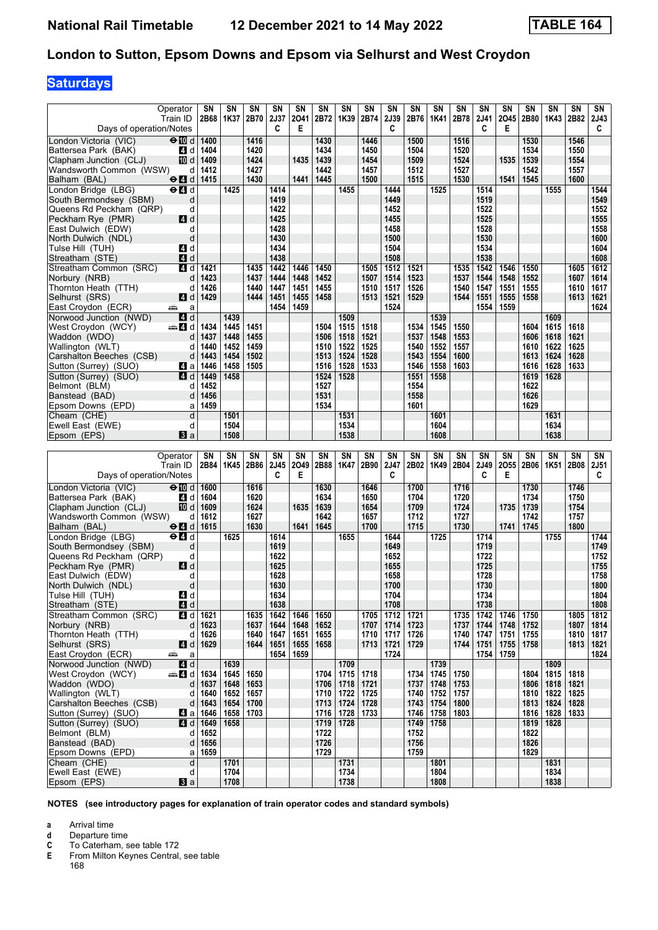### **Saturdays**

| Operator                                             | SN           | SN           | SN           | SN           | SN           | SN           | SN           | SN           | <b>SN</b>    | SN           | SN           | SN           | SN           | SN           | SN           | SN           | SN           | SN                     |
|------------------------------------------------------|--------------|--------------|--------------|--------------|--------------|--------------|--------------|--------------|--------------|--------------|--------------|--------------|--------------|--------------|--------------|--------------|--------------|------------------------|
| Train ID                                             | 2B68         | 1K37         | 2B70         | 2J37         | 2041         | 2B72         | 1K39         | 2B74         | 2J39         | 2B76         | 1K41         | 2B78         | 2J41         | 2045         | 2B80         | 1K43         | 2B82         | 2J43                   |
| Days of operation/Notes                              |              |              |              | C            | Е            |              |              |              | C            |              |              |              | C            | E            |              |              |              | C                      |
| $\Theta$ M d<br>London Victoria (VIC)                | 1400         |              | 1416         |              |              | 1430         |              | 1446         |              | 1500         |              | 1516         |              |              | 1530         |              | 1546         |                        |
| Battersea Park (BAK)<br>ZI d                         | 1404         |              | 1420         |              |              | 1434         |              | 1450         |              | 1504         |              | 1520         |              |              | 1534         |              | 1550         |                        |
| 10 d<br>Clapham Junction (CLJ)                       | 1409         |              | 1424         |              | 1435         | 1439         |              | 1454         |              | 1509         |              | 1524         |              | 1535         | 1539         |              | 1554         |                        |
| Wandsworth Common (WSW)<br>d                         | 1412         |              | 1427         |              |              | 1442         |              | 1457         |              | 1512         |              | 1527         |              |              | 1542         |              | 1557         |                        |
| $\Theta$ $\blacksquare$ d<br>Balham (BAL)            | 1415         |              | 1430         |              | 1441         | 1445         |              | 1500         |              | 1515         |              | 1530         |              | 1541         | 1545         |              | 1600         |                        |
| London Bridge (LBG)<br><b>⊖ 4</b> d                  |              | 1425         |              | 1414         |              |              | 1455         |              | 1444         |              | 1525         |              | 1514         |              |              | 1555         |              | 1544                   |
| South Bermondsey (SBM)<br>d                          |              |              |              | 1419         |              |              |              |              | 1449         |              |              |              | 1519         |              |              |              |              | 1549                   |
| Queens Rd Peckham (QRP)<br>d                         |              |              |              | 1422         |              |              |              |              | 1452         |              |              |              | 1522         |              |              |              |              | 1552                   |
| 4 d<br>Peckham Rye (PMR)                             |              |              |              | 1425         |              |              |              |              | 1455         |              |              |              | 1525         |              |              |              |              | 1555                   |
| East Dulwich (EDW)<br>d                              |              |              |              | 1428         |              |              |              |              | 1458         |              |              |              | 1528         |              |              |              |              | 1558                   |
| d<br>North Dulwich (NDL)                             |              |              |              | 1430         |              |              |              |              | 1500         |              |              |              | 1530         |              |              |              |              | 1600                   |
| Tulse Hill (TUH)<br>ZI d                             |              |              |              | 1434         |              |              |              |              | 1504         |              |              |              | 1534         |              |              |              |              | 1604                   |
| L4 d<br>Streatham (STE)                              |              |              |              | 1438         |              |              |              |              | 1508         |              |              |              | 1538         |              |              |              |              | 1608                   |
| Streatham Common (SRC)<br>41 d l                     | 1421         |              | 1435         | 1442         | 1446         | 1450         |              | 1505         | 1512         | 1521         |              | 1535         | 1542         | 1546         | 1550         |              | 1605         | 1612                   |
| Norbury (NRB)<br>d                                   | 1423         |              | 1437         | 1444         | 1448         | 1452         |              | 1507         | 1514         | 1523         |              | 1537         | 1544         | 1548         | 1552         |              | 1607         | 1614                   |
| Thornton Heath (TTH)<br>d                            | 1426         |              | 1440         | 1447         | 1451         | 1455         |              | 1510         | 1517         | 1526         |              | 1540         | 1547         | 1551         | 1555         |              | 1610         | 1617                   |
| Selhurst (SRS)<br>ZI d                               | 1429         |              | 1444         | 1451         | 1455         | 1458         |              | 1513         | 1521         | 1529         |              | 1544         | 1551         | 1555         | 1558         |              | 1613         | 1621                   |
| East Croydon (ECR)<br>پیشته<br>a                     |              |              |              | 1454         | 1459         |              |              |              | 1524         |              |              |              | 1554         | 1559         |              |              |              | 1624                   |
| Norwood Junction (NWD)<br><b>4</b> d                 |              | 1439         |              |              |              |              | 1509         |              |              |              | 1539         |              |              |              |              | 1609         |              |                        |
| West Croydon (WCY)<br>dan 4. d                       | 1434         | 1445         | 1451         |              |              | 1504         | 1515         | 1518         |              | 1534         | 1545         | 1550         |              |              | 1604         | 1615         | 1618         |                        |
| Waddon (WDO)<br>d                                    | 1437         | 1448         | 1455         |              |              | 1506         | 1518         | 1521         |              | 1537         | 1548         | 1553         |              |              | 1606         | 1618         | 1621         |                        |
| Wallington (WLT)<br>d                                | 1440         | 1452         | 1459         |              |              | 1510         | 1522         | 1525         |              | 1540         | 1552         | 1557         |              |              | 1610         | 1622         | 1625         |                        |
| Carshalton Beeches (CSB)<br>d                        | 1443         | 1454         | 1502         |              |              | 1513         | 1524         | 1528         |              | 1543         | 1554         | 1600         |              |              | 1613         | 1624         | 1628         |                        |
| Sutton (Surrey) (SUO)<br>ZI a                        | 1446         | 1458         | 1505         |              |              | 1516         | 1528         | 1533         |              | 1546         | 1558         | 1603         |              |              | 1616         | 1628         | 1633         |                        |
| Sutton (Surrey) (SUO)<br>L4 d                        | 1449         | 1458         |              |              |              | 1524         | 1528         |              |              | 1551         | 1558         |              |              |              | 1619         | 1628         |              |                        |
| Belmont (BLM)<br>d                                   | 1452         |              |              |              |              | 1527         |              |              |              | 1554         |              |              |              |              | 1622         |              |              |                        |
| Banstead (BAD)<br>d                                  | 1456         |              |              |              |              | 1531         |              |              |              | 1558         |              |              |              |              | 1626         |              |              |                        |
| Epsom Downs (EPD)<br>a                               | 1459         |              |              |              |              | 1534         |              |              |              | 1601         |              |              |              |              | 1629         |              |              |                        |
| Cheam (CHE)<br>d                                     |              | 1501         |              |              |              |              | 1531         |              |              |              | 1601         |              |              |              |              | 1631         |              |                        |
| Ewell East (EWE)<br>d                                |              | 1504         |              |              |              |              | 1534         |              |              |              | 1604         |              |              |              |              | 1634         |              |                        |
| <b>B</b> la<br>Epsom (EPS)                           |              | 1508         |              |              |              |              | 1538         |              |              |              | 1608         |              |              |              |              | 1638         |              |                        |
|                                                      |              |              |              |              |              |              |              |              |              |              |              |              |              |              |              |              |              |                        |
|                                                      |              |              |              |              |              |              |              |              |              |              |              |              |              |              |              |              |              |                        |
|                                                      |              |              |              |              |              |              |              |              |              |              |              |              |              |              |              |              |              |                        |
| Operator                                             | SN           | SN           | <b>SN</b>    | SN           | SΝ           | SN           | SN           | SΝ           | SN           | <b>SN</b>    | <b>SN</b>    | SΝ           | SN           | SΝ           | SN           | SΝ           | SN           | $\overline{\text{SN}}$ |
| Train ID                                             | 2B84         | 1K45         | 2B86         | <b>2J45</b>  | 2049         | 2B88         | 1K47         | 2B90         | 2J47<br>C    | 2B02         | 1K49         | 2B04         | 2J49         | 2055         | 2B06         | 1K51         | 2B08         | <b>2J51</b>            |
| Days of operation/Notes                              |              |              |              | C            | Е            |              |              |              |              |              |              |              | C            | Е            |              |              |              | C                      |
| London Victoria (VIC)<br>$\Theta$ 10 d               | 1600         |              | 1616         |              |              | 1630         |              | 1646         |              | 1700         |              | 1716         |              |              | 1730         |              | 1746         |                        |
| Battersea Park (BAK)<br>4 d                          | 1604         |              | 1620         |              |              | 1634         |              | 1650         |              | 1704         |              | 1720         |              |              | 1734         |              | 1750         |                        |
| Clapham Junction (CLJ)<br>10 d                       | 1609         |              | 1624         |              | 1635         | 1639         |              | 1654         |              | 1709         |              | 1724         |              | 1735         | 1739         |              | 1754         |                        |
| Wandsworth Common (WSW)<br>d                         | 1612         |              | 1627         |              |              | 1642         |              | 1657         |              | 1712         |              | 1727         |              |              | 1742         |              | 1757         |                        |
| Balham (BAL)<br><b>⊖M</b> di                         | 1615         |              | 1630         |              | 1641         | 1645         |              | 1700         |              | 1715         |              | 1730         |              | 1741         | 1745         |              | 1800         |                        |
| London Bridge (LBG)<br><b>⊖M</b> d                   |              | 1625         |              | 1614         |              |              | 1655         |              | 1644         |              | 1725         |              | 1714         |              |              | 1755         |              | 1744                   |
| South Bermondsey (SBM)<br>d                          |              |              |              | 1619         |              |              |              |              | 1649         |              |              |              | 1719         |              |              |              |              | 1749                   |
| Queens Rd Peckham (QRP)<br>d                         |              |              |              | 1622         |              |              |              |              | 1652         |              |              |              | 1722         |              |              |              |              | 1752                   |
| Peckham Rye (PMR)<br>ZI d                            |              |              |              | 1625         |              |              |              |              | 1655         |              |              |              | 1725         |              |              |              |              | 1755                   |
| East Dulwich (EDW)<br>d<br>d<br>North Dulwich (NDL)  |              |              |              | 1628<br>1630 |              |              |              |              | 1658         |              |              |              | 1728         |              |              |              |              | 1758<br>1800           |
|                                                      |              |              |              |              |              |              |              |              | 1700         |              |              |              | 1730         |              |              |              |              |                        |
| Tulse Hill (TUH)<br>41 d<br>4d                       |              |              |              | 1634<br>1638 |              |              |              |              | 1704<br>1708 |              |              |              | 1734         |              |              |              |              | 1804                   |
| Streatham (STE)<br>4 d l                             |              |              | 1635         | 1642         | 1646         | 1650         |              | 1705         |              | 1721         |              |              | 1738<br>1742 | 1746         | 1750         |              | 1805         | 1808<br>1812           |
| Streatham Common (SRC)                               | 1621         |              |              |              |              |              |              |              | 1712         |              |              | 1735         |              |              |              |              |              |                        |
| Norbury (NRB)<br>d<br>d                              | 1623         |              | 1637<br>1640 | 1644         | 1648         | 1652         |              | 1707         | 1714         | 1723         |              | 1737         | 1744         | 1748         | 1752         |              | 1807         | 1814                   |
| Thornton Heath (TTH)<br>Selhurst (SRS)<br><b>4</b> d | 1626<br>1629 |              | 1644         | 1647<br>1651 | 1651<br>1655 | 1655<br>1658 |              | 1710<br>1713 | 1717<br>1721 | 1726<br>1729 |              | 1740<br>1744 | 1747<br>1751 | 1751<br>1755 | 1755<br>1758 |              | 1810<br>1813 | 1817<br>1821           |
| East Croydon (ECR)<br>æ<br>a                         |              |              |              | 1654         | 1659         |              |              |              | 1724         |              |              |              | 1754         | 1759         |              |              |              | 1824                   |
| Norwood Junction (NWD)                               |              | 1639         |              |              |              |              | 1709         |              |              |              | 1739         |              |              |              |              | 1809         |              |                        |
| $\blacksquare$ d<br>West Croydon (WCY)<br>d d        | 1634         | 1645         | 1650         |              |              | 1704         | 1715         | 1718         |              | 1734         | 1745         | 1750         |              |              | 1804         | 1815         | 1818         |                        |
| Waddon (WDO)<br>d                                    | 1637         | 1648         | 1653         |              |              | 1706         | 1718         | 1721         |              | 1737         | 1748         | 1753         |              |              | 1806         | 1818         | 1821         |                        |
| Wallington (WLT)<br>d                                | 1640         | 1652         | 1657         |              |              | 1710         | 1722         | 1725         |              | 1740         | 1752         | 1757         |              |              | 1810         | 1822         | 1825         |                        |
| Carshalton Beeches (CSB)<br>d                        | 1643         | 1654         | 1700         |              |              | 1713         | 1724         | 1728         |              | 1743         | 1754         | 1800         |              |              | 1813         | 1824         | 1828         |                        |
| Sutton (Surrey) (SUO)<br>ZI a                        | 1646         | 1658         | 1703         |              |              | 1716         | 1728         | 1733         |              | 1746         | 1758         | 1803         |              |              | 1816         | 1828         | 1833         |                        |
| Sutton (Surrey) (SUO)<br>4d                          | 1649         | 1658         |              |              |              | 1719         | 1728         |              |              | 1749         | 1758         |              |              |              | 1819         | 1828         |              |                        |
| Belmont (BLM)<br>d                                   | 1652         |              |              |              |              | 1722         |              |              |              | 1752         |              |              |              |              | 1822         |              |              |                        |
| Banstead (BAD)<br>d                                  | 1656         |              |              |              |              | 1726         |              |              |              | 1756         |              |              |              |              | 1826         |              |              |                        |
| Epsom Downs (EPD)<br>a                               | 1659         |              |              |              |              | 1729         |              |              |              | 1759         |              |              |              |              | 1829         |              |              |                        |
| Cheam (CHE)<br>d                                     |              | 1701         |              |              |              |              | 1731         |              |              |              | 1801         |              |              |              |              | 1831         |              |                        |
| Ewell East (EWE)<br>d<br>a<br>Epsom (EPS)            |              | 1704<br>1708 |              |              |              |              | 1734<br>1738 |              |              |              | 1804<br>1808 |              |              |              |              | 1834<br>1838 |              |                        |

**NOTES (see introductory pages for explanation of train operator codes and standard symbols)**

**a** Arrival time<br>**d** Departure t

**d** Departure time<br>**C** To Caterham, s<br>**E** From Milton Ke To Caterham, see table 172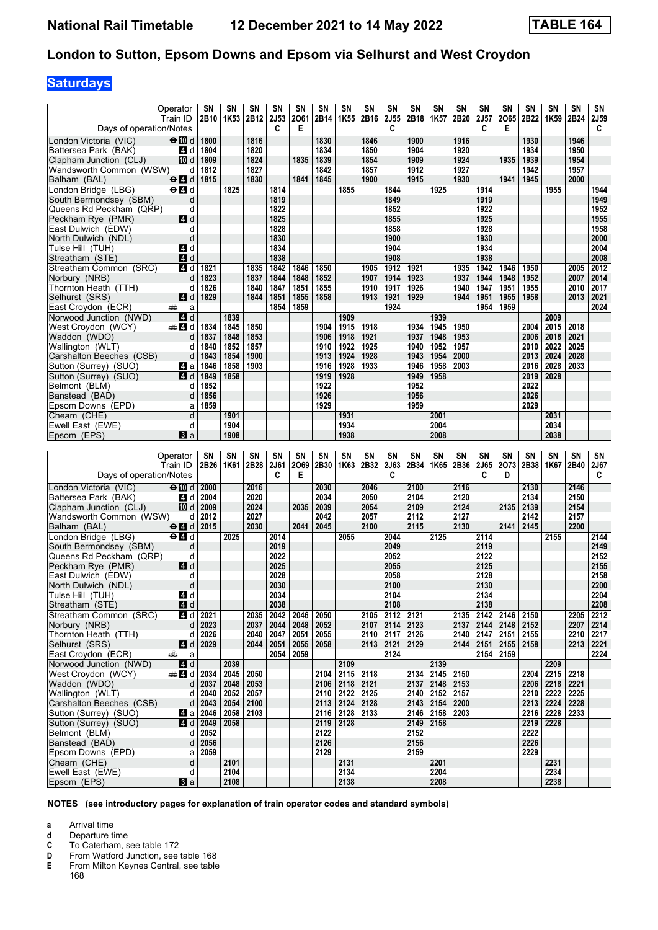### **Saturdays**

|                                                | Operator<br>Train ID      | SN<br>2B10   | SN<br>1K <sub>53</sub> | SN<br>2B12   | SN<br>2J53   | SN<br>2061   | SN<br>2B14   | SN<br>1K55   | SN<br>2B16   | SN<br><b>2J55</b> | SN<br>2B18   | SN<br>1K57 | SΝ<br>2B20   | SN<br>2J57          | SN<br>2065   | SN<br>2B22   | SΝ<br>1K59   | SN<br>2B24   | SN<br><b>2J59</b> |
|------------------------------------------------|---------------------------|--------------|------------------------|--------------|--------------|--------------|--------------|--------------|--------------|-------------------|--------------|------------|--------------|---------------------|--------------|--------------|--------------|--------------|-------------------|
| Days of operation/Notes                        |                           |              |                        |              | C            | Е            |              |              |              | C                 |              |            |              | C                   | E            |              |              |              | C                 |
| London Victoria (VIC)                          | $\Theta$ 10 d             | 1800         |                        | 1816         |              |              | 1830         |              | 1846         |                   | 1900         |            | 1916         |                     |              | 1930         |              | 1946         |                   |
| Battersea Park (BAK)<br>Clapham Junction (CLJ) | ZI d                      | 1804<br>1809 |                        | 1820<br>1824 |              | 1835         | 1834         |              | 1850         |                   | 1904<br>1909 |            | 1920<br>1924 |                     | 1935         | 1934<br>1939 |              | 1950<br>1954 |                   |
| Wandsworth Common (WSW)                        | 100 d∣<br>d               | 1812         |                        | 1827         |              |              | 1839<br>1842 |              | 1854<br>1857 |                   | 1912         |            | 1927         |                     |              | 1942         |              | 1957         |                   |
| Balham (BAL)                                   | $\Theta$ 4 d              | 1815         |                        | 1830         |              | 1841         | 1845         |              | 1900         |                   | 1915         |            | 1930         |                     | 1941         | 1945         |              | 2000         |                   |
| London Bridge (LBG)                            | ⊖ Øl d                    |              | 1825                   |              | 1814         |              |              | 1855         |              | 1844              |              | 1925       |              | 1914                |              |              | 1955         |              | 1944              |
| South Bermondsey (SBM)                         | d                         |              |                        |              | 1819         |              |              |              |              | 1849              |              |            |              | 1919                |              |              |              |              | 1949              |
| Queens Rd Peckham (QRP)                        | d                         |              |                        |              | 1822         |              |              |              |              | 1852              |              |            |              | 1922                |              |              |              |              | 1952              |
| Peckham Rye (PMR)                              | ZI d                      |              |                        |              | 1825         |              |              |              |              | 1855              |              |            |              | 1925                |              |              |              |              | 1955              |
| East Dulwich (EDW)                             | d                         |              |                        |              | 1828         |              |              |              |              | 1858              |              |            |              | 1928                |              |              |              |              | 1958              |
| North Dulwich (NDL)                            | d                         |              |                        |              | 1830         |              |              |              |              | 1900              |              |            |              | 1930                |              |              |              |              | 2000              |
| Tulse Hill (TUH)                               | ZI d                      |              |                        |              | 1834         |              |              |              |              | 1904              |              |            |              | 1934                |              |              |              |              | 2004              |
| Streatham (STE)                                | 4 d                       |              |                        |              | 1838         |              |              |              |              | 1908              |              |            |              | 1938                |              |              |              |              | 2008<br>2012      |
| Streatham Common (SRC)<br>Norbury (NRB)        | <b>4</b> d<br>d           | 1821<br>1823 |                        | 1835<br>1837 | 1842<br>1844 | 1846<br>1848 | 1850<br>1852 |              | 1905<br>1907 | 1912<br>1914      | 1921<br>1923 |            | 1935<br>1937 | 1942<br>1944        | 1946<br>1948 | 1950<br>1952 |              | 2005<br>2007 | 2014              |
| Thornton Heath (TTH)                           | d                         | 1826         |                        | 1840         | 1847         | 1851         | 1855         |              | 1910         | 1917              | 1926         |            | 1940         | 1947                | 1951         | 1955         |              | 2010         | 2017              |
| Selhurst (SRS)                                 | L4 d                      | 1829         |                        | 1844         | 1851         | 1855         | 1858         |              | 1913         | 1921              | 1929         |            | 1944         | 1951                | 1955         | 1958         |              | 2013         | 2021              |
| East Croydon (ECR)                             | پیشته<br>a                |              |                        |              | 1854         | 1859         |              |              |              | 1924              |              |            |              | 1954                | 1959         |              |              |              | 2024              |
| Norwood Junction (NWD)                         | $\overline{4}$ d          |              | 1839                   |              |              |              |              | 1909         |              |                   |              | 1939       |              |                     |              |              | 2009         |              |                   |
| West Crovdon (WCY)                             | dan 4. d                  | 1834         | 1845                   | 1850         |              |              | 1904         | 1915         | 1918         |                   | 1934         | 1945       | 1950         |                     |              | 2004         | 2015         | 2018         |                   |
| Waddon (WDO)                                   | d                         | 1837         | 1848                   | 1853         |              |              | 1906         | 1918         | 1921         |                   | 1937         | 1948       | 1953         |                     |              | 2006         | 2018         | 2021         |                   |
| Wallington (WLT)                               | d                         | 1840         | 1852                   | 1857         |              |              | 1910         | 1922         | 1925         |                   | 1940         | 1952       | 1957         |                     |              | 2010         | 2022         | 2025         |                   |
| Carshalton Beeches (CSB)                       | d                         | 1843         | 1854                   | 1900         |              |              | 1913         | 1924         | 1928         |                   | 1943         | 1954       | 2000         |                     |              | 2013         | 2024         | 2028         |                   |
| Sutton (Surrey) (SUO)                          | M∎a                       | 1846         | 1858                   | 1903         |              |              | 1916         | 1928         | 1933         |                   | 1946         | 1958       | 2003         |                     |              | 2016         | 2028         | 2033         |                   |
| Sutton (Surrey) (SUO)<br>Belmont (BLM)         | 4 d                       | 1849<br>1852 | 1858                   |              |              |              | 1919<br>1922 | 1928         |              |                   | 1949<br>1952 | 1958       |              |                     |              | 2019<br>2022 | 2028         |              |                   |
| Banstead (BAD)                                 | d                         | 1856         |                        |              |              |              | 1926         |              |              |                   | 1956         |            |              |                     |              | 2026         |              |              |                   |
| Epsom Downs (EPD)                              | a                         | 1859         |                        |              |              |              | 1929         |              |              |                   | 1959         |            |              |                     |              | 2029         |              |              |                   |
| Cheam (CHE)                                    | d                         |              | 1901                   |              |              |              |              | 1931         |              |                   |              | 2001       |              |                     |              |              | 2031         |              |                   |
| Ewell East (EWE)                               | d                         |              | 1904                   |              |              |              |              | 1934         |              |                   |              | 2004       |              |                     |              |              | 2034         |              |                   |
| Epsom (EPS)                                    | Bl a                      |              | 1908                   |              |              |              |              | 1938         |              |                   |              | 2008       |              |                     |              |              | 2038         |              |                   |
|                                                |                           |              |                        |              |              |              |              |              |              |                   |              |            |              |                     |              |              |              |              |                   |
|                                                |                           |              |                        |              |              |              |              |              |              |                   |              |            |              |                     |              |              |              |              |                   |
|                                                | Operator                  | SN           | S <sub>N</sub>         | <b>SN</b>    | SN           | SN           | SN           | SN           | SN           | SΝ                | SN           | <b>SN</b>  | SΝ           | SN                  | <b>SN</b>    | SN           | SΝ           | SN           | SN                |
|                                                | Train ID                  | 2B26         | 1K61                   | 2B28         | 2J61         | 2069         | 2B30         | 1K63         | 2B32         | <b>2J63</b>       | 2B34         | 1K65       | 2B36         | 2J65                | 2073         | 2B38         | 1K67         | 2B40         | 2J67              |
| Days of operation/Notes                        |                           |              |                        |              | C            | Е            |              |              |              | C                 |              |            |              | C                   | D            |              |              |              | C                 |
| London Victoria (VIC)                          | $\Theta$ M d              | 2000         |                        | 2016         |              |              | 2030         |              | 2046         |                   | 2100         |            | 2116         |                     |              | 2130         |              | 2146         |                   |
| Battersea Park (BAK)                           | <b>4</b> d                | 2004         |                        | 2020         |              |              | 2034         |              | 2050         |                   | 2104         |            | 2120         |                     |              | 2134         |              | 2150         |                   |
| Clapham Junction (CLJ)                         | 10 d                      | 2009         |                        | 2024         |              | 2035         | 2039         |              | 2054         |                   | 2109         |            | 2124         |                     | 2135         | 2139         |              | 2154         |                   |
| Wandsworth Common (WSW)                        | d                         | 2012         |                        | 2027         |              |              | 2042         |              | 2057         |                   | 2112         |            | 2127         |                     |              | 2142         |              | 2157         |                   |
| Balham (BAL)                                   | $\Theta$ $\blacksquare$ d | 2015         |                        | 2030         |              | 2041         | 2045         |              | 2100         | 2044              | 2115         |            | 2130         |                     | 2141         | 2145         | 2155         | 2200         |                   |
| London Bridge (LBG)<br>South Bermondsey (SBM)  | <b>⊖M</b> d<br>d          |              | 2025                   |              | 2014<br>2019 |              |              | 2055         |              | 2049              |              | 2125       |              | 2114<br>2119        |              |              |              |              | 2144<br>2149      |
| Queens Rd Peckham (QRP)                        | d                         |              |                        |              | 2022         |              |              |              |              | 2052              |              |            |              | 2122                |              |              |              |              | 2152              |
| Peckham Rye (PMR)                              | <b>4</b> d                |              |                        |              | 2025         |              |              |              |              | 2055              |              |            |              | 2125                |              |              |              |              | 2155              |
| East Dulwich (EDW)                             | d                         |              |                        |              | 2028         |              |              |              |              | 2058              |              |            |              | 2128                |              |              |              |              | 2158              |
| North Dulwich (NDL)                            | d                         |              |                        |              | 2030         |              |              |              |              | 2100              |              |            |              | 2130                |              |              |              |              | 2200              |
| Tulse Hill (TUH)                               | 4 d                       |              |                        |              | 2034         |              |              |              |              | 2104              |              |            |              | 2134                |              |              |              |              | 2204              |
| Streatham (STE)                                | 4d                        |              |                        |              | 2038         |              |              |              |              | 2108              |              |            |              | 2138                |              |              |              |              | 2208              |
| Streatham Common (SRC)                         |                           | 4 d 2021     |                        | 2035         | 2042         | 2046         | 2050         |              | 2105         | 2112              | 2121         |            | 2135         | 2142                | 2146         | 2150         |              | 2205         | 2212              |
| Norbury (NRB)                                  | d                         | 2023         |                        | 2037         | 2044         | 2048         | 2052         |              | 2107         | 2114              | 2123         |            | 2137         | 2144                | 2148         | 2152         |              | 2207         | 2214              |
| Thornton Heath (TTH)                           | d                         | 2026         |                        | 2040         | 2047         | 2051         | 2055         |              | 2110         | 2117              | 2126         |            | 2140         | 2147                | 2151         | 2155         |              | 2210         | 2217              |
| Selhurst (SRS)<br>East Croydon (ECR)           | 4 d<br>æ<br>a             | 2029         |                        | 2044         | 2051<br>2054 | 2055<br>2059 | 2058         |              | 2113         | 2121<br>2124      | 2129         |            |              | 2144   2151<br>2154 | 2155<br>2159 | 2158         |              | 2213         | 2221<br>2224      |
| Norwood Junction (NWD)                         | 4d                        |              | 2039                   |              |              |              |              | 2109         |              |                   |              | 2139       |              |                     |              |              | 2209         |              |                   |
| West Croydon (WCY)                             | d d                       | 2034         | 2045                   | 2050         |              |              | 2104         | 2115         | 2118         |                   | 2134         | 2145       | 2150         |                     |              | 2204         | 2215         | 2218         |                   |
| Waddon (WDO)                                   | d                         | 2037         | 2048                   | 2053         |              |              | 2106         | 2118         | 2121         |                   | 2137         | 2148       | 2153         |                     |              | 2206         | 2218         | 2221         |                   |
| Wallington (WLT)                               | d                         | 2040         | 2052                   | 2057         |              |              | 2110         | 2122         | 2125         |                   | 2140         | 2152       | 2157         |                     |              | 2210         | 2222         | 2225         |                   |
| Carshalton Beeches (CSB)                       | d                         | 2043         | 2054                   | 2100         |              |              | 2113         | 2124         | 2128         |                   | 2143         | 2154       | 2200         |                     |              | 2213         | 2224         | 2228         |                   |
| Sutton (Surrey) (SUO)                          | 41 al                     | 2046         | 2058                   | 2103         |              |              | 2116         | 2128         | 2133         |                   | 2146         | 2158       | 2203         |                     |              | 2216         | 2228         | 2233         |                   |
| Sutton (Surrey) (SUO)                          | <b>4</b> d                | 2049         | 2058                   |              |              |              | 2119         | 2128         |              |                   | $2149$ 2158  |            |              |                     |              | 2219         | 2228         |              |                   |
| Belmont (BLM)                                  | d                         | 2052         |                        |              |              |              | 2122         |              |              |                   | 2152         |            |              |                     |              | 2222         |              |              |                   |
| Banstead (BAD)                                 | d<br>a                    | 2056         |                        |              |              |              | 2126         |              |              |                   | 2156         |            |              |                     |              | 2226         |              |              |                   |
| Epsom Downs (EPD)<br>Cheam (CHE)               | d                         | 2059         |                        |              |              |              | 2129         | 2131         |              |                   | 2159         | 2201       |              |                     |              | 2229         | 2231         |              |                   |
| Ewell East (EWE)                               | d                         |              | 2101<br>2104<br>2108   |              |              |              |              | 2134<br>2138 |              |                   |              | 2204       |              |                     |              |              | 2234<br>2238 |              |                   |

**NOTES (see introductory pages for explanation of train operator codes and standard symbols)**

**a** Arrival time<br>**d** Departure t

**d** Departure time<br> **C** To Caterham, s<br> **D** From Watford J To Caterham, see table 172

**D** From Watford Junction, see table 168<br>**E** From Milton Kevnes Central, see table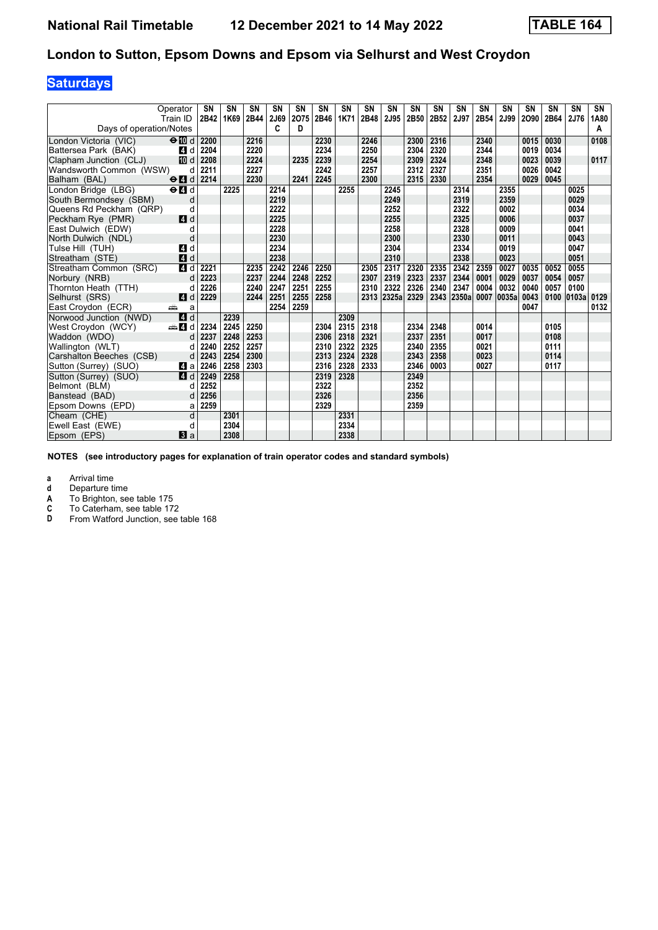# **Saturdays**

| Operator<br>Train ID                                      | SN<br>2B42 | SN<br>1K69 | SN<br>2B44 | SN<br>2J69 | SN<br>2075 | SN<br>2B46 | SN<br><b>1K71</b> | SN<br>2B48 | <b>SN</b><br>2J95 | SN<br>2B50 | SN<br>2B52 | <b>SN</b><br>2J97 | <b>SN</b><br>2B54 | SΝ<br>2J99 | SN<br>2090 | SN<br>2B64 | <b>SN</b><br>2J76 | SN<br>1A80 |
|-----------------------------------------------------------|------------|------------|------------|------------|------------|------------|-------------------|------------|-------------------|------------|------------|-------------------|-------------------|------------|------------|------------|-------------------|------------|
| Days of operation/Notes                                   |            |            |            | C          | D          |            |                   |            |                   |            |            |                   |                   |            |            |            |                   | A          |
| $\Theta$ III d<br>London Victoria (VIC)                   | 2200       |            | 2216       |            |            | 2230       |                   | 2246       |                   | 2300       | 2316       |                   | 2340              |            | 0015       | 0030       |                   | 0108       |
| Battersea Park (BAK)<br>4 d                               | 2204       |            | 2220       |            |            | 2234       |                   | 2250       |                   | 2304       | 2320       |                   | 2344              |            | 0019       | 0034       |                   |            |
| Clapham Junction (CLJ)<br>[10] d                          | 2208       |            | 2224       |            | 2235       | 2239       |                   | 2254       |                   | 2309       | 2324       |                   | 2348              |            | 0023       | 0039       |                   | 0117       |
| Wandsworth Common (WSW)<br>d                              | 2211       |            | 2227       |            |            | 2242       |                   | 2257       |                   | 2312       | 2327       |                   | 2351              |            | 0026       | 0042       |                   |            |
| $\Theta$ <sup><math>\Omega</math></sup> d<br>Balham (BAL) | 2214       |            | 2230       |            | 2241       | 2245       |                   | 2300       |                   | 2315       | 2330       |                   | 2354              |            | 0029       | 0045       |                   |            |
| London Bridge (LBG)<br>$\Theta$ $\blacksquare$ d          |            | 2225       |            | 2214       |            |            | 2255              |            | 2245              |            |            | 2314              |                   | 2355       |            |            | 0025              |            |
| South Bermondsey (SBM)<br>d                               |            |            |            | 2219       |            |            |                   |            | 2249              |            |            | 2319              |                   | 2359       |            |            | 0029              |            |
| Queens Rd Peckham (QRP)<br>d                              |            |            |            | 2222       |            |            |                   |            | 2252              |            |            | 2322              |                   | 0002       |            |            | 0034              |            |
| 4 d<br>Peckham Rye (PMR)                                  |            |            |            | 2225       |            |            |                   |            | 2255              |            |            | 2325              |                   | 0006       |            |            | 0037              |            |
| East Dulwich (EDW)<br>d                                   |            |            |            | 2228       |            |            |                   |            | 2258              |            |            | 2328              |                   | 0009       |            |            | 0041              |            |
| North Dulwich (NDL)<br>d                                  |            |            |            | 2230       |            |            |                   |            | 2300              |            |            | 2330              |                   | 0011       |            |            | 0043              |            |
| Tulse Hill (TUH)<br>4 d                                   |            |            |            | 2234       |            |            |                   |            | 2304              |            |            | 2334              |                   | 0019       |            |            | 0047              |            |
| 4d<br>Streatham (STE)                                     |            |            |            | 2238       |            |            |                   |            | 2310              |            |            | 2338              |                   | 0023       |            |            | 0051              |            |
| 4 d<br>Streatham Common (SRC)                             | 2221       |            | 2235       | 2242       | 2246       | 2250       |                   | 2305       | 2317              | 2320       | 2335       | 2342              | 2359              | 0027       | 0035       | 0052       | 0055              |            |
| Norbury (NRB)<br>d                                        | 2223       |            | 2237       | 2244       | 2248       | 2252       |                   | 2307       | 2319              | 2323       | 2337       | 2344              | 0001              | 0029       | 0037       | 0054       | 0057              |            |
| Thornton Heath (TTH)                                      | 2226       |            | 2240       | 2247       | 2251       | 2255       |                   | 2310       | 2322              | 2326       | 2340       | 2347              | 0004              | 0032       | 0040       | 0057       | 0100              |            |
| Selhurst (SRS)<br><b>4</b> d                              | 2229       |            | 2244       | 2251       | 2255       | 2258       |                   | 2313       | 2325a             | 2329       | 2343       | 2350a             | 0007              | 0035a      | 0043       |            | 0100 0103a        | 0129       |
| East Croydon (ECR)<br>پیش<br>a                            |            |            |            | 2254       | 2259       |            |                   |            |                   |            |            |                   |                   |            | 0047       |            |                   | 0132       |
| 4d<br>Norwood Junction (NWD)                              |            | 2239       |            |            |            |            | 2309              |            |                   |            |            |                   |                   |            |            |            |                   |            |
| de 4 d<br>West Croydon (WCY)                              | 2234       | 2245       | 2250       |            |            | 2304       | 2315              | 2318       |                   | 2334       | 2348       |                   | 0014              |            |            | 0105       |                   |            |
| Waddon (WDO)<br>d                                         | 2237       | 2248       | 2253       |            |            | 2306       | 2318              | 2321       |                   | 2337       | 2351       |                   | 0017              |            |            | 0108       |                   |            |
| Wallington (WLT)                                          | 2240       | 2252       | 2257       |            |            | 2310       | 2322              | 2325       |                   | 2340       | 2355       |                   | 0021              |            |            | 0111       |                   |            |
| Carshalton Beeches (CSB)<br>d                             | 2243       | 2254       | 2300       |            |            | 2313       | 2324              | 2328       |                   | 2343       | 2358       |                   | 0023              |            |            | 0114       |                   |            |
| Sutton (Surrey) (SUO)<br>ZI a                             | 2246       | 2258       | 2303       |            |            | 2316       | 2328              | 2333       |                   | 2346       | 0003       |                   | 0027              |            |            | 0117       |                   |            |
| Sutton (Surrey) (SUO)<br>4 d                              | 2249       | 2258       |            |            |            | 2319       | 2328              |            |                   | 2349       |            |                   |                   |            |            |            |                   |            |
| Belmont (BLM)<br>d                                        | 2252       |            |            |            |            | 2322       |                   |            |                   | 2352       |            |                   |                   |            |            |            |                   |            |
| Banstead (BAD)                                            | 2256       |            |            |            |            | 2326       |                   |            |                   | 2356       |            |                   |                   |            |            |            |                   |            |
| Epsom Downs (EPD)<br>a                                    | 2259       |            |            |            |            | 2329       |                   |            |                   | 2359       |            |                   |                   |            |            |            |                   |            |
| Cheam (CHE)<br>d                                          |            | 2301       |            |            |            |            | 2331              |            |                   |            |            |                   |                   |            |            |            |                   |            |
| Ewell East (EWE)<br>d                                     |            | 2304       |            |            |            |            | 2334              |            |                   |            |            |                   |                   |            |            |            |                   |            |
| $\bf{B}$ a<br>Epsom (EPS)                                 |            | 2308       |            |            |            |            | 2338              |            |                   |            |            |                   |                   |            |            |            |                   |            |

**NOTES (see introductory pages for explanation of train operator codes and standard symbols)**

**a** Arrival time<br>**d** Departure ti

To Brighton, see table 175

**d** Departure time<br> **A** To Brighton, se<br> **C** To Caterham, s<br> **D** From Watford J To Caterham, see table 172

From Watford Junction, see table 168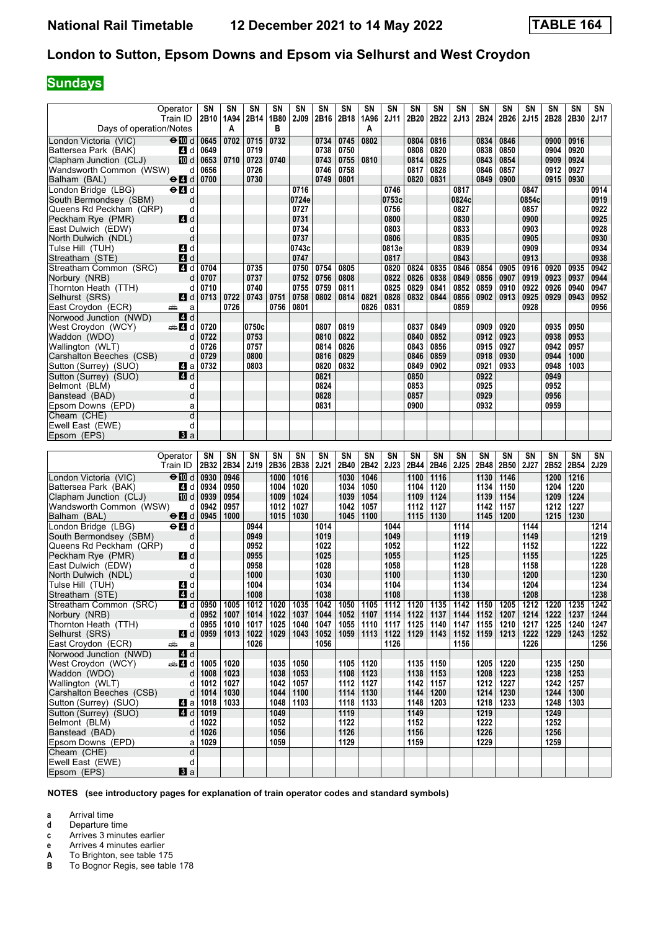# **Sundays**

| Operator<br>Train ID<br>Days of operation/Notes        | SN<br>2B10   | SN<br>1A94<br>A | SN<br>2B14   | SN<br>1B80<br>В | SN<br><b>2J09</b> | SN<br>2B16   | SΝ<br>2B18   | SΝ<br>1A96<br>A | SN<br><b>2J11</b> | SN<br>2B20    | SN<br>2B22   | SN<br>2J13   | SN<br>2B24   | SΝ<br>2B26   | SN<br>2J15   | SN<br>2B28   | SΝ<br>2B30   | SN<br><b>2J17</b> |
|--------------------------------------------------------|--------------|-----------------|--------------|-----------------|-------------------|--------------|--------------|-----------------|-------------------|---------------|--------------|--------------|--------------|--------------|--------------|--------------|--------------|-------------------|
| London Victoria (VIC)<br>$\Theta$ M d                  | 0645         | 0702            | 0715         | 0732            |                   | 0734         | 0745         | 0802            |                   | 0804          | 0816         |              | 0834         | 0846         |              | 0900         | 0916         |                   |
| Battersea Park (BAK)<br>4 d                            | 0649         |                 | 0719         |                 |                   | 0738         | 0750         |                 |                   | 0808          | 0820         |              | 0838         | 0850         |              | 0904         | 0920         |                   |
| 10 d<br>Clapham Junction (CLJ)                         | 0653         | 0710            | 0723         | 0740            |                   | 0743         | 0755         | 0810            |                   | 0814          | 0825         |              | 0843         | 0854         |              | 0909         | 0924         |                   |
| Wandsworth Common (WSW)<br>d                           | 0656         |                 | 0726         |                 |                   | 0746         | 0758         |                 |                   | 0817          | 0828         |              | 0846         | 0857         |              | 0912         | 0927         |                   |
| Balham (BAL)<br>⊖Md                                    | 0700         |                 | 0730         |                 |                   | 0749         | 0801         |                 |                   | 0820          | 0831         |              | 0849         | 0900         |              | 0915         | 0930         |                   |
| London Bridge (LBG)<br><b>⊖ 4</b> d                    |              |                 |              |                 | 0716              |              |              |                 | 0746              |               |              | 0817         |              |              | 0847         |              |              | 0914              |
| South Bermondsey (SBM)<br>d                            |              |                 |              |                 | 0724e             |              |              |                 | 0753c             |               |              | 0824c        |              |              | 0854c        |              |              | 0919              |
| Queens Rd Peckham (QRP)<br>d                           |              |                 |              |                 | 0727              |              |              |                 | 0756              |               |              | 0827         |              |              | 0857         |              |              | 0922              |
| Peckham Rye (PMR)<br><b>4d</b>                         |              |                 |              |                 | 0731              |              |              |                 | 0800              |               |              | 0830         |              |              | 0900         |              |              | 0925              |
| East Dulwich (EDW)<br>d                                |              |                 |              |                 | 0734              |              |              |                 | 0803              |               |              | 0833         |              |              | 0903         |              |              | 0928              |
| North Dulwich (NDL)<br>d                               |              |                 |              |                 | 0737              |              |              |                 | 0806              |               |              | 0835         |              |              | 0905         |              |              | 0930              |
| Tulse Hill (TUH)<br>ZI d                               |              |                 |              |                 | 0743c             |              |              |                 | 0813e             |               |              | 0839         |              |              | 0909         |              |              | 0934              |
| Streatham (STE)<br>ZI d                                |              |                 |              |                 | 0747              |              |              |                 | 0817              |               |              | 0843         |              |              | 0913         |              |              | 0938              |
| Streatham Common (SRC)<br>4 d                          | 0704         |                 | 0735         |                 | 0750              | 0754         | 0805         |                 | 0820              | 0824          | 0835         | 0846         | 0854         | 0905         | 0916         | 0920         | 0935         | 0942              |
| Norbury (NRB)<br>d<br>Thornton Heath (TTH)<br>d        | 0707<br>0710 |                 | 0737<br>0740 |                 | 0752<br>0755      | 0756<br>0759 | 0808<br>0811 |                 | 0822<br>0825      | 0826<br>0829  | 0838<br>0841 | 0849<br>0852 | 0856<br>0859 | 0907<br>0910 | 0919<br>0922 | 0923<br>0926 | 0937<br>0940 | 0944<br>0947      |
| Selhurst (SRS)<br><b>4</b> d                           | 0713         | 0722            | 0743         | 0751            | 0758              | 0802         | 0814         | 0821            | 0828              | 0832          | 0844         | 0856         | 0902         | 0913         | 0925         | 0929         | 0943         | 0952              |
| East Croydon (ECR)<br>پېښ<br>a                         |              | 0726            |              | 0756            | 0801              |              |              | 0826            | 0831              |               |              | 0859         |              |              | 0928         |              |              | 0956              |
| Norwood Junction (NWD)<br>4d                           |              |                 |              |                 |                   |              |              |                 |                   |               |              |              |              |              |              |              |              |                   |
| West Croydon (WCY)<br>d≣ 4. d                          | 0720         |                 | 0750c        |                 |                   | 0807         | 0819         |                 |                   | 0837          | 0849         |              | 0909         | 0920         |              | 0935         | 0950         |                   |
| Waddon (WDO)<br>d                                      | 0722         |                 | 0753         |                 |                   | 0810         | 0822         |                 |                   | 0840          | 0852         |              | 0912         | 0923         |              | 0938         | 0953         |                   |
| Wallington (WLT)<br>d                                  | 0726         |                 | 0757         |                 |                   | 0814         | 0826         |                 |                   | 0843          | 0856         |              | 0915         | 0927         |              | 0942         | 0957         |                   |
| Carshalton Beeches (CSB)<br>d                          | 0729         |                 | 0800         |                 |                   | 0816         | 0829         |                 |                   | 0846          | 0859         |              | 0918         | 0930         |              | 0944         | 1000         |                   |
| Sutton (Surrey) (SUO)<br>41 a                          | 0732         |                 | 0803         |                 |                   | 0820         | 0832         |                 |                   | 0849          | 0902         |              | 0921         | 0933         |              | 0948         | 1003         |                   |
| Sutton (Surrey) (SUO)<br><b>4</b> d                    |              |                 |              |                 |                   | 0821         |              |                 |                   | 0850          |              |              | 0922         |              |              | 0949         |              |                   |
| Belmont (BLM)<br>d                                     |              |                 |              |                 |                   | 0824         |              |                 |                   | 0853          |              |              | 0925         |              |              | 0952         |              |                   |
| Banstead (BAD)<br>d                                    |              |                 |              |                 |                   | 0828         |              |                 |                   | 0857          |              |              | 0929         |              |              | 0956         |              |                   |
| Epsom Downs (EPD)<br>a                                 |              |                 |              |                 |                   | 0831         |              |                 |                   | 0900          |              |              | 0932         |              |              | 0959         |              |                   |
| Cheam (CHE)<br>d                                       |              |                 |              |                 |                   |              |              |                 |                   |               |              |              |              |              |              |              |              |                   |
| Ewell East (EWE)<br>d                                  |              |                 |              |                 |                   |              |              |                 |                   |               |              |              |              |              |              |              |              |                   |
| Epsom (EPS)<br><b>B</b> a                              |              |                 |              |                 |                   |              |              |                 |                   |               |              |              |              |              |              |              |              |                   |
|                                                        |              |                 |              |                 |                   |              |              |                 |                   |               |              |              |              |              |              |              |              |                   |
|                                                        |              |                 |              |                 |                   |              |              |                 |                   |               |              |              |              |              |              |              |              |                   |
| Operator                                               | SΝ           | SΝ              | SN           | SN              | SN                | SN           | SN           | SΝ              | SΝ                | <b>SN</b>     | SN           | SN           | SN           | SN           | SN           | SN           | SN           | SN                |
| Train ID                                               | 2B32         | 2B34            | 2J19         | 2B36            | 2B38              | <b>2J21</b>  | 2B40         | 2B42            | 2J23              | 2B44          | 2B46         | <b>2J25</b>  | 2B48         | 2B50         | 2J27         | 2B52         | 2B54         | 2J29              |
| London Victoria (VIC)<br>$\Theta$ 10 d                 | 0930         | 0946            |              | 1000            | 1016              |              | 1030         | 1046            |                   | 1100          | 1116         |              | 1130         | 1146         |              | 1200         | 1216         |                   |
| Battersea Park (BAK)<br>4 d                            | 0934         | 0950            |              | 1004            | 1020              |              | 1034         | 1050            |                   | 1104          | 1120         |              | 1134         | 1150         |              | 1204         | 1220         |                   |
| Clapham Junction (CLJ)<br>100 d                        | 0939         | 0954            |              | 1009            | 1024              |              | 1039         | 1054            |                   | 1109          | 1124         |              | 1139         | 1154         |              | 1209         | 1224         |                   |
| Wandsworth Common (WSW)<br>d                           | 0942         | 0957            |              | 1012            | 1027              |              | 1042         | 1057            |                   | 1112          | 1127         |              | 1142         | 1157         |              | 1212         | 1227         |                   |
| $\Theta$ 4 d<br>Balham (BAL)                           | 0945         | 1000            |              | 1015            | 1030              |              | 1045         | 1100            |                   | 1115          | 1130         |              | 1145         | 1200         |              | 1215         | 1230         |                   |
| London Bridge (LBG)<br>$\Theta$ $\blacksquare$ d<br>d  |              |                 | 0944<br>0949 |                 |                   | 1014<br>1019 |              |                 | 1044<br>1049      |               |              | 1114<br>1119 |              |              | 1144<br>1149 |              |              | 1214              |
| South Bermondsey (SBM)<br>Queens Rd Peckham (QRP)<br>d |              |                 | 0952         |                 |                   | 1022         |              |                 | 1052              |               |              | 1122         |              |              | 1152         |              |              | 1219<br>1222      |
| Peckham Rye (PMR)<br><b>4</b> d                        |              |                 | 0955         |                 |                   | 1025         |              |                 | 1055              |               |              | 1125         |              |              | 1155         |              |              | 1225              |
| East Dulwich (EDW)<br>d                                |              |                 | 0958         |                 |                   | 1028         |              |                 | 1058              |               |              | 1128         |              |              | 1158         |              |              | 1228              |
| North Dulwich (NDL)<br>d                               |              |                 | 1000         |                 |                   | 1030         |              |                 | 1100              |               |              | 1130         |              |              | 1200         |              |              | 1230              |
| Tulse Hill (TUH)<br>ZI d                               |              |                 | 1004         |                 |                   | 1034         |              |                 | 1104              |               |              | 1134         |              |              | 1204         |              |              | 1234              |
| 4d<br>Streatham (STE)                                  |              |                 | 1008         |                 |                   | 1038         |              |                 | 1108              |               |              | 1138         |              |              | 1208         |              |              | 1238              |
| Streatham Common (SRC)                                 | ZI d 0950    | 1005            | 1012         | 1020            | 1035              | 1042         | 1050         | 1105            | 1112              | 1120          | 1135         | 1142         | 1150         | 1205         | 1212         | 1220         | 1235         | 1242              |
| Norbury (NRB)<br>d                                     | 0952         | 1007            | 1014         | 1022            | 1037              | 1044         | 1052         | 1107            | 1114              | 1122          | 1137         | 1144         | 1152         | 1207         | 1214         | 1222         | 1237         | 1244              |
| Thornton Heath (TTH)<br>d                              | 0955         | 1010            | 1017         | 1025            | 1040              | 1047         | 1055         | 1110            | 1117              | 1125          | 1140         | 1147         | 1155         | 1210         | 1217         | 1225         | 1240         | 1247              |
| Selhurst (SRS)<br>[4] d                                | 0959         | 1013            | 1022         | 1029            | 1043              | 1052         | 1059         | $1113$   1122   |                   | $1129$   1143 |              | 1152         | 1159         | 1213         | 1222         | 1229         | 1243         | 1252              |
| East Croydon (ECR)<br>یشته<br>a                        |              |                 | 1026         |                 |                   | 1056         |              |                 | 1126              |               |              | 1156         |              |              | 1226         |              |              | 1256              |
| Norwood Junction (NWD)<br>$\overline{4d}$              |              |                 |              |                 |                   |              |              |                 |                   |               |              |              |              |              |              |              |              |                   |
| West Croydon (WCY)<br>d d a                            | 1005         | 1020            |              | 1035            | 1050              |              | 1105         | 1120            |                   | 1135          | 1150         |              | 1205         | 1220         |              | 1235         | 1250         |                   |
| Waddon (WDO)<br>d                                      | 1008         | 1023            |              | 1038            | 1053              |              | 1108         | 1123            |                   | 1138          | 1153         |              | 1208         | 1223         |              | 1238         | 1253         |                   |
| Wallington (WLT)<br>d                                  | 1012         | 1027            |              | 1042            | 1057              |              | 1112         | 1127            |                   | 1142          | 1157         |              | 1212         | 1227         |              | 1242         | 1257         |                   |
| Carshalton Beeches (CSB)<br>d                          | 1014         | 1030            |              | 1044            | 1100              |              | 1114         | 1130            |                   | 1144          | 1200         |              | 1214         | 1230         |              | 1244         | 1300         |                   |
| Sutton (Surrey) (SUO)<br>Zlla ∣                        | 1018         | 1033            |              | 1048            | 1103              |              | 1118         | 1133            |                   | 1148          | 1203         |              | 1218         | 1233         |              | 1248         | 1303         |                   |
| 4 d<br>Sutton (Surrey) (SUO)<br>d                      | 1019         |                 |              | 1049<br>1052    |                   |              | 1119<br>1122 |                 |                   | 1149<br>1152  |              |              | 1219<br>1222 |              |              | 1249<br>1252 |              |                   |
| Belmont (BLM)<br>Banstead (BAD)<br>d                   | 1022<br>1026 |                 |              | 1056            |                   |              | 1126         |                 |                   | 1156          |              |              | 1226         |              |              | 1256         |              |                   |
| Epsom Downs (EPD)<br>a                                 | 1029         |                 |              | 1059            |                   |              | 1129         |                 |                   | 1159          |              |              | 1229         |              |              | 1259         |              |                   |
| Cheam (CHE)<br>d                                       |              |                 |              |                 |                   |              |              |                 |                   |               |              |              |              |              |              |              |              |                   |
| Ewell East (EWE)<br>d<br>3a<br>Epsom (EPS)             |              |                 |              |                 |                   |              |              |                 |                   |               |              |              |              |              |              |              |              |                   |

**NOTES (see introductory pages for explanation of train operator codes and standard symbols)**

**a** Arrival time<br>**d** Departure t

**d** Departure time

**c** Arrives 3 minutes earlier

**e** Arrives 4 minutes earlier<br>**A** To Brighton, see table 17

**A** To Brighton, see table 175<br>**B** To Bognor Regis, see table

To Bognor Regis, see table 178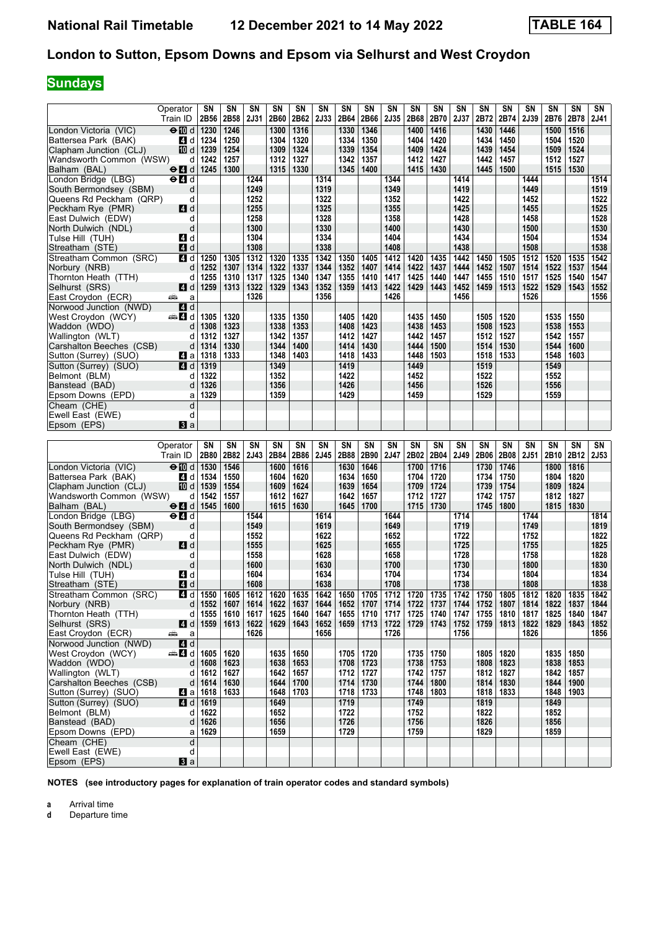# **Sundays**

| Operator                                                       | SN           | SN           | SN           | SN           | SN           | SN           | SN           | SN           | SN           | SN           | SN           | SN           | SN           | SN           | SN                | SΝ           | SN                | SΝ           |
|----------------------------------------------------------------|--------------|--------------|--------------|--------------|--------------|--------------|--------------|--------------|--------------|--------------|--------------|--------------|--------------|--------------|-------------------|--------------|-------------------|--------------|
| Train ID                                                       | 2B56         | 2B58         | <b>2J31</b>  | 2B60         | 2B62         | 2J33         | 2B64         | 2B66         | <b>2J35</b>  | 2B68         | 2B70         | 2J37         | 2B72         | 2B74         | 2J39              | 2B76         | 2B78              | <b>2J41</b>  |
| London Victoria (VIC)<br>$\Theta$ 10 d<br>Battersea Park (BAK) | 1230<br>1234 | 1246<br>1250 |              | 1300<br>1304 | 1316<br>1320 |              | 1330<br>1334 | 1346<br>1350 |              | 1400<br>1404 | 1416<br>1420 |              | 1430<br>1434 | 1446<br>1450 |                   | 1500<br>1504 | 1516<br>1520      |              |
| 4 d<br>100 d<br>Clapham Junction (CLJ)                         | 1239         | 1254         |              | 1309         | 1324         |              | 1339         | 1354         |              | 1409         | 1424         |              | 1439         | 1454         |                   | 1509         | 1524              |              |
| Wandsworth Common (WSW)<br>d                                   | 1242         | 1257         |              | 1312         | 1327         |              | 1342         | 1357         |              | 1412         | 1427         |              | 1442         | 1457         |                   | 1512         | 1527              |              |
| Balham (BAL)<br>$\Theta$ $\blacksquare$ d                      | 1245         | 1300         |              | 1315         | 1330         |              | 1345         | 1400         |              | 1415         | 1430         |              | 1445         | 1500         |                   | 1515         | 1530              |              |
| ⊖ Ø d<br>London Bridge (LBG)                                   |              |              | 1244         |              |              | 1314         |              |              | 1344         |              |              | 1414         |              |              | 1444              |              |                   | 1514         |
| South Bermondsey (SBM)<br>d                                    |              |              | 1249         |              |              | 1319         |              |              | 1349         |              |              | 1419         |              |              | 1449              |              |                   | 1519         |
| Queens Rd Peckham (QRP)<br>d                                   |              |              | 1252         |              |              | 1322         |              |              | 1352         |              |              | 1422         |              |              | 1452              |              |                   | 1522         |
| Peckham Rye (PMR)<br>4 d                                       |              |              | 1255         |              |              | 1325         |              |              | 1355         |              |              | 1425         |              |              | 1455              |              |                   | 1525         |
| East Dulwich (EDW)<br>d                                        |              |              | 1258         |              |              | 1328         |              |              | 1358         |              |              | 1428         |              |              | 1458              |              |                   | 1528         |
| North Dulwich (NDL)<br>d                                       |              |              | 1300         |              |              | 1330         |              |              | 1400         |              |              | 1430         |              |              | 1500              |              |                   | 1530         |
| Tulse Hill (TUH)<br>41 d                                       |              |              | 1304         |              |              | 1334         |              |              | 1404         |              |              | 1434         |              |              | 1504              |              |                   | 1534         |
| 4d<br>Streatham (STE)                                          |              |              | 1308         |              |              | 1338         |              |              | 1408         |              |              | 1438         |              |              | 1508              |              |                   | 1538         |
| Streatham Common (SRC)<br>4 d                                  | 1250         | 1305         | 1312         | 1320         | 1335         | 1342         | 1350         | 1405         | 1412         | 1420         | 1435         | 1442         | 1450         | 1505         | 1512              | 1520         | 1535              | 1542         |
| Norbury (NRB)<br>d<br>d                                        | 1252<br>1255 | 1307<br>1310 | 1314<br>1317 | 1322<br>1325 | 1337<br>1340 | 1344<br>1347 | 1352<br>1355 | 1407<br>1410 | 1414<br>1417 | 1422<br>1425 | 1437<br>1440 | 1444<br>1447 | 1452<br>1455 | 1507<br>1510 | 1514<br>1517      | 1522<br>1525 | 1537<br>1540      | 1544<br>1547 |
| Thornton Heath (TTH)<br>Selhurst (SRS)<br>ZI d                 | 1259         | 1313         | 1322         | 1329         | 1343         | 1352         | 1359         | 1413         | 1422         | 1429         | 1443         | 1452         | 1459         | 1513         | 1522              | 1529         | 1543              | 1552         |
| East Croydon (ECR)<br>æ<br>a                                   |              |              | 1326         |              |              | 1356         |              |              | 1426         |              |              | 1456         |              |              | 1526              |              |                   | 1556         |
| <b>4</b> d<br>Norwood Junction (NWD)                           |              |              |              |              |              |              |              |              |              |              |              |              |              |              |                   |              |                   |              |
| West Croydon (WCY)<br>dan 4. d                                 | 1305         | 1320         |              | 1335         | 1350         |              | 1405         | 1420         |              | 1435         | 1450         |              | 1505         | 1520         |                   | 1535         | 1550              |              |
| Waddon (WDO)<br>d                                              | 1308         | 1323         |              | 1338         | 1353         |              | 1408         | 1423         |              | 1438         | 1453         |              | 1508         | 1523         |                   | 1538         | 1553              |              |
| Wallington (WLT)<br>d                                          | 1312         | 1327         |              | 1342         | 1357         |              | 1412         | 1427         |              | 1442         | 1457         |              | 1512         | 1527         |                   | 1542         | 1557              |              |
| Carshalton Beeches (CSB)<br>d                                  | 1314         | 1330         |              | 1344         | 1400         |              | 1414         | 1430         |              | 1444         | 1500         |              | 1514         | 1530         |                   | 1544         | 1600              |              |
| Sutton (Surrey) (SUO)<br>41 a                                  | 1318         | 1333         |              | 1348         | 1403         |              | 1418         | 1433         |              | 1448         | 1503         |              | 1518         | 1533         |                   | 1548         | 1603              |              |
| Sutton (Surrey) (SUO)<br>4 d                                   | 1319         |              |              | 1349         |              |              | 1419         |              |              | 1449         |              |              | 1519         |              |                   | 1549         |                   |              |
| Belmont (BLM)<br>d                                             | 1322         |              |              | 1352         |              |              | 1422         |              |              | 1452         |              |              | 1522         |              |                   | 1552         |                   |              |
| Banstead (BAD)<br>d                                            | 1326         |              |              | 1356         |              |              | 1426         |              |              | 1456         |              |              | 1526         |              |                   | 1556         |                   |              |
| Epsom Downs (EPD)<br>a                                         | 1329         |              |              | 1359         |              |              | 1429         |              |              | 1459         |              |              | 1529         |              |                   | 1559         |                   |              |
| Cheam (CHE)<br>d                                               |              |              |              |              |              |              |              |              |              |              |              |              |              |              |                   |              |                   |              |
| Ewell East (EWE)<br>d<br>Epsom (EPS)<br>BI a                   |              |              |              |              |              |              |              |              |              |              |              |              |              |              |                   |              |                   |              |
|                                                                |              |              |              |              |              |              |              |              |              |              |              |              |              |              |                   |              |                   |              |
|                                                                |              |              |              |              |              |              |              |              |              |              |              |              |              |              |                   |              |                   |              |
|                                                                |              |              |              |              |              |              |              |              |              |              |              |              |              |              |                   |              |                   |              |
| Operator<br>Train ID                                           | SN<br>2B80   | SN<br>2B82   | SN<br>2J43   | SN<br>2B84   | SN<br>2B86   | SN<br>2J45   | SN<br>2B88   | SN<br>2B90   | SN<br>2J47   | SN<br>2B02   | SN<br>2B04   | SΝ<br>2J49   | SN<br>2B06   | SN<br>2B08   | SN<br><b>2J51</b> | SΝ<br>2B10   | <b>SN</b><br>2B12 | SN<br>2J53   |
|                                                                |              |              |              |              |              |              |              |              |              |              |              |              |              |              |                   |              |                   |              |
| London Victoria (VIC)<br>⊖n d<br>4<br>d                        | 1530<br>1534 | 1546<br>1550 |              | 1600<br>1604 | 1616<br>1620 |              | 1630         | 1646<br>1650 |              | 1700<br>1704 | 1716<br>1720 |              | 1730<br>1734 | 1746<br>1750 |                   | 1800<br>1804 | 1816<br>1820      |              |
| Battersea Park (BAK)<br>10 d<br>Clapham Junction (CLJ)         | 1539         | 1554         |              | 1609         | 1624         |              | 1634<br>1639 | 1654         |              | 1709         | 1724         |              | 1739         | 1754         |                   | 1809         | 1824              |              |
| Wandsworth Common (WSW)<br>d                                   | 1542         | 1557         |              | 1612         | 1627         |              | 1642         | 1657         |              | 1712         | 1727         |              | 1742         | 1757         |                   | 1812         | 1827              |              |
| Balham (BAL)<br>⊖Md                                            | 1545         | 1600         |              | 1615         | 1630         |              | 1645         | 1700         |              | 1715         | 1730         |              | 1745         | 1800         |                   | 1815         | 1830              |              |
| London Bridge (LBG)<br>⊖ Ø d                                   |              |              | 1544         |              |              | 1614         |              |              | 1644         |              |              | 1714         |              |              | 1744              |              |                   | 1814         |
| South Bermondsey (SBM)<br>d                                    |              |              | 1549         |              |              | 1619         |              |              | 1649         |              |              | 1719         |              |              | 1749              |              |                   | 1819         |
| Queens Rd Peckham (QRP)<br>d                                   |              |              | 1552         |              |              | 1622         |              |              | 1652         |              |              | 1722         |              |              | 1752              |              |                   | 1822         |
| Peckham Rye (PMR)<br>4 d                                       |              |              | 1555         |              |              | 1625         |              |              | 1655         |              |              | 1725         |              |              | 1755              |              |                   | 1825         |
| East Dulwich (EDW)<br>d                                        |              |              | 1558         |              |              | 1628         |              |              | 1658         |              |              | 1728         |              |              | 1758              |              |                   | 1828         |
| North Dulwich (NDL)<br>d                                       |              |              | 1600         |              |              | 1630         |              |              | 1700         |              |              | 1730         |              |              | 1800              |              |                   | 1830         |
| Tulse Hill (TUH)<br>ZI d                                       |              |              | 1604         |              |              | 1634         |              |              | 1704         |              |              | 1734         |              |              | 1804              |              |                   | 1834         |
| 4 d<br>Streatham (STE)                                         |              |              | 1608         |              |              | 1638         |              |              | 1708<br>1712 |              |              | 1738<br>1742 |              |              | 1808              |              |                   | 1838         |
| Streatham Common (SRC)<br>4 d l<br>d                           | 1550<br>1552 | 1605<br>1607 | 1612<br>1614 | 1620<br>1622 | 1635<br>1637 | 1642<br>1644 | 1650<br>1652 | 1705<br>1707 | 1714         | 1720<br>1722 | 1735<br>1737 | 1744         | 1750<br>1752 | 1805<br>1807 | 1812<br>1814      | 1820<br>1822 | 1835<br>1837      | 1842<br>1844 |
| Norbury (NRB)<br>Thornton Heath (TTH)<br>d                     | 1555         | 1610         | 1617         | 1625         | 1640         | 1647         | 1655         | 1710         | 1717         | 1725         | 1740         | 1747         | 1755         | 1810         | 1817              | 1825         | 1840              | 1847         |
| Selhurst (SRS)<br><b>4</b> d                                   | 1559         | 1613         | 1622         | 1629         | 1643         | 1652         | 1659         | 1713         | 1722         | 1729         | 1743         | 1752         | 1759         | 1813         | 1822              | 1829         | 1843              | 1852         |
| East Croydon (ECR)<br>æ<br>a                                   |              |              | 1626         |              |              | 1656         |              |              | 1726         |              |              | 1756         |              |              | 1826              |              |                   | 1856         |
| Norwood Junction (NWD)<br>4d                                   |              |              |              |              |              |              |              |              |              |              |              |              |              |              |                   |              |                   |              |
| West Croydon (WCY)<br>d ∰                                      | 1605         | 1620         |              | 1635         | 1650         |              | 1705         | 1720         |              | 1735         | 1750         |              | 1805         | 1820         |                   | 1835         | 1850              |              |
| Waddon (WDO)<br>d                                              | 1608         | 1623         |              | 1638         | 1653         |              | 1708         | 1723         |              | 1738         | 1753         |              | 1808         | 1823         |                   | 1838         | 1853              |              |
| Wallington (WLT)<br>d                                          | 1612         | 1627         |              | 1642         | 1657         |              | 1712         | 1727         |              | 1742         | 1757         |              | 1812         | 1827         |                   | 1842         | 1857              |              |
| Carshalton Beeches (CSB)<br>d                                  | 1614         | 1630         |              | 1644         | 1700         |              | 1714         | 1730         |              | 1744         | 1800         |              | 1814         | 1830         |                   | 1844         | 1900              |              |
| Sutton (Surrey) (SUO)<br>41 a                                  | 1618         | 1633         |              | 1648         | 1703         |              | 1718         | 1733         |              | 1748         | 1803         |              | 1818         | 1833         |                   | 1848         | 1903              |              |
| Sutton (Surrey) (SUO)<br>4 d                                   | 1619         |              |              | 1649         |              |              | 1719         |              |              | 1749         |              |              | 1819         |              |                   | 1849         |                   |              |
| Belmont (BLM)<br>d<br>Banstead (BAD)<br>d                      | 1622<br>1626 |              |              | 1652<br>1656 |              |              | 1722<br>1726 |              |              | 1752<br>1756 |              |              | 1822<br>1826 |              |                   | 1852         |                   |              |
| Epsom Downs (EPD)<br>a                                         | 1629         |              |              | 1659         |              |              | 1729         |              |              | 1759         |              |              | 1829         |              |                   | 1856<br>1859 |                   |              |
| d<br>Cheam (CHE)                                               |              |              |              |              |              |              |              |              |              |              |              |              |              |              |                   |              |                   |              |
| Ewell East (EWE)<br>d                                          |              |              |              |              |              |              |              |              |              |              |              |              |              |              |                   |              |                   |              |

**NOTES (see introductory pages for explanation of train operator codes and standard symbols)**

**a** Arrival time<br>**d** Departure t

**d** Departure time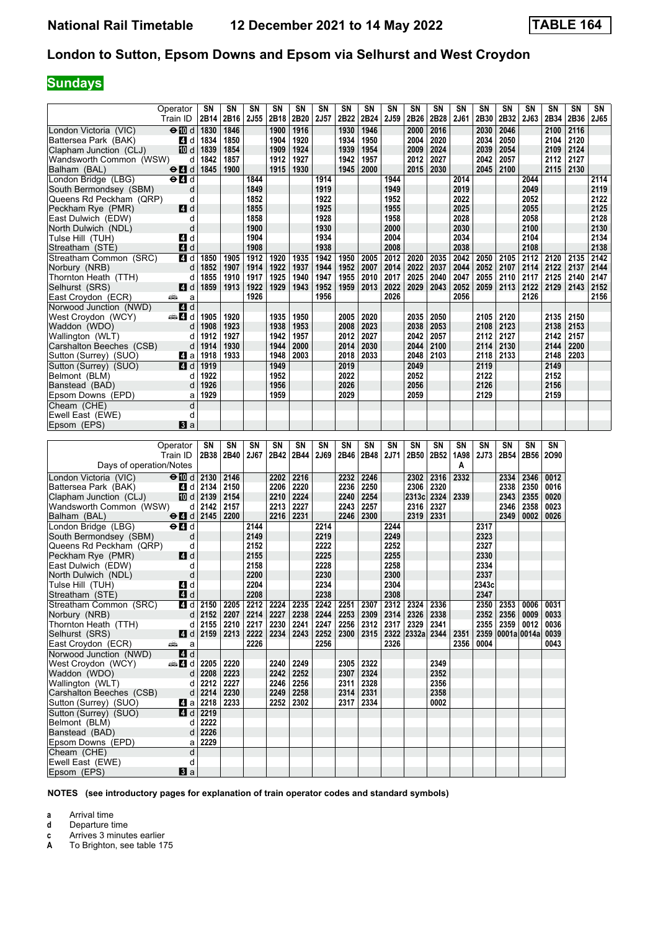### **Sundays**

| 2B16<br><b>2J55</b><br>2B18<br>2B20<br>2J57<br>2B22<br>2B24<br><b>2J59</b><br>2B26<br>2B28<br>2J61<br>2B30<br>2B32<br>2J63<br>2B34<br>2B36<br>2J65<br>Train ID<br>2B14<br>London Victoria (VIC)<br>$\Theta$ $\blacksquare$ d<br>2116<br>1830<br>1846<br>1900<br>1916<br>1930<br>1946<br>2000<br>2016<br>2030<br>2046<br>2100<br>Battersea Park (BAK)<br>1834<br>1850<br>1904<br>1920<br>1934<br>1950<br>2004<br>2020<br>2034<br>2050<br>2104<br>2120<br>4 d<br>2039<br>Clapham Junction (CLJ)<br>10 d<br>1839<br>1854<br>1909<br>1924<br>1939<br>1954<br>2009<br>2024<br>2054<br>2109<br>2124<br>Wandsworth Common (WSW)<br>1842<br>1857<br>1912<br>1927<br>1942<br>1957<br>2012<br>2027<br>2042<br>2057<br>2112<br>2127<br>d<br>1900<br>1915<br>1930<br>1945<br>2000<br>2015<br>2030<br>2045<br>2100<br>2115<br>2130<br>Balham (BAL)<br>⊖Md<br>1845<br>⊖ Ø d<br>London Bridge (LBG)<br>1844<br>1914<br>1944<br>2014<br>2044<br>2114<br>1919<br>1949<br>2019<br>2049<br>2119<br>South Bermondsey (SBM)<br>1849<br>d<br>1852<br>1922<br>1952<br>2022<br>2052<br>2122<br>Queens Rd Peckham (QRP)<br>d<br>2125<br>1855<br>1925<br>1955<br>2025<br>2055<br>Peckham Rye (PMR)<br><b>4</b> d<br>1858<br>1928<br>1958<br>2028<br>2058<br>2128<br>East Dulwich (EDW)<br>d<br>2000<br>2030<br>2130<br>d<br>1900<br>1930<br>2100<br>North Dulwich (NDL)<br>2034<br>2134<br>1904<br>1934<br>2004<br>2104<br>4 d<br>Tulse Hill (TUH)<br>2008<br>2038<br>2108<br>2138<br>4 d<br>1908<br>1938<br>Streatham (STE)<br>2142<br>Streatham Common (SRC)<br>4 d<br>1905<br>1912<br>1942<br>1950<br>2005<br>2012<br>2020<br>2035<br>2042<br>2105<br>2112<br>2120<br>2135<br>1850<br>1920<br>1935<br>2050<br>1852<br>1907<br>1914<br>1922<br>1937<br>1944<br>1952<br>2014<br>2022<br>2044<br>2052<br>2144<br>Norbury (NRB)<br>2007<br>2037<br>2107<br>2114<br>2122<br>2137<br>d<br>Thornton Heath (TTH)<br>1855<br>1910<br>1917<br>1925<br>1940<br>1947<br>1955<br>2010<br>2017<br>2025<br>2040<br>2047<br>2055<br>2117<br>2125<br>2140<br>2147<br>2110<br>d<br>1859<br>1913<br>1922<br>1929<br>1943<br>1952<br>1959<br>2013<br>2022<br>2029<br>2043<br>2052<br>2059<br>2113<br>2122<br>2129<br>2143<br>2152<br>Selhurst (SRS)<br><b>4</b> d<br>1926<br>1956<br>2026<br>2056<br>2126<br>2156<br>East Croydon (ECR)<br>æ<br>a<br>4d<br>Norwood Junction (NWD)<br>West Croydon (WCY)<br>1905<br>1920<br>1935<br>1950<br>2005<br>2020<br>2035<br>2050<br>2105<br>2120<br>2135<br>2150<br>dan 4. d<br>1923<br>1953<br>2008<br>2023<br>2038<br>2053<br>2108<br>2123<br>2153<br>Waddon (WDO)<br>1908<br>1938<br>2138<br>d<br>Wallington (WLT)<br>2027<br>2042<br>2112<br>2142<br>2157<br>1912<br>1927<br>1942<br>1957<br>2012<br>2057<br>2127<br>d<br>1914<br>1930<br>2000<br>2014<br>2030<br>2044<br>2100<br>2114<br>2130<br>2144<br>2200<br>Carshalton Beeches (CSB)<br>1944<br>d<br>1918<br>1933<br>1948<br>2003<br>2018<br>2033<br>2048<br>2103<br>2118<br>2133<br>2148<br>2203<br>Sutton (Surrey) (SUO)<br>4 a<br>1919<br>2049<br>2119<br>2149<br>Sutton (Surrey) (SUO)<br><b>4d</b><br>1949<br>2019<br>2052<br>1922<br>1952<br>2022<br>2122<br>2152<br>Belmont (BLM)<br>d<br>1926<br>2056<br>2126<br>2156<br>Banstead (BAD)<br>1956<br>2026<br>d<br>1929<br>1959<br>2029<br>2059<br>2129<br>2159<br>Epsom Downs (EPD)<br>a<br>Cheam (CHE)<br>d<br>Ewell East (EWE)<br>d<br>Epsom (EPS)<br><b>B</b> a<br>SN<br>SN<br>SN<br>SN<br>SN<br>SN<br>SN<br>SN<br>SN<br>SN<br>SN<br>SN<br>SN<br>SΝ<br>SΝ<br>SN<br>Operator<br>2J67<br>Train ID<br>2B38<br>2B40<br>2B42<br>2B44<br>2J69<br>2B46<br>2B48<br>2J71<br>2B50<br>2B52<br>1A98<br>2J73<br>2B54<br>2B56<br>2090<br>Days of operation/Notes<br>A<br>London Victoria (VIC)<br>2216<br>2332<br>⊖n di<br>2130<br>2146<br>2202<br>2232<br>2246<br>2302<br>2316<br>2334<br>2346<br>0012<br>2220<br>2338<br>Battersea Park (BAK)<br>2134<br>2150<br>2206<br>2236<br>2250<br>2306<br>2320<br>2350<br>0016<br>4 d<br>2154<br>2210<br>2224<br>2240<br>2254<br>2324<br>2339<br>2343<br>2355<br>0020<br>Clapham Junction (CLJ)<br>10 d  <br>2139<br>2313c<br>2213<br>2227<br>2243<br>2316<br>2327<br>2346<br>2358<br>0023<br>Wandsworth Common (WSW)<br>2142<br>2157<br>2257<br>d<br>2319<br>2145<br>2200<br>2216<br>2231<br>2246<br>2300<br>2331<br>2349<br>0002<br>0026<br>Balham (BAL)<br>$\Theta$ $\blacksquare$ d<br>London Bridge (LBG)<br><b>⊖M</b> d<br>2144<br>2214<br>2244<br>2317<br>2149<br>2219<br>2249<br>2323<br>South Bermondsey (SBM)<br>d<br>2152<br>2222<br>2252<br>2327<br>Queens Rd Peckham (QRP)<br>d<br><b>4</b> d<br>2155<br>2225<br>2255<br>2330<br>Peckham Rye (PMR)<br>2158<br>2228<br>2258<br>2334<br>East Dulwich (EDW)<br>d<br>2337<br>2200<br>2230<br>2300<br>North Dulwich (NDL)<br>d<br>2204<br>2234<br>2304<br>2343с<br>Tulse Hill (TUH)<br>4 d<br>2208<br>2238<br>2347<br>14 I<br>d<br>2308<br>Streatham (STE)<br>2312<br>2336<br>Streatham Common (SRC)<br>4 d 2150<br>2205<br>2212<br>2224<br>2235<br>2242<br>2251<br>2307<br>2324<br>2353<br>0006<br>0031<br>2350<br>2214<br>2244<br>2326<br>2356<br>0009<br>Norbury (NRB)<br>2152<br>2207<br>2227<br>2238<br>2253<br>2309<br>2314<br>2338<br>2352<br>0033<br>d<br>Thornton Heath (TTH)<br>2217<br>$d$ 2155<br>2210<br>2230<br>2241<br>2247<br>2256<br>2312<br>2317<br>2329<br>2359<br>0036<br>2341<br>2355<br>0012<br>2213<br>2222<br>2234<br>Selhurst (SRS)<br>2159<br>2243<br>2252<br>2300<br>2315<br>2322 2332a 2344<br>2351<br>2359<br> 0001a 0014a 0039<br>4 d  <br>2226<br>2356<br>2256<br>2326<br>0004<br>0043<br>æ<br>a<br>Norwood Junction (NWD)<br>$\overline{4}$ d<br>West Croydon (WCY)<br>d d a<br>2205<br>2220<br>2249<br>2322<br>2349<br>2240<br>2305<br>Waddon (WDO)<br>2208<br>2223<br>2252<br>2324<br>2242<br>2307<br>2352<br>d<br>Wallington (WLT)<br>2212<br>2227<br>2246<br>2256<br>2311<br>2328<br>2356<br>d<br>Carshalton Beeches (CSB)<br>2214<br>2230<br>2258<br>2331<br>2358<br>2249<br>2314<br>d<br>2218<br>2233<br>2252<br>2302<br>2317<br>2334<br>0002<br>Sutton (Surrey) (SUO)<br>41 a l<br>2219<br>Sutton (Surrey) (SUO)<br> 4 d <br>Belmont (BLM)<br>2222<br>d<br>Banstead (BAD)<br>2226<br>d<br>Epsom Downs (EPD)<br>2229<br>a<br>Cheam (CHE)<br>d<br>Ewell East (EWE)<br>d<br>a<br>Epsom (EPS) | Operator           | SN | SN | SN | SΝ | SN | SN | SN | SN | SN | SN | SN | SN | SΝ | SΝ | SN | SN | SN | SN |
|------------------------------------------------------------------------------------------------------------------------------------------------------------------------------------------------------------------------------------------------------------------------------------------------------------------------------------------------------------------------------------------------------------------------------------------------------------------------------------------------------------------------------------------------------------------------------------------------------------------------------------------------------------------------------------------------------------------------------------------------------------------------------------------------------------------------------------------------------------------------------------------------------------------------------------------------------------------------------------------------------------------------------------------------------------------------------------------------------------------------------------------------------------------------------------------------------------------------------------------------------------------------------------------------------------------------------------------------------------------------------------------------------------------------------------------------------------------------------------------------------------------------------------------------------------------------------------------------------------------------------------------------------------------------------------------------------------------------------------------------------------------------------------------------------------------------------------------------------------------------------------------------------------------------------------------------------------------------------------------------------------------------------------------------------------------------------------------------------------------------------------------------------------------------------------------------------------------------------------------------------------------------------------------------------------------------------------------------------------------------------------------------------------------------------------------------------------------------------------------------------------------------------------------------------------------------------------------------------------------------------------------------------------------------------------------------------------------------------------------------------------------------------------------------------------------------------------------------------------------------------------------------------------------------------------------------------------------------------------------------------------------------------------------------------------------------------------------------------------------------------------------------------------------------------------------------------------------------------------------------------------------------------------------------------------------------------------------------------------------------------------------------------------------------------------------------------------------------------------------------------------------------------------------------------------------------------------------------------------------------------------------------------------------------------------------------------------------------------------------------------------------------------------------------------------------------------------------------------------------------------------------------------------------------------------------------------------------------------------------------------------------------------------------------------------------------------------------------------------------------------------------------------------------------------------------------------------------------------------------------------------------------------------------------------------------------------------------------------------------------------------------------------------------------------------------------------------------------------------------------------------------------------------------------------------------------------------------------------------------------------------------------------------------------------------------------------------------------------------------------------------------------------------------------------------------------------------------------------------------------------------------------------------------------------------------------------------------------------------------------------------------------------------------------------------------------------------------------------------------------------------------------------------------------------------------------------------------------------------------------------------------------------------------------------------------------------------------------------------------------------------------------------------------------------------------------------------------------------------------------------------------------------------------------------------------------------------------------------------------------------------------------------------------------------------------------------------------------------------------------------------------------------------------------------------------------------------------------------------------------------------------------------------------------------------------------------------------------------------------------------------------------------------------------------------------------------------------------------------------------------------------------------------------------------------------------------------------------------------|--------------------|----|----|----|----|----|----|----|----|----|----|----|----|----|----|----|----|----|----|
|                                                                                                                                                                                                                                                                                                                                                                                                                                                                                                                                                                                                                                                                                                                                                                                                                                                                                                                                                                                                                                                                                                                                                                                                                                                                                                                                                                                                                                                                                                                                                                                                                                                                                                                                                                                                                                                                                                                                                                                                                                                                                                                                                                                                                                                                                                                                                                                                                                                                                                                                                                                                                                                                                                                                                                                                                                                                                                                                                                                                                                                                                                                                                                                                                                                                                                                                                                                                                                                                                                                                                                                                                                                                                                                                                                                                                                                                                                                                                                                                                                                                                                                                                                                                                                                                                                                                                                                                                                                                                                                                                                                                                                                                                                                                                                                                                                                                                                                                                                                                                                                                                                                                                                                                                                                                                                                                                                                                                                                                                                                                                                                                                                                                                                                                                                                                                                                                                                                                                                                                                                                                                                                                                                                                                                    |                    |    |    |    |    |    |    |    |    |    |    |    |    |    |    |    |    |    |    |
|                                                                                                                                                                                                                                                                                                                                                                                                                                                                                                                                                                                                                                                                                                                                                                                                                                                                                                                                                                                                                                                                                                                                                                                                                                                                                                                                                                                                                                                                                                                                                                                                                                                                                                                                                                                                                                                                                                                                                                                                                                                                                                                                                                                                                                                                                                                                                                                                                                                                                                                                                                                                                                                                                                                                                                                                                                                                                                                                                                                                                                                                                                                                                                                                                                                                                                                                                                                                                                                                                                                                                                                                                                                                                                                                                                                                                                                                                                                                                                                                                                                                                                                                                                                                                                                                                                                                                                                                                                                                                                                                                                                                                                                                                                                                                                                                                                                                                                                                                                                                                                                                                                                                                                                                                                                                                                                                                                                                                                                                                                                                                                                                                                                                                                                                                                                                                                                                                                                                                                                                                                                                                                                                                                                                                                    |                    |    |    |    |    |    |    |    |    |    |    |    |    |    |    |    |    |    |    |
|                                                                                                                                                                                                                                                                                                                                                                                                                                                                                                                                                                                                                                                                                                                                                                                                                                                                                                                                                                                                                                                                                                                                                                                                                                                                                                                                                                                                                                                                                                                                                                                                                                                                                                                                                                                                                                                                                                                                                                                                                                                                                                                                                                                                                                                                                                                                                                                                                                                                                                                                                                                                                                                                                                                                                                                                                                                                                                                                                                                                                                                                                                                                                                                                                                                                                                                                                                                                                                                                                                                                                                                                                                                                                                                                                                                                                                                                                                                                                                                                                                                                                                                                                                                                                                                                                                                                                                                                                                                                                                                                                                                                                                                                                                                                                                                                                                                                                                                                                                                                                                                                                                                                                                                                                                                                                                                                                                                                                                                                                                                                                                                                                                                                                                                                                                                                                                                                                                                                                                                                                                                                                                                                                                                                                                    |                    |    |    |    |    |    |    |    |    |    |    |    |    |    |    |    |    |    |    |
|                                                                                                                                                                                                                                                                                                                                                                                                                                                                                                                                                                                                                                                                                                                                                                                                                                                                                                                                                                                                                                                                                                                                                                                                                                                                                                                                                                                                                                                                                                                                                                                                                                                                                                                                                                                                                                                                                                                                                                                                                                                                                                                                                                                                                                                                                                                                                                                                                                                                                                                                                                                                                                                                                                                                                                                                                                                                                                                                                                                                                                                                                                                                                                                                                                                                                                                                                                                                                                                                                                                                                                                                                                                                                                                                                                                                                                                                                                                                                                                                                                                                                                                                                                                                                                                                                                                                                                                                                                                                                                                                                                                                                                                                                                                                                                                                                                                                                                                                                                                                                                                                                                                                                                                                                                                                                                                                                                                                                                                                                                                                                                                                                                                                                                                                                                                                                                                                                                                                                                                                                                                                                                                                                                                                                                    |                    |    |    |    |    |    |    |    |    |    |    |    |    |    |    |    |    |    |    |
|                                                                                                                                                                                                                                                                                                                                                                                                                                                                                                                                                                                                                                                                                                                                                                                                                                                                                                                                                                                                                                                                                                                                                                                                                                                                                                                                                                                                                                                                                                                                                                                                                                                                                                                                                                                                                                                                                                                                                                                                                                                                                                                                                                                                                                                                                                                                                                                                                                                                                                                                                                                                                                                                                                                                                                                                                                                                                                                                                                                                                                                                                                                                                                                                                                                                                                                                                                                                                                                                                                                                                                                                                                                                                                                                                                                                                                                                                                                                                                                                                                                                                                                                                                                                                                                                                                                                                                                                                                                                                                                                                                                                                                                                                                                                                                                                                                                                                                                                                                                                                                                                                                                                                                                                                                                                                                                                                                                                                                                                                                                                                                                                                                                                                                                                                                                                                                                                                                                                                                                                                                                                                                                                                                                                                                    |                    |    |    |    |    |    |    |    |    |    |    |    |    |    |    |    |    |    |    |
|                                                                                                                                                                                                                                                                                                                                                                                                                                                                                                                                                                                                                                                                                                                                                                                                                                                                                                                                                                                                                                                                                                                                                                                                                                                                                                                                                                                                                                                                                                                                                                                                                                                                                                                                                                                                                                                                                                                                                                                                                                                                                                                                                                                                                                                                                                                                                                                                                                                                                                                                                                                                                                                                                                                                                                                                                                                                                                                                                                                                                                                                                                                                                                                                                                                                                                                                                                                                                                                                                                                                                                                                                                                                                                                                                                                                                                                                                                                                                                                                                                                                                                                                                                                                                                                                                                                                                                                                                                                                                                                                                                                                                                                                                                                                                                                                                                                                                                                                                                                                                                                                                                                                                                                                                                                                                                                                                                                                                                                                                                                                                                                                                                                                                                                                                                                                                                                                                                                                                                                                                                                                                                                                                                                                                                    |                    |    |    |    |    |    |    |    |    |    |    |    |    |    |    |    |    |    |    |
|                                                                                                                                                                                                                                                                                                                                                                                                                                                                                                                                                                                                                                                                                                                                                                                                                                                                                                                                                                                                                                                                                                                                                                                                                                                                                                                                                                                                                                                                                                                                                                                                                                                                                                                                                                                                                                                                                                                                                                                                                                                                                                                                                                                                                                                                                                                                                                                                                                                                                                                                                                                                                                                                                                                                                                                                                                                                                                                                                                                                                                                                                                                                                                                                                                                                                                                                                                                                                                                                                                                                                                                                                                                                                                                                                                                                                                                                                                                                                                                                                                                                                                                                                                                                                                                                                                                                                                                                                                                                                                                                                                                                                                                                                                                                                                                                                                                                                                                                                                                                                                                                                                                                                                                                                                                                                                                                                                                                                                                                                                                                                                                                                                                                                                                                                                                                                                                                                                                                                                                                                                                                                                                                                                                                                                    |                    |    |    |    |    |    |    |    |    |    |    |    |    |    |    |    |    |    |    |
|                                                                                                                                                                                                                                                                                                                                                                                                                                                                                                                                                                                                                                                                                                                                                                                                                                                                                                                                                                                                                                                                                                                                                                                                                                                                                                                                                                                                                                                                                                                                                                                                                                                                                                                                                                                                                                                                                                                                                                                                                                                                                                                                                                                                                                                                                                                                                                                                                                                                                                                                                                                                                                                                                                                                                                                                                                                                                                                                                                                                                                                                                                                                                                                                                                                                                                                                                                                                                                                                                                                                                                                                                                                                                                                                                                                                                                                                                                                                                                                                                                                                                                                                                                                                                                                                                                                                                                                                                                                                                                                                                                                                                                                                                                                                                                                                                                                                                                                                                                                                                                                                                                                                                                                                                                                                                                                                                                                                                                                                                                                                                                                                                                                                                                                                                                                                                                                                                                                                                                                                                                                                                                                                                                                                                                    |                    |    |    |    |    |    |    |    |    |    |    |    |    |    |    |    |    |    |    |
|                                                                                                                                                                                                                                                                                                                                                                                                                                                                                                                                                                                                                                                                                                                                                                                                                                                                                                                                                                                                                                                                                                                                                                                                                                                                                                                                                                                                                                                                                                                                                                                                                                                                                                                                                                                                                                                                                                                                                                                                                                                                                                                                                                                                                                                                                                                                                                                                                                                                                                                                                                                                                                                                                                                                                                                                                                                                                                                                                                                                                                                                                                                                                                                                                                                                                                                                                                                                                                                                                                                                                                                                                                                                                                                                                                                                                                                                                                                                                                                                                                                                                                                                                                                                                                                                                                                                                                                                                                                                                                                                                                                                                                                                                                                                                                                                                                                                                                                                                                                                                                                                                                                                                                                                                                                                                                                                                                                                                                                                                                                                                                                                                                                                                                                                                                                                                                                                                                                                                                                                                                                                                                                                                                                                                                    |                    |    |    |    |    |    |    |    |    |    |    |    |    |    |    |    |    |    |    |
|                                                                                                                                                                                                                                                                                                                                                                                                                                                                                                                                                                                                                                                                                                                                                                                                                                                                                                                                                                                                                                                                                                                                                                                                                                                                                                                                                                                                                                                                                                                                                                                                                                                                                                                                                                                                                                                                                                                                                                                                                                                                                                                                                                                                                                                                                                                                                                                                                                                                                                                                                                                                                                                                                                                                                                                                                                                                                                                                                                                                                                                                                                                                                                                                                                                                                                                                                                                                                                                                                                                                                                                                                                                                                                                                                                                                                                                                                                                                                                                                                                                                                                                                                                                                                                                                                                                                                                                                                                                                                                                                                                                                                                                                                                                                                                                                                                                                                                                                                                                                                                                                                                                                                                                                                                                                                                                                                                                                                                                                                                                                                                                                                                                                                                                                                                                                                                                                                                                                                                                                                                                                                                                                                                                                                                    |                    |    |    |    |    |    |    |    |    |    |    |    |    |    |    |    |    |    |    |
|                                                                                                                                                                                                                                                                                                                                                                                                                                                                                                                                                                                                                                                                                                                                                                                                                                                                                                                                                                                                                                                                                                                                                                                                                                                                                                                                                                                                                                                                                                                                                                                                                                                                                                                                                                                                                                                                                                                                                                                                                                                                                                                                                                                                                                                                                                                                                                                                                                                                                                                                                                                                                                                                                                                                                                                                                                                                                                                                                                                                                                                                                                                                                                                                                                                                                                                                                                                                                                                                                                                                                                                                                                                                                                                                                                                                                                                                                                                                                                                                                                                                                                                                                                                                                                                                                                                                                                                                                                                                                                                                                                                                                                                                                                                                                                                                                                                                                                                                                                                                                                                                                                                                                                                                                                                                                                                                                                                                                                                                                                                                                                                                                                                                                                                                                                                                                                                                                                                                                                                                                                                                                                                                                                                                                                    |                    |    |    |    |    |    |    |    |    |    |    |    |    |    |    |    |    |    |    |
|                                                                                                                                                                                                                                                                                                                                                                                                                                                                                                                                                                                                                                                                                                                                                                                                                                                                                                                                                                                                                                                                                                                                                                                                                                                                                                                                                                                                                                                                                                                                                                                                                                                                                                                                                                                                                                                                                                                                                                                                                                                                                                                                                                                                                                                                                                                                                                                                                                                                                                                                                                                                                                                                                                                                                                                                                                                                                                                                                                                                                                                                                                                                                                                                                                                                                                                                                                                                                                                                                                                                                                                                                                                                                                                                                                                                                                                                                                                                                                                                                                                                                                                                                                                                                                                                                                                                                                                                                                                                                                                                                                                                                                                                                                                                                                                                                                                                                                                                                                                                                                                                                                                                                                                                                                                                                                                                                                                                                                                                                                                                                                                                                                                                                                                                                                                                                                                                                                                                                                                                                                                                                                                                                                                                                                    |                    |    |    |    |    |    |    |    |    |    |    |    |    |    |    |    |    |    |    |
|                                                                                                                                                                                                                                                                                                                                                                                                                                                                                                                                                                                                                                                                                                                                                                                                                                                                                                                                                                                                                                                                                                                                                                                                                                                                                                                                                                                                                                                                                                                                                                                                                                                                                                                                                                                                                                                                                                                                                                                                                                                                                                                                                                                                                                                                                                                                                                                                                                                                                                                                                                                                                                                                                                                                                                                                                                                                                                                                                                                                                                                                                                                                                                                                                                                                                                                                                                                                                                                                                                                                                                                                                                                                                                                                                                                                                                                                                                                                                                                                                                                                                                                                                                                                                                                                                                                                                                                                                                                                                                                                                                                                                                                                                                                                                                                                                                                                                                                                                                                                                                                                                                                                                                                                                                                                                                                                                                                                                                                                                                                                                                                                                                                                                                                                                                                                                                                                                                                                                                                                                                                                                                                                                                                                                                    |                    |    |    |    |    |    |    |    |    |    |    |    |    |    |    |    |    |    |    |
|                                                                                                                                                                                                                                                                                                                                                                                                                                                                                                                                                                                                                                                                                                                                                                                                                                                                                                                                                                                                                                                                                                                                                                                                                                                                                                                                                                                                                                                                                                                                                                                                                                                                                                                                                                                                                                                                                                                                                                                                                                                                                                                                                                                                                                                                                                                                                                                                                                                                                                                                                                                                                                                                                                                                                                                                                                                                                                                                                                                                                                                                                                                                                                                                                                                                                                                                                                                                                                                                                                                                                                                                                                                                                                                                                                                                                                                                                                                                                                                                                                                                                                                                                                                                                                                                                                                                                                                                                                                                                                                                                                                                                                                                                                                                                                                                                                                                                                                                                                                                                                                                                                                                                                                                                                                                                                                                                                                                                                                                                                                                                                                                                                                                                                                                                                                                                                                                                                                                                                                                                                                                                                                                                                                                                                    |                    |    |    |    |    |    |    |    |    |    |    |    |    |    |    |    |    |    |    |
|                                                                                                                                                                                                                                                                                                                                                                                                                                                                                                                                                                                                                                                                                                                                                                                                                                                                                                                                                                                                                                                                                                                                                                                                                                                                                                                                                                                                                                                                                                                                                                                                                                                                                                                                                                                                                                                                                                                                                                                                                                                                                                                                                                                                                                                                                                                                                                                                                                                                                                                                                                                                                                                                                                                                                                                                                                                                                                                                                                                                                                                                                                                                                                                                                                                                                                                                                                                                                                                                                                                                                                                                                                                                                                                                                                                                                                                                                                                                                                                                                                                                                                                                                                                                                                                                                                                                                                                                                                                                                                                                                                                                                                                                                                                                                                                                                                                                                                                                                                                                                                                                                                                                                                                                                                                                                                                                                                                                                                                                                                                                                                                                                                                                                                                                                                                                                                                                                                                                                                                                                                                                                                                                                                                                                                    |                    |    |    |    |    |    |    |    |    |    |    |    |    |    |    |    |    |    |    |
|                                                                                                                                                                                                                                                                                                                                                                                                                                                                                                                                                                                                                                                                                                                                                                                                                                                                                                                                                                                                                                                                                                                                                                                                                                                                                                                                                                                                                                                                                                                                                                                                                                                                                                                                                                                                                                                                                                                                                                                                                                                                                                                                                                                                                                                                                                                                                                                                                                                                                                                                                                                                                                                                                                                                                                                                                                                                                                                                                                                                                                                                                                                                                                                                                                                                                                                                                                                                                                                                                                                                                                                                                                                                                                                                                                                                                                                                                                                                                                                                                                                                                                                                                                                                                                                                                                                                                                                                                                                                                                                                                                                                                                                                                                                                                                                                                                                                                                                                                                                                                                                                                                                                                                                                                                                                                                                                                                                                                                                                                                                                                                                                                                                                                                                                                                                                                                                                                                                                                                                                                                                                                                                                                                                                                                    |                    |    |    |    |    |    |    |    |    |    |    |    |    |    |    |    |    |    |    |
|                                                                                                                                                                                                                                                                                                                                                                                                                                                                                                                                                                                                                                                                                                                                                                                                                                                                                                                                                                                                                                                                                                                                                                                                                                                                                                                                                                                                                                                                                                                                                                                                                                                                                                                                                                                                                                                                                                                                                                                                                                                                                                                                                                                                                                                                                                                                                                                                                                                                                                                                                                                                                                                                                                                                                                                                                                                                                                                                                                                                                                                                                                                                                                                                                                                                                                                                                                                                                                                                                                                                                                                                                                                                                                                                                                                                                                                                                                                                                                                                                                                                                                                                                                                                                                                                                                                                                                                                                                                                                                                                                                                                                                                                                                                                                                                                                                                                                                                                                                                                                                                                                                                                                                                                                                                                                                                                                                                                                                                                                                                                                                                                                                                                                                                                                                                                                                                                                                                                                                                                                                                                                                                                                                                                                                    |                    |    |    |    |    |    |    |    |    |    |    |    |    |    |    |    |    |    |    |
|                                                                                                                                                                                                                                                                                                                                                                                                                                                                                                                                                                                                                                                                                                                                                                                                                                                                                                                                                                                                                                                                                                                                                                                                                                                                                                                                                                                                                                                                                                                                                                                                                                                                                                                                                                                                                                                                                                                                                                                                                                                                                                                                                                                                                                                                                                                                                                                                                                                                                                                                                                                                                                                                                                                                                                                                                                                                                                                                                                                                                                                                                                                                                                                                                                                                                                                                                                                                                                                                                                                                                                                                                                                                                                                                                                                                                                                                                                                                                                                                                                                                                                                                                                                                                                                                                                                                                                                                                                                                                                                                                                                                                                                                                                                                                                                                                                                                                                                                                                                                                                                                                                                                                                                                                                                                                                                                                                                                                                                                                                                                                                                                                                                                                                                                                                                                                                                                                                                                                                                                                                                                                                                                                                                                                                    |                    |    |    |    |    |    |    |    |    |    |    |    |    |    |    |    |    |    |    |
|                                                                                                                                                                                                                                                                                                                                                                                                                                                                                                                                                                                                                                                                                                                                                                                                                                                                                                                                                                                                                                                                                                                                                                                                                                                                                                                                                                                                                                                                                                                                                                                                                                                                                                                                                                                                                                                                                                                                                                                                                                                                                                                                                                                                                                                                                                                                                                                                                                                                                                                                                                                                                                                                                                                                                                                                                                                                                                                                                                                                                                                                                                                                                                                                                                                                                                                                                                                                                                                                                                                                                                                                                                                                                                                                                                                                                                                                                                                                                                                                                                                                                                                                                                                                                                                                                                                                                                                                                                                                                                                                                                                                                                                                                                                                                                                                                                                                                                                                                                                                                                                                                                                                                                                                                                                                                                                                                                                                                                                                                                                                                                                                                                                                                                                                                                                                                                                                                                                                                                                                                                                                                                                                                                                                                                    |                    |    |    |    |    |    |    |    |    |    |    |    |    |    |    |    |    |    |    |
|                                                                                                                                                                                                                                                                                                                                                                                                                                                                                                                                                                                                                                                                                                                                                                                                                                                                                                                                                                                                                                                                                                                                                                                                                                                                                                                                                                                                                                                                                                                                                                                                                                                                                                                                                                                                                                                                                                                                                                                                                                                                                                                                                                                                                                                                                                                                                                                                                                                                                                                                                                                                                                                                                                                                                                                                                                                                                                                                                                                                                                                                                                                                                                                                                                                                                                                                                                                                                                                                                                                                                                                                                                                                                                                                                                                                                                                                                                                                                                                                                                                                                                                                                                                                                                                                                                                                                                                                                                                                                                                                                                                                                                                                                                                                                                                                                                                                                                                                                                                                                                                                                                                                                                                                                                                                                                                                                                                                                                                                                                                                                                                                                                                                                                                                                                                                                                                                                                                                                                                                                                                                                                                                                                                                                                    |                    |    |    |    |    |    |    |    |    |    |    |    |    |    |    |    |    |    |    |
|                                                                                                                                                                                                                                                                                                                                                                                                                                                                                                                                                                                                                                                                                                                                                                                                                                                                                                                                                                                                                                                                                                                                                                                                                                                                                                                                                                                                                                                                                                                                                                                                                                                                                                                                                                                                                                                                                                                                                                                                                                                                                                                                                                                                                                                                                                                                                                                                                                                                                                                                                                                                                                                                                                                                                                                                                                                                                                                                                                                                                                                                                                                                                                                                                                                                                                                                                                                                                                                                                                                                                                                                                                                                                                                                                                                                                                                                                                                                                                                                                                                                                                                                                                                                                                                                                                                                                                                                                                                                                                                                                                                                                                                                                                                                                                                                                                                                                                                                                                                                                                                                                                                                                                                                                                                                                                                                                                                                                                                                                                                                                                                                                                                                                                                                                                                                                                                                                                                                                                                                                                                                                                                                                                                                                                    |                    |    |    |    |    |    |    |    |    |    |    |    |    |    |    |    |    |    |    |
|                                                                                                                                                                                                                                                                                                                                                                                                                                                                                                                                                                                                                                                                                                                                                                                                                                                                                                                                                                                                                                                                                                                                                                                                                                                                                                                                                                                                                                                                                                                                                                                                                                                                                                                                                                                                                                                                                                                                                                                                                                                                                                                                                                                                                                                                                                                                                                                                                                                                                                                                                                                                                                                                                                                                                                                                                                                                                                                                                                                                                                                                                                                                                                                                                                                                                                                                                                                                                                                                                                                                                                                                                                                                                                                                                                                                                                                                                                                                                                                                                                                                                                                                                                                                                                                                                                                                                                                                                                                                                                                                                                                                                                                                                                                                                                                                                                                                                                                                                                                                                                                                                                                                                                                                                                                                                                                                                                                                                                                                                                                                                                                                                                                                                                                                                                                                                                                                                                                                                                                                                                                                                                                                                                                                                                    |                    |    |    |    |    |    |    |    |    |    |    |    |    |    |    |    |    |    |    |
|                                                                                                                                                                                                                                                                                                                                                                                                                                                                                                                                                                                                                                                                                                                                                                                                                                                                                                                                                                                                                                                                                                                                                                                                                                                                                                                                                                                                                                                                                                                                                                                                                                                                                                                                                                                                                                                                                                                                                                                                                                                                                                                                                                                                                                                                                                                                                                                                                                                                                                                                                                                                                                                                                                                                                                                                                                                                                                                                                                                                                                                                                                                                                                                                                                                                                                                                                                                                                                                                                                                                                                                                                                                                                                                                                                                                                                                                                                                                                                                                                                                                                                                                                                                                                                                                                                                                                                                                                                                                                                                                                                                                                                                                                                                                                                                                                                                                                                                                                                                                                                                                                                                                                                                                                                                                                                                                                                                                                                                                                                                                                                                                                                                                                                                                                                                                                                                                                                                                                                                                                                                                                                                                                                                                                                    |                    |    |    |    |    |    |    |    |    |    |    |    |    |    |    |    |    |    |    |
|                                                                                                                                                                                                                                                                                                                                                                                                                                                                                                                                                                                                                                                                                                                                                                                                                                                                                                                                                                                                                                                                                                                                                                                                                                                                                                                                                                                                                                                                                                                                                                                                                                                                                                                                                                                                                                                                                                                                                                                                                                                                                                                                                                                                                                                                                                                                                                                                                                                                                                                                                                                                                                                                                                                                                                                                                                                                                                                                                                                                                                                                                                                                                                                                                                                                                                                                                                                                                                                                                                                                                                                                                                                                                                                                                                                                                                                                                                                                                                                                                                                                                                                                                                                                                                                                                                                                                                                                                                                                                                                                                                                                                                                                                                                                                                                                                                                                                                                                                                                                                                                                                                                                                                                                                                                                                                                                                                                                                                                                                                                                                                                                                                                                                                                                                                                                                                                                                                                                                                                                                                                                                                                                                                                                                                    |                    |    |    |    |    |    |    |    |    |    |    |    |    |    |    |    |    |    |    |
|                                                                                                                                                                                                                                                                                                                                                                                                                                                                                                                                                                                                                                                                                                                                                                                                                                                                                                                                                                                                                                                                                                                                                                                                                                                                                                                                                                                                                                                                                                                                                                                                                                                                                                                                                                                                                                                                                                                                                                                                                                                                                                                                                                                                                                                                                                                                                                                                                                                                                                                                                                                                                                                                                                                                                                                                                                                                                                                                                                                                                                                                                                                                                                                                                                                                                                                                                                                                                                                                                                                                                                                                                                                                                                                                                                                                                                                                                                                                                                                                                                                                                                                                                                                                                                                                                                                                                                                                                                                                                                                                                                                                                                                                                                                                                                                                                                                                                                                                                                                                                                                                                                                                                                                                                                                                                                                                                                                                                                                                                                                                                                                                                                                                                                                                                                                                                                                                                                                                                                                                                                                                                                                                                                                                                                    |                    |    |    |    |    |    |    |    |    |    |    |    |    |    |    |    |    |    |    |
|                                                                                                                                                                                                                                                                                                                                                                                                                                                                                                                                                                                                                                                                                                                                                                                                                                                                                                                                                                                                                                                                                                                                                                                                                                                                                                                                                                                                                                                                                                                                                                                                                                                                                                                                                                                                                                                                                                                                                                                                                                                                                                                                                                                                                                                                                                                                                                                                                                                                                                                                                                                                                                                                                                                                                                                                                                                                                                                                                                                                                                                                                                                                                                                                                                                                                                                                                                                                                                                                                                                                                                                                                                                                                                                                                                                                                                                                                                                                                                                                                                                                                                                                                                                                                                                                                                                                                                                                                                                                                                                                                                                                                                                                                                                                                                                                                                                                                                                                                                                                                                                                                                                                                                                                                                                                                                                                                                                                                                                                                                                                                                                                                                                                                                                                                                                                                                                                                                                                                                                                                                                                                                                                                                                                                                    |                    |    |    |    |    |    |    |    |    |    |    |    |    |    |    |    |    |    |    |
|                                                                                                                                                                                                                                                                                                                                                                                                                                                                                                                                                                                                                                                                                                                                                                                                                                                                                                                                                                                                                                                                                                                                                                                                                                                                                                                                                                                                                                                                                                                                                                                                                                                                                                                                                                                                                                                                                                                                                                                                                                                                                                                                                                                                                                                                                                                                                                                                                                                                                                                                                                                                                                                                                                                                                                                                                                                                                                                                                                                                                                                                                                                                                                                                                                                                                                                                                                                                                                                                                                                                                                                                                                                                                                                                                                                                                                                                                                                                                                                                                                                                                                                                                                                                                                                                                                                                                                                                                                                                                                                                                                                                                                                                                                                                                                                                                                                                                                                                                                                                                                                                                                                                                                                                                                                                                                                                                                                                                                                                                                                                                                                                                                                                                                                                                                                                                                                                                                                                                                                                                                                                                                                                                                                                                                    |                    |    |    |    |    |    |    |    |    |    |    |    |    |    |    |    |    |    |    |
|                                                                                                                                                                                                                                                                                                                                                                                                                                                                                                                                                                                                                                                                                                                                                                                                                                                                                                                                                                                                                                                                                                                                                                                                                                                                                                                                                                                                                                                                                                                                                                                                                                                                                                                                                                                                                                                                                                                                                                                                                                                                                                                                                                                                                                                                                                                                                                                                                                                                                                                                                                                                                                                                                                                                                                                                                                                                                                                                                                                                                                                                                                                                                                                                                                                                                                                                                                                                                                                                                                                                                                                                                                                                                                                                                                                                                                                                                                                                                                                                                                                                                                                                                                                                                                                                                                                                                                                                                                                                                                                                                                                                                                                                                                                                                                                                                                                                                                                                                                                                                                                                                                                                                                                                                                                                                                                                                                                                                                                                                                                                                                                                                                                                                                                                                                                                                                                                                                                                                                                                                                                                                                                                                                                                                                    |                    |    |    |    |    |    |    |    |    |    |    |    |    |    |    |    |    |    |    |
|                                                                                                                                                                                                                                                                                                                                                                                                                                                                                                                                                                                                                                                                                                                                                                                                                                                                                                                                                                                                                                                                                                                                                                                                                                                                                                                                                                                                                                                                                                                                                                                                                                                                                                                                                                                                                                                                                                                                                                                                                                                                                                                                                                                                                                                                                                                                                                                                                                                                                                                                                                                                                                                                                                                                                                                                                                                                                                                                                                                                                                                                                                                                                                                                                                                                                                                                                                                                                                                                                                                                                                                                                                                                                                                                                                                                                                                                                                                                                                                                                                                                                                                                                                                                                                                                                                                                                                                                                                                                                                                                                                                                                                                                                                                                                                                                                                                                                                                                                                                                                                                                                                                                                                                                                                                                                                                                                                                                                                                                                                                                                                                                                                                                                                                                                                                                                                                                                                                                                                                                                                                                                                                                                                                                                                    |                    |    |    |    |    |    |    |    |    |    |    |    |    |    |    |    |    |    |    |
|                                                                                                                                                                                                                                                                                                                                                                                                                                                                                                                                                                                                                                                                                                                                                                                                                                                                                                                                                                                                                                                                                                                                                                                                                                                                                                                                                                                                                                                                                                                                                                                                                                                                                                                                                                                                                                                                                                                                                                                                                                                                                                                                                                                                                                                                                                                                                                                                                                                                                                                                                                                                                                                                                                                                                                                                                                                                                                                                                                                                                                                                                                                                                                                                                                                                                                                                                                                                                                                                                                                                                                                                                                                                                                                                                                                                                                                                                                                                                                                                                                                                                                                                                                                                                                                                                                                                                                                                                                                                                                                                                                                                                                                                                                                                                                                                                                                                                                                                                                                                                                                                                                                                                                                                                                                                                                                                                                                                                                                                                                                                                                                                                                                                                                                                                                                                                                                                                                                                                                                                                                                                                                                                                                                                                                    |                    |    |    |    |    |    |    |    |    |    |    |    |    |    |    |    |    |    |    |
|                                                                                                                                                                                                                                                                                                                                                                                                                                                                                                                                                                                                                                                                                                                                                                                                                                                                                                                                                                                                                                                                                                                                                                                                                                                                                                                                                                                                                                                                                                                                                                                                                                                                                                                                                                                                                                                                                                                                                                                                                                                                                                                                                                                                                                                                                                                                                                                                                                                                                                                                                                                                                                                                                                                                                                                                                                                                                                                                                                                                                                                                                                                                                                                                                                                                                                                                                                                                                                                                                                                                                                                                                                                                                                                                                                                                                                                                                                                                                                                                                                                                                                                                                                                                                                                                                                                                                                                                                                                                                                                                                                                                                                                                                                                                                                                                                                                                                                                                                                                                                                                                                                                                                                                                                                                                                                                                                                                                                                                                                                                                                                                                                                                                                                                                                                                                                                                                                                                                                                                                                                                                                                                                                                                                                                    |                    |    |    |    |    |    |    |    |    |    |    |    |    |    |    |    |    |    |    |
|                                                                                                                                                                                                                                                                                                                                                                                                                                                                                                                                                                                                                                                                                                                                                                                                                                                                                                                                                                                                                                                                                                                                                                                                                                                                                                                                                                                                                                                                                                                                                                                                                                                                                                                                                                                                                                                                                                                                                                                                                                                                                                                                                                                                                                                                                                                                                                                                                                                                                                                                                                                                                                                                                                                                                                                                                                                                                                                                                                                                                                                                                                                                                                                                                                                                                                                                                                                                                                                                                                                                                                                                                                                                                                                                                                                                                                                                                                                                                                                                                                                                                                                                                                                                                                                                                                                                                                                                                                                                                                                                                                                                                                                                                                                                                                                                                                                                                                                                                                                                                                                                                                                                                                                                                                                                                                                                                                                                                                                                                                                                                                                                                                                                                                                                                                                                                                                                                                                                                                                                                                                                                                                                                                                                                                    |                    |    |    |    |    |    |    |    |    |    |    |    |    |    |    |    |    |    |    |
|                                                                                                                                                                                                                                                                                                                                                                                                                                                                                                                                                                                                                                                                                                                                                                                                                                                                                                                                                                                                                                                                                                                                                                                                                                                                                                                                                                                                                                                                                                                                                                                                                                                                                                                                                                                                                                                                                                                                                                                                                                                                                                                                                                                                                                                                                                                                                                                                                                                                                                                                                                                                                                                                                                                                                                                                                                                                                                                                                                                                                                                                                                                                                                                                                                                                                                                                                                                                                                                                                                                                                                                                                                                                                                                                                                                                                                                                                                                                                                                                                                                                                                                                                                                                                                                                                                                                                                                                                                                                                                                                                                                                                                                                                                                                                                                                                                                                                                                                                                                                                                                                                                                                                                                                                                                                                                                                                                                                                                                                                                                                                                                                                                                                                                                                                                                                                                                                                                                                                                                                                                                                                                                                                                                                                                    |                    |    |    |    |    |    |    |    |    |    |    |    |    |    |    |    |    |    |    |
|                                                                                                                                                                                                                                                                                                                                                                                                                                                                                                                                                                                                                                                                                                                                                                                                                                                                                                                                                                                                                                                                                                                                                                                                                                                                                                                                                                                                                                                                                                                                                                                                                                                                                                                                                                                                                                                                                                                                                                                                                                                                                                                                                                                                                                                                                                                                                                                                                                                                                                                                                                                                                                                                                                                                                                                                                                                                                                                                                                                                                                                                                                                                                                                                                                                                                                                                                                                                                                                                                                                                                                                                                                                                                                                                                                                                                                                                                                                                                                                                                                                                                                                                                                                                                                                                                                                                                                                                                                                                                                                                                                                                                                                                                                                                                                                                                                                                                                                                                                                                                                                                                                                                                                                                                                                                                                                                                                                                                                                                                                                                                                                                                                                                                                                                                                                                                                                                                                                                                                                                                                                                                                                                                                                                                                    |                    |    |    |    |    |    |    |    |    |    |    |    |    |    |    |    |    |    |    |
|                                                                                                                                                                                                                                                                                                                                                                                                                                                                                                                                                                                                                                                                                                                                                                                                                                                                                                                                                                                                                                                                                                                                                                                                                                                                                                                                                                                                                                                                                                                                                                                                                                                                                                                                                                                                                                                                                                                                                                                                                                                                                                                                                                                                                                                                                                                                                                                                                                                                                                                                                                                                                                                                                                                                                                                                                                                                                                                                                                                                                                                                                                                                                                                                                                                                                                                                                                                                                                                                                                                                                                                                                                                                                                                                                                                                                                                                                                                                                                                                                                                                                                                                                                                                                                                                                                                                                                                                                                                                                                                                                                                                                                                                                                                                                                                                                                                                                                                                                                                                                                                                                                                                                                                                                                                                                                                                                                                                                                                                                                                                                                                                                                                                                                                                                                                                                                                                                                                                                                                                                                                                                                                                                                                                                                    |                    |    |    |    |    |    |    |    |    |    |    |    |    |    |    |    |    |    |    |
|                                                                                                                                                                                                                                                                                                                                                                                                                                                                                                                                                                                                                                                                                                                                                                                                                                                                                                                                                                                                                                                                                                                                                                                                                                                                                                                                                                                                                                                                                                                                                                                                                                                                                                                                                                                                                                                                                                                                                                                                                                                                                                                                                                                                                                                                                                                                                                                                                                                                                                                                                                                                                                                                                                                                                                                                                                                                                                                                                                                                                                                                                                                                                                                                                                                                                                                                                                                                                                                                                                                                                                                                                                                                                                                                                                                                                                                                                                                                                                                                                                                                                                                                                                                                                                                                                                                                                                                                                                                                                                                                                                                                                                                                                                                                                                                                                                                                                                                                                                                                                                                                                                                                                                                                                                                                                                                                                                                                                                                                                                                                                                                                                                                                                                                                                                                                                                                                                                                                                                                                                                                                                                                                                                                                                                    |                    |    |    |    |    |    |    |    |    |    |    |    |    |    |    |    |    |    |    |
|                                                                                                                                                                                                                                                                                                                                                                                                                                                                                                                                                                                                                                                                                                                                                                                                                                                                                                                                                                                                                                                                                                                                                                                                                                                                                                                                                                                                                                                                                                                                                                                                                                                                                                                                                                                                                                                                                                                                                                                                                                                                                                                                                                                                                                                                                                                                                                                                                                                                                                                                                                                                                                                                                                                                                                                                                                                                                                                                                                                                                                                                                                                                                                                                                                                                                                                                                                                                                                                                                                                                                                                                                                                                                                                                                                                                                                                                                                                                                                                                                                                                                                                                                                                                                                                                                                                                                                                                                                                                                                                                                                                                                                                                                                                                                                                                                                                                                                                                                                                                                                                                                                                                                                                                                                                                                                                                                                                                                                                                                                                                                                                                                                                                                                                                                                                                                                                                                                                                                                                                                                                                                                                                                                                                                                    |                    |    |    |    |    |    |    |    |    |    |    |    |    |    |    |    |    |    |    |
|                                                                                                                                                                                                                                                                                                                                                                                                                                                                                                                                                                                                                                                                                                                                                                                                                                                                                                                                                                                                                                                                                                                                                                                                                                                                                                                                                                                                                                                                                                                                                                                                                                                                                                                                                                                                                                                                                                                                                                                                                                                                                                                                                                                                                                                                                                                                                                                                                                                                                                                                                                                                                                                                                                                                                                                                                                                                                                                                                                                                                                                                                                                                                                                                                                                                                                                                                                                                                                                                                                                                                                                                                                                                                                                                                                                                                                                                                                                                                                                                                                                                                                                                                                                                                                                                                                                                                                                                                                                                                                                                                                                                                                                                                                                                                                                                                                                                                                                                                                                                                                                                                                                                                                                                                                                                                                                                                                                                                                                                                                                                                                                                                                                                                                                                                                                                                                                                                                                                                                                                                                                                                                                                                                                                                                    |                    |    |    |    |    |    |    |    |    |    |    |    |    |    |    |    |    |    |    |
|                                                                                                                                                                                                                                                                                                                                                                                                                                                                                                                                                                                                                                                                                                                                                                                                                                                                                                                                                                                                                                                                                                                                                                                                                                                                                                                                                                                                                                                                                                                                                                                                                                                                                                                                                                                                                                                                                                                                                                                                                                                                                                                                                                                                                                                                                                                                                                                                                                                                                                                                                                                                                                                                                                                                                                                                                                                                                                                                                                                                                                                                                                                                                                                                                                                                                                                                                                                                                                                                                                                                                                                                                                                                                                                                                                                                                                                                                                                                                                                                                                                                                                                                                                                                                                                                                                                                                                                                                                                                                                                                                                                                                                                                                                                                                                                                                                                                                                                                                                                                                                                                                                                                                                                                                                                                                                                                                                                                                                                                                                                                                                                                                                                                                                                                                                                                                                                                                                                                                                                                                                                                                                                                                                                                                                    |                    |    |    |    |    |    |    |    |    |    |    |    |    |    |    |    |    |    |    |
|                                                                                                                                                                                                                                                                                                                                                                                                                                                                                                                                                                                                                                                                                                                                                                                                                                                                                                                                                                                                                                                                                                                                                                                                                                                                                                                                                                                                                                                                                                                                                                                                                                                                                                                                                                                                                                                                                                                                                                                                                                                                                                                                                                                                                                                                                                                                                                                                                                                                                                                                                                                                                                                                                                                                                                                                                                                                                                                                                                                                                                                                                                                                                                                                                                                                                                                                                                                                                                                                                                                                                                                                                                                                                                                                                                                                                                                                                                                                                                                                                                                                                                                                                                                                                                                                                                                                                                                                                                                                                                                                                                                                                                                                                                                                                                                                                                                                                                                                                                                                                                                                                                                                                                                                                                                                                                                                                                                                                                                                                                                                                                                                                                                                                                                                                                                                                                                                                                                                                                                                                                                                                                                                                                                                                                    |                    |    |    |    |    |    |    |    |    |    |    |    |    |    |    |    |    |    |    |
|                                                                                                                                                                                                                                                                                                                                                                                                                                                                                                                                                                                                                                                                                                                                                                                                                                                                                                                                                                                                                                                                                                                                                                                                                                                                                                                                                                                                                                                                                                                                                                                                                                                                                                                                                                                                                                                                                                                                                                                                                                                                                                                                                                                                                                                                                                                                                                                                                                                                                                                                                                                                                                                                                                                                                                                                                                                                                                                                                                                                                                                                                                                                                                                                                                                                                                                                                                                                                                                                                                                                                                                                                                                                                                                                                                                                                                                                                                                                                                                                                                                                                                                                                                                                                                                                                                                                                                                                                                                                                                                                                                                                                                                                                                                                                                                                                                                                                                                                                                                                                                                                                                                                                                                                                                                                                                                                                                                                                                                                                                                                                                                                                                                                                                                                                                                                                                                                                                                                                                                                                                                                                                                                                                                                                                    |                    |    |    |    |    |    |    |    |    |    |    |    |    |    |    |    |    |    |    |
|                                                                                                                                                                                                                                                                                                                                                                                                                                                                                                                                                                                                                                                                                                                                                                                                                                                                                                                                                                                                                                                                                                                                                                                                                                                                                                                                                                                                                                                                                                                                                                                                                                                                                                                                                                                                                                                                                                                                                                                                                                                                                                                                                                                                                                                                                                                                                                                                                                                                                                                                                                                                                                                                                                                                                                                                                                                                                                                                                                                                                                                                                                                                                                                                                                                                                                                                                                                                                                                                                                                                                                                                                                                                                                                                                                                                                                                                                                                                                                                                                                                                                                                                                                                                                                                                                                                                                                                                                                                                                                                                                                                                                                                                                                                                                                                                                                                                                                                                                                                                                                                                                                                                                                                                                                                                                                                                                                                                                                                                                                                                                                                                                                                                                                                                                                                                                                                                                                                                                                                                                                                                                                                                                                                                                                    |                    |    |    |    |    |    |    |    |    |    |    |    |    |    |    |    |    |    |    |
|                                                                                                                                                                                                                                                                                                                                                                                                                                                                                                                                                                                                                                                                                                                                                                                                                                                                                                                                                                                                                                                                                                                                                                                                                                                                                                                                                                                                                                                                                                                                                                                                                                                                                                                                                                                                                                                                                                                                                                                                                                                                                                                                                                                                                                                                                                                                                                                                                                                                                                                                                                                                                                                                                                                                                                                                                                                                                                                                                                                                                                                                                                                                                                                                                                                                                                                                                                                                                                                                                                                                                                                                                                                                                                                                                                                                                                                                                                                                                                                                                                                                                                                                                                                                                                                                                                                                                                                                                                                                                                                                                                                                                                                                                                                                                                                                                                                                                                                                                                                                                                                                                                                                                                                                                                                                                                                                                                                                                                                                                                                                                                                                                                                                                                                                                                                                                                                                                                                                                                                                                                                                                                                                                                                                                                    |                    |    |    |    |    |    |    |    |    |    |    |    |    |    |    |    |    |    |    |
|                                                                                                                                                                                                                                                                                                                                                                                                                                                                                                                                                                                                                                                                                                                                                                                                                                                                                                                                                                                                                                                                                                                                                                                                                                                                                                                                                                                                                                                                                                                                                                                                                                                                                                                                                                                                                                                                                                                                                                                                                                                                                                                                                                                                                                                                                                                                                                                                                                                                                                                                                                                                                                                                                                                                                                                                                                                                                                                                                                                                                                                                                                                                                                                                                                                                                                                                                                                                                                                                                                                                                                                                                                                                                                                                                                                                                                                                                                                                                                                                                                                                                                                                                                                                                                                                                                                                                                                                                                                                                                                                                                                                                                                                                                                                                                                                                                                                                                                                                                                                                                                                                                                                                                                                                                                                                                                                                                                                                                                                                                                                                                                                                                                                                                                                                                                                                                                                                                                                                                                                                                                                                                                                                                                                                                    |                    |    |    |    |    |    |    |    |    |    |    |    |    |    |    |    |    |    |    |
|                                                                                                                                                                                                                                                                                                                                                                                                                                                                                                                                                                                                                                                                                                                                                                                                                                                                                                                                                                                                                                                                                                                                                                                                                                                                                                                                                                                                                                                                                                                                                                                                                                                                                                                                                                                                                                                                                                                                                                                                                                                                                                                                                                                                                                                                                                                                                                                                                                                                                                                                                                                                                                                                                                                                                                                                                                                                                                                                                                                                                                                                                                                                                                                                                                                                                                                                                                                                                                                                                                                                                                                                                                                                                                                                                                                                                                                                                                                                                                                                                                                                                                                                                                                                                                                                                                                                                                                                                                                                                                                                                                                                                                                                                                                                                                                                                                                                                                                                                                                                                                                                                                                                                                                                                                                                                                                                                                                                                                                                                                                                                                                                                                                                                                                                                                                                                                                                                                                                                                                                                                                                                                                                                                                                                                    |                    |    |    |    |    |    |    |    |    |    |    |    |    |    |    |    |    |    |    |
|                                                                                                                                                                                                                                                                                                                                                                                                                                                                                                                                                                                                                                                                                                                                                                                                                                                                                                                                                                                                                                                                                                                                                                                                                                                                                                                                                                                                                                                                                                                                                                                                                                                                                                                                                                                                                                                                                                                                                                                                                                                                                                                                                                                                                                                                                                                                                                                                                                                                                                                                                                                                                                                                                                                                                                                                                                                                                                                                                                                                                                                                                                                                                                                                                                                                                                                                                                                                                                                                                                                                                                                                                                                                                                                                                                                                                                                                                                                                                                                                                                                                                                                                                                                                                                                                                                                                                                                                                                                                                                                                                                                                                                                                                                                                                                                                                                                                                                                                                                                                                                                                                                                                                                                                                                                                                                                                                                                                                                                                                                                                                                                                                                                                                                                                                                                                                                                                                                                                                                                                                                                                                                                                                                                                                                    |                    |    |    |    |    |    |    |    |    |    |    |    |    |    |    |    |    |    |    |
|                                                                                                                                                                                                                                                                                                                                                                                                                                                                                                                                                                                                                                                                                                                                                                                                                                                                                                                                                                                                                                                                                                                                                                                                                                                                                                                                                                                                                                                                                                                                                                                                                                                                                                                                                                                                                                                                                                                                                                                                                                                                                                                                                                                                                                                                                                                                                                                                                                                                                                                                                                                                                                                                                                                                                                                                                                                                                                                                                                                                                                                                                                                                                                                                                                                                                                                                                                                                                                                                                                                                                                                                                                                                                                                                                                                                                                                                                                                                                                                                                                                                                                                                                                                                                                                                                                                                                                                                                                                                                                                                                                                                                                                                                                                                                                                                                                                                                                                                                                                                                                                                                                                                                                                                                                                                                                                                                                                                                                                                                                                                                                                                                                                                                                                                                                                                                                                                                                                                                                                                                                                                                                                                                                                                                                    |                    |    |    |    |    |    |    |    |    |    |    |    |    |    |    |    |    |    |    |
|                                                                                                                                                                                                                                                                                                                                                                                                                                                                                                                                                                                                                                                                                                                                                                                                                                                                                                                                                                                                                                                                                                                                                                                                                                                                                                                                                                                                                                                                                                                                                                                                                                                                                                                                                                                                                                                                                                                                                                                                                                                                                                                                                                                                                                                                                                                                                                                                                                                                                                                                                                                                                                                                                                                                                                                                                                                                                                                                                                                                                                                                                                                                                                                                                                                                                                                                                                                                                                                                                                                                                                                                                                                                                                                                                                                                                                                                                                                                                                                                                                                                                                                                                                                                                                                                                                                                                                                                                                                                                                                                                                                                                                                                                                                                                                                                                                                                                                                                                                                                                                                                                                                                                                                                                                                                                                                                                                                                                                                                                                                                                                                                                                                                                                                                                                                                                                                                                                                                                                                                                                                                                                                                                                                                                                    |                    |    |    |    |    |    |    |    |    |    |    |    |    |    |    |    |    |    |    |
|                                                                                                                                                                                                                                                                                                                                                                                                                                                                                                                                                                                                                                                                                                                                                                                                                                                                                                                                                                                                                                                                                                                                                                                                                                                                                                                                                                                                                                                                                                                                                                                                                                                                                                                                                                                                                                                                                                                                                                                                                                                                                                                                                                                                                                                                                                                                                                                                                                                                                                                                                                                                                                                                                                                                                                                                                                                                                                                                                                                                                                                                                                                                                                                                                                                                                                                                                                                                                                                                                                                                                                                                                                                                                                                                                                                                                                                                                                                                                                                                                                                                                                                                                                                                                                                                                                                                                                                                                                                                                                                                                                                                                                                                                                                                                                                                                                                                                                                                                                                                                                                                                                                                                                                                                                                                                                                                                                                                                                                                                                                                                                                                                                                                                                                                                                                                                                                                                                                                                                                                                                                                                                                                                                                                                                    |                    |    |    |    |    |    |    |    |    |    |    |    |    |    |    |    |    |    |    |
|                                                                                                                                                                                                                                                                                                                                                                                                                                                                                                                                                                                                                                                                                                                                                                                                                                                                                                                                                                                                                                                                                                                                                                                                                                                                                                                                                                                                                                                                                                                                                                                                                                                                                                                                                                                                                                                                                                                                                                                                                                                                                                                                                                                                                                                                                                                                                                                                                                                                                                                                                                                                                                                                                                                                                                                                                                                                                                                                                                                                                                                                                                                                                                                                                                                                                                                                                                                                                                                                                                                                                                                                                                                                                                                                                                                                                                                                                                                                                                                                                                                                                                                                                                                                                                                                                                                                                                                                                                                                                                                                                                                                                                                                                                                                                                                                                                                                                                                                                                                                                                                                                                                                                                                                                                                                                                                                                                                                                                                                                                                                                                                                                                                                                                                                                                                                                                                                                                                                                                                                                                                                                                                                                                                                                                    |                    |    |    |    |    |    |    |    |    |    |    |    |    |    |    |    |    |    |    |
|                                                                                                                                                                                                                                                                                                                                                                                                                                                                                                                                                                                                                                                                                                                                                                                                                                                                                                                                                                                                                                                                                                                                                                                                                                                                                                                                                                                                                                                                                                                                                                                                                                                                                                                                                                                                                                                                                                                                                                                                                                                                                                                                                                                                                                                                                                                                                                                                                                                                                                                                                                                                                                                                                                                                                                                                                                                                                                                                                                                                                                                                                                                                                                                                                                                                                                                                                                                                                                                                                                                                                                                                                                                                                                                                                                                                                                                                                                                                                                                                                                                                                                                                                                                                                                                                                                                                                                                                                                                                                                                                                                                                                                                                                                                                                                                                                                                                                                                                                                                                                                                                                                                                                                                                                                                                                                                                                                                                                                                                                                                                                                                                                                                                                                                                                                                                                                                                                                                                                                                                                                                                                                                                                                                                                                    |                    |    |    |    |    |    |    |    |    |    |    |    |    |    |    |    |    |    |    |
|                                                                                                                                                                                                                                                                                                                                                                                                                                                                                                                                                                                                                                                                                                                                                                                                                                                                                                                                                                                                                                                                                                                                                                                                                                                                                                                                                                                                                                                                                                                                                                                                                                                                                                                                                                                                                                                                                                                                                                                                                                                                                                                                                                                                                                                                                                                                                                                                                                                                                                                                                                                                                                                                                                                                                                                                                                                                                                                                                                                                                                                                                                                                                                                                                                                                                                                                                                                                                                                                                                                                                                                                                                                                                                                                                                                                                                                                                                                                                                                                                                                                                                                                                                                                                                                                                                                                                                                                                                                                                                                                                                                                                                                                                                                                                                                                                                                                                                                                                                                                                                                                                                                                                                                                                                                                                                                                                                                                                                                                                                                                                                                                                                                                                                                                                                                                                                                                                                                                                                                                                                                                                                                                                                                                                                    |                    |    |    |    |    |    |    |    |    |    |    |    |    |    |    |    |    |    |    |
|                                                                                                                                                                                                                                                                                                                                                                                                                                                                                                                                                                                                                                                                                                                                                                                                                                                                                                                                                                                                                                                                                                                                                                                                                                                                                                                                                                                                                                                                                                                                                                                                                                                                                                                                                                                                                                                                                                                                                                                                                                                                                                                                                                                                                                                                                                                                                                                                                                                                                                                                                                                                                                                                                                                                                                                                                                                                                                                                                                                                                                                                                                                                                                                                                                                                                                                                                                                                                                                                                                                                                                                                                                                                                                                                                                                                                                                                                                                                                                                                                                                                                                                                                                                                                                                                                                                                                                                                                                                                                                                                                                                                                                                                                                                                                                                                                                                                                                                                                                                                                                                                                                                                                                                                                                                                                                                                                                                                                                                                                                                                                                                                                                                                                                                                                                                                                                                                                                                                                                                                                                                                                                                                                                                                                                    |                    |    |    |    |    |    |    |    |    |    |    |    |    |    |    |    |    |    |    |
|                                                                                                                                                                                                                                                                                                                                                                                                                                                                                                                                                                                                                                                                                                                                                                                                                                                                                                                                                                                                                                                                                                                                                                                                                                                                                                                                                                                                                                                                                                                                                                                                                                                                                                                                                                                                                                                                                                                                                                                                                                                                                                                                                                                                                                                                                                                                                                                                                                                                                                                                                                                                                                                                                                                                                                                                                                                                                                                                                                                                                                                                                                                                                                                                                                                                                                                                                                                                                                                                                                                                                                                                                                                                                                                                                                                                                                                                                                                                                                                                                                                                                                                                                                                                                                                                                                                                                                                                                                                                                                                                                                                                                                                                                                                                                                                                                                                                                                                                                                                                                                                                                                                                                                                                                                                                                                                                                                                                                                                                                                                                                                                                                                                                                                                                                                                                                                                                                                                                                                                                                                                                                                                                                                                                                                    |                    |    |    |    |    |    |    |    |    |    |    |    |    |    |    |    |    |    |    |
|                                                                                                                                                                                                                                                                                                                                                                                                                                                                                                                                                                                                                                                                                                                                                                                                                                                                                                                                                                                                                                                                                                                                                                                                                                                                                                                                                                                                                                                                                                                                                                                                                                                                                                                                                                                                                                                                                                                                                                                                                                                                                                                                                                                                                                                                                                                                                                                                                                                                                                                                                                                                                                                                                                                                                                                                                                                                                                                                                                                                                                                                                                                                                                                                                                                                                                                                                                                                                                                                                                                                                                                                                                                                                                                                                                                                                                                                                                                                                                                                                                                                                                                                                                                                                                                                                                                                                                                                                                                                                                                                                                                                                                                                                                                                                                                                                                                                                                                                                                                                                                                                                                                                                                                                                                                                                                                                                                                                                                                                                                                                                                                                                                                                                                                                                                                                                                                                                                                                                                                                                                                                                                                                                                                                                                    |                    |    |    |    |    |    |    |    |    |    |    |    |    |    |    |    |    |    |    |
|                                                                                                                                                                                                                                                                                                                                                                                                                                                                                                                                                                                                                                                                                                                                                                                                                                                                                                                                                                                                                                                                                                                                                                                                                                                                                                                                                                                                                                                                                                                                                                                                                                                                                                                                                                                                                                                                                                                                                                                                                                                                                                                                                                                                                                                                                                                                                                                                                                                                                                                                                                                                                                                                                                                                                                                                                                                                                                                                                                                                                                                                                                                                                                                                                                                                                                                                                                                                                                                                                                                                                                                                                                                                                                                                                                                                                                                                                                                                                                                                                                                                                                                                                                                                                                                                                                                                                                                                                                                                                                                                                                                                                                                                                                                                                                                                                                                                                                                                                                                                                                                                                                                                                                                                                                                                                                                                                                                                                                                                                                                                                                                                                                                                                                                                                                                                                                                                                                                                                                                                                                                                                                                                                                                                                                    |                    |    |    |    |    |    |    |    |    |    |    |    |    |    |    |    |    |    |    |
|                                                                                                                                                                                                                                                                                                                                                                                                                                                                                                                                                                                                                                                                                                                                                                                                                                                                                                                                                                                                                                                                                                                                                                                                                                                                                                                                                                                                                                                                                                                                                                                                                                                                                                                                                                                                                                                                                                                                                                                                                                                                                                                                                                                                                                                                                                                                                                                                                                                                                                                                                                                                                                                                                                                                                                                                                                                                                                                                                                                                                                                                                                                                                                                                                                                                                                                                                                                                                                                                                                                                                                                                                                                                                                                                                                                                                                                                                                                                                                                                                                                                                                                                                                                                                                                                                                                                                                                                                                                                                                                                                                                                                                                                                                                                                                                                                                                                                                                                                                                                                                                                                                                                                                                                                                                                                                                                                                                                                                                                                                                                                                                                                                                                                                                                                                                                                                                                                                                                                                                                                                                                                                                                                                                                                                    |                    |    |    |    |    |    |    |    |    |    |    |    |    |    |    |    |    |    |    |
|                                                                                                                                                                                                                                                                                                                                                                                                                                                                                                                                                                                                                                                                                                                                                                                                                                                                                                                                                                                                                                                                                                                                                                                                                                                                                                                                                                                                                                                                                                                                                                                                                                                                                                                                                                                                                                                                                                                                                                                                                                                                                                                                                                                                                                                                                                                                                                                                                                                                                                                                                                                                                                                                                                                                                                                                                                                                                                                                                                                                                                                                                                                                                                                                                                                                                                                                                                                                                                                                                                                                                                                                                                                                                                                                                                                                                                                                                                                                                                                                                                                                                                                                                                                                                                                                                                                                                                                                                                                                                                                                                                                                                                                                                                                                                                                                                                                                                                                                                                                                                                                                                                                                                                                                                                                                                                                                                                                                                                                                                                                                                                                                                                                                                                                                                                                                                                                                                                                                                                                                                                                                                                                                                                                                                                    |                    |    |    |    |    |    |    |    |    |    |    |    |    |    |    |    |    |    |    |
|                                                                                                                                                                                                                                                                                                                                                                                                                                                                                                                                                                                                                                                                                                                                                                                                                                                                                                                                                                                                                                                                                                                                                                                                                                                                                                                                                                                                                                                                                                                                                                                                                                                                                                                                                                                                                                                                                                                                                                                                                                                                                                                                                                                                                                                                                                                                                                                                                                                                                                                                                                                                                                                                                                                                                                                                                                                                                                                                                                                                                                                                                                                                                                                                                                                                                                                                                                                                                                                                                                                                                                                                                                                                                                                                                                                                                                                                                                                                                                                                                                                                                                                                                                                                                                                                                                                                                                                                                                                                                                                                                                                                                                                                                                                                                                                                                                                                                                                                                                                                                                                                                                                                                                                                                                                                                                                                                                                                                                                                                                                                                                                                                                                                                                                                                                                                                                                                                                                                                                                                                                                                                                                                                                                                                                    |                    |    |    |    |    |    |    |    |    |    |    |    |    |    |    |    |    |    |    |
|                                                                                                                                                                                                                                                                                                                                                                                                                                                                                                                                                                                                                                                                                                                                                                                                                                                                                                                                                                                                                                                                                                                                                                                                                                                                                                                                                                                                                                                                                                                                                                                                                                                                                                                                                                                                                                                                                                                                                                                                                                                                                                                                                                                                                                                                                                                                                                                                                                                                                                                                                                                                                                                                                                                                                                                                                                                                                                                                                                                                                                                                                                                                                                                                                                                                                                                                                                                                                                                                                                                                                                                                                                                                                                                                                                                                                                                                                                                                                                                                                                                                                                                                                                                                                                                                                                                                                                                                                                                                                                                                                                                                                                                                                                                                                                                                                                                                                                                                                                                                                                                                                                                                                                                                                                                                                                                                                                                                                                                                                                                                                                                                                                                                                                                                                                                                                                                                                                                                                                                                                                                                                                                                                                                                                                    | East Croydon (ECR) |    |    |    |    |    |    |    |    |    |    |    |    |    |    |    |    |    |    |
|                                                                                                                                                                                                                                                                                                                                                                                                                                                                                                                                                                                                                                                                                                                                                                                                                                                                                                                                                                                                                                                                                                                                                                                                                                                                                                                                                                                                                                                                                                                                                                                                                                                                                                                                                                                                                                                                                                                                                                                                                                                                                                                                                                                                                                                                                                                                                                                                                                                                                                                                                                                                                                                                                                                                                                                                                                                                                                                                                                                                                                                                                                                                                                                                                                                                                                                                                                                                                                                                                                                                                                                                                                                                                                                                                                                                                                                                                                                                                                                                                                                                                                                                                                                                                                                                                                                                                                                                                                                                                                                                                                                                                                                                                                                                                                                                                                                                                                                                                                                                                                                                                                                                                                                                                                                                                                                                                                                                                                                                                                                                                                                                                                                                                                                                                                                                                                                                                                                                                                                                                                                                                                                                                                                                                                    |                    |    |    |    |    |    |    |    |    |    |    |    |    |    |    |    |    |    |    |
|                                                                                                                                                                                                                                                                                                                                                                                                                                                                                                                                                                                                                                                                                                                                                                                                                                                                                                                                                                                                                                                                                                                                                                                                                                                                                                                                                                                                                                                                                                                                                                                                                                                                                                                                                                                                                                                                                                                                                                                                                                                                                                                                                                                                                                                                                                                                                                                                                                                                                                                                                                                                                                                                                                                                                                                                                                                                                                                                                                                                                                                                                                                                                                                                                                                                                                                                                                                                                                                                                                                                                                                                                                                                                                                                                                                                                                                                                                                                                                                                                                                                                                                                                                                                                                                                                                                                                                                                                                                                                                                                                                                                                                                                                                                                                                                                                                                                                                                                                                                                                                                                                                                                                                                                                                                                                                                                                                                                                                                                                                                                                                                                                                                                                                                                                                                                                                                                                                                                                                                                                                                                                                                                                                                                                                    |                    |    |    |    |    |    |    |    |    |    |    |    |    |    |    |    |    |    |    |
|                                                                                                                                                                                                                                                                                                                                                                                                                                                                                                                                                                                                                                                                                                                                                                                                                                                                                                                                                                                                                                                                                                                                                                                                                                                                                                                                                                                                                                                                                                                                                                                                                                                                                                                                                                                                                                                                                                                                                                                                                                                                                                                                                                                                                                                                                                                                                                                                                                                                                                                                                                                                                                                                                                                                                                                                                                                                                                                                                                                                                                                                                                                                                                                                                                                                                                                                                                                                                                                                                                                                                                                                                                                                                                                                                                                                                                                                                                                                                                                                                                                                                                                                                                                                                                                                                                                                                                                                                                                                                                                                                                                                                                                                                                                                                                                                                                                                                                                                                                                                                                                                                                                                                                                                                                                                                                                                                                                                                                                                                                                                                                                                                                                                                                                                                                                                                                                                                                                                                                                                                                                                                                                                                                                                                                    |                    |    |    |    |    |    |    |    |    |    |    |    |    |    |    |    |    |    |    |
|                                                                                                                                                                                                                                                                                                                                                                                                                                                                                                                                                                                                                                                                                                                                                                                                                                                                                                                                                                                                                                                                                                                                                                                                                                                                                                                                                                                                                                                                                                                                                                                                                                                                                                                                                                                                                                                                                                                                                                                                                                                                                                                                                                                                                                                                                                                                                                                                                                                                                                                                                                                                                                                                                                                                                                                                                                                                                                                                                                                                                                                                                                                                                                                                                                                                                                                                                                                                                                                                                                                                                                                                                                                                                                                                                                                                                                                                                                                                                                                                                                                                                                                                                                                                                                                                                                                                                                                                                                                                                                                                                                                                                                                                                                                                                                                                                                                                                                                                                                                                                                                                                                                                                                                                                                                                                                                                                                                                                                                                                                                                                                                                                                                                                                                                                                                                                                                                                                                                                                                                                                                                                                                                                                                                                                    |                    |    |    |    |    |    |    |    |    |    |    |    |    |    |    |    |    |    |    |
|                                                                                                                                                                                                                                                                                                                                                                                                                                                                                                                                                                                                                                                                                                                                                                                                                                                                                                                                                                                                                                                                                                                                                                                                                                                                                                                                                                                                                                                                                                                                                                                                                                                                                                                                                                                                                                                                                                                                                                                                                                                                                                                                                                                                                                                                                                                                                                                                                                                                                                                                                                                                                                                                                                                                                                                                                                                                                                                                                                                                                                                                                                                                                                                                                                                                                                                                                                                                                                                                                                                                                                                                                                                                                                                                                                                                                                                                                                                                                                                                                                                                                                                                                                                                                                                                                                                                                                                                                                                                                                                                                                                                                                                                                                                                                                                                                                                                                                                                                                                                                                                                                                                                                                                                                                                                                                                                                                                                                                                                                                                                                                                                                                                                                                                                                                                                                                                                                                                                                                                                                                                                                                                                                                                                                                    |                    |    |    |    |    |    |    |    |    |    |    |    |    |    |    |    |    |    |    |
|                                                                                                                                                                                                                                                                                                                                                                                                                                                                                                                                                                                                                                                                                                                                                                                                                                                                                                                                                                                                                                                                                                                                                                                                                                                                                                                                                                                                                                                                                                                                                                                                                                                                                                                                                                                                                                                                                                                                                                                                                                                                                                                                                                                                                                                                                                                                                                                                                                                                                                                                                                                                                                                                                                                                                                                                                                                                                                                                                                                                                                                                                                                                                                                                                                                                                                                                                                                                                                                                                                                                                                                                                                                                                                                                                                                                                                                                                                                                                                                                                                                                                                                                                                                                                                                                                                                                                                                                                                                                                                                                                                                                                                                                                                                                                                                                                                                                                                                                                                                                                                                                                                                                                                                                                                                                                                                                                                                                                                                                                                                                                                                                                                                                                                                                                                                                                                                                                                                                                                                                                                                                                                                                                                                                                                    |                    |    |    |    |    |    |    |    |    |    |    |    |    |    |    |    |    |    |    |
|                                                                                                                                                                                                                                                                                                                                                                                                                                                                                                                                                                                                                                                                                                                                                                                                                                                                                                                                                                                                                                                                                                                                                                                                                                                                                                                                                                                                                                                                                                                                                                                                                                                                                                                                                                                                                                                                                                                                                                                                                                                                                                                                                                                                                                                                                                                                                                                                                                                                                                                                                                                                                                                                                                                                                                                                                                                                                                                                                                                                                                                                                                                                                                                                                                                                                                                                                                                                                                                                                                                                                                                                                                                                                                                                                                                                                                                                                                                                                                                                                                                                                                                                                                                                                                                                                                                                                                                                                                                                                                                                                                                                                                                                                                                                                                                                                                                                                                                                                                                                                                                                                                                                                                                                                                                                                                                                                                                                                                                                                                                                                                                                                                                                                                                                                                                                                                                                                                                                                                                                                                                                                                                                                                                                                                    |                    |    |    |    |    |    |    |    |    |    |    |    |    |    |    |    |    |    |    |
|                                                                                                                                                                                                                                                                                                                                                                                                                                                                                                                                                                                                                                                                                                                                                                                                                                                                                                                                                                                                                                                                                                                                                                                                                                                                                                                                                                                                                                                                                                                                                                                                                                                                                                                                                                                                                                                                                                                                                                                                                                                                                                                                                                                                                                                                                                                                                                                                                                                                                                                                                                                                                                                                                                                                                                                                                                                                                                                                                                                                                                                                                                                                                                                                                                                                                                                                                                                                                                                                                                                                                                                                                                                                                                                                                                                                                                                                                                                                                                                                                                                                                                                                                                                                                                                                                                                                                                                                                                                                                                                                                                                                                                                                                                                                                                                                                                                                                                                                                                                                                                                                                                                                                                                                                                                                                                                                                                                                                                                                                                                                                                                                                                                                                                                                                                                                                                                                                                                                                                                                                                                                                                                                                                                                                                    |                    |    |    |    |    |    |    |    |    |    |    |    |    |    |    |    |    |    |    |
|                                                                                                                                                                                                                                                                                                                                                                                                                                                                                                                                                                                                                                                                                                                                                                                                                                                                                                                                                                                                                                                                                                                                                                                                                                                                                                                                                                                                                                                                                                                                                                                                                                                                                                                                                                                                                                                                                                                                                                                                                                                                                                                                                                                                                                                                                                                                                                                                                                                                                                                                                                                                                                                                                                                                                                                                                                                                                                                                                                                                                                                                                                                                                                                                                                                                                                                                                                                                                                                                                                                                                                                                                                                                                                                                                                                                                                                                                                                                                                                                                                                                                                                                                                                                                                                                                                                                                                                                                                                                                                                                                                                                                                                                                                                                                                                                                                                                                                                                                                                                                                                                                                                                                                                                                                                                                                                                                                                                                                                                                                                                                                                                                                                                                                                                                                                                                                                                                                                                                                                                                                                                                                                                                                                                                                    |                    |    |    |    |    |    |    |    |    |    |    |    |    |    |    |    |    |    |    |
|                                                                                                                                                                                                                                                                                                                                                                                                                                                                                                                                                                                                                                                                                                                                                                                                                                                                                                                                                                                                                                                                                                                                                                                                                                                                                                                                                                                                                                                                                                                                                                                                                                                                                                                                                                                                                                                                                                                                                                                                                                                                                                                                                                                                                                                                                                                                                                                                                                                                                                                                                                                                                                                                                                                                                                                                                                                                                                                                                                                                                                                                                                                                                                                                                                                                                                                                                                                                                                                                                                                                                                                                                                                                                                                                                                                                                                                                                                                                                                                                                                                                                                                                                                                                                                                                                                                                                                                                                                                                                                                                                                                                                                                                                                                                                                                                                                                                                                                                                                                                                                                                                                                                                                                                                                                                                                                                                                                                                                                                                                                                                                                                                                                                                                                                                                                                                                                                                                                                                                                                                                                                                                                                                                                                                                    |                    |    |    |    |    |    |    |    |    |    |    |    |    |    |    |    |    |    |    |
|                                                                                                                                                                                                                                                                                                                                                                                                                                                                                                                                                                                                                                                                                                                                                                                                                                                                                                                                                                                                                                                                                                                                                                                                                                                                                                                                                                                                                                                                                                                                                                                                                                                                                                                                                                                                                                                                                                                                                                                                                                                                                                                                                                                                                                                                                                                                                                                                                                                                                                                                                                                                                                                                                                                                                                                                                                                                                                                                                                                                                                                                                                                                                                                                                                                                                                                                                                                                                                                                                                                                                                                                                                                                                                                                                                                                                                                                                                                                                                                                                                                                                                                                                                                                                                                                                                                                                                                                                                                                                                                                                                                                                                                                                                                                                                                                                                                                                                                                                                                                                                                                                                                                                                                                                                                                                                                                                                                                                                                                                                                                                                                                                                                                                                                                                                                                                                                                                                                                                                                                                                                                                                                                                                                                                                    |                    |    |    |    |    |    |    |    |    |    |    |    |    |    |    |    |    |    |    |
|                                                                                                                                                                                                                                                                                                                                                                                                                                                                                                                                                                                                                                                                                                                                                                                                                                                                                                                                                                                                                                                                                                                                                                                                                                                                                                                                                                                                                                                                                                                                                                                                                                                                                                                                                                                                                                                                                                                                                                                                                                                                                                                                                                                                                                                                                                                                                                                                                                                                                                                                                                                                                                                                                                                                                                                                                                                                                                                                                                                                                                                                                                                                                                                                                                                                                                                                                                                                                                                                                                                                                                                                                                                                                                                                                                                                                                                                                                                                                                                                                                                                                                                                                                                                                                                                                                                                                                                                                                                                                                                                                                                                                                                                                                                                                                                                                                                                                                                                                                                                                                                                                                                                                                                                                                                                                                                                                                                                                                                                                                                                                                                                                                                                                                                                                                                                                                                                                                                                                                                                                                                                                                                                                                                                                                    |                    |    |    |    |    |    |    |    |    |    |    |    |    |    |    |    |    |    |    |

**NOTES (see introductory pages for explanation of train operator codes and standard symbols)**

**a** Arrival time<br>**d** Departure t **d** Departure time

**c** Arrives 3 minutes earlier

**A** To Brighton, see table 175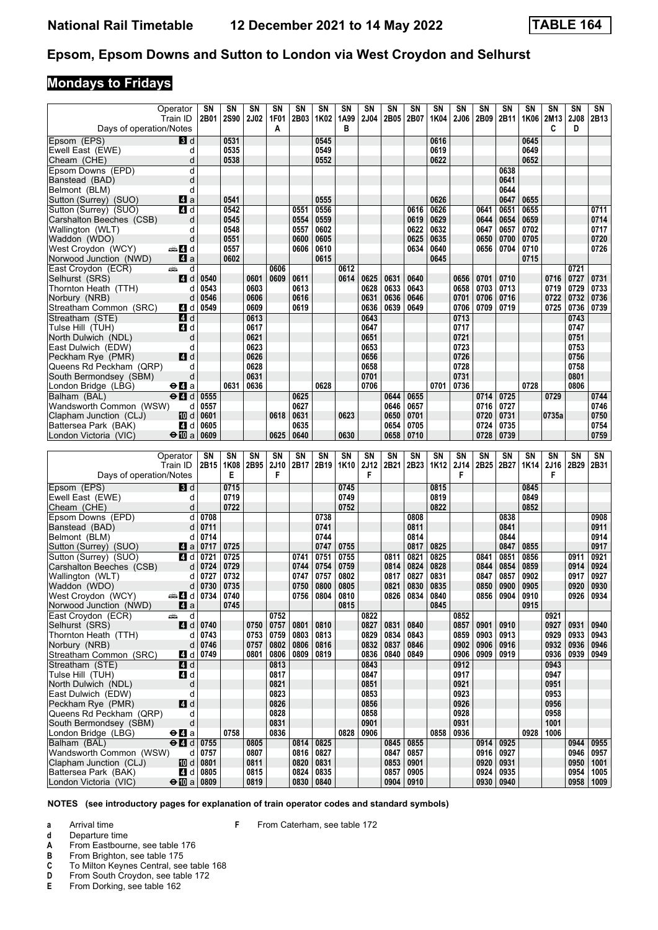### **Mondays to Fridays**

| Operator<br>Train ID<br>Days of operation/Notes                      | SN<br>2B01   | SN<br><b>2S90</b> | SN<br><b>2J02</b> | SN<br>1F01<br>A | SN<br>2B03   | SΝ<br>1K02   | SN<br>1A99<br>в | SN<br><b>2J04</b> | SN<br>2B05   | SN<br>2B07   | SN<br>1K04   | SΝ<br><b>2J06</b> | SN<br>2B09   | SN<br>2B11   | SΝ<br>1K06   | SΝ<br>2M13<br>C | SΝ<br><b>2J08</b><br>D | SN<br>2B13   |
|----------------------------------------------------------------------|--------------|-------------------|-------------------|-----------------|--------------|--------------|-----------------|-------------------|--------------|--------------|--------------|-------------------|--------------|--------------|--------------|-----------------|------------------------|--------------|
| Epsom (EPS)<br>3d                                                    |              | 0531              |                   |                 |              | 0545         |                 |                   |              |              | 0616         |                   |              |              | 0645         |                 |                        |              |
| Ewell East (EWE)<br>d                                                |              | 0535              |                   |                 |              | 0549         |                 |                   |              |              | 0619         |                   |              |              | 0649         |                 |                        |              |
| Cheam (CHE)<br>d<br>d                                                |              | 0538              |                   |                 |              | 0552         |                 |                   |              |              | 0622         |                   |              | 0638         | 0652         |                 |                        |              |
| Epsom Downs (EPD)<br>d<br>Banstead (BAD)                             |              |                   |                   |                 |              |              |                 |                   |              |              |              |                   |              | 0641         |              |                 |                        |              |
| Belmont (BLM)<br>d                                                   |              |                   |                   |                 |              |              |                 |                   |              |              |              |                   |              | 0644         |              |                 |                        |              |
| Sutton (Surrey) (SUO)<br><b>4</b> a                                  |              | 0541              |                   |                 |              | 0555         |                 |                   |              |              | 0626         |                   |              | 0647         | 0655         |                 |                        |              |
| Sutton (Surrey) (SUO)<br>4 d                                         |              | 0542              |                   |                 | 0551         | 0556         |                 |                   |              | 0616         | 0626         |                   | 0641         | 0651         | 0655         |                 |                        | 0711         |
| Carshalton Beeches (CSB)<br>d                                        |              | 0545              |                   |                 | 0554         | 0559         |                 |                   |              | 0619         | 0629         |                   | 0644         | 0654         | 0659         |                 |                        | 0714         |
| Wallington (WLT)<br>d                                                |              | 0548              |                   |                 | 0557         | 0602         |                 |                   |              | 0622         | 0632         |                   | 0647         | 0657         | 0702         |                 |                        | 0717         |
| Waddon (WDO)<br>d                                                    |              | 0551              |                   |                 | 0600         | 0605         |                 |                   |              | 0625         | 0635         |                   | 0650         | 0700         | 0705         |                 |                        | 0720         |
| West Croydon (WCY)<br>dan Zid                                        |              | 0557              |                   |                 | 0606         | 0610         |                 |                   |              | 0634         | 0640         |                   | 0656         | 0704         | 0710         |                 |                        | 0726         |
| Norwood Junction (NWD)<br>4 a                                        |              | 0602              |                   |                 |              | 0615         |                 |                   |              |              | 0645         |                   |              |              | 0715         |                 |                        |              |
| East Croydon (ECR)<br>پیش<br>d                                       |              |                   |                   | 0606            |              |              | 0612            |                   |              |              |              |                   |              |              |              |                 | 0721                   |              |
| Selhurst (SRS)<br>4d<br>Thornton Heath (TTH)<br>d                    | 0540<br>0543 |                   | 0601<br>0603      | 0609            | 0611<br>0613 |              | 0614            | 0625<br>0628      | 0631<br>0633 | 0640<br>0643 |              | 0656<br>0658      | 0701<br>0703 | 0710<br>0713 |              | 0716<br>0719    | 0727<br>0729           | 0731<br>0733 |
| Norbury (NRB)<br>d                                                   | 0546         |                   | 0606              |                 | 0616         |              |                 | 0631              | 0636         | 0646         |              | 0701              | 0706         | 0716         |              | 0722            | 0732                   | 0736         |
| Streatham Common (SRC)<br>4 d                                        | 0549         |                   | 0609              |                 | 0619         |              |                 | 0636              | 0639         | 0649         |              | 0706              | 0709         | 0719         |              | 0725            | 0736                   | 0739         |
| Streatham (STE)<br><b>4</b> d                                        |              |                   | 0613              |                 |              |              |                 | 0643              |              |              |              | 0713              |              |              |              |                 | 0743                   |              |
| Tulse Hill (TUH)<br>ZI d                                             |              |                   | 0617              |                 |              |              |                 | 0647              |              |              |              | 0717              |              |              |              |                 | 0747                   |              |
| North Dulwich (NDL)<br>d                                             |              |                   | 0621              |                 |              |              |                 | 0651              |              |              |              | 0721              |              |              |              |                 | 0751                   |              |
| East Dulwich (EDW)<br>d                                              |              |                   | 0623              |                 |              |              |                 | 0653              |              |              |              | 0723              |              |              |              |                 | 0753                   |              |
| Peckham Rye (PMR)<br><b>4</b> d                                      |              |                   | 0626              |                 |              |              |                 | 0656              |              |              |              | 0726              |              |              |              |                 | 0756                   |              |
| Queens Rd Peckham (QRP)<br>d                                         |              |                   | 0628              |                 |              |              |                 | 0658              |              |              |              | 0728              |              |              |              |                 | 0758                   |              |
| South Bermondsey (SBM)<br>d                                          |              |                   | 0631              |                 |              |              |                 | 0701              |              |              |              | 0731              |              |              |              |                 | 0801                   |              |
| London Bridge (LBG)<br>$\Theta$ <b><math>\Omega</math></b> a         |              | 0631              | 0636              |                 |              | 0628         |                 | 0706              |              |              | 0701         | 0736              |              |              | 0728         |                 | 0806                   |              |
| $\Theta$ $\blacksquare$ d<br>Balham (BAL)<br>Wandsworth Common (WSW) | 0555         |                   |                   |                 | 0625<br>0627 |              |                 |                   | 0644<br>0646 | 0655         |              |                   | 0714<br>0716 | 0725         |              | 0729            |                        | 0744<br>0746 |
| d<br>Clapham Junction (CLJ)<br>100 d                                 | 0557<br>0601 |                   |                   | 0618            | 0631         |              | 0623            |                   | 0650         | 0657<br>0701 |              |                   | 0720         | 0727<br>0731 |              | 0735a           |                        | 0750         |
| Battersea Park (BAK)<br>4 d                                          | 0605         |                   |                   |                 | 0635         |              |                 |                   | 0654         | 0705         |              |                   | 0724         | 0735         |              |                 |                        | 0754         |
| $\Theta$ <b>III</b> a<br>London Victoria (VIC)                       | 0609         |                   |                   | 0625            | 0640         |              | 0630            |                   | 0658         | 0710         |              |                   | 0728         | 0739         |              |                 |                        | 0759         |
|                                                                      |              |                   |                   |                 |              |              |                 |                   |              |              |              |                   |              |              |              |                 |                        |              |
|                                                                      |              |                   |                   |                 |              |              |                 |                   |              |              |              |                   |              |              |              |                 |                        |              |
| Operator                                                             | SN           | SΝ                | SN                | SΝ              | SN           | SΝ           | SΝ              | SΝ                | SN           | <b>SN</b>    | SN           | SΝ                | SΝ           | SΝ           | SΝ           | SN              | SΝ                     | SN           |
| Train ID                                                             | 2B15         | 1K08              | 2B95              | 2J10            | 2B17         | 2B19         | 1K10            | <b>2J12</b>       | 2B21         | 2B23         | 1K12         | 2J14              | 2B25         | 2B27         | 1K14         | 2J16            | 2B29                   | 2B31         |
| Days of operation/Notes                                              |              | Е                 |                   | F               |              |              |                 | F                 |              |              |              | F                 |              |              |              | F               |                        |              |
| Epsom (EPS)<br>3d                                                    |              | 0715              |                   |                 |              |              | 0745            |                   |              |              | 0815         |                   |              |              | 0845         |                 |                        |              |
| Ewell East (EWE)<br>d                                                |              | 0719              |                   |                 |              |              | 0749            |                   |              |              | 0819         |                   |              |              | 0849         |                 |                        |              |
| Cheam (CHE)<br>d                                                     |              | 0722              |                   |                 |              |              | 0752            |                   |              |              | 0822         |                   |              |              | 0852         |                 |                        |              |
| Epsom Downs (EPD)<br>d                                               | 0708         |                   |                   |                 |              | 0738         |                 |                   |              | 0808         |              |                   |              | 0838         |              |                 |                        | 0908         |
| Banstead (BAD)<br>d                                                  | 0711         |                   |                   |                 |              | 0741         |                 |                   |              | 0811         |              |                   |              | 0841         |              |                 |                        | 0911         |
| Belmont (BLM)<br>d                                                   | 0714         |                   |                   |                 |              | 0744         |                 |                   |              | 0814         |              |                   |              | 0844         |              |                 |                        | 0914         |
| Sutton (Surrey) (SUO)<br><b>M</b> a                                  | 0717         | 0725              |                   |                 |              | 0747         | 0755            |                   |              | 0817         | 0825         |                   |              | 0847         | 0855         |                 |                        | 0917         |
| Sutton (Surrey) (SUO)<br><b>4</b> d<br>Carshalton Beeches (CSB)<br>d | 0721<br>0724 | 0725<br>0729      |                   |                 | 0741<br>0744 | 0751<br>0754 | 0755<br>0759    |                   | 0811<br>0814 | 0821<br>0824 | 0825<br>0828 |                   | 0841<br>0844 | 0851<br>0854 | 0856<br>0859 |                 | 0911<br>0914           | 0921<br>0924 |
| Wallington (WLT)<br>d                                                | 0727         | 0732              |                   |                 | 0747         | 0757         | 0802            |                   | 0817         | 0827         | 0831         |                   | 0847         | 0857         | 0902         |                 | 0917                   | 0927         |
| Waddon (WDO)<br>d                                                    | 0730         | 0735              |                   |                 | 0750         | 0800         | 0805            |                   | 0821         | 0830         | 0835         |                   | 0850         | 0900         | 0905         |                 | 0920                   | 0930         |
| West Croydon (WCY) $\qquad \qquad \blacksquare$ d                    | 0734         | 0740              |                   |                 | 0756         | 0804         | 0810            |                   | 0826         | 0834         | 0840         |                   | 0856         | 0904         | 0910         |                 | 0926                   | 0934         |
| Norwood Junction (NWD)<br><b>4</b> a                                 |              | 0745              |                   |                 |              |              | 0815            |                   |              |              | 0845         |                   |              |              | 0915         |                 |                        |              |
| East Croydon (ECR)<br>d<br>یشته                                      |              |                   |                   | 0752            |              |              |                 | 0822              |              |              |              | 0852              |              |              |              | 0921            |                        |              |
| Selhurst (SRS)<br>4 d                                                | 0740         |                   | 0750              | 0757            | 0801         | 0810         |                 | 0827              | 0831         | 0840         |              | 0857              | 0901         | 0910         |              | 0927            | 0931                   | 0940         |
| Thornton Heath (TTH)<br>d                                            | 0743         |                   | 0753              | 0759            | 0803         | 0813         |                 | 0829              | 0834         | 0843         |              | 0859              | 0903         | 0913         |              | 0929            | 0933                   | 0943         |
| Norbury (NRB)<br>d                                                   | 0746         |                   | 0757              | 0802            | 0806         | 0816         |                 | 0832              | 0837         | 0846         |              | 0902              | 0906         | 0916         |              | 0932            | 0936                   | 0946         |
| Streatham Common (SRC)<br>4 d                                        | 0749         |                   | 0801              | 0806            | 0809         | 0819         |                 | 0836              | 0840         | 0849         |              | 0906              | 0909         | 0919         |              | 0936            | 0939                   | 0949         |
| Streatham (STE)<br>4 d                                               |              |                   |                   | 0813            |              |              |                 | 0843              |              |              |              | 0912              |              |              |              | 0943            |                        |              |
| Tulse Hill (TUH)<br>4 d<br>North Dulwich (NDL)<br>d                  |              |                   |                   | 0817<br>0821    |              |              |                 | 0847<br>0851      |              |              |              | 0917<br>0921      |              |              |              | 0947<br>0951    |                        |              |
| East Dulwich (EDW)<br>d                                              |              |                   |                   | 0823            |              |              |                 | 0853              |              |              |              | 0923              |              |              |              | 0953            |                        |              |
| Peckham Rye (PMR)<br>4 d                                             |              |                   |                   | 0826            |              |              |                 | 0856              |              |              |              | 0926              |              |              |              | 0956            |                        |              |
| Queens Rd Peckham (QRP)<br>d                                         |              |                   |                   | 0828            |              |              |                 | 0858              |              |              |              | 0928              |              |              |              | 0958            |                        |              |
| South Bermondsey (SBM)<br>d                                          |              |                   |                   | 0831            |              |              |                 | 0901              |              |              |              | 0931              |              |              |              | 1001            |                        |              |
| London Bridge (LBG)<br>$\Theta$ <b><math>\blacksquare</math></b> a   |              | 0758              |                   | 0836            |              |              | 0828            | 0906              |              |              | 0858         | 0936              |              |              | 0928         | 1006            |                        |              |
| Balham (BAL)<br>$\Theta$ <sup><math>d</math></sup>                   | 0755         |                   | 0805              |                 | 0814         | 0825         |                 |                   | 0845         | 0855         |              |                   | 0914         | 0925         |              |                 | 0944                   | 0955         |
| Wandsworth Common (WSW)<br>d                                         | 0757         |                   | 0807              |                 | 0816         | 0827         |                 |                   | 0847         | 0857         |              |                   | 0916         | 0927         |              |                 | 0946                   | 0957         |
| Clapham Junction (CLJ)<br>10 d<br>Battersea Park (BAK)<br>[4] d      | 0801<br>0805 |                   | 0811<br>0815      |                 | 0820<br>0824 | 0831<br>0835 |                 |                   | 0853<br>0857 | 0901<br>0905 |              |                   | 0920<br>0924 | 0931<br>0935 |              |                 | 0950<br>0954           | 1001<br>1005 |

**NOTES (see introductory pages for explanation of train operator codes and standard symbols)**

**F** From Caterham, see table 172

**a** Arrival time<br>**d** Departure t

**d** Departure time

**A** From Eastbourne, see table 176<br>**B** From Brighton, see table 175

**B** From Brighton, see table 175<br>**C** To Milton Kevnes Central, see

**C** To Milton Keynes Central, see table 168<br>**D** From South Croydon, see table 172

**D** From South Croydon, see table 172<br>**E** From Dorking, see table 162 From Dorking, see table 162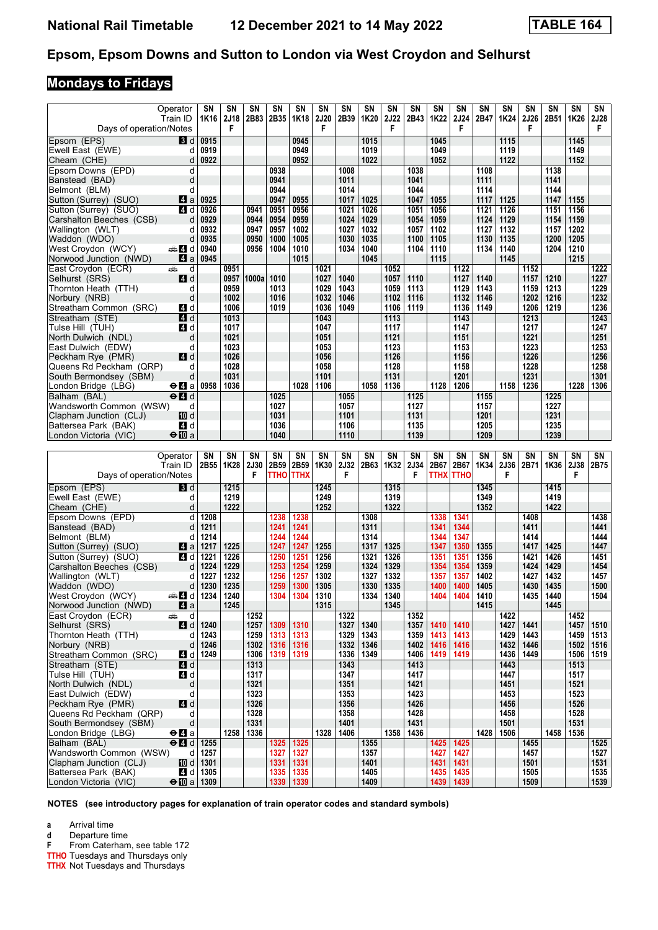### **Mondays to Fridays**

| Operator<br>Train ID<br>Days of operation/Notes                | SΝ<br>1K16   | SN<br>2J18<br>F | SN<br>2B83   | SΝ<br>2B35   | SΝ<br>1K18   | SΝ<br><b>2J20</b><br>F | SΝ<br>2B39   | SN<br>1K20   | SN<br><b>2J22</b><br>F | <b>SN</b><br>2B43 | SN<br>1K22   | SΝ<br><b>2J24</b><br>F | SN<br>2B47   | SΝ<br>1K24   | SN<br><b>2J26</b><br>F | SΝ<br>2B51       | SΝ<br>1K26   | SΝ<br><b>2J28</b><br>F |
|----------------------------------------------------------------|--------------|-----------------|--------------|--------------|--------------|------------------------|--------------|--------------|------------------------|-------------------|--------------|------------------------|--------------|--------------|------------------------|------------------|--------------|------------------------|
| Epsom (EPS)<br>3 d                                             | 0915         |                 |              |              | 0945         |                        |              | 1015         |                        |                   | 1045         |                        |              | 1115         |                        |                  | 1145         |                        |
| Ewell East (EWE)<br>d                                          | 0919<br>0922 |                 |              |              | 0949<br>0952 |                        |              | 1019<br>1022 |                        |                   | 1049<br>1052 |                        |              | 1119<br>1122 |                        |                  | 1149<br>1152 |                        |
| Cheam (CHE)<br>d<br>Epsom Downs (EPD)<br>d                     |              |                 |              | 0938         |              |                        | 1008         |              |                        | 1038              |              |                        | 1108         |              |                        | 1138             |              |                        |
| Banstead (BAD)<br>d                                            |              |                 |              | 0941         |              |                        | 1011         |              |                        | 1041              |              |                        | 1111         |              |                        | 1141             |              |                        |
| Belmont (BLM)<br>d                                             |              |                 |              | 0944         |              |                        | 1014         |              |                        | 1044              |              |                        | 1114         |              |                        | 1144             |              |                        |
| Sutton (Surrey) (SUO)<br>Z1 a                                  | 0925         |                 |              | 0947         | 0955         |                        | 1017         | 1025         |                        | 1047              | 1055         |                        | 1117         | 1125         |                        | 1147             | 1155         |                        |
| Sutton (Surrey) (SUO)<br>ZI d                                  | 0926         |                 | 0941         | 0951         | 0956         |                        | 1021         | 1026         |                        | 1051              | 1056         |                        | 1121         | 1126         |                        | 1151             | 1156         |                        |
| Carshalton Beeches (CSB)<br>d                                  | 0929         |                 | 0944         | 0954         | 0959         |                        | 1024         | 1029         |                        | 1054              | 1059         |                        | 1124         | 1129         |                        | 1154             | 1159         |                        |
| Wallington (WLT)                                               | 0932         |                 | 0947         | 0957         | 1002         |                        | 1027         | 1032         |                        | 1057              | 1102         |                        | 1127         | 1132         |                        | 1157             | 1202         |                        |
| Waddon (WDO)<br>d<br>West Croydon (WCY)<br>dan Zid             | 0935<br>0940 |                 | 0950<br>0956 | 1000         | 1005<br>1010 |                        | 1030<br>1034 | 1035<br>1040 |                        | 1100<br>1104      | 1105         |                        | 1130<br>1134 | 1135<br>1140 |                        | 1200<br>1204     | 1205<br>1210 |                        |
| Norwood Junction (NWD)<br>4a                                   | 0945         |                 |              | 1004         | 1015         |                        |              | 1045         |                        |                   | 1110<br>1115 |                        |              | 1145         |                        |                  | 1215         |                        |
| East Croydon (ECR)<br>پیش<br>d                                 |              | 0951            |              |              |              | 1021                   |              |              | 1052                   |                   |              | 1122                   |              |              | 1152                   |                  |              | 1222                   |
| Selhurst (SRS)<br>L4 d                                         |              | 0957            | 1000a        | 1010         |              | 1027                   | 1040         |              | 1057                   | 1110              |              | 1127                   | 1140         |              | 1157                   | 1210             |              | 1227                   |
| Thornton Heath (TTH)<br>d                                      |              | 0959            |              | 1013         |              | 1029                   | 1043         |              | 1059                   | 1113              |              | 1129                   | 1143         |              | 1159                   | 1213             |              | 1229                   |
| Norbury (NRB)<br>d                                             |              | 1002            |              | 1016         |              | 1032                   | 1046         |              | 1102                   | 1116              |              | 1132                   | 1146         |              | 1202                   | 1216             |              | 1232                   |
| ZI d<br>Streatham Common (SRC)                                 |              | 1006            |              | 1019         |              | 1036                   | 1049         |              | 1106                   | 1119              |              | 1136                   | 1149         |              | 1206                   | 1219             |              | 1236                   |
| Streatham (STE)<br>L4 d                                        |              | 1013            |              |              |              | 1043                   |              |              | 1113                   |                   |              | 1143                   |              |              | 1213                   |                  |              | 1243                   |
| Tulse Hill (TUH)<br><b>4</b> d<br>North Dulwich (NDL)<br>d     |              | 1017<br>1021    |              |              |              | 1047<br>1051           |              |              | 1117<br>1121           |                   |              | 1147<br>1151           |              |              | 1217<br>1221           |                  |              | 1247<br>1251           |
| East Dulwich (EDW)<br>d                                        |              | 1023            |              |              |              | 1053                   |              |              | 1123                   |                   |              | 1153                   |              |              | 1223                   |                  |              | 1253                   |
| Peckham Rye (PMR)<br>ZI d                                      |              | 1026            |              |              |              | 1056                   |              |              | 1126                   |                   |              | 1156                   |              |              | 1226                   |                  |              | 1256                   |
| Queens Rd Peckham (QRP)<br>d                                   |              | 1028            |              |              |              | 1058                   |              |              | 1128                   |                   |              | 1158                   |              |              | 1228                   |                  |              | 1258                   |
| South Bermondsey (SBM)<br>d                                    |              | 1031            |              |              |              | 1101                   |              |              | 1131                   |                   |              | 1201                   |              |              | 1231                   |                  |              | 1301                   |
| London Bridge (LBG)<br>⊖Да                                     | 0958         | 1036            |              |              | 1028         | 1106                   |              | 1058         | 1136                   |                   | 1128         | 1206                   |              | 1158         | 1236                   |                  | 1228         | 1306                   |
| $\Theta$ $\blacksquare$ d<br>Balham (BAL)                      |              |                 |              | 1025         |              |                        | 1055         |              |                        | 1125              |              |                        | 1155         |              |                        | 1225             |              |                        |
| Wandsworth Common (WSW)<br>d                                   |              |                 |              | 1027         |              |                        | 1057         |              |                        | 1127              |              |                        | 1157         |              |                        | 1227             |              |                        |
| 10 d<br>Clapham Junction (CLJ)<br>Battersea Park (BAK)<br>ZI d |              |                 |              | 1031<br>1036 |              |                        | 1101<br>1106 |              |                        | 1131<br>1135      |              |                        | 1201<br>1205 |              |                        | 1231<br>1235     |              |                        |
| $\bigoplus$ a<br>London Victoria (VIC)                         |              |                 |              | 1040         |              |                        | 1110         |              |                        | 1139              |              |                        | 1209         |              |                        | 1239             |              |                        |
|                                                                |              |                 |              |              |              |                        |              |              |                        |                   |              |                        |              |              |                        |                  |              |                        |
|                                                                |              |                 |              |              |              |                        |              |              |                        |                   |              |                        |              |              |                        |                  |              |                        |
| Operator                                                       | SΝ           | SN              | SN           | SN           | SN           | SN                     | SN           | SΝ           | SΝ                     | SN                | SN           | SN                     | SN           | SΝ           | SN                     | SΝ               | SΝ           | SN                     |
| Train ID                                                       | 2B55         | 1K28            | <b>2J30</b>  | 2B59         | 2B59         | 1K30                   | <b>2J32</b>  | 2B63         | 1K32                   | 2J34              | 2B67         | 2B67                   | 1K34         | 2J36         | 2B71                   | 1K36             | 2J38         | 2B75                   |
| Days of operation/Notes                                        |              |                 | F            | ттно         | <b>TTHX</b>  |                        | F            |              |                        | F                 | TTHX         | TTHO                   |              | F            |                        |                  | F            |                        |
| Epsom (EPS)<br><b>3</b> d                                      |              | 1215            |              |              |              | 1245                   |              |              | 1315                   |                   |              |                        | 1345         |              |                        | $\frac{1}{1415}$ |              |                        |
| Ewell East (EWE)<br>d                                          |              | 1219            |              |              |              | 1249                   |              |              | 1319                   |                   |              |                        | 1349         |              |                        | 1419             |              |                        |
| Cheam (CHE)<br>d                                               |              | 1222            |              |              |              | 1252                   |              |              | 1322                   |                   |              |                        | 1352         |              |                        | 1422             |              |                        |
| Epsom Downs (EPD)<br>d                                         | 1208         |                 |              | 1238         | 1238         |                        |              | 1308         |                        |                   | 1338         | 1341                   |              |              | 1408                   |                  |              | 1438                   |
| Banstead (BAD)<br>d<br>Belmont (BLM)<br>d                      | 1211<br>1214 |                 |              | 1241<br>1244 | 1241<br>1244 |                        |              | 1311<br>1314 |                        |                   | 1341<br>1344 | 1344<br>1347           |              |              | 1411<br>1414           |                  |              | 1441<br>1444           |
| Sutton (Surrey) (SUO)<br>L4 a                                  | 1217         | 1225            |              | 1247         | 1247         | 1255                   |              | 1317         | 1325                   |                   | 1347         | 1350                   | 1355         |              | 1417                   | 1425             |              | 1447                   |
| Sutton (Surrey) (SUO)<br>4 d                                   | 1221         | 1226            |              | 1250         | 1251         | 1256                   |              | 1321         | 1326                   |                   | 1351         | 1351                   | 1356         |              | 1421                   | 1426             |              | 1451                   |
| Carshalton Beeches (CSB)<br>d                                  | 1224         | 1229            |              | 1253         | 1254         | 1259                   |              | 1324         | 1329                   |                   | 1354         | 1354                   | 1359         |              | 1424                   | 1429             |              | 1454                   |
| Wallington (WLT)<br>d                                          | 1227         | 1232            |              | 1256         | 1257         | 1302                   |              | 1327         | 1332                   |                   | 1357         | 1357                   | 1402         |              | 1427                   | 1432             |              | 1457                   |
| Waddon (WDO)<br>d                                              | 1230         | 1235            |              | 1259         | 1300         | 1305                   |              | 1330         | 1335                   |                   | 1400         | 1400                   | 1405         |              | 1430                   | 1435             |              | 1500                   |
| West Croydon (WCY)<br>den and d<br>Norwood Junction (NWD)      | 1234         | 1240<br>1245    |              | 1304         | 1304         | 1310<br>1315           |              | 1334         | 1340<br>1345           |                   | 1404         | 1404                   | 1410<br>1415 |              | 1435                   | 1440<br>1445     |              | 1504                   |
| ZI a<br>East Croydon (ECR)<br>d<br>یشته                        |              |                 | 1252         |              |              |                        | 1322         |              |                        | 1352              |              |                        |              | 1422         |                        |                  | 1452         |                        |
| Selhurst (SRS)<br>4d                                           | 1240         |                 | 1257         | 1309         | 1310         |                        | 1327         | 1340         |                        | 1357              | 1410         | 1410                   |              | 1427         | 1441                   |                  | 1457         | 1510                   |
| Thornton Heath (TTH)<br>d                                      | 1243         |                 | 1259         | 1313         | 1313         |                        | 1329         | 1343         |                        | 1359              | 1413         | 1413                   |              | 1429         | 1443                   |                  | 1459         | 1513                   |
| Norbury (NRB)<br>d                                             | 1246         |                 | 1302         | 1316         | 1316         |                        | 1332         | 1346         |                        | 1402              | 1416         | 1416                   |              | 1432         | 1446                   |                  | 1502         | 1516                   |
| Streatham Common (SRC)<br><b>4</b> d                           | 1249         |                 | 1306         | 1319         | 1319         |                        | 1336         | 1349         |                        | 1406              | 1419         | 1419                   |              | 1436         | 1449                   |                  | 1506         |                        |
| Streatham (STE)<br>4d                                          |              |                 | 1313         |              |              |                        | 1343         |              |                        | 1413              |              |                        |              | 1443         |                        |                  | 1513         | 1519                   |
| Tulse Hill (TUH)<br>4 d                                        |              |                 | 1317         |              |              |                        | 1347         |              |                        | 1417              |              |                        |              | 1447         |                        |                  | 1517         |                        |
| North Dulwich (NDL)<br>d<br>East Dulwich (EDW)<br>d            |              |                 | 1321<br>1323 |              |              |                        | 1351<br>1353 |              |                        | 1421<br>1423      |              |                        |              | 1451<br>1453 |                        |                  | 1521         |                        |
| Peckham Rye (PMR)<br>4d                                        |              |                 | 1326         |              |              |                        | 1356         |              |                        | 1426              |              |                        |              | 1456         |                        |                  | 1523<br>1526 |                        |
| Queens Rd Peckham (QRP)<br>d                                   |              |                 | 1328         |              |              |                        | 1358         |              |                        | 1428              |              |                        |              | 1458         |                        |                  | 1528         |                        |
| South Bermondsey (SBM)<br>d                                    |              |                 | 1331         |              |              |                        | 1401         |              |                        | 1431              |              |                        |              | 1501         |                        |                  | 1531         |                        |
| London Bridge (LBG)<br>$\Theta$ <b><math>\Omega</math></b> a   |              | 1258            | 1336         |              |              | 1328                   | 1406         |              | 1358                   | 1436              |              |                        | 1428         | 1506         |                        | 1458             | 1536         |                        |
| Balham (BAL)<br>$\Theta$ <sup><math>d</math></sup>             | 1255         |                 |              | 1325         | 1325         |                        |              | 1355         |                        |                   | 1425         | 1425                   |              |              | 1455                   |                  |              | 1525                   |
| Wandsworth Common (WSW)<br>d                                   | 1257         |                 |              | 1327         | 1327         |                        |              | 1357         |                        |                   | 1427         | 1427                   |              |              | 1457                   |                  |              | 1527                   |
| Clapham Junction (CLJ)<br>10 d<br>Battersea Park (BAK)<br>4 d  | 1301<br>1305 |                 |              | 1331<br>1335 | 1331<br>1335 |                        |              | 1401<br>1405 |                        |                   | 1431<br>1435 | 1431<br>1435           |              |              | 1501<br>1505           |                  |              | 1531<br>1535           |

**NOTES (see introductory pages for explanation of train operator codes and standard symbols)**

**a** Arrival time<br>**d** Departure time

**d** Departure time

**F** From Caterham, see table 172

**TTHO** Tuesdays and Thursdays only

**TTHX** Not Tuesdays and Thursdays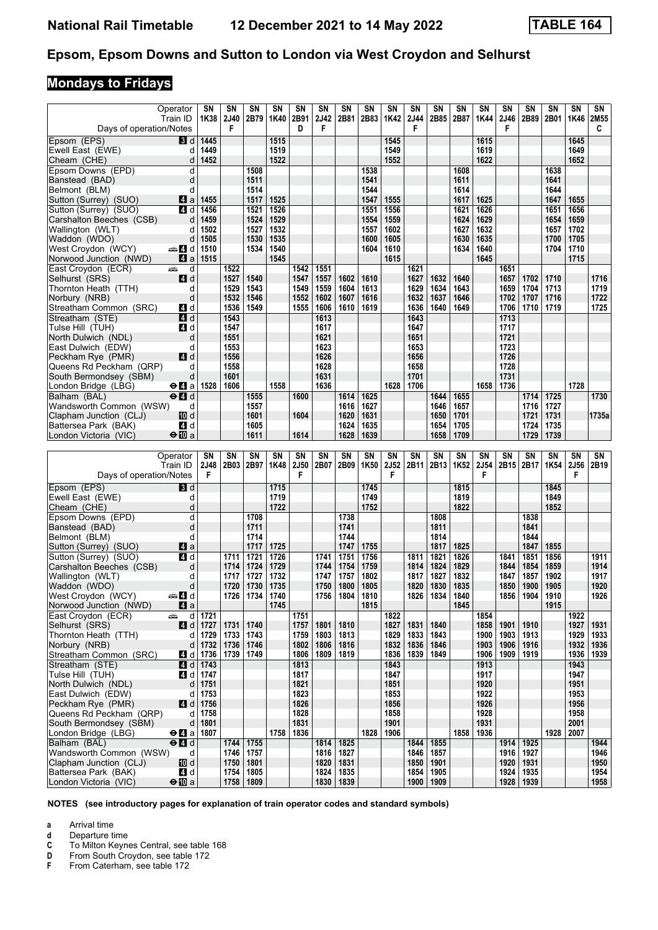### **Mondays to Fridays**

| Operator<br>Train ID<br>Days of operation/Notes                    | SΝ<br>1K38              | SN<br><b>2J40</b><br>F | SN<br>2B79   | SΝ<br>1K40   | SΝ<br>2B91<br>D | SΝ<br>2J42<br>F | SΝ<br>2B81   | SN<br>2B83   | SN<br>1K42       | SN<br><b>2J44</b><br>F | SN<br>2B85   | <b>SN</b><br>2B87 | SΝ<br>1K44   | SN<br><b>2J46</b><br>F | SΝ<br>2B89   | SΝ<br>2B01   | SΝ<br>1K46   | SN<br>2M <sub>55</sub><br>C |
|--------------------------------------------------------------------|-------------------------|------------------------|--------------|--------------|-----------------|-----------------|--------------|--------------|------------------|------------------------|--------------|-------------------|--------------|------------------------|--------------|--------------|--------------|-----------------------------|
| Epsom (EPS)<br>3d                                                  | 1445                    |                        |              | 1515         |                 |                 |              |              | 1545             |                        |              |                   | 1615         |                        |              |              | 1645         |                             |
| Ewell East (EWE)                                                   | 1449                    |                        |              | 1519         |                 |                 |              |              | 1549             |                        |              |                   | 1619         |                        |              |              | 1649         |                             |
| Cheam (CHE)<br>d                                                   | 1452                    |                        |              | 1522         |                 |                 |              |              | 1552             |                        |              |                   | 1622         |                        |              |              | 1652         |                             |
| Epsom Downs (EPD)<br>d                                             |                         |                        | 1508         |              |                 |                 |              | 1538         |                  |                        |              | 1608              |              |                        |              | 1638         |              |                             |
| Banstead (BAD)<br>d<br>Belmont (BLM)<br>d                          |                         |                        | 1511<br>1514 |              |                 |                 |              | 1541<br>1544 |                  |                        |              | 1611<br>1614      |              |                        |              | 1641<br>1644 |              |                             |
| Sutton (Surrey) (SUO)<br>[4] al                                    | 1455                    |                        | 1517         | 1525         |                 |                 |              | 1547         | 1555             |                        |              | 1617              | 1625         |                        |              | 1647         | 1655         |                             |
| Sutton (Surrey) (SUO)<br>4 d                                       | 1456                    |                        | 1521         | 1526         |                 |                 |              | 1551         | 1556             |                        |              | 1621              | 1626         |                        |              | 1651         | 1656         |                             |
| Carshalton Beeches (CSB)<br>d                                      | 1459                    |                        | 1524         | 1529         |                 |                 |              | 1554         | 1559             |                        |              | 1624              | 1629         |                        |              | 1654         | 1659         |                             |
| Wallington (WLT)                                                   | 1502                    |                        | 1527         | 1532         |                 |                 |              | 1557         | 1602             |                        |              | 1627              | 1632         |                        |              | 1657         | 1702         |                             |
| Waddon (WDO)<br>d                                                  | 1505                    |                        | 1530         | 1535         |                 |                 |              | 1600         | 1605             |                        |              | 1630              | 1635         |                        |              | 1700         | 1705         |                             |
| dan 4d<br>West Croydon (WCY)                                       | 1510                    |                        | 1534         | 1540         |                 |                 |              | 1604         | 1610             |                        |              | 1634              | 1640         |                        |              | 1704         | 1710         |                             |
| Norwood Junction (NWD)<br><b>4</b> a                               | 1515                    |                        |              | 1545         |                 |                 |              |              | 1615             |                        |              |                   | 1645         |                        |              |              | 1715         |                             |
| East Croydon (ECR)<br>d<br>پیش                                     |                         | 1522<br>1527           | 1540         |              | 1542<br>1547    | 1551            | 1602         | 1610         |                  | 1621<br>1627           | 1632         | 1640              |              | 1651                   | 1702         | 1710         |              | 1716                        |
| Selhurst (SRS)<br><b>4</b> d<br>Thornton Heath (TTH)<br>d          |                         | 1529                   | 1543         |              | 1549            | 1557<br>1559    | 1604         | 1613         |                  | 1629                   | 1634         | 1643              |              | 1657<br>1659           | 1704         | 1713         |              | 1719                        |
| Norbury (NRB)<br>d                                                 |                         | 1532                   | 1546         |              | 1552            | 1602            | 1607         | 1616         |                  | 1632                   | 1637         | 1646              |              | 1702                   | 1707         | 1716         |              | 1722                        |
| Streatham Common (SRC)<br>4 d                                      |                         | 1536                   | 1549         |              | 1555            | 1606            | 1610         | 1619         |                  | 1636                   | 1640         | 1649              |              | 1706                   | 1710         | 1719         |              | 1725                        |
| Streatham (STE)<br>ZI d                                            |                         | 1543                   |              |              |                 | 1613            |              |              |                  | 1643                   |              |                   |              | 1713                   |              |              |              |                             |
| Tulse Hill (TUH)<br>4 d                                            |                         | 1547                   |              |              |                 | 1617            |              |              |                  | 1647                   |              |                   |              | 1717                   |              |              |              |                             |
| North Dulwich (NDL)<br>d                                           |                         | 1551                   |              |              |                 | 1621            |              |              |                  | 1651                   |              |                   |              | 1721                   |              |              |              |                             |
| East Dulwich (EDW)<br>d                                            |                         | 1553                   |              |              |                 | 1623            |              |              |                  | 1653                   |              |                   |              | 1723                   |              |              |              |                             |
| Peckham Rye (PMR)<br><b>4 d</b>                                    |                         | 1556<br>1558           |              |              |                 | 1626<br>1628    |              |              |                  | 1656<br>1658           |              |                   |              | 1726<br>1728           |              |              |              |                             |
| Queens Rd Peckham (QRP)<br>d<br>South Bermondsey (SBM)<br>d        |                         | 1601                   |              |              |                 | 1631            |              |              |                  | 1701                   |              |                   |              | 1731                   |              |              |              |                             |
| London Bridge (LBG)<br>$\Theta$ <b><math>\blacksquare</math></b> a | 1528                    | 1606                   |              | 1558         |                 | 1636            |              |              | 1628             | 1706                   |              |                   | 1658         | 1736                   |              |              | 1728         |                             |
| $\Theta$ $\blacksquare$ d<br>Balham (BAL)                          |                         |                        | 1555         |              | 1600            |                 | 1614         | 1625         |                  |                        | 1644         | 1655              |              |                        | 1714         | 1725         |              | 1730                        |
| Wandsworth Common (WSW)<br>d                                       |                         |                        | 1557         |              |                 |                 | 1616         | 1627         |                  |                        | 1646         | 1657              |              |                        | 1716         | 1727         |              |                             |
| Clapham Junction (CLJ)<br>10 d                                     |                         |                        | 1601         |              | 1604            |                 | 1620         | 1631         |                  |                        | 1650         | 1701              |              |                        | 1721         | 1731         |              | 1735a                       |
| 4 d<br>Battersea Park (BAK)                                        |                         |                        | 1605         |              |                 |                 | 1624         | 1635         |                  |                        | 1654         | 1705              |              |                        | 1724         | 1735         |              |                             |
| London Victoria (VIC)<br>$\bigoplus$ a                             |                         |                        | 1611         |              | 1614            |                 | 1628         | 1639         |                  |                        | 1658         | 1709              |              |                        | 1729         | 1739         |              |                             |
|                                                                    |                         |                        |              |              |                 |                 |              |              |                  |                        |              |                   |              |                        |              |              |              |                             |
|                                                                    |                         |                        |              |              |                 |                 |              |              |                  |                        |              |                   |              |                        |              |              |              |                             |
| Operator                                                           | SN                      | SN                     | SN           | SΝ           | SN              | SN              | SN           | SN           | SΝ               | <b>SN</b>              | SN           | SN                | SN           | SΝ                     | SN           | SΝ           | SΝ           | SN                          |
| Train ID<br>Days of operation/Notes                                | 2J48<br>F               | 2B03                   | 2B97         | 1K48         | 2J50<br>F       | 2B07            | 2B09         | 1K50         | <b>2J52</b><br>F | 2B11                   | 2B13         | 1K52              | 2J54<br>F    | 2B15                   | 2B17         | 1K54         | 2J56<br>F    | 2B19                        |
|                                                                    |                         |                        |              |              |                 |                 |              |              |                  |                        |              |                   |              |                        |              |              |              |                             |
| Epsom (EPS)<br>BI d<br>d                                           |                         |                        |              | 1715<br>1719 |                 |                 |              | 1745<br>1749 |                  |                        |              | 1815<br>1819      |              |                        |              | 1845<br>1849 |              |                             |
| Ewell East (EWE)<br>Cheam (CHE)<br>d                               |                         |                        |              | 1722         |                 |                 |              | 1752         |                  |                        |              | 1822              |              |                        |              | 1852         |              |                             |
| Epsom Downs (EPD)<br>d                                             |                         |                        | 1708         |              |                 |                 | 1738         |              |                  |                        | 1808         |                   |              |                        | 1838         |              |              |                             |
| Banstead (BAD)<br>d                                                |                         |                        | 1711         |              |                 |                 | 1741         |              |                  |                        | 1811         |                   |              |                        | 1841         |              |              |                             |
| Belmont (BLM)<br>d                                                 |                         |                        | 1714         |              |                 |                 | 1744         |              |                  |                        | 1814         |                   |              |                        | 1844         |              |              |                             |
| Sutton (Surrey) (SUO)<br>14 a                                      |                         |                        | 1717         | 1725         |                 |                 | 1747         | 1755         |                  |                        | 1817         | 1825              |              |                        | 1847         | 1855         |              |                             |
| Sutton (Surrey) (SUO)<br>4 d                                       |                         | 1711                   | 1721         | 1726         |                 | 1741            | 1751         | 1756         |                  | 1811                   | 1821         | 1826              |              | 1841                   | 1851         | 1856         |              | 1911                        |
| Carshalton Beeches (CSB)<br>d                                      |                         | 1714                   | 1724         | 1729         |                 | 1744            | 1754         | 1759         |                  | 1814                   | 1824         | 1829              |              | 1844                   | 1854         | 1859         |              | 1914                        |
| Wallington (WLT)<br>d<br>d                                         |                         | 1717<br>1720           | 1727<br>1730 | 1732<br>1735 |                 | 1747<br>1750    | 1757<br>1800 | 1802<br>1805 |                  | 1817<br>1820           | 1827<br>1830 | 1832<br>1835      |              | 1847<br>1850           | 1857<br>1900 | 1902<br>1905 |              | 1917<br>1920                |
| Waddon (WDO)<br>West Croydon (WCY)<br>d d                          |                         | 1726                   | 1734         | 1740         |                 | 1756            | 1804         | 1810         |                  | 1826                   | 1834         | 1840              |              | 1856                   | 1904         | 1910         |              | 1926                        |
| Norwood Junction (NWD)<br>ZI a                                     |                         |                        |              | 1745         |                 |                 |              | 1815         |                  |                        |              | 1845              |              |                        |              | 1915         |              |                             |
| East Crovdon (ECR)<br>æ<br>$\mathsf{d}$                            | 1721                    |                        |              |              | 1751            |                 |              |              | 1822             |                        |              |                   | 1854         |                        |              |              | 1922         |                             |
| Selhurst (SRS)<br><b>4d</b>                                        | 1727                    | 1731                   | 1740         |              | 1757            | 1801            | 1810         |              | 1827             | 1831                   | 1840         |                   | 1858         | 1901                   | 1910         |              | 1927         | 1931                        |
| Thornton Heath (TTH)<br>d                                          | 1729                    | 1733                   | 1743         |              | 1759            | 1803            | 1813         |              | 1829             | 1833                   | 1843         |                   | 1900         | 1903                   | 1913         |              | 1929         | 1933                        |
| Norbury (NRB)<br>d                                                 | 1732                    | 1736                   | 1746         |              | 1802            | 1806            | 1816         |              | 1832             | 1836                   | 1846         |                   | 1903         | 1906                   | 1916         |              | 1932         | 1936                        |
| Streatham Common (SRC)                                             | $\blacksquare$ d   1736 | 1739                   | 1749         |              | 1806            | 1809            | 1819         |              | 1836             | 1839                   | 1849         |                   | 1906         | 1909                   | 1919         |              | 1936         | 1939                        |
| Streatham (STE)<br>4d<br>Tulse Hill (TUH)                          | 1743<br>4 d 1747        |                        |              |              | 1813<br>1817    |                 |              |              | 1843<br>1847     |                        |              |                   | 1913<br>1917 |                        |              |              | 1943<br>1947 |                             |
| North Dulwich (NDL)<br>d                                           | 1751                    |                        |              |              | 1821            |                 |              |              | 1851             |                        |              |                   | 1920         |                        |              |              | 1951         |                             |
| East Dulwich (EDW)<br>d                                            | 1753                    |                        |              |              | 1823            |                 |              |              | 1853             |                        |              |                   | 1922         |                        |              |              | 1953         |                             |
| Peckham Rye (PMR)<br><b>4d</b>                                     | 1756                    |                        |              |              | 1826            |                 |              |              | 1856             |                        |              |                   | 1926         |                        |              |              | 1956         |                             |
| Queens Rd Peckham (QRP)<br>d                                       | 1758                    |                        |              |              | 1828            |                 |              |              | 1858             |                        |              |                   | 1928         |                        |              |              | 1958         |                             |
| South Bermondsey (SBM)<br>d                                        | 1801                    |                        |              |              | 1831            |                 |              |              | 1901             |                        |              |                   | 1931         |                        |              |              | 2001         |                             |
| London Bridge (LBG)<br>Ө∐а∣                                        | 1807                    |                        |              | 1758         | 1836            |                 |              | 1828         | 1906             |                        |              | 1858              | 1936         |                        |              | 1928         | 2007         |                             |
| Balham (BAL)<br>$e$ <sup>d</sup>                                   |                         | 1744                   | 1755         |              |                 | 1814            | 1825         |              |                  | 1844                   | 1855         |                   |              | 1914                   | 1925         |              |              | 1944                        |
| Wandsworth Common (WSW)<br>d                                       |                         | 1746                   | 1757         |              |                 | 1816            | 1827         |              |                  | 1846                   | 1857         |                   |              | 1916                   | 1927         |              |              | 1946                        |
| Clapham Junction (CLJ)<br>10 d<br>Battersea Park (BAK)<br>4 d      |                         | 1750<br>1754           | 1801<br>1805 |              |                 | 1820<br>1824    | 1831<br>1835 |              |                  | 1850<br>1854           | 1901<br>1905 |                   |              | 1920<br>1924           | 1931<br>1935 |              |              | 1950<br>1954                |

**NOTES (see introductory pages for explanation of train operator codes and standard symbols)**

**a** Arrival time<br>**d** Departure t

**d** Departure time

**C** To Milton Keynes Central, see table 168<br>**D** From South Croydon, see table 172

**D** From South Croydon, see table 172<br>**F** From Caterham. see table 172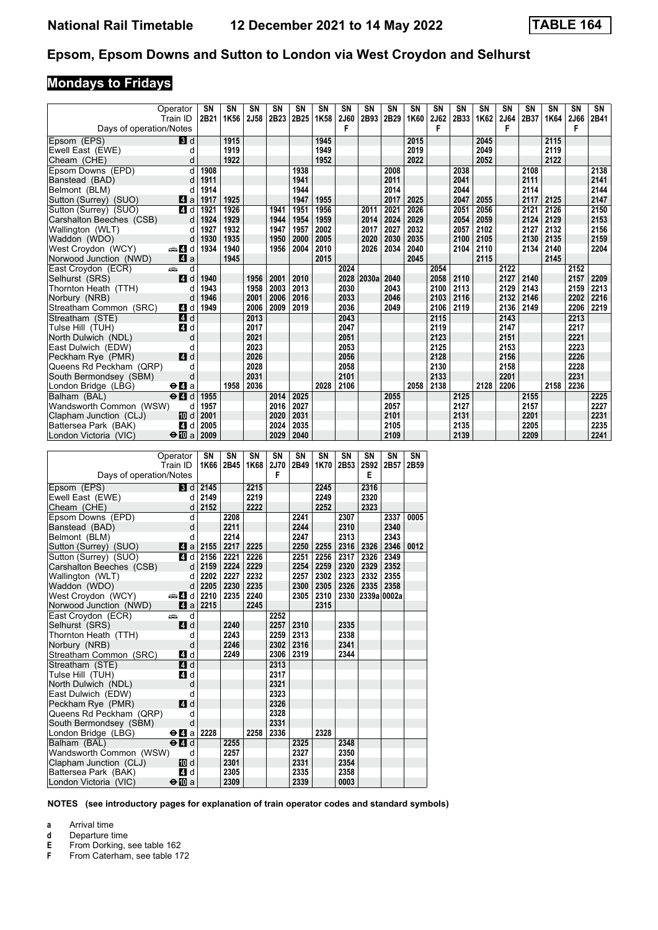### **Mondays to Fridays**

|                          | Operator                                    | SN   | SN   | <b>SN</b> | SN   | SN   | SN   | SN        | SN    | SN   | SN   | <b>SN</b> | <b>SN</b> | SN   | <b>SN</b> | <b>SN</b> | SΝ   | <b>SN</b> | SN   |
|--------------------------|---------------------------------------------|------|------|-----------|------|------|------|-----------|-------|------|------|-----------|-----------|------|-----------|-----------|------|-----------|------|
| Days of operation/Notes  | Train ID                                    | 2B21 | 1K56 | 2J58      | 2B23 | 2B25 | 1K58 | 2J60<br>F | 2B93  | 2B29 | 1K60 | 2J62<br>F | 2B33      | 1K62 | 2J64<br>F | 2B37      | 1K64 | 2J66<br>F | 2B41 |
| Epsom (EPS)              | $\blacksquare$                              |      | 1915 |           |      |      | 1945 |           |       |      | 2015 |           |           | 2045 |           |           | 2115 |           |      |
| Ewell East (EWE)         | d                                           |      | 1919 |           |      |      | 1949 |           |       |      | 2019 |           |           | 2049 |           |           | 2119 |           |      |
| Cheam (CHE)              | d                                           |      | 1922 |           |      |      | 1952 |           |       |      | 2022 |           |           | 2052 |           |           | 2122 |           |      |
| Epsom Downs (EPD)        | d                                           | 1908 |      |           |      | 1938 |      |           |       | 2008 |      |           | 2038      |      |           | 2108      |      |           | 2138 |
| Banstead (BAD)           | d                                           | 1911 |      |           |      | 1941 |      |           |       | 2011 |      |           | 2041      |      |           | 2111      |      |           | 2141 |
| Belmont (BLM)            | d                                           | 1914 |      |           |      | 1944 |      |           |       | 2014 |      |           | 2044      |      |           | 2114      |      |           | 2144 |
| Sutton (Surrey) (SUO)    | L4 a                                        | 1917 | 1925 |           |      | 1947 | 1955 |           |       | 2017 | 2025 |           | 2047      | 2055 |           | 2117      | 2125 |           | 2147 |
| Sutton (Surrey) (SUO)    | 4 d                                         | 1921 | 1926 |           | 1941 | 1951 | 1956 |           | 2011  | 2021 | 2026 |           | 2051      | 2056 |           | 2121      | 2126 |           | 2150 |
| Carshalton Beeches (CSB) | d                                           | 1924 | 1929 |           | 1944 | 1954 | 1959 |           | 2014  | 2024 | 2029 |           | 2054      | 2059 |           | 2124      | 2129 |           | 2153 |
| Wallington (WLT)         | d                                           | 1927 | 1932 |           | 1947 | 1957 | 2002 |           | 2017  | 2027 | 2032 |           | 2057      | 2102 |           | 2127      | 2132 |           | 2156 |
| Waddon (WDO)             | d                                           | 1930 | 1935 |           | 1950 | 2000 | 2005 |           | 2020  | 2030 | 2035 |           | 2100      | 2105 |           | 2130      | 2135 |           | 2159 |
| West Croydon (WCY)       | den and                                     | 1934 | 1940 |           | 1956 | 2004 | 2010 |           | 2026  | 2034 | 2040 |           | 2104      | 2110 |           | 2134      | 2140 |           | 2204 |
| Norwood Junction (NWD)   | 4a                                          |      | 1945 |           |      |      | 2015 |           |       |      | 2045 |           |           | 2115 |           |           | 2145 |           |      |
| East Croydon (ECR)       | d<br>پیش                                    |      |      |           |      |      |      | 2024      |       |      |      | 2054      |           |      | 2122      |           |      | 2152      |      |
| Selhurst (SRS)           | 4<br>d                                      | 1940 |      | 1956      | 2001 | 2010 |      | 2028      | 2030a | 2040 |      | 2058      | 2110      |      | 2127      | 2140      |      | 2157      | 2209 |
| Thornton Heath (TTH)     | C                                           | 1943 |      | 1958      | 2003 | 2013 |      | 2030      |       | 2043 |      | 2100      | 2113      |      | 2129      | 2143      |      | 2159      | 2213 |
| Norbury (NRB)            | d                                           | 1946 |      | 2001      | 2006 | 2016 |      | 2033      |       | 2046 |      | 2103      | 2116      |      | 2132      | 2146      |      | 2202      | 2216 |
| Streatham Common (SRC)   | 4 d                                         | 1949 |      | 2006      | 2009 | 2019 |      | 2036      |       | 2049 |      | 2106      | 2119      |      | 2136      | 2149      |      | 2206      | 2219 |
| Streatham (STE)          | 4d                                          |      |      | 2013      |      |      |      | 2043      |       |      |      | 2115      |           |      | 2143      |           |      | 2213      |      |
| Tulse Hill (TUH)         | <b>4</b> d                                  |      |      | 2017      |      |      |      | 2047      |       |      |      | 2119      |           |      | 2147      |           |      | 2217      |      |
| North Dulwich (NDL)      | d                                           |      |      | 2021      |      |      |      | 2051      |       |      |      | 2123      |           |      | 2151      |           |      | 2221      |      |
| East Dulwich (EDW)       | d                                           |      |      | 2023      |      |      |      | 2053      |       |      |      | 2125      |           |      | 2153      |           |      | 2223      |      |
| Peckham Rye (PMR)        | 4d                                          |      |      | 2026      |      |      |      | 2056      |       |      |      | 2128      |           |      | 2156      |           |      | 2226      |      |
| Queens Rd Peckham (QRP)  | d                                           |      |      | 2028      |      |      |      | 2058      |       |      |      | 2130      |           |      | 2158      |           |      | 2228      |      |
| South Bermondsey (SBM)   | d                                           |      |      | 2031      |      |      |      | 2101      |       |      |      | 2133      |           |      | 2201      |           |      | 2231      |      |
| London Bridge (LBG)      | $\Theta$ <b><math>\blacksquare</math></b> a |      | 1958 | 2036      |      |      | 2028 | 2106      |       |      | 2058 | 2138      |           | 2128 | 2206      |           | 2158 | 2236      |      |
| Balham (BAL)             | $\Theta$ <sup><math>\Omega</math></sup> d   | 1955 |      |           | 2014 | 2025 |      |           |       | 2055 |      |           | 2125      |      |           | 2155      |      |           | 2225 |
| Wandsworth Common (WSW)  | d                                           | 1957 |      |           | 2016 | 2027 |      |           |       | 2057 |      |           | 2127      |      |           | 2157      |      |           | 2227 |
| Clapham Junction (CLJ)   | 10 d                                        | 2001 |      |           | 2020 | 2031 |      |           |       | 2101 |      |           | 2131      |      |           | 2201      |      |           | 2231 |
| Battersea Park (BAK)     | 4 d                                         | 2005 |      |           | 2024 | 2035 |      |           |       | 2105 |      |           | 2135      |      |           | 2205      |      |           | 2235 |
| London Victoria (VIC)    | $\Theta$ III a                              | 2009 |      |           | 2029 | 2040 |      |           |       | 2109 |      |           | 2139      |      |           | 2209      |      |           | 2241 |
|                          |                                             |      |      |           |      |      |      |           |       |      |      |           |           |      |           |           |      |           |      |

| Operator                                  |                | <b>SN</b>       | SN   | <b>SN</b> | SN   | SN   | SN   | SN   | SN          | SN   | SN   |
|-------------------------------------------|----------------|-----------------|------|-----------|------|------|------|------|-------------|------|------|
| Train ID                                  |                | 1K66            | 2B45 | 1K68      | 2J70 | 2B49 | 1K70 | 2B53 | <b>2S92</b> | 2B57 | 2B59 |
| Days of operation/Notes                   |                |                 |      |           | F    |      |      |      | E           |      |      |
| Epsom (EPS)                               | $\blacksquare$ | 2145            |      | 2215      |      |      | 2245 |      | 2316        |      |      |
| Ewell East (EWE)                          | d              | 2149            |      | 2219      |      |      | 2249 |      | 2320        |      |      |
| Cheam (CHE)                               | d              | 2152            |      | 2222      |      |      | 2252 |      | 2323        |      |      |
| Epsom Downs (EPD)                         | d              |                 | 2208 |           |      | 2241 |      | 2307 |             | 2337 | 0005 |
| Banstead (BAD)                            | d              |                 | 2211 |           |      | 2244 |      | 2310 |             | 2340 |      |
| Belmont (BLM)                             | d              |                 | 2214 |           |      | 2247 |      | 2313 |             | 2343 |      |
| Sutton (Surrey) (SUO)                     | $\mathbf{A}$ a | 2155            | 2217 | 2225      |      | 2250 | 2255 | 2316 | 2326        | 2346 | 0012 |
| Sutton (Surrey) (SUO)                     | 4 d            | 2156            | 2221 | 2226      |      | 2251 | 2256 | 2317 | 2326        | 2349 |      |
| Carshalton Beeches (CSB)                  | d              | 2159            | 2224 | 2229      |      | 2254 | 2259 | 2320 | 2329        | 2352 |      |
| Wallington (WLT)                          | d              | 2202            | 2227 | 2232      |      | 2257 | 2302 | 2323 | 2332        | 2355 |      |
| Waddon (WDO)                              | d              | 2205            | 2230 | 2235      |      | 2300 | 2305 | 2326 | 2335        | 2358 |      |
| West Croydon (WCY)<br>d ا£ ‱              |                | 2210            | 2235 | 2240      |      | 2305 | 2310 | 2330 | 2339a 0002a |      |      |
| Norwood Junction (NWD)                    | ZI a           | 2215            |      | 2245      |      |      | 2315 |      |             |      |      |
| East Crovdon (ECR)<br>۵Â                  | d              |                 |      |           | 2252 |      |      |      |             |      |      |
| Selhurst (SRS)                            | ZI d           |                 | 2240 |           | 2257 | 2310 |      | 2335 |             |      |      |
| Thornton Heath (TTH)                      | d              |                 | 2243 |           | 2259 | 2313 |      | 2338 |             |      |      |
| Norbury (NRB)                             | d              |                 | 2246 |           | 2302 | 2316 |      | 2341 |             |      |      |
| Streatham Common (SRC)                    | ZI d           |                 | 2249 |           | 2306 | 2319 |      | 2344 |             |      |      |
| Streatham (STE)                           | 4 d            |                 |      |           | 2313 |      |      |      |             |      |      |
| Tulse Hill (TUH)                          | 4 d            |                 |      |           | 2317 |      |      |      |             |      |      |
| North Dulwich (NDL)                       | d              |                 |      |           | 2321 |      |      |      |             |      |      |
| East Dulwich (EDW)                        | d              |                 |      |           | 2323 |      |      |      |             |      |      |
| Peckham Rye (PMR)                         | <b>4</b> d     |                 |      |           | 2326 |      |      |      |             |      |      |
| Queens Rd Peckham (QRP)                   | d              |                 |      |           | 2328 |      |      |      |             |      |      |
| South Bermondsey (SBM)                    | d              |                 |      |           | 2331 |      |      |      |             |      |      |
| London Bridge (LBG)                       |                | $\Theta$ a 2228 |      | 2258      | 2336 |      | 2328 |      |             |      |      |
| $\Theta$ $\blacksquare$ d<br>Balham (BAL) |                |                 | 2255 |           |      | 2325 |      | 2348 |             |      |      |
| Wandsworth Common (WSW)                   | d              |                 | 2257 |           |      | 2327 |      | 2350 |             |      |      |
| Clapham Junction (CLJ)                    | III d          |                 | 2301 |           |      | 2331 |      | 2354 |             |      |      |
| Battersea Park (BAK)                      | 4 d            |                 | 2305 |           |      | 2335 |      | 2358 |             |      |      |
| $\bigoplus$ a<br>London Victoria (VIC)    |                |                 | 2309 |           |      | 2339 |      | 0003 |             |      |      |

**NOTES (see introductory pages for explanation of train operator codes and standard symbols)**

**a** Arrival time<br>**d** Departure time

**d** Departure time<br> **E** From Dorking, s<br> **F** From Caterham From Dorking, see table 162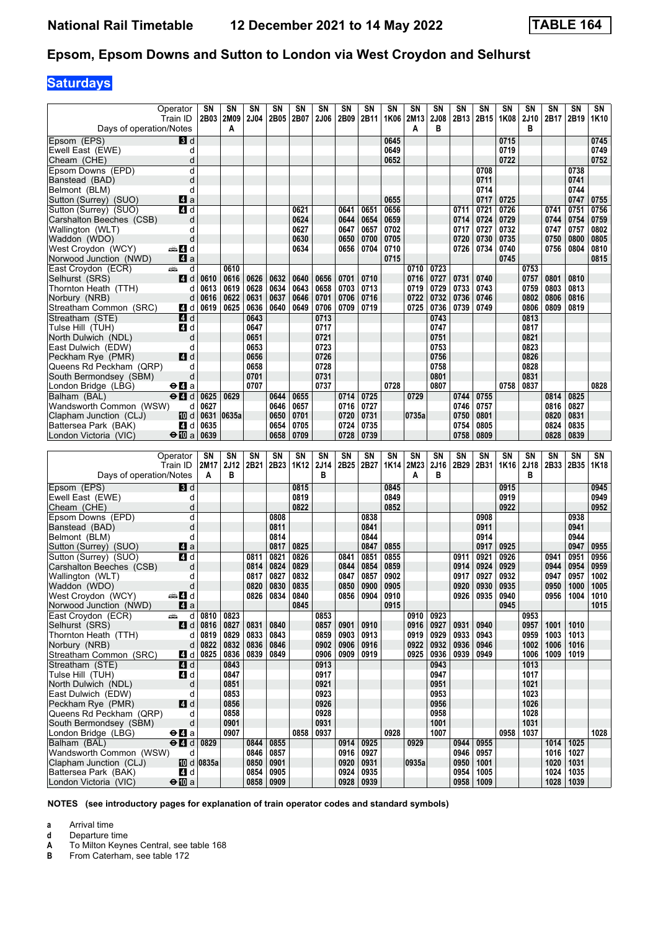### **Saturdays**

| Operator<br>Train ID                                                  | SN<br>2B03              | SΝ<br><b>2M09</b> | <b>SN</b><br><b>2J04</b> | SN<br>2B05   | SΝ<br>2B07   | SΝ<br><b>2J06</b> | SΝ<br>2B09   | SN<br>2B11   | SN<br>1K06   | SΝ<br>2M13 | SN<br><b>2J08</b> | <b>SN</b><br>2B13 | SΝ<br>2B15   | SN<br>1K08   | SΝ<br><b>2J10</b> | SΝ<br>2B17   | SN<br>2B19   | SN<br>1K10   |
|-----------------------------------------------------------------------|-------------------------|-------------------|--------------------------|--------------|--------------|-------------------|--------------|--------------|--------------|------------|-------------------|-------------------|--------------|--------------|-------------------|--------------|--------------|--------------|
| Days of operation/Notes                                               |                         | A                 |                          |              |              |                   |              |              |              | A          | в                 |                   |              |              | в                 |              |              |              |
| Epsom (EPS)<br><b>3</b> d                                             |                         |                   |                          |              |              |                   |              |              | 0645         |            |                   |                   |              | 0715         |                   |              |              | 0745         |
| Ewell East (EWE)<br>d                                                 |                         |                   |                          |              |              |                   |              |              | 0649         |            |                   |                   |              | 0719         |                   |              |              | 0749         |
| Cheam (CHE)<br>d                                                      |                         |                   |                          |              |              |                   |              |              | 0652         |            |                   |                   |              | 0722         |                   |              |              | 0752         |
| Epsom Downs (EPD)<br>d                                                |                         |                   |                          |              |              |                   |              |              |              |            |                   |                   | 0708         |              |                   |              | 0738         |              |
| Banstead (BAD)<br>d<br>Belmont (BLM)<br>d                             |                         |                   |                          |              |              |                   |              |              |              |            |                   |                   | 0711<br>0714 |              |                   |              | 0741<br>0744 |              |
| Sutton (Surrey) (SUO)<br><b>4</b> a                                   |                         |                   |                          |              |              |                   |              |              | 0655         |            |                   |                   | 0717         | 0725         |                   |              | 0747         | 0755         |
| Sutton (Surrey) (SUO)<br>4 d                                          |                         |                   |                          |              | 0621         |                   | 0641         | 0651         | 0656         |            |                   | 0711              | 0721         | 0726         |                   | 0741         | 0751         | 0756         |
| Carshalton Beeches (CSB)<br>d                                         |                         |                   |                          |              | 0624         |                   | 0644         | 0654         | 0659         |            |                   | 0714              | 0724         | 0729         |                   | 0744         | 0754         | 0759         |
| Wallington (WLT)<br>d                                                 |                         |                   |                          |              | 0627         |                   | 0647         | 0657         | 0702         |            |                   | 0717              | 0727         | 0732         |                   | 0747         | 0757         | 0802         |
| Waddon (WDO)<br>d                                                     |                         |                   |                          |              | 0630         |                   | 0650         | 0700         | 0705         |            |                   | 0720              | 0730         | 0735         |                   | 0750         | 0800         | 0805         |
| West Croydon (WCY)<br>anna Zid                                        |                         |                   |                          |              | 0634         |                   | 0656         | 0704         | 0710         |            |                   | 0726              | 0734         | 0740         |                   | 0756         | 0804         | 0810         |
| Norwood Junction (NWD)<br>4 a                                         |                         |                   |                          |              |              |                   |              |              | 0715         |            |                   |                   |              | 0745         |                   |              |              | 0815         |
| East Croydon (ECR)<br>d<br>پیش                                        |                         | 0610              |                          |              |              |                   |              |              |              | 0710       | 0723              |                   |              |              | 0753              |              |              |              |
| Selhurst (SRS)<br>14 d                                                | 0610                    | 0616              | 0626                     | 0632         | 0640         | 0656              | 0701         | 0710         |              | 0716       | 0727              | 0731              | 0740         |              | 0757              | 0801         | 0810         |              |
| Thornton Heath (TTH)<br>d                                             | 0613                    | 0619              | 0628                     | 0634         | 0643         | 0658              | 0703         | 0713         |              | 0719       | 0729              | 0733              | 0743         |              | 0759              | 0803         | 0813         |              |
| Norbury (NRB)<br>d                                                    | 0616                    | 0622              | 0631                     | 0637         | 0646         | 0701              | 0706         | 0716         |              | 0722       | 0732              | 0736              | 0746         |              | 0802              | 0806         | 0816         |              |
| Streatham Common (SRC)<br>4 d                                         | 0619                    | 0625              | 0636                     | 0640         | 0649         | 0706              | 0709         | 0719         |              | 0725       | 0736              | 0739              | 0749         |              | 0806              | 0809         | 0819         |              |
| Streatham (STE)<br><b>4</b> d                                         |                         |                   | 0643                     |              |              | 0713              |              |              |              |            | 0743              |                   |              |              | 0813              |              |              |              |
| Tulse Hill (TUH)<br>L4 d                                              |                         |                   | 0647                     |              |              | 0717              |              |              |              |            | 0747              |                   |              |              | 0817              |              |              |              |
| North Dulwich (NDL)<br>d                                              |                         |                   | 0651                     |              |              | 0721<br>0723      |              |              |              |            | 0751<br>0753      |                   |              |              | 0821              |              |              |              |
| East Dulwich (EDW)<br>d                                               |                         |                   | 0653<br>0656             |              |              | 0726              |              |              |              |            | 0756              |                   |              |              | 0823<br>0826      |              |              |              |
| Peckham Rye (PMR)<br><b>14</b> d<br>Queens Rd Peckham (QRP)<br>d      |                         |                   | 0658                     |              |              | 0728              |              |              |              |            | 0758              |                   |              |              | 0828              |              |              |              |
| South Bermondsey (SBM)<br>d                                           |                         |                   | 0701                     |              |              | 0731              |              |              |              |            | 0801              |                   |              |              | 0831              |              |              |              |
| London Bridge (LBG)<br>$\Theta$ <b><math>\Omega</math></b> a          |                         |                   | 0707                     |              |              | 0737              |              |              | 0728         |            | 0807              |                   |              | 0758         | 0837              |              |              | 0828         |
| $e$ $d$<br>Balham (BAL)                                               | 0625                    | 0629              |                          | 0644         | 0655         |                   | 0714         | 0725         |              | 0729       |                   | 0744              | 0755         |              |                   | 0814         | 0825         |              |
| Wandsworth Common (WSW)<br>d                                          | 0627                    |                   |                          | 0646         | 0657         |                   | 0716         | 0727         |              |            |                   | 0746              | 0757         |              |                   | 0816         | 0827         |              |
| Clapham Junction (CLJ)<br>10 d                                        | 0631                    | 0635a             |                          | 0650         | 0701         |                   | 0720         | 0731         |              | 0735a      |                   | 0750              | 0801         |              |                   | 0820         | 0831         |              |
| Battersea Park (BAK)<br>ZI d                                          | 0635                    |                   |                          | 0654         | 0705         |                   | 0724         | 0735         |              |            |                   | 0754              | 0805         |              |                   | 0824         | 0835         |              |
| $\Theta$ 10 a<br>London Victoria (VIC)                                | 0639                    |                   |                          | 0658         | 0709         |                   | 0728         | 0739         |              |            |                   | 0758              | 0809         |              |                   | 0828         | 0839         |              |
|                                                                       |                         |                   |                          |              |              |                   |              |              |              |            |                   |                   |              |              |                   |              |              |              |
|                                                                       |                         |                   |                          |              |              |                   |              |              |              |            |                   |                   |              |              |                   |              |              |              |
| Operator                                                              | SN                      | SΝ                | SN                       | SΝ           | SN           | SN                | SN           | SN           | SN           | SΝ         | SN                | SN                | SN           | SN           | SN                | SN           | SΝ           | SN           |
| Train ID                                                              | 2M17                    | <b>2J12</b>       | 2B21                     | 2B23         | 1K12         | <b>2J14</b>       | 2B25         | 2B27         | 1K14         | 2M23       | <b>2J16</b>       | 2B29              | 2B31         | 1K16         | 2J18              | 2B33         | 2B35         | 1K18         |
| Days of operation/Notes                                               | А                       | в                 |                          |              |              | В                 |              |              |              | A          | В                 |                   |              |              | в                 |              |              |              |
| Epsom (EPS)<br><b>3</b> d                                             |                         |                   |                          |              | 0815         |                   |              |              | 0845         |            |                   |                   |              | 0915         |                   |              |              | 0945         |
| Ewell East (EWE)<br>d                                                 |                         |                   |                          |              | 0819         |                   |              |              | 0849         |            |                   |                   |              | 0919         |                   |              |              | 0949         |
| Cheam (CHE)<br>d                                                      |                         |                   |                          |              | 0822         |                   |              |              | 0852         |            |                   |                   |              | 0922         |                   |              |              | 0952         |
| Epsom Downs (EPD)<br>d                                                |                         |                   |                          | 0808         |              |                   |              | 0838         |              |            |                   |                   | 0908         |              |                   |              | 0938         |              |
| Banstead (BAD)<br>d                                                   |                         |                   |                          | 0811         |              |                   |              | 0841         |              |            |                   |                   | 0911         |              |                   |              | 0941         |              |
| Belmont (BLM)<br>d                                                    |                         |                   |                          | 0814         |              |                   |              | 0844         |              |            |                   |                   | 0914         |              |                   |              | 0944         |              |
| Sutton (Surrey) (SUO)<br>M a                                          |                         |                   |                          | 0817         | 0825         |                   |              | 0847         | 0855         |            |                   |                   | 0917         | 0925         |                   |              | 0947         | 0955         |
| Sutton (Surrey) (SUO)<br>4 d                                          |                         |                   | 0811                     | 0821         | 0826         |                   | 0841         | 0851         | 0855         |            |                   | 0911              | 0921         | 0926         |                   | 0941         | 0951         | 0956         |
| Carshalton Beeches (CSB)<br>d<br>Wallington (WLT)<br>d                |                         |                   | 0814<br>0817             | 0824<br>0827 | 0829<br>0832 |                   | 0844<br>0847 | 0854<br>0857 | 0859<br>0902 |            |                   | 0914<br>0917      | 0924<br>0927 | 0929<br>0932 |                   | 0944<br>0947 | 0954<br>0957 | 0959<br>1002 |
| Waddon (WDO)<br>d                                                     |                         |                   | 0820                     | 0830         | 0835         |                   | 0850         | 0900         | 0905         |            |                   | 0920              | 0930         | 0935         |                   | 0950         | 1000         | 1005         |
| West Croydon (WCY)<br>den and d                                       |                         |                   | 0826                     | 0834         | 0840         |                   | 0856         | 0904         | 0910         |            |                   | 0926              | 0935         | 0940         |                   | 0956         | 1004         | 1010         |
| Norwood Junction (NWD)<br>l4 a                                        |                         |                   |                          |              | 0845         |                   |              |              | 0915         |            |                   |                   |              | 0945         |                   |              |              | 1015         |
| East Croydon (ECR)<br>æ<br>d                                          | 0810                    | 0823              |                          |              |              | 0853              |              |              |              | 0910       | 0923              |                   |              |              | 0953              |              |              |              |
| Selhurst (SRS)<br>4 d                                                 | 0816                    | 0827              | 0831                     | 0840         |              | 0857              | 0901         | 0910         |              | 0916       | 0927              | 0931              | 0940         |              | 0957              | 1001         | 1010         |              |
| Thornton Heath (TTH)<br>d                                             | 0819                    | 0829              | 0833                     | 0843         |              | 0859              | 0903         | 0913         |              | 0919       | 0929              | 0933              | 0943         |              | 0959              | 1003         | 1013         |              |
| Norbury (NRB)<br>d                                                    | 0822                    | 0832              | 0836                     | 0846         |              | 0902              | 0906         | 0916         |              | 0922       | 0932              | 0936              | 0946         |              | 1002              | 1006         | 1016         |              |
| Streatham Common (SRC)                                                | $\blacksquare$ d   0825 | 0836              | 0839                     | 0849         |              | 0906              | 0909         | 0919         |              | 0925       | 0936              | 0939              | 0949         |              | 1006              | 1009         | 1019         |              |
| Streatham (STE)<br><b>4d</b>                                          |                         | 0843              |                          |              |              | 0913              |              |              |              |            | 0943              |                   |              |              | 1013              |              |              |              |
| Tulse Hill (TUH)<br>4 d                                               |                         | 0847              |                          |              |              | 0917              |              |              |              |            | 0947              |                   |              |              | 1017              |              |              |              |
| North Dulwich (NDL)<br>d                                              |                         | 0851              |                          |              |              | 0921              |              |              |              |            | 0951              |                   |              |              | 1021              |              |              |              |
| East Dulwich (EDW)<br>d<br>Peckham Rye (PMR)                          |                         | 0853<br>0856      |                          |              |              | 0923<br>0926      |              |              |              |            | 0953<br>0956      |                   |              |              | 1023<br>1026      |              |              |              |
| 4d<br>Queens Rd Peckham (QRP)<br>d                                    |                         | 0858              |                          |              |              | 0928              |              |              |              |            | 0958              |                   |              |              | 1028              |              |              |              |
| South Bermondsey (SBM)<br>d                                           |                         | 0901              |                          |              |              | 0931              |              |              |              |            | 1001              |                   |              |              | 1031              |              |              |              |
| London Bridge (LBG)<br>$\Theta$ <b><math>\Omega</math></b> a          |                         | 0907              |                          |              | 0858         | 0937              |              |              | 0928         |            | 1007              |                   |              | 0958         | 1037              |              |              | 1028         |
| Balham (BAL)<br>$\Theta$ $\blacksquare$ d                             | 0829                    |                   | 0844                     | 0855         |              |                   | 0914         | 0925         |              | 0929       |                   | 0944              | 0955         |              |                   | 1014         | 1025         |              |
| Wandsworth Common (WSW)<br>d                                          |                         |                   | 0846                     | 0857         |              |                   | 0916         | 0927         |              |            |                   | 0946              | 0957         |              |                   | 1016         | 1027         |              |
| Clapham Junction (CLJ)                                                | $\mathbb{I}$ d   0835a  |                   | 0850                     | 0901         |              |                   | 0920         | 0931         |              | 0935a      |                   | 0950              | 1001         |              |                   | 1020         | 1031         |              |
| Battersea Park (BAK)<br>4 d<br>$\bigoplus a$<br>London Victoria (VIC) |                         |                   | 0854<br>0858             | 0905<br>0909 |              |                   | 0924<br>0928 | 0935<br>0939 |              |            |                   | 0954<br>0958      | 1005<br>1009 |              |                   | 1024<br>1028 | 1035<br>1039 |              |

**NOTES (see introductory pages for explanation of train operator codes and standard symbols)**

**a** Arrival time<br>**d** Departure t

**d** Departure time<br> **A** To Milton Keyne<br> **B** From Caterham To Milton Keynes Central, see table 168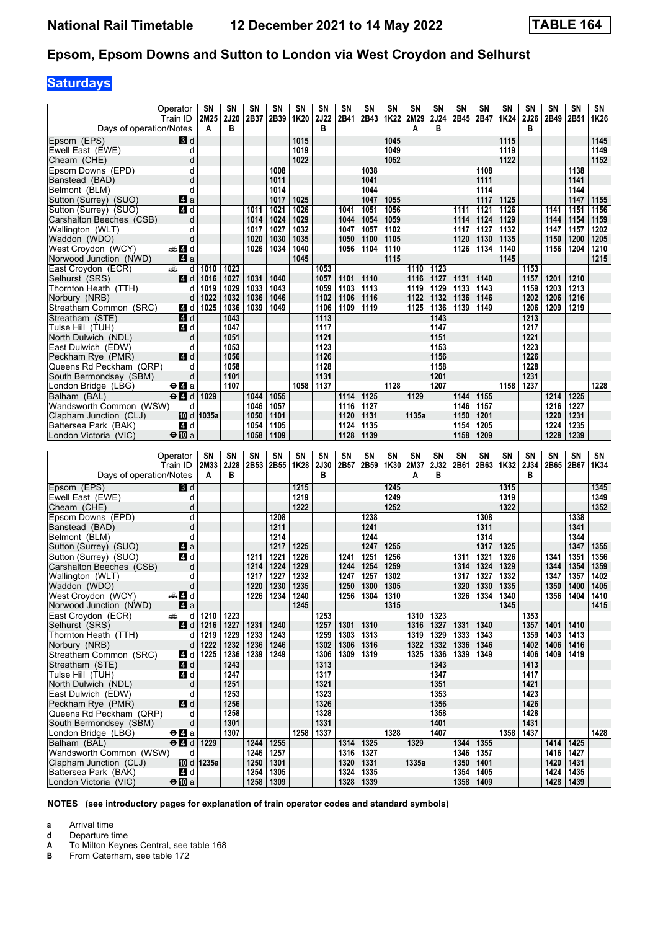### **Saturdays**

| Operator<br>Train ID<br>Days of operation/Notes                         | SΝ<br>2M25<br>А         | SΝ<br><b>2J20</b><br>в | SN<br>2B37   | SN<br>2B39   | SΝ<br>1K20   | SΝ<br>2J22<br>в | SΝ<br>2B41           | SΝ<br>2B43           | SN<br>1K22   | SN<br>2M29<br>A | SN<br><b>2J24</b><br>В | <b>SN</b><br>2B45 | SΝ<br>2B47   | SN<br>1K24   | SΝ<br><b>2J26</b><br>в | SΝ<br>2B49   | SΝ<br>2B51   | SN<br>1K26   |
|-------------------------------------------------------------------------|-------------------------|------------------------|--------------|--------------|--------------|-----------------|----------------------|----------------------|--------------|-----------------|------------------------|-------------------|--------------|--------------|------------------------|--------------|--------------|--------------|
| Epsom (EPS)<br><b>3</b> d                                               |                         |                        |              |              | 1015         |                 |                      |                      | 1045         |                 |                        |                   |              | 1115         |                        |              |              | 1145         |
| Ewell East (EWE)<br>d<br>Cheam (CHE)<br>d                               |                         |                        |              |              | 1019<br>1022 |                 |                      |                      | 1049<br>1052 |                 |                        |                   |              | 1119<br>1122 |                        |              |              | 1149<br>1152 |
| Epsom Downs (EPD)<br>d                                                  |                         |                        |              | 1008         |              |                 |                      | 1038                 |              |                 |                        |                   | 1108         |              |                        |              | 1138         |              |
| Banstead (BAD)<br>d                                                     |                         |                        |              | 1011         |              |                 |                      | 1041                 |              |                 |                        |                   | 1111         |              |                        |              | 1141         |              |
| Belmont (BLM)<br>d                                                      |                         |                        |              | 1014         |              |                 |                      | 1044                 |              |                 |                        |                   | 1114         |              |                        |              | 1144         |              |
| Sutton (Surrey) (SUO)<br><b>4</b> a                                     |                         |                        |              | 1017         | 1025         |                 |                      | 1047                 | 1055         |                 |                        |                   | 1117         | 1125         |                        |              | 1147         | 1155         |
| Sutton (Surrey) (SUO)<br>4 d                                            |                         |                        | 1011         | 1021         | 1026         |                 | 1041                 | 1051                 | 1056         |                 |                        | 1111              | 1121         | 1126         |                        | 1141         | 1151         | 1156         |
| Carshalton Beeches (CSB)<br>d                                           |                         |                        | 1014<br>1017 | 1024         | 1029<br>1032 |                 | 1044<br>1047         | 1054<br>1057         | 1059<br>1102 |                 |                        | 1114<br>1117      | 1124<br>1127 | 1129<br>1132 |                        | 1144<br>1147 | 1154<br>1157 | 1159<br>1202 |
| Wallington (WLT)<br>d<br>Waddon (WDO)<br>d                              |                         |                        | 1020         | 1027<br>1030 | 1035         |                 | 1050                 | 1100                 | 1105         |                 |                        | 1120              | 1130         | 1135         |                        | 1150         | 1200         | 1205         |
| West Croydon (WCY)<br>d ا£                                              |                         |                        | 1026         | 1034         | 1040         |                 | 1056                 | 1104                 | 1110         |                 |                        | 1126              | 1134         | 1140         |                        | 1156         | 1204         | 1210         |
| Norwood Junction (NWD)<br><b>4</b> a                                    |                         |                        |              |              | 1045         |                 |                      |                      | 1115         |                 |                        |                   |              | 1145         |                        |              |              | 1215         |
| East Croydon (ECR)<br>d<br>پیش                                          | 1010                    | 1023                   |              |              |              | 1053            |                      |                      |              | 1110            | 1123                   |                   |              |              | 1153                   |              |              |              |
| Selhurst (SRS)<br><b>4d</b>                                             | 1016                    | 1027                   | 1031         | 1040         |              | 1057            | 1101                 | 1110                 |              | 1116            | 1127                   | 1131              | 1140         |              | 1157                   | 1201         | 1210         |              |
| Thornton Heath (TTH)<br>d<br>Norbury (NRB)<br>d                         | 1019<br>1022            | 1029<br>1032           | 1033<br>1036 | 1043<br>1046 |              | 1059<br>1102    | 1103<br>1106         | 1113<br>1116         |              | 1119<br>1122    | 1129<br>1132           | 1133<br>1136      | 1143<br>1146 |              | 1159<br>1202           | 1203<br>1206 | 1213<br>1216 |              |
| Streatham Common (SRC)<br>4 d                                           | 1025                    | 1036                   | 1039         | 1049         |              | 1106            | 1109                 | 1119                 |              | 1125            | 1136                   | 1139              | 1149         |              | 1206                   | 1209         | 1219         |              |
| Streatham (STE)<br>L4 d                                                 |                         | 1043                   |              |              |              | 1113            |                      |                      |              |                 | 1143                   |                   |              |              | 1213                   |              |              |              |
| Tulse Hill (TUH)<br><b>4</b> d                                          |                         | 1047                   |              |              |              | 1117            |                      |                      |              |                 | 1147                   |                   |              |              | 1217                   |              |              |              |
| North Dulwich (NDL)<br>d                                                |                         | 1051                   |              |              |              | 1121            |                      |                      |              |                 | 1151                   |                   |              |              | 1221                   |              |              |              |
| East Dulwich (EDW)<br>d                                                 |                         | 1053                   |              |              |              | 1123            |                      |                      |              |                 | 1153                   |                   |              |              | 1223                   |              |              |              |
| Peckham Rye (PMR)<br><b>4</b> d<br>Queens Rd Peckham (QRP)<br>d         |                         | 1056<br>1058           |              |              |              | 1126<br>1128    |                      |                      |              |                 | 1156<br>1158           |                   |              |              | 1226<br>1228           |              |              |              |
| South Bermondsey (SBM)<br>d                                             |                         | 1101                   |              |              |              | 1131            |                      |                      |              |                 | 1201                   |                   |              |              | 1231                   |              |              |              |
| London Bridge (LBG)<br>$\Theta$ <b><math>\Omega</math></b> a            |                         | 1107                   |              |              | 1058         | 1137            |                      |                      | 1128         |                 | 1207                   |                   |              | 1158         | 1237                   |              |              | 1228         |
| Balham (BAL)<br>$\Theta$ $\blacksquare$ d                               | 1029                    |                        | 1044         | 1055         |              |                 | 1114                 | 1125                 |              | 1129            |                        | 1144              | 1155         |              |                        | 1214         | 1225         |              |
| Wandsworth Common (WSW)<br>d                                            |                         |                        | 1046         | 1057         |              |                 | 1116                 | 1127                 |              |                 |                        | 1146              | 1157         |              |                        | 1216         | 1227         |              |
| Clapham Junction (CLJ)                                                  | 10 d 1035a              |                        | 1050         | 1101         |              |                 | 1120                 | 1131                 |              | 1135a           |                        | 1150              | 1201         |              |                        | 1220         | 1231         |              |
| Battersea Park (BAK)<br><b>4</b> d                                      |                         |                        | 1054<br>1058 | 1105         |              |                 | 1124                 | 1135                 |              |                 |                        | 1154<br>1158      | 1205         |              |                        | 1224<br>1228 | 1235<br>1239 |              |
| $\bigoplus$ a<br>London Victoria (VIC)                                  |                         |                        |              | 1109         |              |                 | 1128                 | 1139                 |              |                 |                        |                   | 1209         |              |                        |              |              |              |
|                                                                         |                         |                        |              |              |              |                 |                      |                      |              |                 |                        |                   |              |              |                        |              |              |              |
|                                                                         | SN                      | SN                     | SN           | SΝ           | SΝ           | SN              | SN                   | SN                   | SN           | SN              | SN                     | <b>SN</b>         | SN           | SN           | SN                     | SN           | SΝ           | SN           |
| Operator<br>Train ID                                                    | 2M33                    | 2J28                   | 2B53         | 2B55         | 1K28         | <b>2J30</b>     | 2B57                 | 2B59                 | 1K30         | 2M37            | <b>2J32</b>            | 2B61              | 2B63         | 1K32         | 2J34                   | 2B65         | 2B67         | 1K34         |
| Days of operation/Notes                                                 | A                       | в                      |              |              |              | B               |                      |                      |              | A               | в                      |                   |              |              | в                      |              |              |              |
| Epsom (EPS)<br>3 d                                                      |                         |                        |              |              | 1215         |                 |                      |                      | 1245         |                 |                        |                   |              | 1315         |                        |              |              | 1345         |
| Ewell East (EWE)<br>d                                                   |                         |                        |              |              | 1219         |                 |                      |                      | 1249         |                 |                        |                   |              | 1319         |                        |              |              | 1349         |
| Cheam (CHE)<br>d                                                        |                         |                        |              |              | 1222         |                 |                      |                      | 1252         |                 |                        |                   |              | 1322         |                        |              |              | 1352         |
| Epsom Downs (EPD)<br>d                                                  |                         |                        |              | 1208         |              |                 |                      | 1238                 |              |                 |                        |                   | 1308         |              |                        |              | 1338         |              |
| Banstead (BAD)<br>d<br>Belmont (BLM)<br>d                               |                         |                        |              | 1211<br>1214 |              |                 |                      | 1241<br>1244         |              |                 |                        |                   | 1311<br>1314 |              |                        |              | 1341<br>1344 |              |
| Sutton (Surrey) (SUO)<br>ZI a                                           |                         |                        |              | 1217         | 1225         |                 |                      | 1247                 | 1255         |                 |                        |                   | 1317         | 1325         |                        |              | 1347         | 1355         |
| Sutton (Surrey) (SUO)<br><b>4</b> d                                     |                         |                        | 1211         | 1221         | 1226         |                 | 1241                 | 1251                 | 1256         |                 |                        | 1311              | 1321         | 1326         |                        | 1341         | 1351         | 1356         |
| Carshalton Beeches (CSB)<br>d                                           |                         |                        | 1214         | 1224         | 1229         |                 | 1244                 | 1254                 | 1259         |                 |                        | 1314              | 1324         | 1329         |                        | 1344         | 1354         | 1359         |
| Wallington (WLT)<br>d                                                   |                         |                        | 1217         | 1227         | 1232         |                 | 1247                 | 1257                 | 1302         |                 |                        | 1317              | 1327         | 1332         |                        | 1347         | 1357         | 1402         |
| Waddon (WDO)<br>d                                                       |                         |                        | 1220         | 1230         | 1235         |                 | 1250                 | 1300                 | 1305         |                 |                        | 1320              | 1330         | 1335         |                        | 1350         | 1400         | 1405         |
| West Croydon (WCY)<br>den and d<br>Norwood Junction (NWD)<br><b>Z</b> a |                         |                        | 1226         | 1234         | 1240<br>1245 |                 | 1256                 | 1304                 | 1310<br>1315 |                 |                        | 1326              | 1334         | 1340<br>1345 |                        | 1356         | 1404         | 1410<br>1415 |
| East Croydon (ECR)<br>یشته<br>d                                         | 1210                    | 1223                   |              |              |              | 1253            |                      |                      |              | 1310            | 1323                   |                   |              |              | 1353                   |              |              |              |
| Selhurst (SRS)<br><b>4</b> d                                            | 1216                    | 1227                   | 1231         | 1240         |              | 1257            | 1301                 | 1310                 |              | 1316            | 1327                   | 1331              | 1340         |              | 1357                   | 1401         | 1410         |              |
| Thornton Heath (TTH)<br>d                                               | 1219                    | 1229                   | 1233         | 1243         |              | 1259            | 1303                 | 1313                 |              | 1319            | 1329                   | 1333              | 1343         |              | 1359                   | 1403         | 1413         |              |
| Norbury (NRB)<br>d                                                      | 1222                    | 1232                   | 1236         | 1246         |              | 1302            | 1306                 | 1316                 |              | 1322            | 1332                   | 1336              | 1346         |              | 1402                   | 1406         | 1416         |              |
| Streatham Common (SRC)<br>4 d                                           | 1225                    | 1236                   | 1239         | 1249         |              | 1306            | 1309                 | 1319                 |              | 1325            | 1336                   | 1339              | 1349         |              | 1406                   | 1409         | 1419         |              |
| Streatham (STE)<br>4d                                                   |                         | 1243                   |              |              |              | 1313            |                      |                      |              |                 | 1343                   |                   |              |              | 1413                   |              |              |              |
| Tulse Hill (TUH)<br>4 d<br>North Dulwich (NDL)<br>d                     |                         | 1247<br>1251           |              |              |              | 1317<br>1321    |                      |                      |              |                 | 1347<br>1351           |                   |              |              | 1417<br>1421           |              |              |              |
| East Dulwich (EDW)<br>d                                                 |                         | 1253                   |              |              |              | 1323            |                      |                      |              |                 | 1353                   |                   |              |              | 1423                   |              |              |              |
| Peckham Rye (PMR)<br>4d                                                 |                         | 1256                   |              |              |              | 1326            |                      |                      |              |                 | 1356                   |                   |              |              | 1426                   |              |              |              |
| Queens Rd Peckham (QRP)<br>d                                            |                         | 1258                   |              |              |              | 1328            |                      |                      |              |                 | 1358                   |                   |              |              | 1428                   |              |              |              |
| South Bermondsey (SBM)<br>d                                             |                         | 1301                   |              |              |              | 1331            |                      |                      |              |                 | 1401                   |                   |              |              | 1431                   |              |              |              |
| London Bridge (LBG)<br>$\Theta$ <b><math>\Omega</math></b> a            |                         | 1307                   |              |              | 1258         | 1337            |                      |                      | 1328         |                 | 1407                   |                   |              | 1358         | 1437                   |              |              | 1428         |
| Balham (BAL)<br>$\Theta$ <sup><math>d</math></sup>                      | 1229                    |                        | 1244         | 1255         |              |                 | 1314                 | 1325                 |              | 1329            |                        | 1344              | 1355         |              |                        | 1414         | 1425         |              |
| Wandsworth Common (WSW)<br>d<br>Clapham Junction (CLJ)                  |                         |                        | 1246<br>1250 | 1257<br>1301 |              |                 | 1316                 | 1327                 |              | 1335a           |                        | 1346              | 1357<br>1401 |              |                        | 1416<br>1420 | 1427<br>1431 |              |
| Battersea Park (BAK)<br>4 d<br>$\bigoplus a$                            | $\overline{10}$ d 1235a |                        | 1254         | 1305<br>1309 |              |                 | 1320<br>1324<br>1328 | 1331<br>1335<br>1339 |              |                 |                        | 1350<br>1354      | 1405<br>1409 |              |                        | 1424         | 1435<br>1439 |              |

**NOTES (see introductory pages for explanation of train operator codes and standard symbols)**

**a** Arrival time<br>**d** Departure t

**d** Departure time<br> **A** To Milton Keyne<br> **B** From Caterham To Milton Keynes Central, see table 168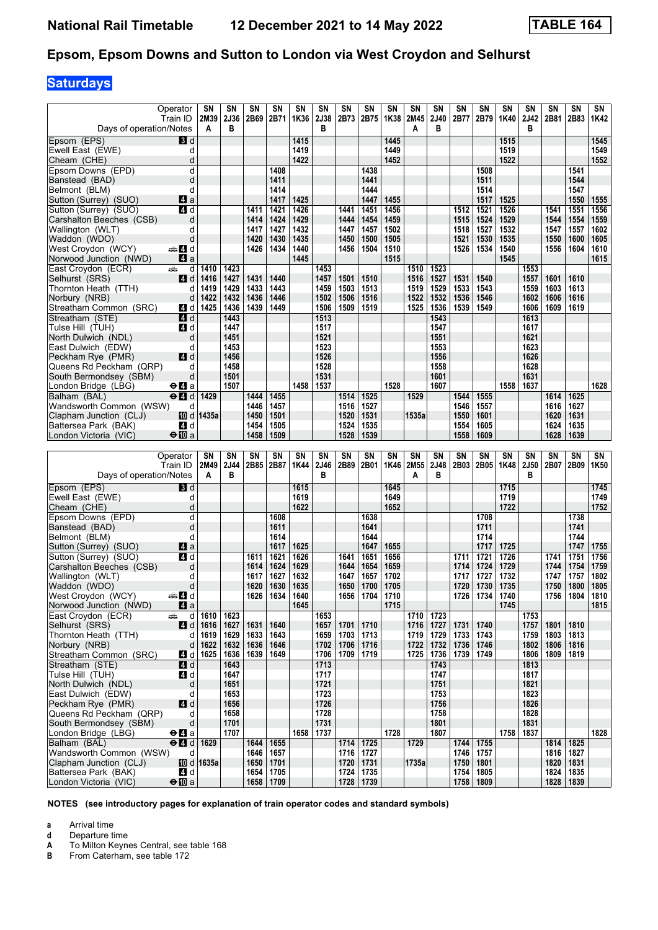### **Saturdays**

| Operator<br>Train ID<br>Days of operation/Notes                         | SΝ<br>2M39<br>А         | SΝ<br>2J36<br>в | SN<br>2B69   | SN<br>2B71   | SΝ<br>1K36   | SΝ<br>2J38<br>в | SΝ<br>2B73   | SΝ<br>2B75   | SN<br>1K38   | SN<br>2M45<br>A | SN<br><b>2J40</b><br>в | <b>SN</b><br>2B77 | SΝ<br>2B79   | SN<br>1K40   | SΝ<br><b>2J42</b><br>в | SΝ<br>2B81   | SΝ<br>2B83   | SN<br>1K42   |
|-------------------------------------------------------------------------|-------------------------|-----------------|--------------|--------------|--------------|-----------------|--------------|--------------|--------------|-----------------|------------------------|-------------------|--------------|--------------|------------------------|--------------|--------------|--------------|
| Epsom (EPS)<br><b>3</b> d                                               |                         |                 |              |              | 1415         |                 |              |              | 1445         |                 |                        |                   |              | 1515         |                        |              |              | 1545         |
| Ewell East (EWE)<br>d                                                   |                         |                 |              |              | 1419         |                 |              |              | 1449         |                 |                        |                   |              | 1519         |                        |              |              | 1549         |
| Cheam (CHE)<br>d<br>Epsom Downs (EPD)<br>d                              |                         |                 |              | 1408         | 1422         |                 |              | 1438         | 1452         |                 |                        |                   | 1508         | 1522         |                        |              | 1541         | 1552         |
| Banstead (BAD)<br>d                                                     |                         |                 |              | 1411         |              |                 |              | 1441         |              |                 |                        |                   | 1511         |              |                        |              | 1544         |              |
| Belmont (BLM)<br>d                                                      |                         |                 |              | 1414         |              |                 |              | 1444         |              |                 |                        |                   | 1514         |              |                        |              | 1547         |              |
| Sutton (Surrey) (SUO)<br><b>4</b> a                                     |                         |                 |              | 1417         | 1425         |                 |              | 1447         | 1455         |                 |                        |                   | 1517         | 1525         |                        |              | 1550         | 1555         |
| Sutton (Surrey) (SUO)<br>4 d                                            |                         |                 | 1411         | 1421         | 1426         |                 | 1441         | 1451         | 1456         |                 |                        | 1512              | 1521         | 1526         |                        | 1541         | 1551         | 1556         |
| Carshalton Beeches (CSB)<br>d                                           |                         |                 | 1414         | 1424         | 1429         |                 | 1444         | 1454         | 1459         |                 |                        | 1515              | 1524         | 1529         |                        | 1544         | 1554         | 1559         |
| Wallington (WLT)<br>d                                                   |                         |                 | 1417         | 1427         | 1432         |                 | 1447         | 1457         | 1502         |                 |                        | 1518              | 1527         | 1532         |                        | 1547         | 1557         | 1602         |
| Waddon (WDO)<br>d                                                       |                         |                 | 1420         | 1430         | 1435         |                 | 1450         | 1500         | 1505         |                 |                        | 1521              | 1530         | 1535         |                        | 1550         | 1600         | 1605         |
| West Croydon (WCY)<br>d ا£<br>Norwood Junction (NWD)<br><b>4</b> a      |                         |                 | 1426         | 1434         | 1440<br>1445 |                 | 1456         | 1504         | 1510<br>1515 |                 |                        | 1526              | 1534         | 1540<br>1545 |                        | 1556         | 1604         | 1610<br>1615 |
| East Croydon (ECR)<br>d<br>پیش                                          | 1410                    | 1423            |              |              |              | 1453            |              |              |              | 1510            | 1523                   |                   |              |              | 1553                   |              |              |              |
| Selhurst (SRS)<br><b>4</b> d                                            | 1416                    | 1427            | 1431         | 1440         |              | 1457            | 1501         | 1510         |              | 1516            | 1527                   | 1531              | 1540         |              | 1557                   | 1601         | 1610         |              |
| Thornton Heath (TTH)<br>d                                               | 1419                    | 1429            | 1433         | 1443         |              | 1459            | 1503         | 1513         |              | 1519            | 1529                   | 1533              | 1543         |              | 1559                   | 1603         | 1613         |              |
| Norbury (NRB)<br>d                                                      | 1422                    | 1432            | 1436         | 1446         |              | 1502            | 1506         | 1516         |              | 1522            | 1532                   | 1536              | 1546         |              | 1602                   | 1606         | 1616         |              |
| Streatham Common (SRC)<br><b>4</b> d                                    | 1425                    | 1436            | 1439         | 1449         |              | 1506            | 1509         | 1519         |              | 1525            | 1536                   | 1539              | 1549         |              | 1606                   | 1609         | 1619         |              |
| Streatham (STE)<br><b>4</b> d                                           |                         | 1443            |              |              |              | 1513            |              |              |              |                 | 1543                   |                   |              |              | 1613                   |              |              |              |
| Tulse Hill (TUH)<br><b>ZI</b> d<br>North Dulwich (NDL)<br>d             |                         | 1447<br>1451    |              |              |              | 1517<br>1521    |              |              |              |                 | 1547<br>1551           |                   |              |              | 1617<br>1621           |              |              |              |
| East Dulwich (EDW)<br>d                                                 |                         | 1453            |              |              |              | 1523            |              |              |              |                 | 1553                   |                   |              |              | 1623                   |              |              |              |
| Peckham Rye (PMR)<br><b>4</b> d                                         |                         | 1456            |              |              |              | 1526            |              |              |              |                 | 1556                   |                   |              |              | 1626                   |              |              |              |
| Queens Rd Peckham (QRP)<br>d                                            |                         | 1458            |              |              |              | 1528            |              |              |              |                 | 1558                   |                   |              |              | 1628                   |              |              |              |
| South Bermondsey (SBM)<br>d                                             |                         | 1501            |              |              |              | 1531            |              |              |              |                 | 1601                   |                   |              |              | 1631                   |              |              |              |
| London Bridge (LBG)<br>$\Theta$ <b><math>\Omega</math></b> a            |                         | 1507            |              |              | 1458         | 1537            |              |              | 1528         |                 | 1607                   |                   |              | 1558         | 1637                   |              |              | 1628         |
| Balham (BAL)<br>$\Theta$ $\blacksquare$ d                               | 1429                    |                 | 1444         | 1455         |              |                 | 1514         | 1525         |              | 1529            |                        | 1544              | 1555         |              |                        | 1614         | 1625         |              |
| Wandsworth Common (WSW)<br>d                                            |                         |                 | 1446<br>1450 | 1457<br>1501 |              |                 | 1516<br>1520 | 1527<br>1531 |              |                 |                        | 1546<br>1550      | 1557<br>1601 |              |                        | 1616         | 1627<br>1631 |              |
| Clapham Junction (CLJ)<br>Battersea Park (BAK)<br><b>4</b> d            | 10 d 1435a              |                 | 1454         | 1505         |              |                 | 1524         | 1535         |              | 1535a           |                        | 1554              | 1605         |              |                        | 1620<br>1624 | 1635         |              |
| $\bigoplus$ a<br>London Victoria (VIC)                                  |                         |                 | 1458         | 1509         |              |                 | 1528         | 1539         |              |                 |                        | 1558              | 1609         |              |                        | 1628         | 1639         |              |
|                                                                         |                         |                 |              |              |              |                 |              |              |              |                 |                        |                   |              |              |                        |              |              |              |
|                                                                         |                         |                 |              |              |              |                 |              |              |              |                 |                        |                   |              |              |                        |              |              |              |
| Operator                                                                | SN                      | SN              | SN           | SΝ           | SΝ           | SN              | SN           | SN           | SN           | SN              | SN                     | <b>SN</b>         | SN           | SN           | SN                     | SN           | SΝ           | SN           |
| Train ID                                                                | 2M49                    | <b>2J44</b>     | 2B85         | 2B87         | 1K44         | <b>2J46</b>     | 2B89         | 2B01         | 1K46         | 2M55            | 2J48                   | 2B03              | 2B05         | 1K48         | 2J50                   | 2B07         | 2B09         | 1K50         |
| Days of operation/Notes                                                 | A                       | в               |              |              |              | в               |              |              |              | A               | в                      |                   |              |              | в                      |              |              |              |
| Epsom (EPS)<br>3 d                                                      |                         |                 |              |              | 1615         |                 |              |              | 1645         |                 |                        |                   |              | 1715         |                        |              |              | 1745         |
| Ewell East (EWE)<br>d                                                   |                         |                 |              |              | 1619         |                 |              |              | 1649         |                 |                        |                   |              | 1719         |                        |              |              | 1749         |
| Cheam (CHE)<br>d                                                        |                         |                 |              |              | 1622         |                 |              |              | 1652         |                 |                        |                   |              | 1722         |                        |              |              | 1752         |
| Epsom Downs (EPD)<br>d<br>Banstead (BAD)<br>d                           |                         |                 |              | 1608         |              |                 |              | 1638<br>1641 |              |                 |                        |                   | 1708         |              |                        |              | 1738         |              |
| Belmont (BLM)<br>d                                                      |                         |                 |              | 1611<br>1614 |              |                 |              | 1644         |              |                 |                        |                   | 1711<br>1714 |              |                        |              | 1741<br>1744 |              |
| Sutton (Surrey) (SUO)<br>ZI a                                           |                         |                 |              | 1617         | 1625         |                 |              | 1647         | 1655         |                 |                        |                   | 1717         | 1725         |                        |              | 1747         | 1755         |
| Sutton (Surrey) (SUO)<br><b>4</b> d                                     |                         |                 | 1611         | 1621         | 1626         |                 | 1641         | 1651         | 1656         |                 |                        | 1711              | 1721         | 1726         |                        | 1741         | 1751         | 1756         |
| Carshalton Beeches (CSB)<br>d                                           |                         |                 | 1614         | 1624         | 1629         |                 | 1644         | 1654         | 1659         |                 |                        | 1714              | 1724         | 1729         |                        | 1744         | 1754         | 1759         |
| Wallington (WLT)<br>d                                                   |                         |                 | 1617         | 1627         | 1632         |                 | 1647         | 1657         | 1702         |                 |                        | 1717              | 1727         | 1732         |                        | 1747         | 1757         | 1802         |
| Waddon (WDO)<br>d                                                       |                         |                 | 1620         | 1630         | 1635         |                 | 1650         | 1700         | 1705         |                 |                        | 1720              | 1730         | 1735         |                        | 1750         | 1800         | 1805         |
| West Croydon (WCY)<br>den and d                                         |                         |                 | 1626         | 1634         | 1640         |                 | 1656         | 1704         | 1710         |                 |                        | 1726              | 1734         | 1740         |                        | 1756         | 1804         | 1810         |
| Norwood Junction (NWD)<br><b>Z</b> a<br>East Croydon (ECR)<br>یشته<br>d | 1610                    | 1623            |              |              | 1645         | 1653            |              |              | 1715         | 1710            | 1723                   |                   |              | 1745         | 1753                   |              |              | 1815         |
| Selhurst (SRS)<br>4 d                                                   | 1616                    | 1627            | 1631         | 1640         |              | 1657            | 1701         | 1710         |              | 1716            | 1727                   | 1731              | 1740         |              | 1757                   | 1801         | 1810         |              |
| Thornton Heath (TTH)<br>d                                               | 1619                    | 1629            | 1633         | 1643         |              | 1659            | 1703         | 1713         |              | 1719            | 1729                   | 1733              | 1743         |              | 1759                   | 1803         | 1813         |              |
| Norbury (NRB)<br>d                                                      | 1622                    | 1632            | 1636         | 1646         |              | 1702            | 1706         | 1716         |              | 1722            | 1732                   | 1736              | 1746         |              | 1802                   | 1806         | 1816         |              |
| Streatham Common (SRC)<br>4 d                                           | 1625                    | 1636            | 1639         | 1649         |              | 1706            | 1709         | 1719         |              | 1725            | 1736                   | 1739              | 1749         |              | 1806                   | 1809         | 1819         |              |
| Streatham (STE)<br>4d                                                   |                         | 1643            |              |              |              | 1713            |              |              |              |                 | 1743                   |                   |              |              | 1813                   |              |              |              |
| Tulse Hill (TUH)<br>4 d<br>North Dulwich (NDL)                          |                         | 1647            |              |              |              | 1717            |              |              |              |                 | 1747<br>1751           |                   |              |              | 1817<br>1821           |              |              |              |
| d<br>East Dulwich (EDW)<br>d                                            |                         | 1651<br>1653    |              |              |              | 1721<br>1723    |              |              |              |                 | 1753                   |                   |              |              | 1823                   |              |              |              |
| Peckham Rye (PMR)<br>4d                                                 |                         | 1656            |              |              |              | 1726            |              |              |              |                 | 1756                   |                   |              |              | 1826                   |              |              |              |
| Queens Rd Peckham (QRP)<br>d                                            |                         | 1658            |              |              |              | 1728            |              |              |              |                 | 1758                   |                   |              |              | 1828                   |              |              |              |
| South Bermondsey (SBM)<br>d                                             |                         | 1701            |              |              |              | 1731            |              |              |              |                 | 1801                   |                   |              |              | 1831                   |              |              |              |
| London Bridge (LBG)<br>$\Theta$ <b><math>\blacksquare</math></b> a      |                         | 1707            |              |              | 1658         | 1737            |              |              | 1728         |                 | 1807                   |                   |              | 1758         | 1837                   |              |              | 1828         |
| Balham (BAL)<br>$\Theta$ $\blacksquare$ d                               | 1629                    |                 | 1644         | 1655         |              |                 |              | 1714 1725    |              | 1729            |                        | 1744              | 1755         |              |                        | 1814         | 1825         |              |
| Wandsworth Common (WSW)<br>d                                            |                         |                 | 1646         | 1657         |              |                 | 1716         | 1727         |              |                 |                        | 1746              | 1757         |              |                        | 1816         | 1827         |              |
| Clapham Junction (CLJ)<br>Battersea Park (BAK)<br>4 d<br>$\bigoplus a$  | $\overline{10}$ d 1635a |                 | 1650<br>1654 | 1701<br>1705 |              |                 | 1720<br>1724 | 1731<br>1735 |              | 1735a           |                        | 1750<br>1754      | 1801<br>1805 |              |                        | 1820<br>1824 | 1831<br>1835 |              |

**NOTES (see introductory pages for explanation of train operator codes and standard symbols)**

**a** Arrival time<br>**d** Departure t

**d** Departure time<br> **A** To Milton Keyne<br> **B** From Caterham To Milton Keynes Central, see table 168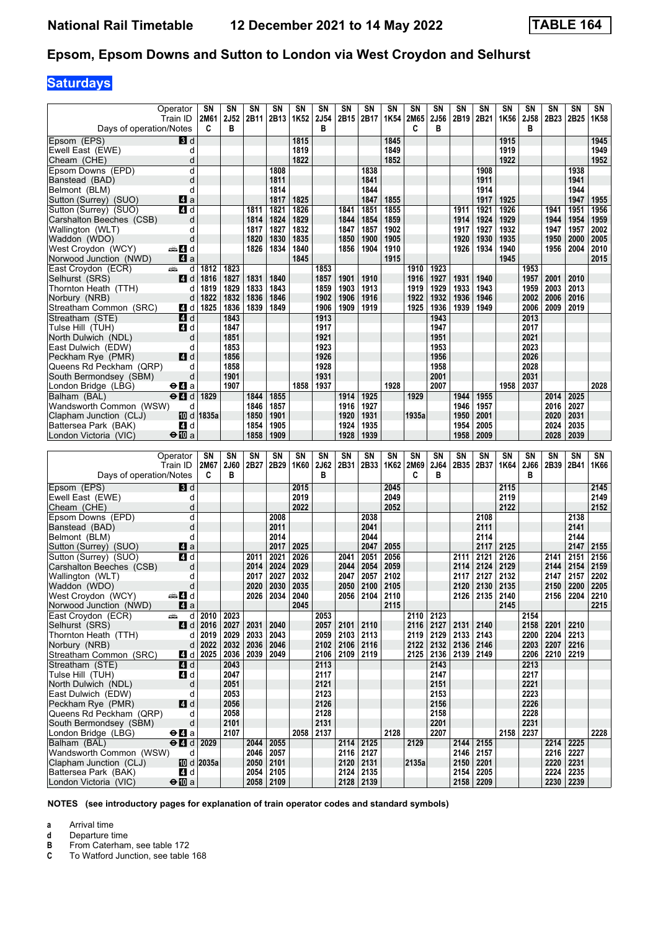### **Saturdays**

| Operator<br>Train ID                                                                        | SN<br>2M61              | SΝ<br><b>2J52</b> | SN<br>2B11   | SN<br>2B13   | SΝ<br>1K <sub>52</sub> | SΝ<br>2J54       | SΝ<br>2B15   | SΝ<br>2B17             | SN<br>1K54   | SΝ<br>2M65   | SN<br>2J56       | <b>SN</b><br>2B19 | SΝ<br>2B21   | SN<br>1K56   | SΝ<br>2J58   | SΝ<br>2B23   | SN<br>2B <sub>25</sub> | SN<br>1K58   |
|---------------------------------------------------------------------------------------------|-------------------------|-------------------|--------------|--------------|------------------------|------------------|--------------|------------------------|--------------|--------------|------------------|-------------------|--------------|--------------|--------------|--------------|------------------------|--------------|
| Days of operation/Notes                                                                     | C                       | в                 |              |              |                        | в                |              |                        |              | C            | в                |                   |              |              | в            |              |                        |              |
| Epsom (EPS)<br><b>3</b> d                                                                   |                         |                   |              |              | 1815                   |                  |              |                        | 1845         |              |                  |                   |              | 1915         |              |              |                        | 1945         |
| Ewell East (EWE)<br>d<br>Cheam (CHE)<br>d                                                   |                         |                   |              |              | 1819<br>1822           |                  |              |                        | 1849<br>1852 |              |                  |                   |              | 1919<br>1922 |              |              |                        | 1949<br>1952 |
| Epsom Downs (EPD)<br>d                                                                      |                         |                   |              | 1808         |                        |                  |              | 1838                   |              |              |                  |                   | 1908         |              |              |              | 1938                   |              |
| Banstead (BAD)<br>d                                                                         |                         |                   |              | 1811         |                        |                  |              | 1841                   |              |              |                  |                   | 1911         |              |              |              | 1941                   |              |
| Belmont (BLM)<br>d                                                                          |                         |                   |              | 1814         |                        |                  |              | 1844                   |              |              |                  |                   | 1914         |              |              |              | 1944                   |              |
| Sutton (Surrey) (SUO)<br><b>4</b> a                                                         |                         |                   |              | 1817         | 1825                   |                  |              | 1847                   | 1855         |              |                  |                   | 1917         | 1925         |              |              | 1947                   | 1955         |
| Sutton (Surrey) (SUO)<br>4 d                                                                |                         |                   | 1811         | 1821         | 1826                   |                  | 1841         | 1851                   | 1855         |              |                  | 1911              | 1921         | 1926         |              | 1941         | 1951                   | 1956         |
| Carshalton Beeches (CSB)<br>d<br>Wallington (WLT)<br>d                                      |                         |                   | 1814<br>1817 | 1824<br>1827 | 1829<br>1832           |                  | 1844<br>1847 | 1854<br>1857           | 1859<br>1902 |              |                  | 1914<br>1917      | 1924<br>1927 | 1929<br>1932 |              | 1944<br>1947 | 1954<br>1957           | 1959<br>2002 |
| Waddon (WDO)<br>d                                                                           |                         |                   | 1820         | 1830         | 1835                   |                  | 1850         | 1900                   | 1905         |              |                  | 1920              | 1930         | 1935         |              | 1950         | 2000                   | 2005         |
| West Croydon (WCY)<br>dan 4. d                                                              |                         |                   | 1826         | 1834         | 1840                   |                  | 1856         | 1904                   | 1910         |              |                  | 1926              | 1934         | 1940         |              | 1956         | 2004                   | 2010         |
| Norwood Junction (NWD)<br>4 a                                                               |                         |                   |              |              | 1845                   |                  |              |                        | 1915         |              |                  |                   |              | 1945         |              |              |                        | 2015         |
| East Croydon (ECR)<br>d<br>æbo.                                                             | 1812                    | 1823              |              |              |                        | 1853             |              |                        |              | 1910         | 1923             |                   |              |              | 1953         |              |                        |              |
| Selhurst (SRS)<br>14 d<br>Thornton Heath (TTH)<br>d                                         | 1816<br>1819            | 1827<br>1829      | 1831<br>1833 | 1840<br>1843 |                        | 1857<br>1859     | 1901<br>1903 | 1910<br>1913           |              | 1916<br>1919 | 1927<br>1929     | 1931<br>1933      | 1940<br>1943 |              | 1957<br>1959 | 2001<br>2003 | 2010<br>2013           |              |
| Norbury (NRB)<br>d                                                                          | 1822                    | 1832              | 1836         | 1846         |                        | 1902             | 1906         | 1916                   |              | 1922         | 1932             | 1936              | 1946         |              | 2002         | 2006         | 2016                   |              |
| Streatham Common (SRC)<br>4 d                                                               | 1825                    | 1836              | 1839         | 1849         |                        | 1906             | 1909         | 1919                   |              | 1925         | 1936             | 1939              | 1949         |              | 2006         | 2009         | 2019                   |              |
| Streatham (STE)<br><b>4</b> d                                                               |                         | 1843              |              |              |                        | 1913             |              |                        |              |              | 1943             |                   |              |              | 2013         |              |                        |              |
| Tulse Hill (TUH)<br>L4 d                                                                    |                         | 1847              |              |              |                        | 1917             |              |                        |              |              | 1947             |                   |              |              | 2017         |              |                        |              |
| North Dulwich (NDL)<br>d<br>East Dulwich (EDW)<br>d                                         |                         | 1851<br>1853      |              |              |                        | 1921<br>1923     |              |                        |              |              | 1951<br>1953     |                   |              |              | 2021<br>2023 |              |                        |              |
| Peckham Rye (PMR)<br><b>4</b> d                                                             |                         | 1856              |              |              |                        | 1926             |              |                        |              |              | 1956             |                   |              |              | 2026         |              |                        |              |
| Queens Rd Peckham (QRP)<br>d                                                                |                         | 1858              |              |              |                        | 1928             |              |                        |              |              | 1958             |                   |              |              | 2028         |              |                        |              |
| South Bermondsey (SBM)<br>d                                                                 |                         | 1901              |              |              |                        | 1931             |              |                        |              |              | 2001             |                   |              |              | 2031         |              |                        |              |
| London Bridge (LBG)<br>$\Theta$ <b><math>\Omega</math></b> a                                |                         | 1907              |              |              | 1858                   | 1937             |              |                        | 1928         |              | 2007             |                   |              | 1958         | 2037         |              |                        | 2028         |
| $\Theta$ <sup><math>\blacksquare</math> d</sup><br>Balham (BAL)                             | 1829                    |                   | 1844         | 1855         |                        |                  | 1914         | 1925                   |              | 1929         |                  | 1944              | 1955         |              |              | 2014         | 2025                   |              |
| Wandsworth Common (WSW)<br>d<br>Clapham Junction (CLJ)                                      | 10 d 1835a              |                   | 1846<br>1850 | 1857<br>1901 |                        |                  | 1916<br>1920 | 1927<br>1931           |              | 1935a        |                  | 1946<br>1950      | 1957<br>2001 |              |              | 2016<br>2020 | 2027<br>2031           |              |
| Battersea Park (BAK)<br>4 d                                                                 |                         |                   | 1854         | 1905         |                        |                  | 1924         | 1935                   |              |              |                  | 1954              | 2005         |              |              | 2024         | 2035                   |              |
| $\Theta$ III a<br>London Victoria (VIC)                                                     |                         |                   | 1858         | 1909         |                        |                  | 1928         | 1939                   |              |              |                  | 1958              | 2009         |              |              | 2028         | 2039                   |              |
|                                                                                             |                         |                   |              |              |                        |                  |              |                        |              |              |                  |                   |              |              |              |              |                        |              |
|                                                                                             |                         |                   |              |              |                        |                  |              |                        |              |              |                  |                   |              |              |              |              |                        |              |
| Operator                                                                                    | SN                      | SΝ                | SN           | SΝ           | SN                     | SN               | SN           | SN                     | SN           | SΝ           | SN               | SN                | SN           | SN           | SN           | SN           | SΝ                     | SN           |
| Train ID<br>Days of operation/Notes                                                         | 2M67<br>C               | <b>2J60</b><br>в  | 2B27         | 2B29         | 1K60                   | <b>2J62</b><br>В | 2B31         | 2B33                   | 1K62         | 2M69<br>C    | <b>2J64</b><br>в | 2B35              | 2B37         | 1K64         | 2J66<br>в    | 2B39         | 2B41                   | 1K66         |
|                                                                                             |                         |                   |              |              | 2015                   |                  |              |                        | 2045         |              |                  |                   |              | 2115         |              |              |                        | 2145         |
| Epsom (EPS)<br><b>3</b> d<br>Ewell East (EWE)<br>d                                          |                         |                   |              |              | 2019                   |                  |              |                        | 2049         |              |                  |                   |              | 2119         |              |              |                        | 2149         |
| Cheam (CHE)<br>d                                                                            |                         |                   |              |              | 2022                   |                  |              |                        | 2052         |              |                  |                   |              | 2122         |              |              |                        | 2152         |
| Epsom Downs (EPD)<br>d                                                                      |                         |                   |              | 2008         |                        |                  |              | 2038                   |              |              |                  |                   | 2108         |              |              |              | 2138                   |              |
| Banstead (BAD)<br>d                                                                         |                         |                   |              | 2011         |                        |                  |              | 2041                   |              |              |                  |                   | 2111         |              |              |              | 2141                   |              |
| Belmont (BLM)<br>d                                                                          |                         |                   |              | 2014         |                        |                  |              | 2044                   |              |              |                  |                   | 2114         |              |              |              | 2144                   |              |
| Sutton (Surrey) (SUO)<br>M a<br>Sutton (Surrey) (SUO)<br>4 d                                |                         |                   | 2011         | 2017<br>2021 | 2025<br>2026           |                  | 2041         | 2047<br>2051           | 2055<br>2056 |              |                  | 2111              | 2117<br>2121 | 2125<br>2126 |              | 2141         | 2147<br>2151           | 2155<br>2156 |
| Carshalton Beeches (CSB)<br>d                                                               |                         |                   | 2014         | 2024         | 2029                   |                  | 2044         | 2054                   | 2059         |              |                  | 2114              | 2124         | 2129         |              | 2144         | 2154                   | 2159         |
| Wallington (WLT)<br>d                                                                       |                         |                   | 2017         | 2027         | 2032                   |                  | 2047         | 2057                   | 2102         |              |                  | 2117              | 2127         | 2132         |              | 2147         | 2157                   | 2202         |
| Waddon (WDO)<br>d                                                                           |                         |                   | 2020         | 2030         | 2035                   |                  | 2050         | 2100                   | 2105         |              |                  | 2120              | 2130         | 2135         |              | 2150         | 2200                   | 2205         |
| West Croydon (WCY)<br>den and d<br>Norwood Junction (NWD)                                   |                         |                   | 2026         | 2034         | 2040<br>2045           |                  | 2056         | 2104                   | 2110<br>2115 |              |                  | 2126              | 2135         | 2140<br>2145 |              | 2156         | 2204                   | 2210<br>2215 |
| l4 a<br>East Croydon (ECR)<br>æ<br>d                                                        | 2010                    | 2023              |              |              |                        | 2053             |              |                        |              | 2110         | 2123             |                   |              |              | 2154         |              |                        |              |
| Selhurst (SRS)<br>4 d                                                                       | 2016                    | 2027              | 2031         | 2040         |                        | 2057             | 2101         | 2110                   |              | 2116         | 2127             | 2131              | 2140         |              | 2158         | 2201         | 2210                   |              |
| Thornton Heath (TTH)<br>d                                                                   | 2019                    | 2029              | 2033         | 2043         |                        | 2059             | 2103         | 2113                   |              | 2119         | 2129             | 2133              | 2143         |              | 2200         | 2204         | 2213                   |              |
| Norbury (NRB)<br>d                                                                          | 2022                    | 2032              | 2036         | 2046         |                        | 2102             | 2106         | 2116                   |              | 2122         | 2132             | 2136              | 2146         |              | 2203         | 2207         | 2216                   |              |
| Streatham Common (SRC)                                                                      | $\blacksquare$ d   2025 | 2036              | 2039         | 2049         |                        | 2106             |              | 2109 2119              |              | 2125         | 2136             | 2139              | 2149         |              | 2206         | 2210         | 2219                   |              |
| Streatham (STE)<br>4 d<br>Tulse Hill (TUH)<br>4 d                                           |                         | 2043<br>2047      |              |              |                        | 2113<br>2117     |              |                        |              |              | 2143<br>2147     |                   |              |              | 2213<br>2217 |              |                        |              |
| North Dulwich (NDL)<br>d                                                                    |                         | 2051              |              |              |                        | 2121             |              |                        |              |              | 2151             |                   |              |              | 2221         |              |                        |              |
| East Dulwich (EDW)<br>d                                                                     |                         | 2053              |              |              |                        | 2123             |              |                        |              |              | 2153             |                   |              |              | 2223         |              |                        |              |
| Peckham Rye (PMR)<br>4d                                                                     |                         | 2056              |              |              |                        | 2126             |              |                        |              |              | 2156             |                   |              |              | 2226         |              |                        |              |
| Queens Rd Peckham (QRP)<br>d                                                                |                         | 2058              |              |              |                        | 2128             |              |                        |              |              | 2158             |                   |              |              | 2228         |              |                        |              |
| South Bermondsey (SBM)<br>d<br>London Bridge (LBG)<br>$\Theta$ <b><math>\Omega</math></b> a |                         | 2101<br>2107      |              |              | 2058                   | 2131<br>2137     |              |                        | 2128         |              | 2201<br>2207     |                   |              | 2158         | 2231<br>2237 |              |                        | 2228         |
| Balham (BAL)<br>$\Theta$ d $\vert$ 2029                                                     |                         |                   | 2044         | 2055         |                        |                  |              | 2114 2125              |              | 2129         |                  | 2144              | 2155         |              |              | 2214         | 2225                   |              |
| Wandsworth Common (WSW)<br>d                                                                |                         |                   | 2046         | 2057         |                        |                  |              | 2116 2127              |              |              |                  | 2146              | 2157         |              |              | 2216         | 2227                   |              |
| Clapham Junction (CLJ)<br> Battersea Park (BAK)<br>4 d                                      | $\overline{10}$ d 2035a |                   | 2050<br>2054 | 2101<br>2105 |                        |                  |              | 2120 2131<br>2124 2135 |              | 2135a        |                  | 2150<br>2154      | 2201<br>2205 |              |              | 2220<br>2224 | 2231<br>2235           |              |

**NOTES (see introductory pages for explanation of train operator codes and standard symbols)**

**a** Arrival time<br>**d** Departure t

Departure time

**B** From Caterham, see table 172<br>**C** To Watford Junction, see table

To Watford Junction, see table 168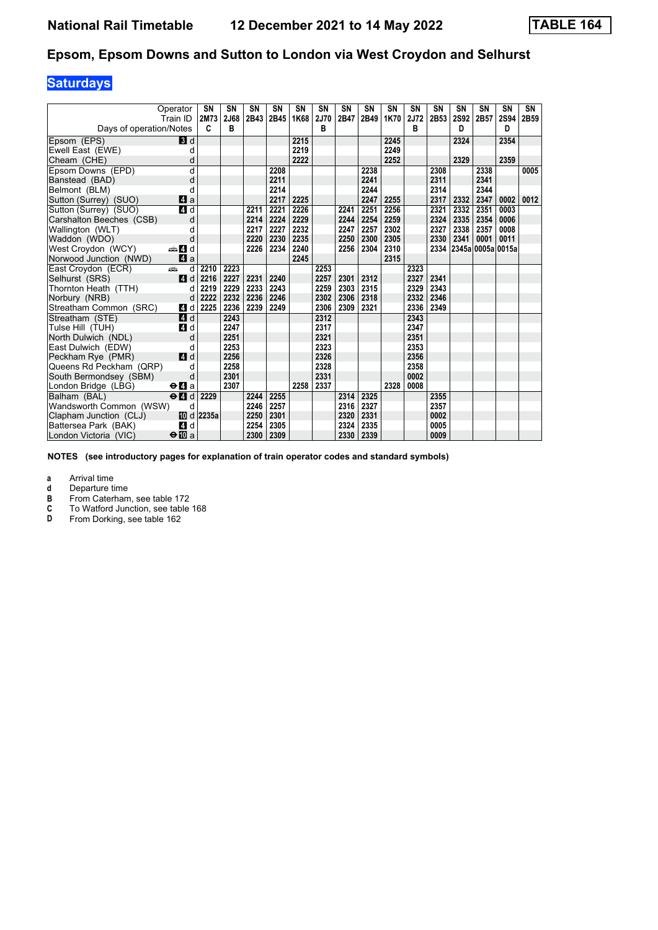#### **Saturdays**

|                          | Operator<br>Train ID                        | SN<br>2M73 | SN<br>2J68 | <b>SN</b><br>2B43 | SN<br>2B45 | SN<br>1K68 | <b>SN</b><br>2J70 | <b>SN</b><br>2B47 | <b>SN</b><br>2B49 | SN<br>1K70 | <b>SN</b><br>2J72 | SN<br>2B53 | SN<br><b>2S92</b> | SN<br>2B57             | SN<br><b>2S94</b> | SN<br>2B59 |
|--------------------------|---------------------------------------------|------------|------------|-------------------|------------|------------|-------------------|-------------------|-------------------|------------|-------------------|------------|-------------------|------------------------|-------------------|------------|
| Days of operation/Notes  |                                             | C          | в          |                   |            |            | B                 |                   |                   |            | B                 |            | D                 |                        | D                 |            |
| Epsom (EPS)              | 3d                                          |            |            |                   |            | 2215       |                   |                   |                   | 2245       |                   |            | 2324              |                        | 2354              |            |
| Ewell East (EWE)         | d                                           |            |            |                   |            | 2219       |                   |                   |                   | 2249       |                   |            |                   |                        |                   |            |
| Cheam (CHE)              | d                                           |            |            |                   |            | 2222       |                   |                   |                   | 2252       |                   |            | 2329              |                        | 2359              |            |
| Epsom Downs (EPD)        | d                                           |            |            |                   | 2208       |            |                   |                   | 2238              |            |                   | 2308       |                   | 2338                   |                   | 0005       |
| Banstead (BAD)           | d                                           |            |            |                   | 2211       |            |                   |                   | 2241              |            |                   | 2311       |                   | 2341                   |                   |            |
| Belmont (BLM)            | d                                           |            |            |                   | 2214       |            |                   |                   | 2244              |            |                   | 2314       |                   | 2344                   |                   |            |
| Sutton (Surrey) (SUO)    | ZI a                                        |            |            |                   | 2217       | 2225       |                   |                   | 2247              | 2255       |                   | 2317       | 2332              | 2347                   | 0002              | 0012       |
| Sutton (Surrey) (SUO)    | $4\overline{d}$                             |            |            | 2211              | 2221       | 2226       |                   | 2241              | 2251              | 2256       |                   | 2321       | 2332              | 2351                   | 0003              |            |
| Carshalton Beeches (CSB) | d                                           |            |            | 2214              | 2224       | 2229       |                   | 2244              | 2254              | 2259       |                   | 2324       | 2335              | 2354                   | 0006              |            |
| Wallington (WLT)         | d                                           |            |            | 2217              | 2227       | 2232       |                   | 2247              | 2257              | 2302       |                   | 2327       | 2338              | 2357                   | 0008              |            |
| Waddon (WDO)             | d                                           |            |            | 2220              | 2230       | 2235       |                   | 2250              | 2300              | 2305       |                   | 2330       | 2341              | 0001                   | 0011              |            |
| West Croydon (WCY)       | dan 4. d                                    |            |            | 2226              | 2234       | 2240       |                   | 2256              | 2304              | 2310       |                   |            |                   | 2334 2345a 0005a 0015a |                   |            |
| Norwood Junction (NWD)   | <b>Z</b> a                                  |            |            |                   |            | 2245       |                   |                   |                   | 2315       |                   |            |                   |                        |                   |            |
| East Croydon (ECR)       | dia<br>d                                    | 2210       | 2223       |                   |            |            | 2253              |                   |                   |            | 2323              |            |                   |                        |                   |            |
| Selhurst (SRS)           | 4d                                          | 2216       | 2227       | 2231              | 2240       |            | 2257              | 2301              | 2312              |            | 2327              | 2341       |                   |                        |                   |            |
| Thornton Heath (TTH)     | d                                           | 2219       | 2229       | 2233              | 2243       |            | 2259              | 2303              | 2315              |            | 2329              | 2343       |                   |                        |                   |            |
| Norbury (NRB)            | d                                           | 2222       | 2232       | 2236              | 2246       |            | 2302              | 2306              | 2318              |            | 2332              | 2346       |                   |                        |                   |            |
| Streatham Common (SRC)   | <b>4</b> d                                  | 2225       | 2236       | 2239              | 2249       |            | 2306              | 2309              | 2321              |            | 2336              | 2349       |                   |                        |                   |            |
| Streatham (STE)          | 4 d                                         |            | 2243       |                   |            |            | 2312              |                   |                   |            | 2343              |            |                   |                        |                   |            |
| Tulse Hill (TUH)         | 4 d                                         |            | 2247       |                   |            |            | 2317              |                   |                   |            | 2347              |            |                   |                        |                   |            |
| North Dulwich (NDL)      | d                                           |            | 2251       |                   |            |            | 2321              |                   |                   |            | 2351              |            |                   |                        |                   |            |
| East Dulwich (EDW)       | d                                           |            | 2253       |                   |            |            | 2323              |                   |                   |            | 2353              |            |                   |                        |                   |            |
| Peckham Rye (PMR)        | 4 d                                         |            | 2256       |                   |            |            | 2326              |                   |                   |            | 2356              |            |                   |                        |                   |            |
| Queens Rd Peckham (QRP)  | d                                           |            | 2258       |                   |            |            | 2328              |                   |                   |            | 2358              |            |                   |                        |                   |            |
| South Bermondsey (SBM)   | d                                           |            | 2301       |                   |            |            | 2331              |                   |                   |            | 0002              |            |                   |                        |                   |            |
| London Bridge (LBG)      | $\Theta$ <b><math>\blacksquare</math></b> a |            | 2307       |                   |            | 2258       | 2337              |                   |                   | 2328       | 0008              |            |                   |                        |                   |            |
| Balham (BAL)             | $\Theta$ <sup><math>\Omega</math></sup> d   | 2229       |            | 2244              | 2255       |            |                   | 2314              | 2325              |            |                   | 2355       |                   |                        |                   |            |
| Wandsworth Common (WSW)  | d                                           |            |            | 2246              | 2257       |            |                   | 2316              | 2327              |            |                   | 2357       |                   |                        |                   |            |
| Clapham Junction (CLJ)   |                                             | 10 d 2235a |            | 2250              | 2301       |            |                   | 2320              | 2331              |            |                   | 0002       |                   |                        |                   |            |
| Battersea Park (BAK)     | 4 d                                         |            |            | 2254              | 2305       |            |                   | 2324              | 2335              |            |                   | 0005       |                   |                        |                   |            |
| London Victoria (VIC)    | $\bigoplus$ a                               |            |            | 2300              | 2309       |            |                   | 2330              | 2339              |            |                   | 0009       |                   |                        |                   |            |

**NOTES (see introductory pages for explanation of train operator codes and standard symbols)**

**a** Arrival time<br>**d** Departure ti

**d** Departure time<br>**B** From Caterham

**B** From Caterham, see table 172<br>**C** To Watford Junction, see table<br>**D** From Dorking, see table 162 To Watford Junction, see table 168

From Dorking, see table 162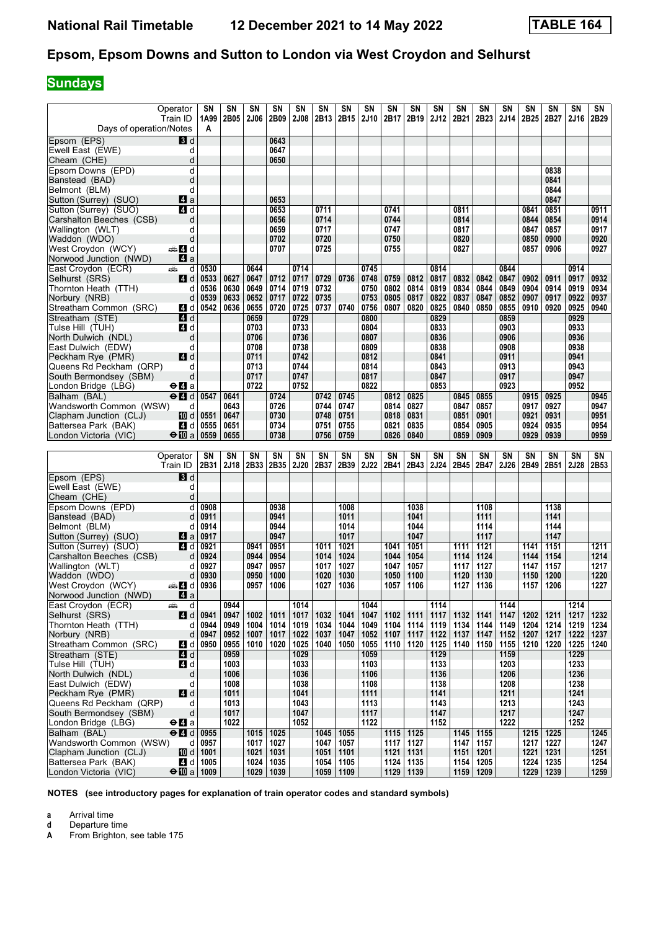# **Sundays**

| Operator<br>Train ID<br>Days of operation/Notes                                                                 | SΝ<br>1A99<br>A | SN<br>2B05   | SΝ<br><b>2J06</b> | SN<br>2B09   | SΝ<br>2J08        | SN<br>2B13   | SΝ<br>2B15   | SΝ<br><b>2J10</b> | SΝ<br>2B17   | SΝ<br>2B19   | SN<br><b>2J12</b> | SN<br>2B21   | SN<br>2B23   | SΝ<br>2J14        | SΝ<br>2B25   | SN<br>2B27   | SΝ<br><b>2J16</b> | SN<br>2B29   |
|-----------------------------------------------------------------------------------------------------------------|-----------------|--------------|-------------------|--------------|-------------------|--------------|--------------|-------------------|--------------|--------------|-------------------|--------------|--------------|-------------------|--------------|--------------|-------------------|--------------|
| Epsom (EPS)<br>BI d                                                                                             |                 |              |                   | 0643         |                   |              |              |                   |              |              |                   |              |              |                   |              |              |                   |              |
| Ewell East (EWE)<br>d                                                                                           |                 |              |                   | 0647         |                   |              |              |                   |              |              |                   |              |              |                   |              |              |                   |              |
| Cheam (CHE)<br>d                                                                                                |                 |              |                   | 0650         |                   |              |              |                   |              |              |                   |              |              |                   |              |              |                   |              |
| d<br>Epsom Downs (EPD)                                                                                          |                 |              |                   |              |                   |              |              |                   |              |              |                   |              |              |                   |              | 0838         |                   |              |
| Banstead (BAD)<br>d                                                                                             |                 |              |                   |              |                   |              |              |                   |              |              |                   |              |              |                   |              | 0841         |                   |              |
| Belmont (BLM)<br>d                                                                                              |                 |              |                   |              |                   |              |              |                   |              |              |                   |              |              |                   |              | 0844         |                   |              |
| Sutton (Surrey) (SUO)<br>ZI a                                                                                   |                 |              |                   | 0653         |                   |              |              |                   |              |              |                   |              |              |                   |              | 0847         |                   |              |
| ZI d<br>Sutton (Surrey) (SUO)<br>Carshalton Beeches (CSB)<br>d                                                  |                 |              |                   | 0653<br>0656 |                   | 0711<br>0714 |              |                   | 0741<br>0744 |              |                   | 0811<br>0814 |              |                   | 0841<br>0844 | 0851<br>0854 |                   | 0911<br>0914 |
| Wallington (WLT)<br>d                                                                                           |                 |              |                   | 0659         |                   | 0717         |              |                   | 0747         |              |                   | 0817         |              |                   | 0847         | 0857         |                   | 0917         |
| Waddon (WDO)<br>d                                                                                               |                 |              |                   | 0702         |                   | 0720         |              |                   | 0750         |              |                   | 0820         |              |                   | 0850         | 0900         |                   | 0920         |
| West Croydon (WCY)<br>dan Zid                                                                                   |                 |              |                   | 0707         |                   | 0725         |              |                   | 0755         |              |                   | 0827         |              |                   | 0857         | 0906         |                   | 0927         |
| Norwood Junction (NWD)<br>41 a                                                                                  |                 |              |                   |              |                   |              |              |                   |              |              |                   |              |              |                   |              |              |                   |              |
| East Croydon (ECR)<br>پیش<br>d                                                                                  | 0530            |              | 0644              |              | 0714              |              |              | 0745              |              |              | 0814              |              |              | 0844              |              |              | 0914              |              |
| Selhurst (SRS)<br>14 d                                                                                          | 0533            | 0627         | 0647              | 0712         | 0717              | 0729         | 0736         | 0748              | 0759         | 0812         | 0817              | 0832         | 0842         | 0847              | 0902         | 0911         | 0917              | 0932         |
| Thornton Heath (TTH)<br>d                                                                                       | 0536            | 0630         | 0649              | 0714         | 0719              | 0732         |              | 0750              | 0802         | 0814         | 0819              | 0834         | 0844         | 0849              | 0904         | 0914         | 0919              | 0934         |
| Norbury (NRB)<br>d                                                                                              | 0539            | 0633         | 0652              | 0717         | 0722              | 0735         |              | 0753              | 0805         | 0817         | 0822              | 0837         | 0847         | 0852              | 0907         | 0917         | 0922              | 0937         |
| Streatham Common (SRC)<br>4 d<br>Streatham (STE)<br><b>4</b> d                                                  | 0542            | 0636         | 0655<br>0659      | 0720         | 0725<br>0729      | 0737         | 0740         | 0756<br>0800      | 0807         | 0820         | 0825<br>0829      | 0840         | 0850         | 0855<br>0859      | 0910         | 0920         | 0925<br>0929      | 0940         |
| Tulse Hill (TUH)<br>ZI d                                                                                        |                 |              | 0703              |              | 0733              |              |              | 0804              |              |              | 0833              |              |              | 0903              |              |              | 0933              |              |
| North Dulwich (NDL)<br>d                                                                                        |                 |              | 0706              |              | 0736              |              |              | 0807              |              |              | 0836              |              |              | 0906              |              |              | 0936              |              |
| East Dulwich (EDW)<br>d                                                                                         |                 |              | 0708              |              | 0738              |              |              | 0809              |              |              | 0838              |              |              | 0908              |              |              | 0938              |              |
| Peckham Rye (PMR)<br><b>4</b> d                                                                                 |                 |              | 0711              |              | 0742              |              |              | 0812              |              |              | 0841              |              |              | 0911              |              |              | 0941              |              |
| Queens Rd Peckham (QRP)<br>d                                                                                    |                 |              | 0713              |              | 0744              |              |              | 0814              |              |              | 0843              |              |              | 0913              |              |              | 0943              |              |
| South Bermondsey (SBM)<br>d                                                                                     |                 |              | 0717              |              | 0747              |              |              | 0817              |              |              | 0847              |              |              | 0917              |              |              | 0947              |              |
| London Bridge (LBG)<br><b>ӨИ</b> а                                                                              |                 |              | 0722              |              | 0752              |              |              | 0822              |              |              | 0853              |              |              | 0923              |              |              | 0952              |              |
| $\Theta$ $\blacksquare$ d<br>Balham (BAL)                                                                       | 0547            | 0641         |                   | 0724         |                   | 0742         | 0745         |                   | 0812         | 0825         |                   | 0845         | 0855         |                   | 0915         | 0925         |                   | 0945         |
| Wandsworth Common (WSW)<br>d                                                                                    |                 | 0643         |                   | 0726<br>0730 |                   | 0744<br>0748 | 0747         |                   | 0814<br>0818 | 0827<br>0831 |                   | 0847<br>0851 | 0857<br>0901 |                   | 0917<br>0921 | 0927<br>0931 |                   | 0947<br>0951 |
| Clapham Junction (CLJ)<br>10 d<br>Battersea Park (BAK)<br>4 d                                                   | 0551<br>0555    | 0647<br>0651 |                   | 0734         |                   | 0751         | 0751<br>0755 |                   | 0821         | 0835         |                   | 0854         | 0905         |                   | 0924         | 0935         |                   | 0954         |
| $\Theta$ <b>III</b> a<br>London Victoria (VIC)                                                                  | 0559            | 0655         |                   | 0738         |                   | 0756         | 0759         |                   | 0826         | 0840         |                   | 0859         | 0909         |                   | 0929         | 0939         |                   | 0959         |
|                                                                                                                 |                 |              |                   |              |                   |              |              |                   |              |              |                   |              |              |                   |              |              |                   |              |
| Operator<br>Train ID                                                                                            | SN<br>2B31      | SΝ<br>2J18   | SN<br>2B33        | SΝ<br>2B35   | SN<br><b>2J20</b> | SN<br>2B37   | SN<br>2B39   | SΝ<br><b>2J22</b> | SN<br>2B41   | SΝ<br>2B43   | SΝ<br><b>2J24</b> | SN<br>2B45   | SN<br>2B47   | SN<br><b>2J26</b> | SN<br>2B49   | SN<br>2B51   | SΝ<br><b>2J28</b> | SN<br>2B53   |
| Epsom (EPS)<br><b>3</b> d                                                                                       |                 |              |                   |              |                   |              |              |                   |              |              |                   |              |              |                   |              |              |                   |              |
| Ewell East (EWE)<br>d                                                                                           |                 |              |                   |              |                   |              |              |                   |              |              |                   |              |              |                   |              |              |                   |              |
| Cheam (CHE)<br>d                                                                                                |                 |              |                   |              |                   |              |              |                   |              |              |                   |              |              |                   |              |              |                   |              |
| Epsom Downs (EPD)<br>d                                                                                          | 0908            |              |                   | 0938         |                   |              | 1008         |                   |              | 1038         |                   |              | 1108         |                   |              | 1138         |                   |              |
| Banstead (BAD)<br>d                                                                                             | 0911            |              |                   | 0941         |                   |              | 1011         |                   |              | 1041         |                   |              | 1111         |                   |              | 1141         |                   |              |
| Belmont (BLM)<br>d<br>Sutton (Surrey) (SUO)                                                                     | 0914<br>0917    |              |                   | 0944<br>0947 |                   |              | 1014<br>1017 |                   |              | 1044<br>1047 |                   |              | 1114<br>1117 |                   |              | 1144<br>1147 |                   |              |
| 4 a<br>Sutton (Surrey) (SUO)<br>4 d                                                                             | 0921            |              | 0941              | 0951         |                   | 1011         | 1021         |                   | 1041         | 1051         |                   | 1111         | 1121         |                   | 1141         | 1151         |                   | 1211         |
| Carshalton Beeches (CSB)<br>d                                                                                   | 0924            |              | 0944              | 0954         |                   | 1014         | 1024         |                   | 1044         | 1054         |                   | 1114         | 1124         |                   | 1144         | 1154         |                   | 1214         |
| Wallington (WLT)<br>d                                                                                           | 0927            |              | 0947              | 0957         |                   | 1017         | 1027         |                   | 1047         | 1057         |                   | 1117         | 1127         |                   | 1147         | 1157         |                   | 1217         |
| Waddon (WDO)<br>d                                                                                               | 0930            |              | 0950              | 1000         |                   | 1020         | 1030         |                   | 1050         | 1100         |                   | 1120         | 1130         |                   | 1150         | 1200         |                   | 1220         |
| West Croydon (WCY)<br>dan 4 d                                                                                   | 0936            |              | 0957              | 1006         |                   | 1027         | 1036         |                   | 1057         | 1106         |                   | 1127         | 1136         |                   | 1157         | 1206         |                   | 1227         |
| Norwood Junction (NWD)<br>$\mathbf{A}$ a                                                                        |                 |              |                   |              |                   |              |              |                   |              |              |                   |              |              |                   |              |              |                   |              |
| East Croydon (ECR)<br>d<br>پېښه                                                                                 |                 | 0944         |                   |              | 1014              |              |              | 1044              |              |              | 1114              |              |              | 1144              |              |              | 1214              |              |
| Selhurst (SRS)<br><b>4</b> d                                                                                    | 0941            | 0947         | 1002              | 1011         | 1017              | 1032         | 1041         | 1047              | 1102         | 1111         | 1117              | 1132         | 1141         | 1147              | 1202         | 1211         | 1217              | 1232         |
| Thornton Heath (TTH)<br>d<br>Norbury (NRB)<br>d                                                                 | 0944<br>0947    | 0949<br>0952 | 1004<br>1007      | 1014<br>1017 | 1019<br>1022      | 1034<br>1037 | 1044<br>1047 | 1049<br>1052      | 1104<br>1107 | 1114<br>1117 | 1119<br>1122      | 1134<br>1137 | 1144<br>1147 | 1149<br>1152      | 1204<br>1207 | 1214<br>1217 | 1219<br>1222      | 1234<br>1237 |
| Streatham Common (SRC)<br>4 d                                                                                   | 0950            | 0955         | 1010              | 1020         | 1025              | 1040         | 1050         | 1055              | 1110         | 1120         | 1125              | 1140         | 1150         | 1155              | 1210         | 1220         | 1225              | 1240         |
| Streatham (STE)<br><b>4</b> d                                                                                   |                 | 0959         |                   |              | 1029              |              |              | 1059              |              |              | 1129              |              |              | 1159              |              |              | 1229              |              |
| Tulse Hill (TUH)<br>4 d                                                                                         |                 | 1003         |                   |              | 1033              |              |              | 1103              |              |              | 1133              |              |              | 1203              |              |              | 1233              |              |
| North Dulwich (NDL)<br>d                                                                                        |                 | 1006         |                   |              | 1036              |              |              | 1106              |              |              | 1136              |              |              | 1206              |              |              | 1236              |              |
| East Dulwich (EDW)<br>d                                                                                         |                 | 1008         |                   |              | 1038              |              |              | 1108              |              |              | 1138              |              |              | 1208              |              |              | 1238              |              |
| Peckham Rye (PMR)<br>4 d                                                                                        |                 | 1011         |                   |              | 1041              |              |              | 1111              |              |              | 1141              |              |              | 1211              |              |              | 1241              |              |
| Queens Rd Peckham (QRP)<br>d                                                                                    |                 | 1013         |                   |              | 1043              |              |              | 1113              |              |              | 1143              |              |              | 1213              |              |              | 1243              |              |
| South Bermondsey (SBM)<br>d                                                                                     |                 | 1017         |                   |              | 1047              |              |              | 1117              |              |              | 1147              |              |              | 1217              |              |              | 1247              |              |
| London Bridge (LBG)<br>$\Theta$ <b><math>\blacksquare</math></b> a<br>Balham (BAL)<br>$\Theta$ $\blacksquare$ d |                 | 1022         |                   |              | 1052              |              |              | 1122              |              | 1125         | 1152              |              |              | 1222              | 1215         |              | 1252              |              |
| Wandsworth Common (WSW)<br>d                                                                                    | 0955<br>0957    |              | 1015<br>1017      | 1025<br>1027 |                   | 1045<br>1047 | 1055<br>1057 |                   | 1115<br>1117 | 1127         |                   | 1145<br>1147 | 1155<br>1157 |                   | 1217         | 1225<br>1227 |                   | 1245<br>1247 |
| Clapham Junction (CLJ)<br>100 d∣                                                                                | 1001            |              | 1021              | 1031         |                   | 1051         | 1101         |                   | 1121         | 1131         |                   | 1151         | 1201         |                   | 1221         | 1231         |                   | 1251         |
| Battersea Park (BAK)<br>4 d                                                                                     | 1005            |              | 1024              | 1035         |                   | 1054         | 1105         |                   | 1124         | 1135         |                   | 1154         | 1205         |                   | 1224         | 1235         |                   | 1254         |
| London Victoria (VIC)<br>$\Theta$ III a 1009                                                                    |                 |              | 1029              | 1039         |                   | 1059         | 1109         |                   | 1129         | 1139         |                   | 1159         | 1209         |                   | 1229         | 1239         |                   | 1259         |

**NOTES (see introductory pages for explanation of train operator codes and standard symbols)**

**a** Arrival time<br>**d** Departure ti

**d** Departure time<br>**A** From Brighton, **From Brighton, see table 175**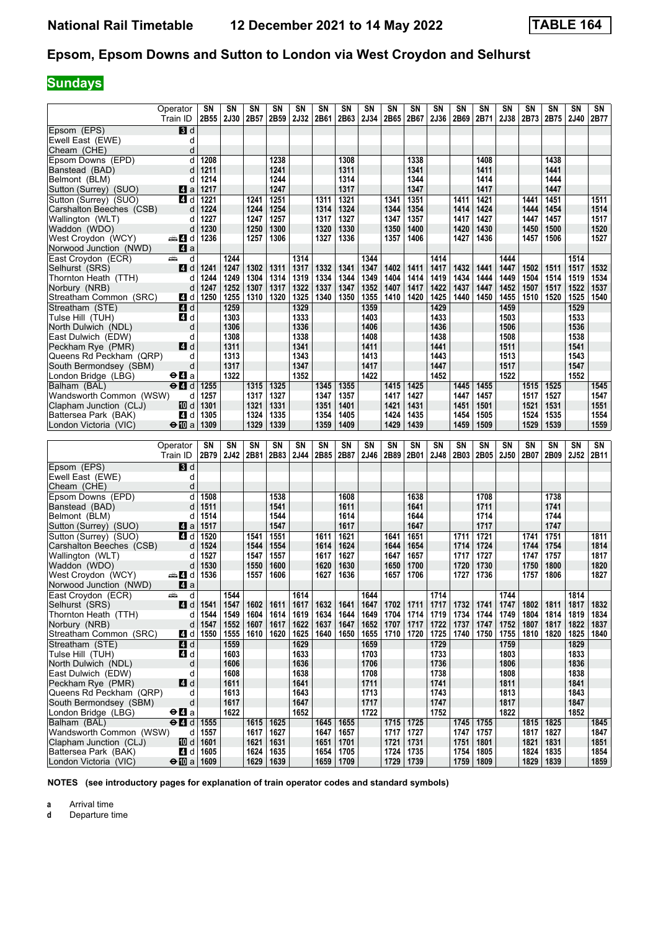## **Sundays**

| Operator<br>Train ID                                          | SN<br>2B55        | SN<br><b>2J30</b>        | SN<br>2B57        | SN<br>2B59   | SN<br><b>2J32</b> | SN<br>2B61   | SΝ<br>2B63   | SΝ<br>2J34   | SΝ<br>2B65   | SΝ<br>2B67   | SΝ<br><b>2J36</b> | SN<br>2B69        | SN<br>2B71   | SN<br>2J38        | SΝ<br>2B73   | SN<br>2B75   | SΝ<br>2J40        | SN<br>2B77   |
|---------------------------------------------------------------|-------------------|--------------------------|-------------------|--------------|-------------------|--------------|--------------|--------------|--------------|--------------|-------------------|-------------------|--------------|-------------------|--------------|--------------|-------------------|--------------|
| Epsom (EPS)<br>$\blacksquare$                                 |                   |                          |                   |              |                   |              |              |              |              |              |                   |                   |              |                   |              |              |                   |              |
| Ewell East (EWE)<br>d                                         |                   |                          |                   |              |                   |              |              |              |              |              |                   |                   |              |                   |              |              |                   |              |
| Cheam (CHE)<br>d                                              |                   |                          |                   |              |                   |              |              |              |              |              |                   |                   |              |                   |              |              |                   |              |
| Epsom Downs (EPD)<br>d                                        | 1208              |                          |                   | 1238         |                   |              | 1308         |              |              | 1338         |                   |                   | 1408         |                   |              | 1438         |                   |              |
| Banstead (BAD)<br>d                                           | 1211<br>1214      |                          |                   | 1241<br>1244 |                   |              | 1311<br>1314 |              |              | 1341<br>1344 |                   |                   | 1411<br>1414 |                   |              | 1441<br>1444 |                   |              |
| Belmont (BLM)<br>d<br>Sutton (Surrey) (SUO)<br>ZI a           | 1217              |                          |                   | 1247         |                   |              | 1317         |              |              | 1347         |                   |                   | 1417         |                   |              | 1447         |                   |              |
| Sutton (Surrey) (SUO)<br>4 d                                  | 1221              |                          | 1241              | 1251         |                   | 1311         | 1321         |              | 1341         | 1351         |                   | 1411              | 1421         |                   | 1441         | 1451         |                   | 1511         |
| Carshalton Beeches (CSB)<br>d                                 | 1224              |                          | 1244              | 1254         |                   | 1314         | 1324         |              | 1344         | 1354         |                   | 1414              | 1424         |                   | 1444         | 1454         |                   | 1514         |
| Wallington (WLT)<br>d                                         | 1227              |                          | 1247              | 1257         |                   | 1317         | 1327         |              | 1347         | 1357         |                   | 1417              | 1427         |                   | 1447         | 1457         |                   | 1517         |
| Waddon (WDO)<br>d                                             | 1230              |                          | 1250              | 1300         |                   | 1320         | 1330         |              | 1350         | 1400         |                   | 1420              | 1430         |                   | 1450         | 1500         |                   | 1520         |
| West Croydon (WCY)<br>dan 4. d                                | 1236              |                          | 1257              | 1306         |                   | 1327         | 1336         |              | 1357         | 1406         |                   | 1427              | 1436         |                   | 1457         | 1506         |                   | 1527         |
| Norwood Junction (NWD)<br>ZI a                                |                   |                          |                   |              |                   |              |              |              |              |              |                   |                   |              |                   |              |              |                   |              |
| East Croydon (ECR)<br>d<br>پیش                                |                   | 1244                     |                   |              | 1314              |              |              | 1344         |              |              | 1414              |                   |              | 1444              |              |              | 1514              |              |
| Selhurst (SRS)<br><b>4</b> d                                  | 1241              | 1247                     | 1302              | 1311         | 1317              | 1332         | 1341         | 1347         | 1402         | 1411         | 1417              | 1432              | 1441         | 1447              | 1502         | 1511         | 1517              | 1532         |
| Thornton Heath (TTH)<br>d                                     | 1244              | 1249                     | 1304              | 1314         | 1319              | 1334         | 1344         | 1349         | 1404         | 1414         | 1419              | 1434              | 1444         | 1449              | 1504         | 1514         | 1519              | 1534         |
| Norbury (NRB)<br>d                                            | 1247              | 1252                     | 1307              | 1317         | 1322              | 1337         | 1347         | 1352         | 1407         | 1417         | 1422              | 1437              | 1447         | 1452              | 1507         | 1517         | 1522              | 1537         |
| Streatham Common (SRC)<br>4 d                                 | 1250              | 1255                     | 1310              | 1320         | 1325              | 1340         | 1350         | 1355         | 1410         | 1420         | 1425              | 1440              | 1450         | 1455              | 1510         | 1520         | 1525              | 1540         |
| Streatham (STE)<br>4 d                                        |                   | 1259                     |                   |              | 1329              |              |              | 1359         |              |              | 1429              |                   |              | 1459              |              |              | 1529              |              |
| Tulse Hill (TUH)<br>ZI d<br>North Dulwich (NDL)               |                   | 1303<br>1306             |                   |              | 1333<br>1336      |              |              | 1403<br>1406 |              |              | 1433<br>1436      |                   |              | 1503<br>1506      |              |              | 1533<br>1536      |              |
| d<br>East Dulwich (EDW)<br>d                                  |                   | 1308                     |                   |              | 1338              |              |              | 1408         |              |              | 1438              |                   |              | 1508              |              |              | 1538              |              |
| Peckham Rye (PMR)<br><b>4</b> d                               |                   | 1311                     |                   |              | 1341              |              |              | 1411         |              |              | 1441              |                   |              | 1511              |              |              | 1541              |              |
| Queens Rd Peckham (QRP)<br>d                                  |                   | 1313                     |                   |              | 1343              |              |              | 1413         |              |              | 1443              |                   |              | 1513              |              |              | 1543              |              |
| South Bermondsey (SBM)<br>d                                   |                   | 1317                     |                   |              | 1347              |              |              | 1417         |              |              | 1447              |                   |              | 1517              |              |              | 1547              |              |
| London Bridge (LBG)<br>⊖Иа                                    |                   | 1322                     |                   |              | 1352              |              |              | 1422         |              |              | 1452              |                   |              | 1522              |              |              | 1552              |              |
| Balham (BAL)<br>$\Theta$ $\blacksquare$ d                     | 1255              |                          | 1315              | 1325         |                   | 1345         | 1355         |              | 1415         | 1425         |                   | 1445              | 1455         |                   | 1515         | 1525         |                   | 1545         |
| Wandsworth Common (WSW)<br>d                                  | 1257              |                          | 1317              | 1327         |                   | 1347         | 1357         |              | 1417         | 1427         |                   | 1447              | 1457         |                   | 1517         | 1527         |                   | 1547         |
| Clapham Junction (CLJ)<br>10 d                                | 1301              |                          | 1321              | 1331         |                   | 1351         | 1401         |              | 1421         | 1431         |                   | 1451              | 1501         |                   | 1521         | 1531         |                   | 1551         |
| Battersea Park (BAK)<br>4 d                                   | 1305              |                          | 1324              | 1335         |                   | 1354         | 1405         |              | 1424         | 1435         |                   | 1454              | 1505         |                   | 1524         | 1535         |                   | 1554         |
| London Victoria (VIC)<br>⊖n a                                 | 1309              |                          | 1329              | 1339         |                   | 1359         | 1409         |              | 1429         | 1439         |                   | 1459              | 1509         |                   | 1529         | 1539         |                   | 1559         |
|                                                               |                   |                          |                   |              |                   |              |              |              |              |              |                   |                   |              |                   |              |              |                   |              |
|                                                               |                   |                          |                   |              |                   |              |              |              |              |              |                   |                   |              |                   |              |              |                   |              |
| Operator<br>Train ID                                          | SN<br>2B79        | <b>SN</b><br><b>2J42</b> | <b>SN</b><br>2B81 | SN<br>2B83   | SN<br><b>2J44</b> | SN<br>2B85   | SN<br>2B87   | SN<br>2J46   | SN<br>2B89   | SΝ<br>2B01   | SΝ<br><b>2J48</b> | <b>SN</b><br>2B03 | SN<br>2B05   | SN<br><b>2J50</b> | SN<br>2B07   | SN<br>2B09   | SΝ<br><b>2J52</b> | SN<br>2B11   |
|                                                               |                   |                          |                   |              |                   |              |              |              |              |              |                   |                   |              |                   |              |              |                   |              |
| 3d<br>Epsom (EPS)<br>d                                        |                   |                          |                   |              |                   |              |              |              |              |              |                   |                   |              |                   |              |              |                   |              |
| Ewell East (EWE)<br>Cheam (CHE)<br>d                          |                   |                          |                   |              |                   |              |              |              |              |              |                   |                   |              |                   |              |              |                   |              |
| Epsom Downs (EPD)<br>d                                        | 1508              |                          |                   | 1538         |                   |              | 1608         |              |              | 1638         |                   |                   | 1708         |                   |              | 1738         |                   |              |
| Banstead (BAD)<br>d                                           | 1511              |                          |                   | 1541         |                   |              | 1611         |              |              | 1641         |                   |                   | 1711         |                   |              | 1741         |                   |              |
| Belmont (BLM)<br>d                                            | 1514              |                          |                   | 1544         |                   |              | 1614         |              |              | 1644         |                   |                   | 1714         |                   |              | 1744         |                   |              |
| Sutton (Surrey) (SUO)<br>ZI a                                 | 1517              |                          |                   | 1547         |                   |              | 1617         |              |              | 1647         |                   |                   | 1717         |                   |              | 1747         |                   |              |
| Sutton (Surrey) (SUO)<br>4 d                                  | 1520              |                          | 1541              | 1551         |                   | 1611         | 1621         |              | 1641         | 1651         |                   | 1711              | 1721         |                   | 1741         | 1751         |                   | 1811         |
| Carshalton Beeches (CSB)<br>d                                 | 1524              |                          | 1544              | 1554         |                   | 1614         | 1624         |              | 1644         | 1654         |                   | 1714              | 1724         |                   | 1744         | 1754         |                   | 1814         |
| Wallington (WLT)<br>d                                         | 1527              |                          | 1547              | 1557         |                   | 1617         | 1627         |              | 1647         | 1657         |                   | 1717              | 1727         |                   | 1747         | 1757         |                   | 1817         |
| Waddon (WDO)<br>d                                             | 1530              |                          | 1550              | 1600         |                   | 1620         | 1630         |              | 1650         | 1700         |                   | 1720              | 1730         |                   | 1750         | 1800         |                   | 1820         |
| dan 4. d<br>West Croydon (WCY)                                | 1536              |                          | 1557              | 1606         |                   | 1627         | 1636         |              | 1657         | 1706         |                   | 1727              | 1736         |                   | 1757         | 1806         |                   | 1827         |
| Norwood Junction (NWD)<br>ZI a                                |                   |                          |                   |              |                   |              |              |              |              |              |                   |                   |              |                   |              |              |                   |              |
| East Croydon (ECR)<br>d<br>پیش                                |                   | 1544                     |                   |              | 1614              |              |              | 1644         |              |              | 1714              |                   |              | 1744              |              |              | 1814              |              |
| Selhurst (SRS)<br>4 d                                         | 1541              | 1547                     | 1602              | 1611         | 1617              | 1632         | 1641         | 1647         | 1702         | 1711         | 1717              | 1732              | 1741         | 1747              | 1802         | 1811         | 1817              | 1832         |
| Thornton Heath (TTH)<br>d                                     | 1544              | 1549                     | 1604              | 1614         | 1619              | 1634         | 1644         | 1649         | 1704         | 1714         | 1719              | 1734              | 1744         | 1749              | 1804         | 1814         | 1819              | 1834         |
| Norbury (NRB)<br>Streatham Common (SRC)<br>4 d                | 1547<br>d<br>1550 | 1552<br>1555             | 1607<br>1610      | 1617<br>1620 | 1622<br>1625      | 1637<br>1640 | 1647<br>1650 | 1652<br>1655 | 1707<br>1710 | 1717<br>1720 | 1722<br>1725      | 1737<br>1740      | 1747<br>1750 | 1752<br>1755      | 1807<br>1810 | 1817<br>1820 | 1822<br>1825      | 1837<br>1840 |
| Streatham (STE)<br>4 d                                        |                   | 1559                     |                   |              | 1629              |              |              | 1659         |              |              | 1729              |                   |              | 1759              |              |              | 1829              |              |
| Tulse Hill (TUH)<br>4d                                        |                   | 1603                     |                   |              | 1633              |              |              | 1703         |              |              | 1733              |                   |              | 1803              |              |              | 1833              |              |
| North Dulwich (NDL)<br>d                                      |                   | 1606                     |                   |              | 1636              |              |              | 1706         |              |              | 1736              |                   |              | 1806              |              |              | 1836              |              |
| East Dulwich (EDW)<br>d                                       |                   | 1608                     |                   |              | 1638              |              |              | 1708         |              |              | 1738              |                   |              | 1808              |              |              | 1838              |              |
| Peckham Rye (PMR)<br>4 d                                      |                   | 1611                     |                   |              | 1641              |              |              | 1711         |              |              | 1741              |                   |              | 1811              |              |              | 1841              |              |
| Queens Rd Peckham (QRP)<br>d                                  |                   | 1613                     |                   |              | 1643              |              |              | 1713         |              |              | 1743              |                   |              | 1813              |              |              | 1843              |              |
| South Bermondsey (SBM)<br>d                                   |                   | 1617                     |                   |              | 1647              |              |              | 1717         |              |              | 1747              |                   |              | 1817              |              |              | 1847              |              |
| London Bridge (LBG)<br>$\Theta$ <b>A</b> a                    |                   | 1622                     |                   |              | 1652              |              |              | 1722         |              |              | 1752              |                   |              | 1822              |              |              | 1852              |              |
| Balham (BAL)<br>$\Theta$ $\blacksquare$ d                     | 1555              |                          | 1615              | 1625         |                   | 1645         | 1655         |              | 1715         | 1725         |                   | 1745              | 1755         |                   | 1815         | 1825         |                   | 1845         |
| Wandsworth Common (WSW)<br>d                                  | 1557              |                          | 1617              | 1627         |                   | 1647         | 1657         |              | 1717         | 1727         |                   | 1747              | 1757         |                   | 1817         | 1827         |                   | 1847         |
| Clapham Junction (CLJ)<br>10 d<br>Battersea Park (BAK)<br>4 d | 1601<br>1605      |                          | 1621<br>1624      | 1631<br>1635 |                   | 1651<br>1654 | 1701<br>1705 |              | 1721<br>1724 | 1731<br>1735 |                   | 1751<br>1754      | 1801<br>1805 |                   | 1821<br>1824 | 1831<br>1835 |                   | 1851<br>1854 |

**NOTES (see introductory pages for explanation of train operator codes and standard symbols)**

**a** Arrival time<br>**d** Departure t

**d** Departure time